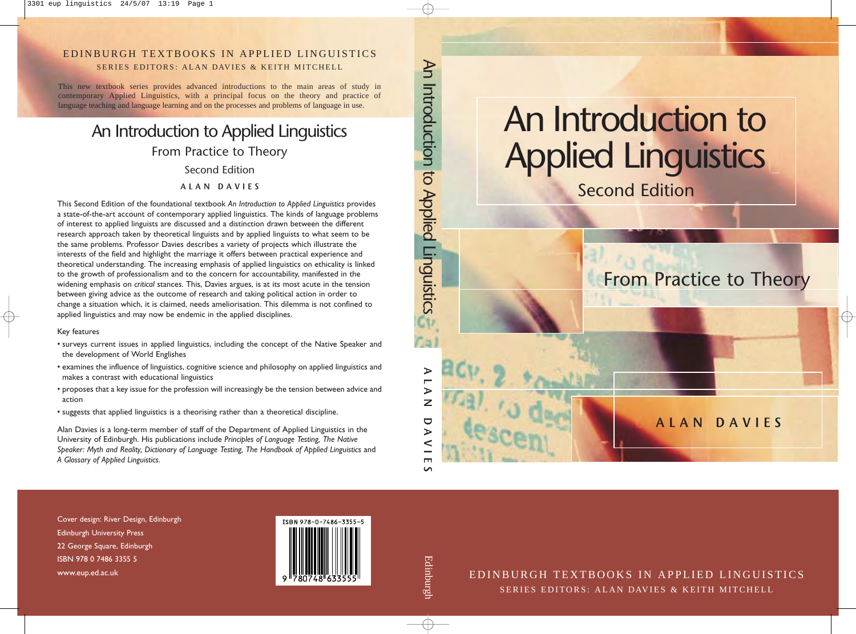#### EDINBURGH TEXTBOOKS IN APPLIED LINGUISTICS SERIES EDITORS: ALAN DAVIES & KEITH MITCHELL

This new textbook series provides advanced introductions to the main areas of study in contemporary Applied Linguistics, with a principal focus on the theory and practice of language teaching and language learning and on the processes and problems of language in use.

## An Introduction to Applied Linguistics From Practice to Theory

Second Edition

#### ALAN DAVIES

This Second Edition of the foundational textbook *An Introduction to Applied Linguistics* provides a state-of-the-art account of contemporary applied linguistics. The kinds of language problems of interest to applied linguists are discussed and a distinction drawn between the different research approach taken by theoretical linguists and by applied linguists to what seem to be the same problems. Professor Davies describes a variety of projects which illustrate the interests of the field and highlight the marriage it offers between practical experience and theoretical understanding. The increasing emphasis of applied linguistics on ethicality is linked to the growth of professionalism and to the concern for accountability, manifested in the widening emphasis on *critical* stances. This, Davies argues, is at its most acute in the tension between giving advice as the outcome of research and taking political action in order to change a situation which, it is claimed, needs ameliorisation. This dilemma is not confined to applied linguistics and may now be endemic in the applied disciplines.

#### Key features

- surveys current issues in applied linguistics, including the concept of the Native Speaker and the development of World Englishes
- examines the influence of linguistics, cognitive science and philosophy on applied linguistics and makes a contrast with educational linguistics
- proposes that a key issue for the profession will increasingly be the tension between advice and action
- suggests that applied linguistics is a theorising rather than a theoretical discipline.

Alan Davies is a long-term member of staff of the Department of Applied Linguistics in the University of Edinburgh. His publications include *Principles of Language Testing, The Native Speaker: Myth and Reality, Dictionary of Language Testing, The Handbook of Applied Linguistics* and *A Glossary of Applied Linguistics*.

# An An Introduction to Applied Linguistics Introduction to Applied Linguistics a

## An Introduction to Applied Linguistics Second Edition



Cover design: River Design, Edinburgh Edinburgh University Press 22 George Square, Edinburgh ISBN 978 0 7486 3355 5 www.eup.ed.ac.uk



Edinburgł

 $\sim$ 

EDINBURGH TEXTBOOKS IN APPLIED LINGUISTICS SERIES EDITORS: ALAN DAVIES & KEITH MITCHELL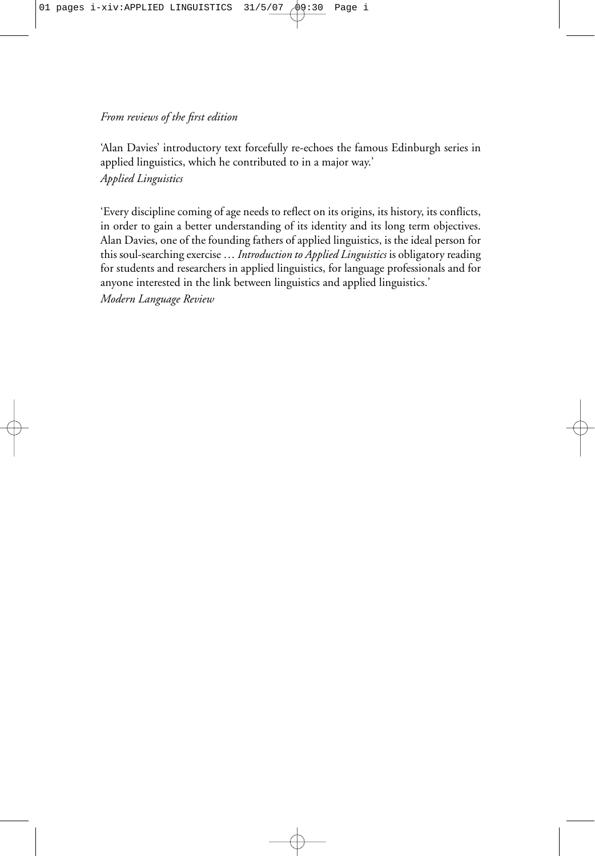#### *From reviews of the first edition*

'Alan Davies' introductory text forcefully re-echoes the famous Edinburgh series in applied linguistics, which he contributed to in a major way.' *Applied Linguistics*

'Every discipline coming of age needs to reflect on its origins, its history, its conflicts, in order to gain a better understanding of its identity and its long term objectives. Alan Davies, one of the founding fathers of applied linguistics, is the ideal person for this soul-searching exercise … *Introduction to Applied Linguistics* is obligatory reading for students and researchers in applied linguistics, for language professionals and for anyone interested in the link between linguistics and applied linguistics.' *Modern Language Review*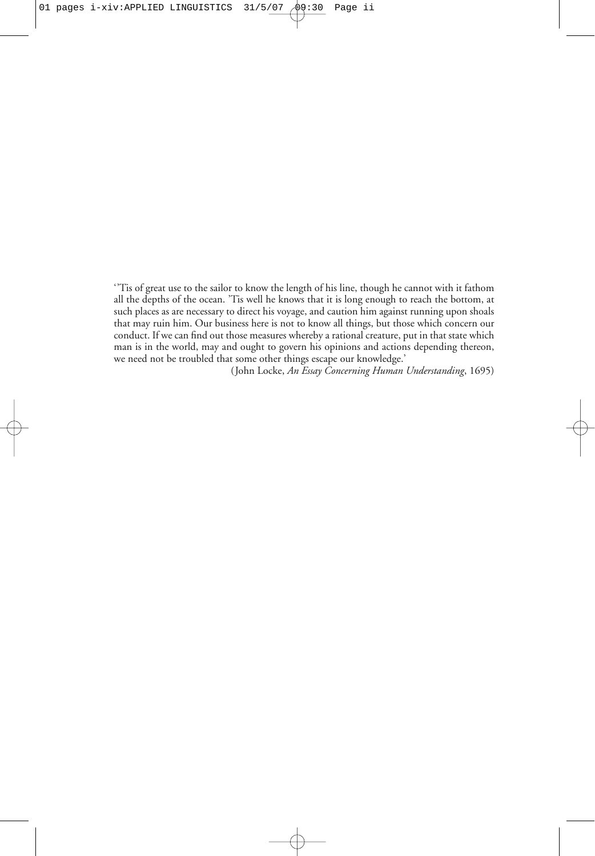''Tis of great use to the sailor to know the length of his line, though he cannot with it fathom all the depths of the ocean. 'Tis well he knows that it is long enough to reach the bottom, at such places as are necessary to direct his voyage, and caution him against running upon shoals that may ruin him. Our business here is not to know all things, but those which concern our conduct. If we can find out those measures whereby a rational creature, put in that state which man is in the world, may and ought to govern his opinions and actions depending thereon, we need not be troubled that some other things escape our knowledge.'

(John Locke, *An Essay Concerning Human Understanding*, 1695)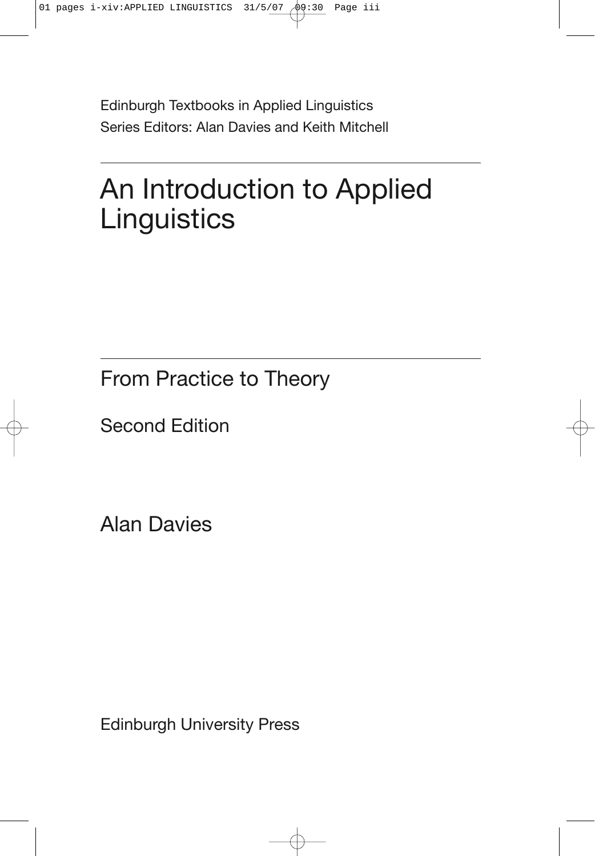Edinburgh Textbooks in Applied Linguistics Series Editors: Alan Davies and Keith Mitchell

## An Introduction to Applied **Linguistics**

From Practice to Theory

Second Edition

Alan Davies

Edinburgh University Press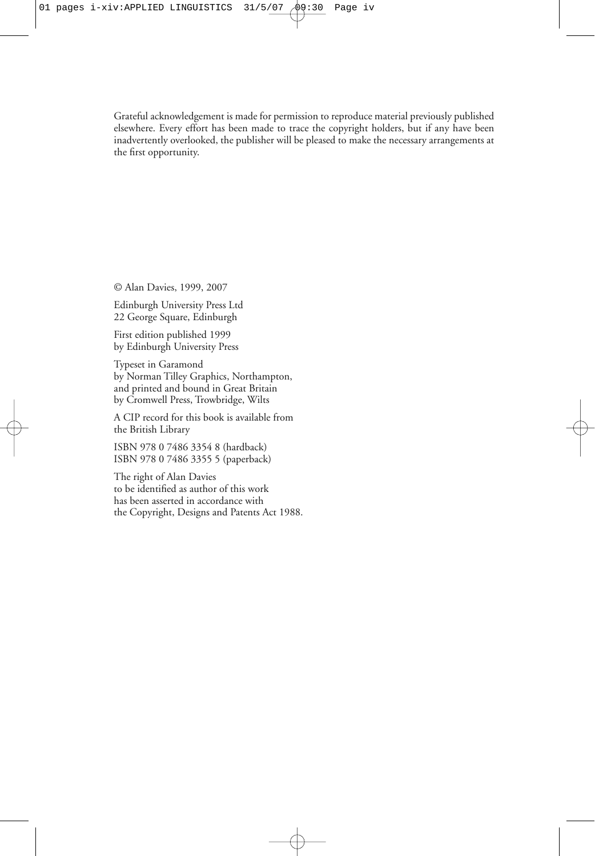Grateful acknowledgement is made for permission to reproduce material previously published elsewhere. Every effort has been made to trace the copyright holders, but if any have been inadvertently overlooked, the publisher will be pleased to make the necessary arrangements at the first opportunity.

© Alan Davies, 1999, 2007

Edinburgh University Press Ltd 22 George Square, Edinburgh

First edition published 1999 by Edinburgh University Press

Typeset in Garamond by Norman Tilley Graphics, Northampton, and printed and bound in Great Britain by Cromwell Press, Trowbridge, Wilts

A CIP record for this book is available from the British Library

ISBN 978 0 7486 3354 8 (hardback) ISBN 978 0 7486 3355 5 (paperback)

The right of Alan Davies to be identified as author of this work has been asserted in accordance with the Copyright, Designs and Patents Act 1988.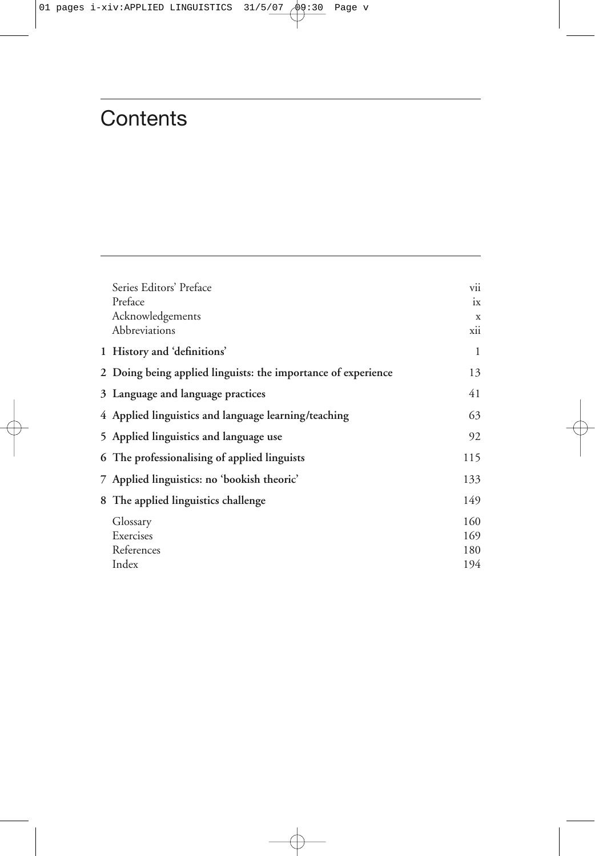## **Contents**

| Series Editors' Preface<br>Preface<br>ix<br>Acknowledgements<br>X<br>Abbreviations<br>X11<br>1 History and 'definitions'<br>1<br>2 Doing being applied linguists: the importance of experience<br>13<br>41<br>3 Language and language practices<br>4 Applied linguistics and language learning/teaching<br>63<br>5 Applied linguistics and language use<br>92<br>6 The professionalising of applied linguists<br>115<br>7 Applied linguistics: no 'bookish theoric'<br>133<br>149<br>8 The applied linguistics challenge<br>160<br>Glossary<br>Exercises<br>169<br>References<br>180<br>Index<br>194 |  |           |
|------------------------------------------------------------------------------------------------------------------------------------------------------------------------------------------------------------------------------------------------------------------------------------------------------------------------------------------------------------------------------------------------------------------------------------------------------------------------------------------------------------------------------------------------------------------------------------------------------|--|-----------|
|                                                                                                                                                                                                                                                                                                                                                                                                                                                                                                                                                                                                      |  | $\rm vii$ |
|                                                                                                                                                                                                                                                                                                                                                                                                                                                                                                                                                                                                      |  |           |
|                                                                                                                                                                                                                                                                                                                                                                                                                                                                                                                                                                                                      |  |           |
|                                                                                                                                                                                                                                                                                                                                                                                                                                                                                                                                                                                                      |  |           |
|                                                                                                                                                                                                                                                                                                                                                                                                                                                                                                                                                                                                      |  |           |
|                                                                                                                                                                                                                                                                                                                                                                                                                                                                                                                                                                                                      |  |           |
|                                                                                                                                                                                                                                                                                                                                                                                                                                                                                                                                                                                                      |  |           |
|                                                                                                                                                                                                                                                                                                                                                                                                                                                                                                                                                                                                      |  |           |
|                                                                                                                                                                                                                                                                                                                                                                                                                                                                                                                                                                                                      |  |           |
|                                                                                                                                                                                                                                                                                                                                                                                                                                                                                                                                                                                                      |  |           |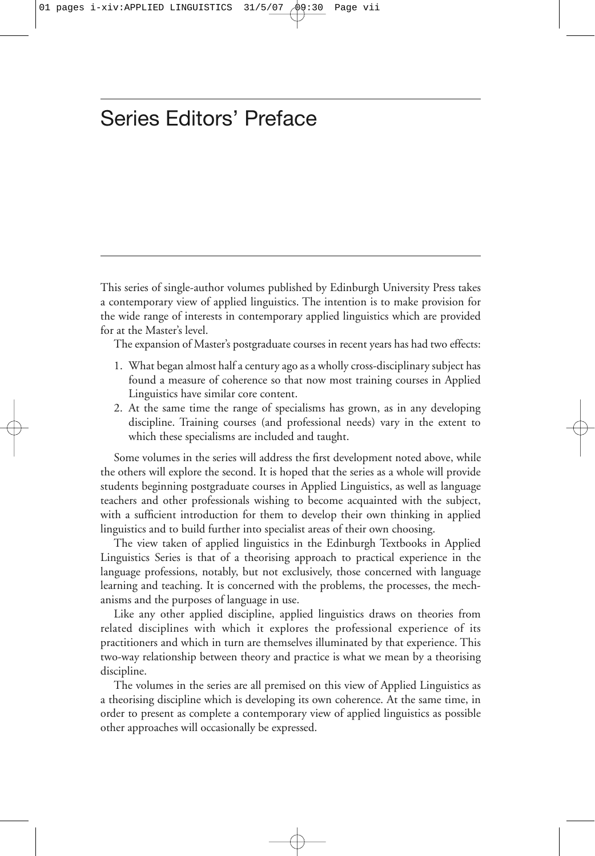## Series Editors' Preface

This series of single-author volumes published by Edinburgh University Press takes a contemporary view of applied linguistics. The intention is to make provision for the wide range of interests in contemporary applied linguistics which are provided for at the Master's level.

The expansion of Master's postgraduate courses in recent years has had two effects:

- 1. What began almost half a century ago as a wholly cross-disciplinary subject has found a measure of coherence so that now most training courses in Applied Linguistics have similar core content.
- 2. At the same time the range of specialisms has grown, as in any developing discipline. Training courses (and professional needs) vary in the extent to which these specialisms are included and taught.

Some volumes in the series will address the first development noted above, while the others will explore the second. It is hoped that the series as a whole will provide students beginning postgraduate courses in Applied Linguistics, as well as language teachers and other professionals wishing to become acquainted with the subject, with a sufficient introduction for them to develop their own thinking in applied linguistics and to build further into specialist areas of their own choosing.

The view taken of applied linguistics in the Edinburgh Textbooks in Applied Linguistics Series is that of a theorising approach to practical experience in the language professions, notably, but not exclusively, those concerned with language learning and teaching. It is concerned with the problems, the processes, the mechanisms and the purposes of language in use.

Like any other applied discipline, applied linguistics draws on theories from related disciplines with which it explores the professional experience of its practitioners and which in turn are themselves illuminated by that experience. This two-way relationship between theory and practice is what we mean by a theorising discipline.

The volumes in the series are all premised on this view of Applied Linguistics as a theorising discipline which is developing its own coherence. At the same time, in order to present as complete a contemporary view of applied linguistics as possible other approaches will occasionally be expressed.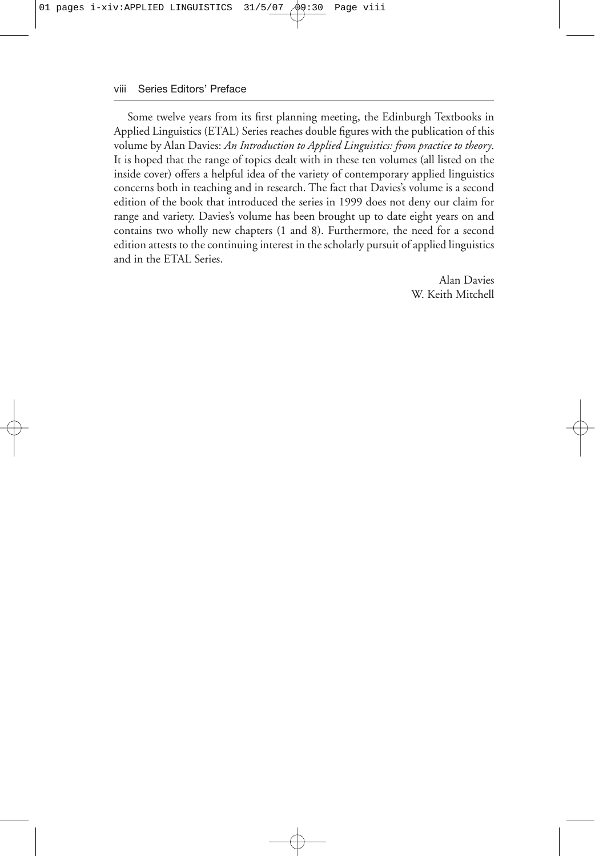Some twelve years from its first planning meeting, the Edinburgh Textbooks in Applied Linguistics (ETAL) Series reaches double figures with the publication of this volume by Alan Davies: *An Introduction to Applied Linguistics: from practice to theory*. It is hoped that the range of topics dealt with in these ten volumes (all listed on the inside cover) offers a helpful idea of the variety of contemporary applied linguistics concerns both in teaching and in research. The fact that Davies's volume is a second edition of the book that introduced the series in 1999 does not deny our claim for range and variety. Davies's volume has been brought up to date eight years on and contains two wholly new chapters (1 and 8). Furthermore, the need for a second edition attests to the continuing interest in the scholarly pursuit of applied linguistics and in the ETAL Series.

> Alan Davies W. Keith Mitchell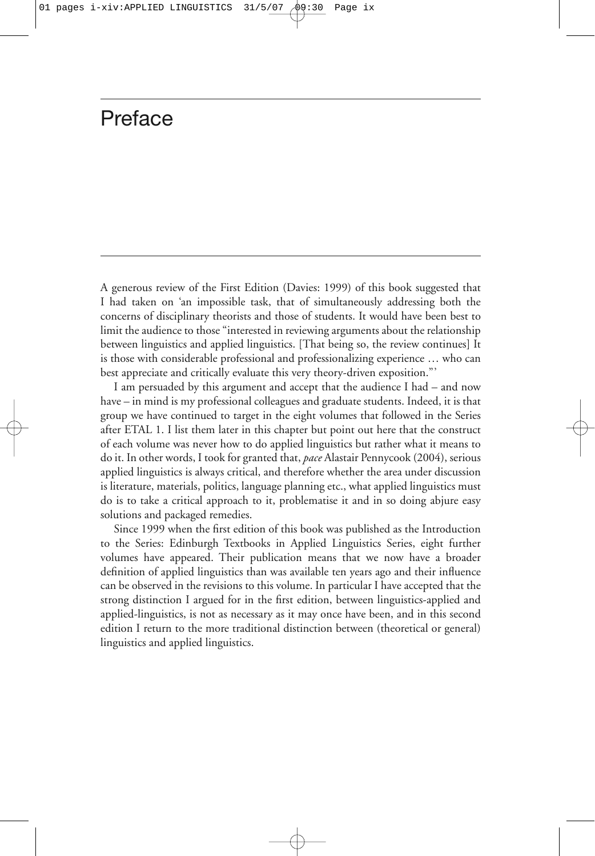## Preface

A generous review of the First Edition (Davies: 1999) of this book suggested that I had taken on 'an impossible task, that of simultaneously addressing both the concerns of disciplinary theorists and those of students. It would have been best to limit the audience to those "interested in reviewing arguments about the relationship between linguistics and applied linguistics. [That being so, the review continues] It is those with considerable professional and professionalizing experience … who can best appreciate and critically evaluate this very theory-driven exposition."'

I am persuaded by this argument and accept that the audience I had – and now have – in mind is my professional colleagues and graduate students. Indeed, it is that group we have continued to target in the eight volumes that followed in the Series after ETAL 1. I list them later in this chapter but point out here that the construct of each volume was never how to do applied linguistics but rather what it means to do it. In other words, I took for granted that, *pace* Alastair Pennycook (2004), serious applied linguistics is always critical, and therefore whether the area under discussion is literature, materials, politics, language planning etc., what applied linguistics must do is to take a critical approach to it, problematise it and in so doing abjure easy solutions and packaged remedies.

Since 1999 when the first edition of this book was published as the Introduction to the Series: Edinburgh Textbooks in Applied Linguistics Series, eight further volumes have appeared. Their publication means that we now have a broader definition of applied linguistics than was available ten years ago and their influence can be observed in the revisions to this volume. In particular I have accepted that the strong distinction I argued for in the first edition, between linguistics-applied and applied-linguistics, is not as necessary as it may once have been, and in this second edition I return to the more traditional distinction between (theoretical or general) linguistics and applied linguistics.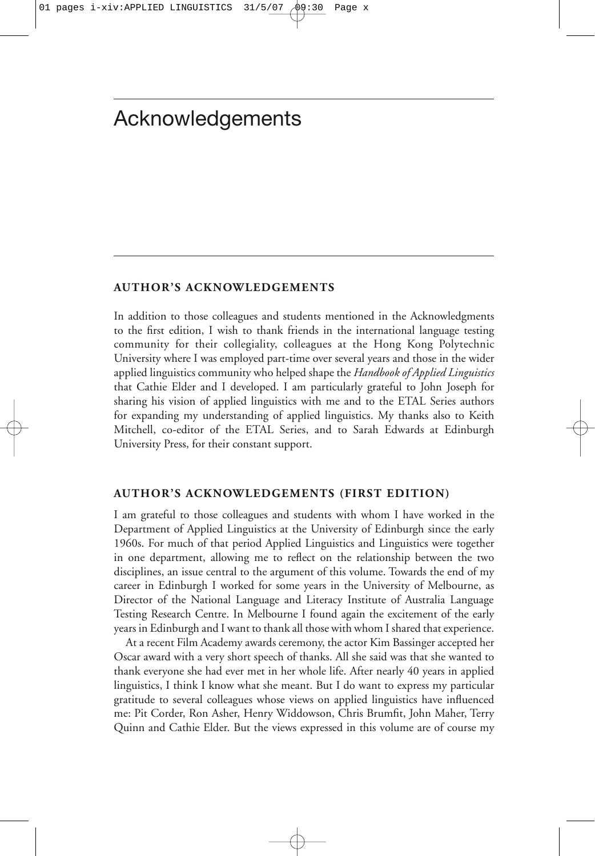### Acknowledgements

#### **AUTHOR'S ACKNOWLEDGEMENTS**

In addition to those colleagues and students mentioned in the Acknowledgments to the first edition, I wish to thank friends in the international language testing community for their collegiality, colleagues at the Hong Kong Polytechnic University where I was employed part-time over several years and those in the wider applied linguistics community who helped shape the *Handbook of Applied Linguistics* that Cathie Elder and I developed. I am particularly grateful to John Joseph for sharing his vision of applied linguistics with me and to the ETAL Series authors for expanding my understanding of applied linguistics. My thanks also to Keith Mitchell, co-editor of the ETAL Series, and to Sarah Edwards at Edinburgh University Press, for their constant support.

#### **AUTHOR'S ACKNOWLEDGEMENTS (FIRST EDITION)**

I am grateful to those colleagues and students with whom I have worked in the Department of Applied Linguistics at the University of Edinburgh since the early 1960s. For much of that period Applied Linguistics and Linguistics were together in one department, allowing me to reflect on the relationship between the two disciplines, an issue central to the argument of this volume. Towards the end of my career in Edinburgh I worked for some years in the University of Melbourne, as Director of the National Language and Literacy Institute of Australia Language Testing Research Centre. In Melbourne I found again the excitement of the early years in Edinburgh and I want to thank all those with whom I shared that experience.

At a recent Film Academy awards ceremony, the actor Kim Bassinger accepted her Oscar award with a very short speech of thanks. All she said was that she wanted to thank everyone she had ever met in her whole life. After nearly 40 years in applied linguistics, I think I know what she meant. But I do want to express my particular gratitude to several colleagues whose views on applied linguistics have influenced me: Pit Corder, Ron Asher, Henry Widdowson, Chris Brumfit, John Maher, Terry Quinn and Cathie Elder. But the views expressed in this volume are of course my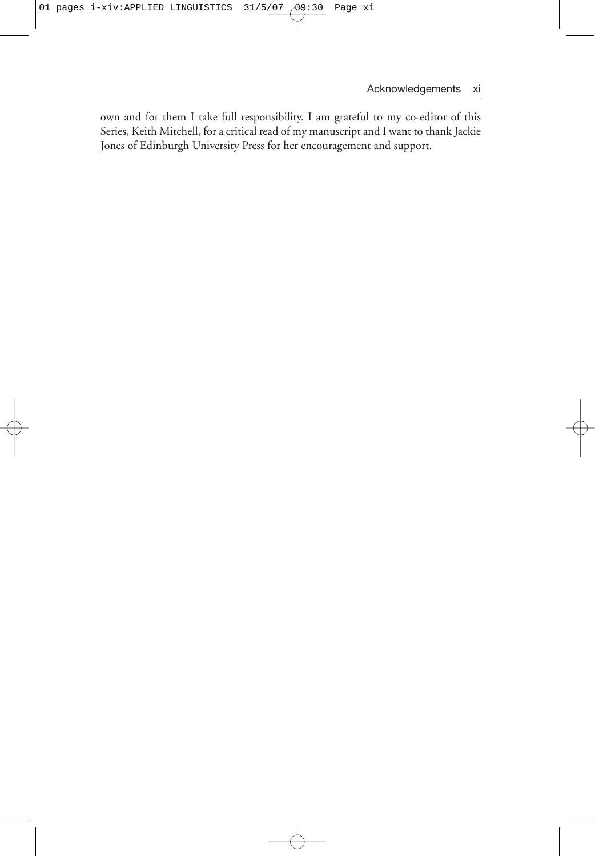own and for them I take full responsibility. I am grateful to my co-editor of this Series, Keith Mitchell, for a critical read of my manuscript and I want to thank Jackie Jones of Edinburgh University Press for her encouragement and support.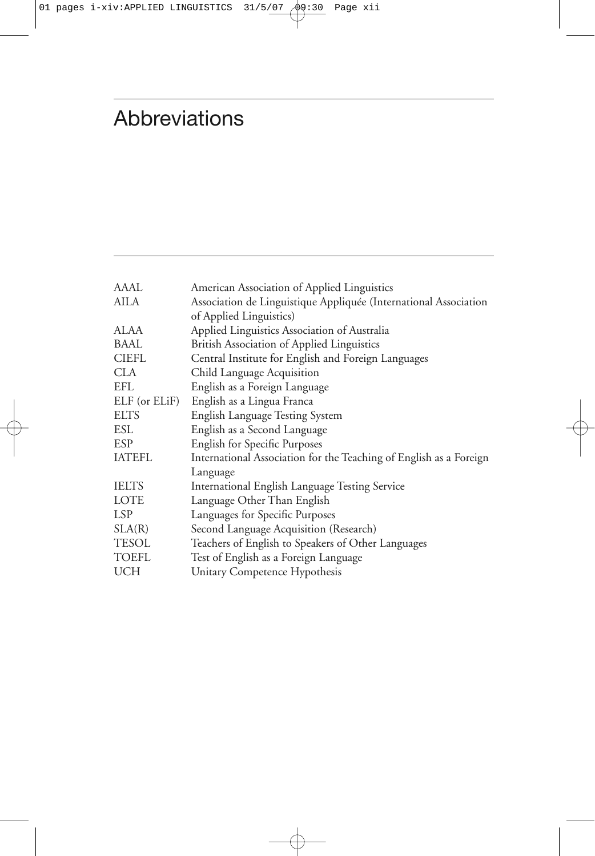## Abbreviations

| AAAL          | American Association of Applied Linguistics                        |
|---------------|--------------------------------------------------------------------|
| AILA          | Association de Linguistique Appliquée (International Association   |
|               | of Applied Linguistics)                                            |
| ALAA          | Applied Linguistics Association of Australia                       |
| BAAL          | British Association of Applied Linguistics                         |
| <b>CIEFL</b>  | Central Institute for English and Foreign Languages                |
| <b>CLA</b>    | Child Language Acquisition                                         |
| EFL           | English as a Foreign Language                                      |
| ELF (or ELiF) | English as a Lingua Franca                                         |
| <b>ELTS</b>   | English Language Testing System                                    |
| ESL           | English as a Second Language                                       |
| <b>ESP</b>    | <b>English for Specific Purposes</b>                               |
| <b>IATEFL</b> | International Association for the Teaching of English as a Foreign |
|               | Language                                                           |
| <b>IELTS</b>  | International English Language Testing Service                     |
| LOTE          | Language Other Than English                                        |
| <b>LSP</b>    | Languages for Specific Purposes                                    |
| SLA(R)        | Second Language Acquisition (Research)                             |
| <b>TESOL</b>  | Teachers of English to Speakers of Other Languages                 |
| <b>TOEFL</b>  | Test of English as a Foreign Language                              |
| <b>UCH</b>    | Unitary Competence Hypothesis                                      |
|               |                                                                    |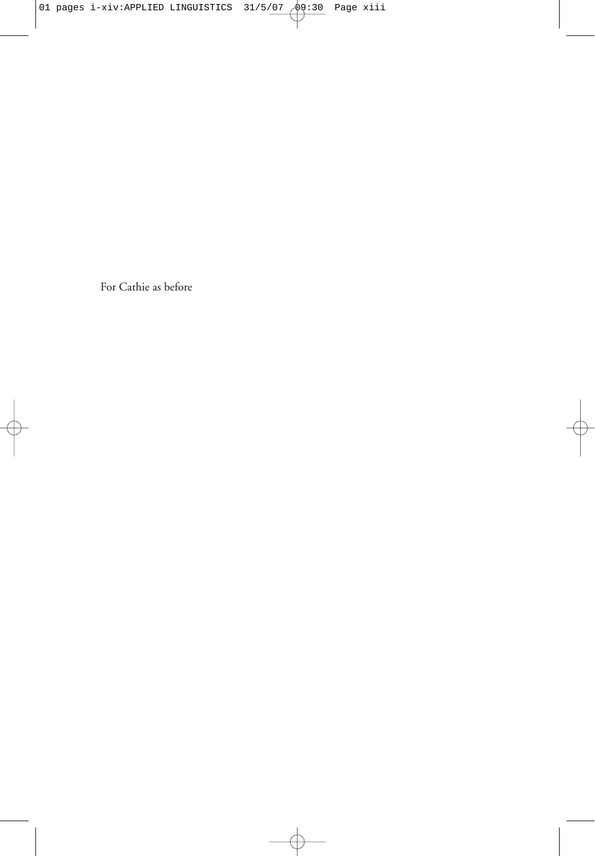For Cathie as before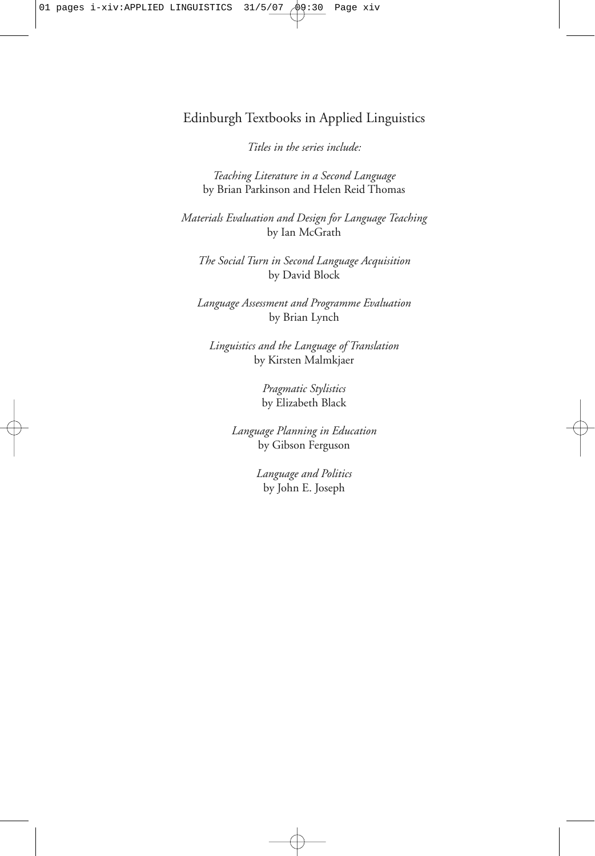#### Edinburgh Textbooks in Applied Linguistics

*Titles in the series include:*

*Teaching Literature in a Second Language* by Brian Parkinson and Helen Reid Thomas

*Materials Evaluation and Design for Language Teaching* by Ian McGrath

*The Social Turn in Second Language Acquisition* by David Block

*Language Assessment and Programme Evaluation* by Brian Lynch

*Linguistics and the Language of Translation* by Kirsten Malmkjaer

> *Pragmatic Stylistics* by Elizabeth Black

*Language Planning in Education* by Gibson Ferguson

> *Language and Politics* by John E. Joseph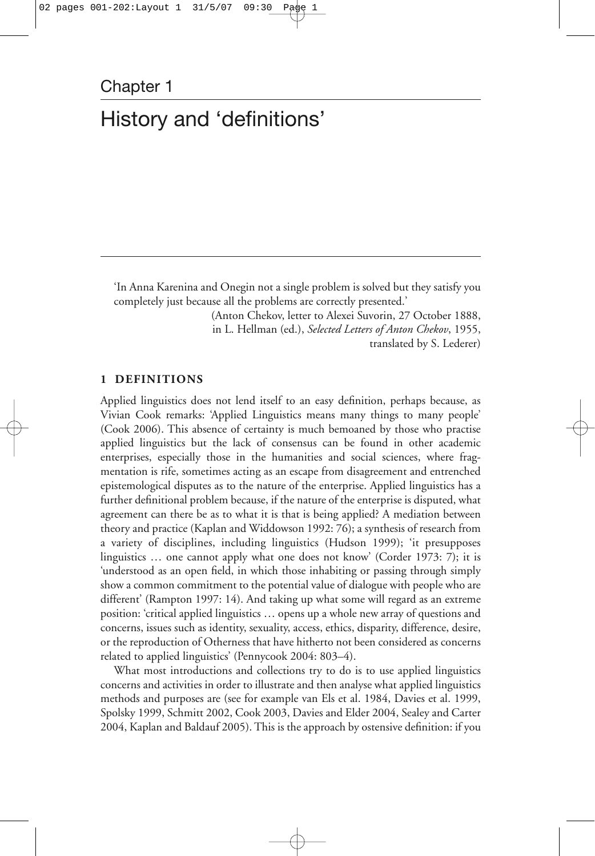## History and 'definitions'

'In Anna Karenina and Onegin not a single problem is solved but they satisfy you completely just because all the problems are correctly presented.'

> (Anton Chekov, letter to Alexei Suvorin, 27 October 1888, in L. Hellman (ed.), *Selected Letters of Anton Chekov*, 1955, translated by S. Lederer)

#### **1 DEFINITIONS**

Applied linguistics does not lend itself to an easy definition, perhaps because, as Vivian Cook remarks: 'Applied Linguistics means many things to many people' (Cook 2006). This absence of certainty is much bemoaned by those who practise applied linguistics but the lack of consensus can be found in other academic enterprises, especially those in the humanities and social sciences, where fragmentation is rife, sometimes acting as an escape from disagreement and entrenched epistemological disputes as to the nature of the enterprise. Applied linguistics has a further definitional problem because, if the nature of the enterprise is disputed, what agreement can there be as to what it is that is being applied? A mediation between theory and practice (Kaplan and Widdowson 1992: 76); a synthesis of research from a variety of disciplines, including linguistics (Hudson 1999); 'it presupposes linguistics … one cannot apply what one does not know' (Corder 1973: 7); it is 'understood as an open field, in which those inhabiting or passing through simply show a common commitment to the potential value of dialogue with people who are different' (Rampton 1997: 14). And taking up what some will regard as an extreme position: 'critical applied linguistics … opens up a whole new array of questions and concerns, issues such as identity, sexuality, access, ethics, disparity, difference, desire, or the reproduction of Otherness that have hitherto not been considered as concerns related to applied linguistics' (Pennycook 2004: 803–4).

What most introductions and collections try to do is to use applied linguistics concerns and activities in order to illustrate and then analyse what applied linguistics methods and purposes are (see for example van Els et al. 1984, Davies et al. 1999, Spolsky 1999, Schmitt 2002, Cook 2003, Davies and Elder 2004, Sealey and Carter 2004, Kaplan and Baldauf 2005). This is the approach by ostensive definition: if you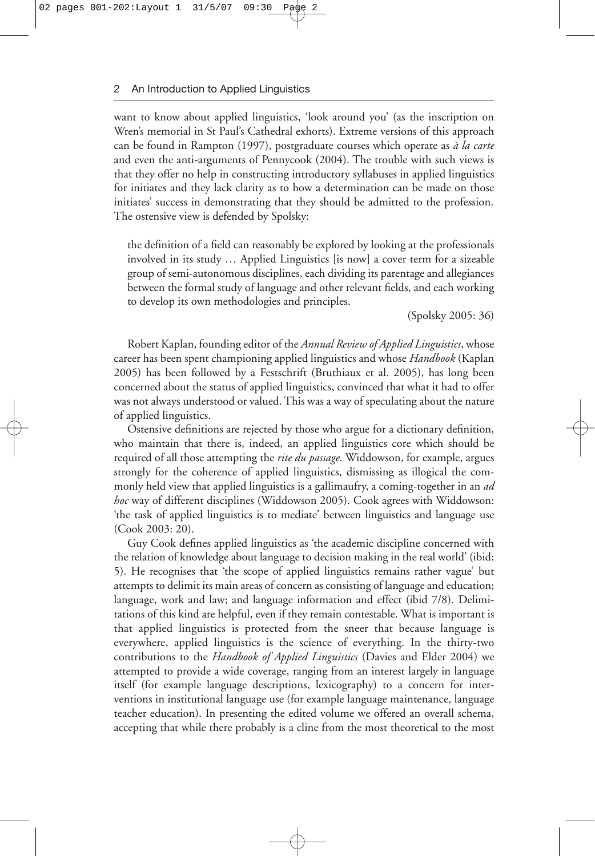want to know about applied linguistics, 'look around you' (as the inscription on Wren's memorial in St Paul's Cathedral exhorts). Extreme versions of this approach can be found in Rampton (1997), postgraduate courses which operate as *à la carte* and even the anti-arguments of Pennycook (2004). The trouble with such views is that they offer no help in constructing introductory syllabuses in applied linguistics for initiates and they lack clarity as to how a determination can be made on those initiates' success in demonstrating that they should be admitted to the profession. The ostensive view is defended by Spolsky:

the definition of a field can reasonably be explored by looking at the professionals involved in its study … Applied Linguistics [is now] a cover term for a sizeable group of semi-autonomous disciplines, each dividing its parentage and allegiances between the formal study of language and other relevant fields, and each working to develop its own methodologies and principles.

(Spolsky 2005: 36)

Robert Kaplan, founding editor of the *Annual Review of Applied Linguistics*, whose career has been spent championing applied linguistics and whose *Handbook* (Kaplan 2005) has been followed by a Festschrift (Bruthiaux et al. 2005), has long been concerned about the status of applied linguistics, convinced that what it had to offer was not always understood or valued. This was a way of speculating about the nature of applied linguistics.

Ostensive definitions are rejected by those who argue for a dictionary definition, who maintain that there is, indeed, an applied linguistics core which should be required of all those attempting the *rite du passage*. Widdowson, for example, argues strongly for the coherence of applied linguistics, dismissing as illogical the commonly held view that applied linguistics is a gallimaufry, a coming-together in an *ad hoc* way of different disciplines (Widdowson 2005). Cook agrees with Widdowson: 'the task of applied linguistics is to mediate' between linguistics and language use (Cook 2003: 20).

Guy Cook defines applied linguistics as 'the academic discipline concerned with the relation of knowledge about language to decision making in the real world' (ibid: 5). He recognises that 'the scope of applied linguistics remains rather vague' but attempts to delimit its main areas of concern as consisting of language and education; language, work and law; and language information and effect (ibid 7/8). Delimi tations of this kind are helpful, even if they remain contestable. What is important is that applied linguistics is protected from the sneer that because language is everywhere, applied linguistics is the science of everything. In the thirty-two contributions to the *Handbook of Applied Linguistics* (Davies and Elder 2004) we attempted to provide a wide coverage, ranging from an interest largely in language itself (for example language descriptions, lexicography) to a concern for interventions in institutional language use (for example language maintenance, language teacher education). In presenting the edited volume we offered an overall schema, accepting that while there probably is a cline from the most theoretical to the most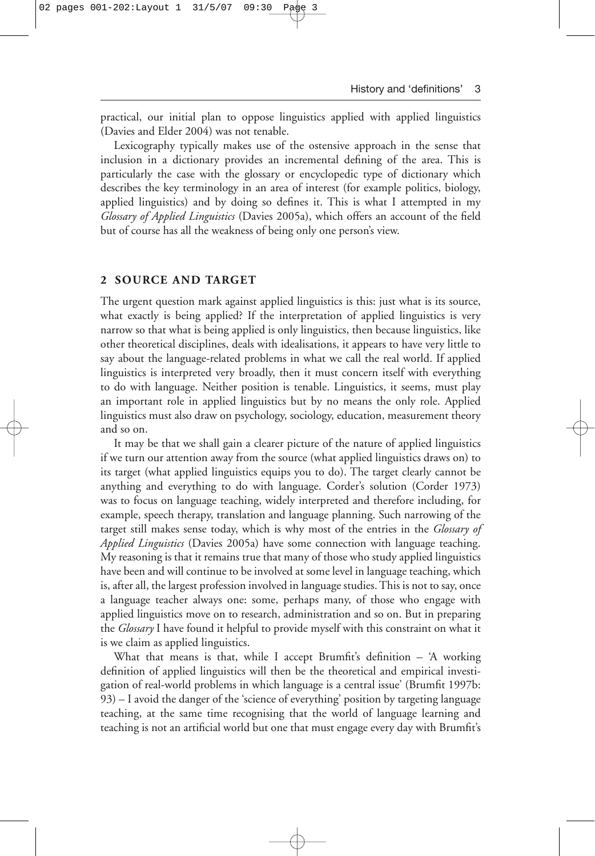practical, our initial plan to oppose linguistics applied with applied linguistics (Davies and Elder 2004) was not tenable.

Lexicography typically makes use of the ostensive approach in the sense that inclusion in a dictionary provides an incremental defining of the area. This is particularly the case with the glossary or encyclopedic type of dictionary which describes the key terminology in an area of interest (for example politics, biology, applied linguistics) and by doing so defines it. This is what I attempted in my *Glossary of Applied Linguistics* (Davies 2005a), which offers an account of the field but of course has all the weakness of being only one person's view.

#### **2 SOURCE AND TARGET**

The urgent question mark against applied linguistics is this: just what is its source, what exactly is being applied? If the interpretation of applied linguistics is very narrow so that what is being applied is only linguistics, then because linguistics, like other theoretical disciplines, deals with idealisations, it appears to have very little to say about the language-related problems in what we call the real world. If applied linguistics is interpreted very broadly, then it must concern itself with everything to do with language. Neither position is tenable. Linguistics, it seems, must play an important role in applied linguistics but by no means the only role. Applied linguistics must also draw on psychology, sociology, education, measurement theory and so on.

It may be that we shall gain a clearer picture of the nature of applied linguistics if we turn our attention away from the source (what applied linguistics draws on) to its target (what applied linguistics equips you to do). The target clearly cannot be anything and everything to do with language. Corder's solution (Corder 1973) was to focus on language teaching, widely interpreted and therefore including, for example, speech therapy, translation and language planning. Such narrowing of the target still makes sense today, which is why most of the entries in the *Glossary of Applied Linguistics* (Davies 2005a) have some connection with language teaching. My reasoning is that it remains true that many of those who study applied linguistics have been and will continue to be involved at some level in language teaching, which is, after all, the largest profession involved in language studies. This is not to say, once a language teacher always one: some, perhaps many, of those who engage with applied linguistics move on to research, administration and so on. But in preparing the *Glossary* I have found it helpful to provide myself with this constraint on what it is we claim as applied linguistics.

What that means is that, while I accept Brumfit's definition – 'A working definition of applied linguistics will then be the theoretical and empirical investigation of real-world problems in which language is a central issue' (Brumfit 1997b: 93) – I avoid the danger of the 'science of everything' position by targeting language teaching, at the same time recognising that the world of language learning and teaching is not an artificial world but one that must engage every day with Brumfit's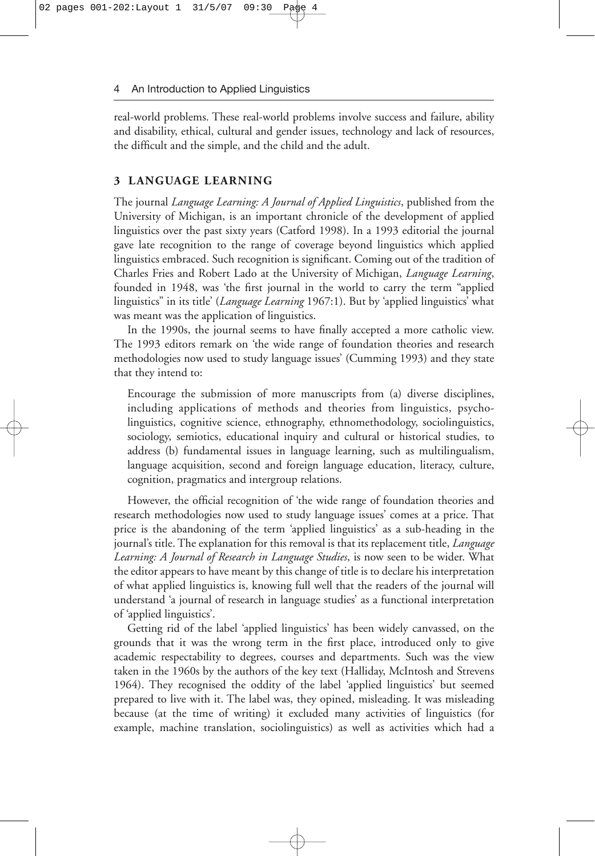real-world problems. These real-world problems involve success and failure, ability and disability, ethical, cultural and gender issues, technology and lack of resources, the difficult and the simple, and the child and the adult.

#### **3 LANGUAGE LEARNING**

The journal *Language Learning: A Journal of Applied Linguistics*, published from the University of Michigan, is an important chronicle of the development of applied linguistics over the past sixty years (Catford 1998). In a 1993 editorial the journal gave late recognition to the range of coverage beyond linguistics which applied linguistics embraced. Such recognition is significant. Coming out of the tradition of Charles Fries and Robert Lado at the University of Michigan, *Language Learning*, founded in 1948, was 'the first journal in the world to carry the term "applied linguistics" in its title' (*Language Learning* 1967:1). But by 'applied linguistics' what was meant was the application of linguistics.

In the 1990s, the journal seems to have finally accepted a more catholic view. The 1993 editors remark on 'the wide range of foundation theories and research methodologies now used to study language issues' (Cumming 1993) and they state that they intend to:

Encourage the submission of more manuscripts from (a) diverse disciplines, including applications of methods and theories from linguistics, psycholinguistics, cognitive science, ethnography, ethnomethodology, sociolinguistics, sociology, semiotics, educational inquiry and cultural or historical studies, to address (b) fundamental issues in language learning, such as multilingualism, language acquisition, second and foreign language education, literacy, culture, cognition, pragmatics and intergroup relations.

However, the official recognition of 'the wide range of foundation theories and research methodologies now used to study language issues' comes at a price. That price is the abandoning of the term 'applied linguistics' as a sub-heading in the journal's title. The explanation for this removal is that its replacement title, *Language Learning: A Journal of Research in Language Studies*, is now seen to be wider. What the editor appears to have meant by this change of title is to declare his interpretation of what applied linguistics is, knowing full well that the readers of the journal will understand 'a journal of research in language studies' as a functional interpretation of 'applied linguistics'.

Getting rid of the label 'applied linguistics' has been widely canvassed, on the grounds that it was the wrong term in the first place, introduced only to give academic respectability to degrees, courses and departments. Such was the view taken in the 1960s by the authors of the key text (Halliday, McIntosh and Strevens 1964). They recognised the oddity of the label 'applied linguistics' but seemed prepared to live with it. The label was, they opined, misleading. It was misleading because (at the time of writing) it excluded many activities of linguistics (for example, machine translation, sociolinguistics) as well as activities which had a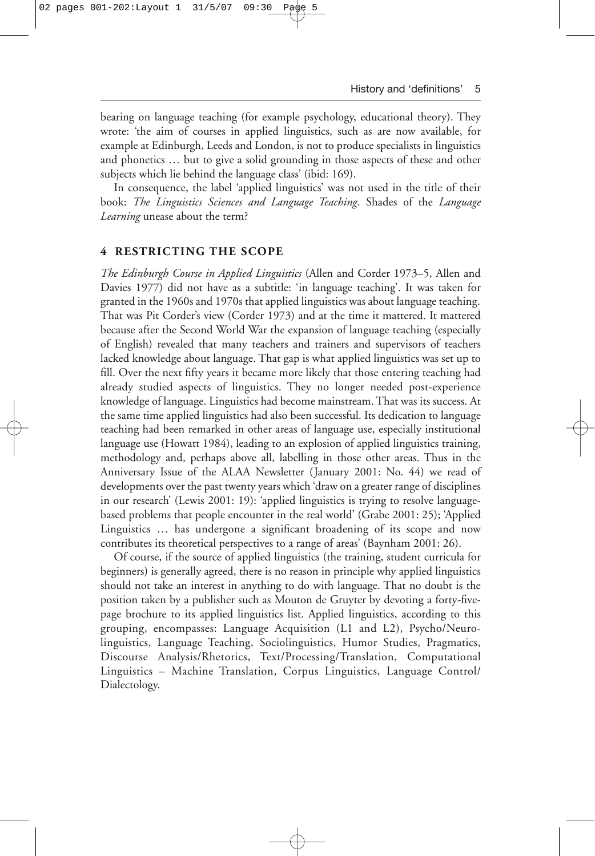bearing on language teaching (for example psychology, educational theory). They wrote: 'the aim of courses in applied linguistics, such as are now available, for example at Edinburgh, Leeds and London, is not to produce specialists in linguistics and phonetics … but to give a solid grounding in those aspects of these and other subjects which lie behind the language class' (ibid: 169).

In consequence, the label 'applied linguistics' was not used in the title of their book: *The Linguistics Sciences and Language Teaching*. Shades of the *Language Learning* unease about the term?

#### **4 RESTRICTING THE SCOPE**

*The Edinburgh Course in Applied Linguistics* (Allen and Corder 1973–5, Allen and Davies 1977) did not have as a subtitle: 'in language teaching'. It was taken for granted in the 1960s and 1970s that applied linguistics was about language teaching. That was Pit Corder's view (Corder 1973) and at the time it mattered. It mattered because after the Second World War the expansion of language teaching (especially of English) revealed that many teachers and trainers and supervisors of teachers lacked knowledge about language. That gap is what applied linguistics was set up to fill. Over the next fifty years it became more likely that those entering teaching had already studied aspects of linguistics. They no longer needed post-experience knowledge of language. Linguistics had become mainstream. That was its success. At the same time applied linguistics had also been successful. Its dedication to language teaching had been remarked in other areas of language use, especially institutional language use (Howatt 1984), leading to an explosion of applied linguistics training, methodology and, perhaps above all, labelling in those other areas. Thus in the Anniversary Issue of the ALAA Newsletter (January 2001: No. 44) we read of developments over the past twenty years which 'draw on a greater range of disciplines in our research' (Lewis 2001: 19): 'applied linguistics is trying to resolve languagebased problems that people encounter in the real world' (Grabe 2001: 25); 'Applied Linguistics … has undergone a significant broadening of its scope and now contributes its theoretical perspectives to a range of areas' (Baynham 2001: 26).

Of course, if the source of applied linguistics (the training, student curricula for beginners) is generally agreed, there is no reason in principle why applied linguistics should not take an interest in anything to do with language. That no doubt is the position taken by a publisher such as Mouton de Gruyter by devoting a forty-fivepage brochure to its applied linguistics list. Applied linguistics, according to this grouping, encompasses: Language Acquisition (L1 and L2), Psycho/Neurolinguistics, Language Teaching, Sociolinguistics, Humor Studies, Pragmatics, Discourse Analysis/Rhetorics, Text/Processing/Translation, Computational Linguistics – Machine Translation, Corpus Linguistics, Language Control/ Dialectology.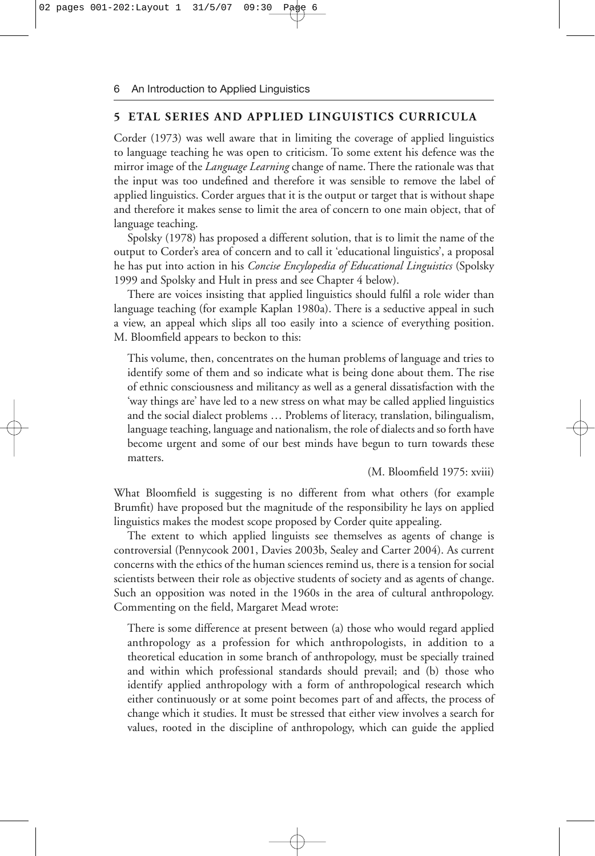#### **5 ETAL SERIES AND APPLIED LINGUISTICS CURRICULA**

Corder (1973) was well aware that in limiting the coverage of applied linguistics to language teaching he was open to criticism. To some extent his defence was the mirror image of the *Language Learning* change of name. There the rationale was that the input was too undefined and therefore it was sensible to remove the label of applied linguistics. Corder argues that it is the output or target that is without shape and therefore it makes sense to limit the area of concern to one main object, that of language teaching.

Spolsky (1978) has proposed a different solution, that is to limit the name of the output to Corder's area of concern and to call it 'educational linguistics', a proposal he has put into action in his *Concise Encylopedia of Educational Linguistics* (Spolsky 1999 and Spolsky and Hult in press and see Chapter 4 below).

There are voices insisting that applied linguistics should fulfil a role wider than language teaching (for example Kaplan 1980a). There is a seductive appeal in such a view, an appeal which slips all too easily into a science of everything position. M. Bloomfield appears to beckon to this:

This volume, then, concentrates on the human problems of language and tries to identify some of them and so indicate what is being done about them. The rise of ethnic consciousness and militancy as well as a general dissatisfaction with the 'way things are' have led to a new stress on what may be called applied linguistics and the social dialect problems … Problems of literacy, translation, bilingualism, language teaching, language and nationalism, the role of dialects and so forth have become urgent and some of our best minds have begun to turn towards these matters.

(M. Bloomfield 1975: xviii)

What Bloomfield is suggesting is no different from what others (for example Brumfit) have proposed but the magnitude of the responsibility he lays on applied linguistics makes the modest scope proposed by Corder quite appealing.

The extent to which applied linguists see themselves as agents of change is controversial (Pennycook 2001, Davies 2003b, Sealey and Carter 2004). As current concerns with the ethics of the human sciences remind us, there is a tension for social scientists between their role as objective students of society and as agents of change. Such an opposition was noted in the 1960s in the area of cultural anthropology. Commenting on the field, Margaret Mead wrote:

There is some difference at present between (a) those who would regard applied anthropology as a profession for which anthropologists, in addition to a theoretical education in some branch of anthropology, must be specially trained and within which professional standards should prevail; and (b) those who identify applied anthropology with a form of anthropological research which either continuously or at some point becomes part of and affects, the process of change which it studies. It must be stressed that either view involves a search for values, rooted in the discipline of anthropology, which can guide the applied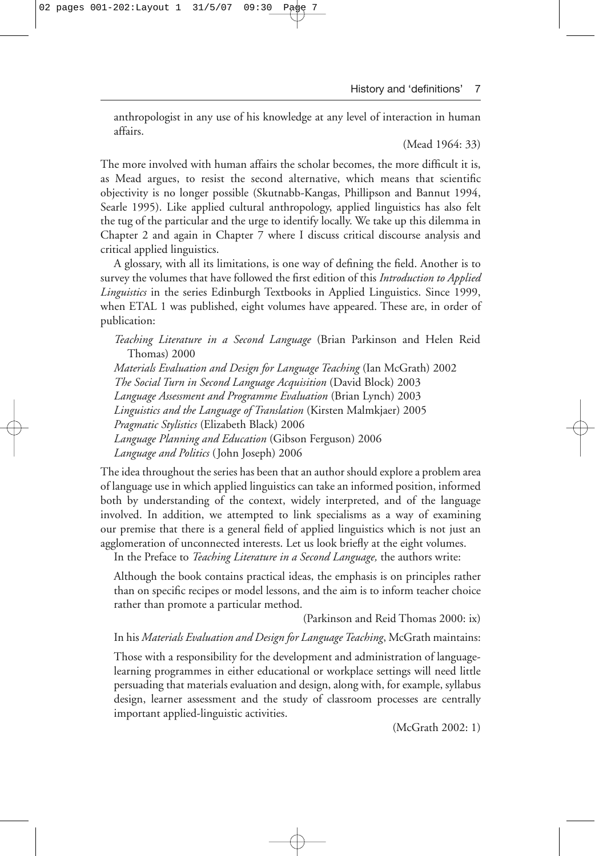anthropologist in any use of his knowledge at any level of interaction in human affairs.

(Mead 1964: 33)

The more involved with human affairs the scholar becomes, the more difficult it is, as Mead argues, to resist the second alternative, which means that scientific objectivity is no longer possible (Skutnabb-Kangas, Phillipson and Bannut 1994, Searle 1995). Like applied cultural anthropology, applied linguistics has also felt the tug of the particular and the urge to identify locally. We take up this dilemma in Chapter 2 and again in Chapter 7 where I discuss critical discourse analysis and critical applied linguistics.

A glossary, with all its limitations, is one way of defining the field. Another is to survey the volumes that have followed the first edition of this *Introduction to Applied Linguistics* in the series Edinburgh Textbooks in Applied Linguistics. Since 1999, when ETAL 1 was published, eight volumes have appeared. These are, in order of publication:

*Teaching Literature in a Second Language* (Brian Parkinson and Helen Reid Thomas) 2000

*Materials Evaluation and Design for Language Teaching* (Ian McGrath) 2002 *The Social Turn in Second Language Acquisition* (David Block) 2003 *Language Assessment and Programme Evaluation* (Brian Lynch) 2003 *Linguistics and the Language of Translation* (Kirsten Malmkjaer) 2005 *Pragmatic Stylistics* (Elizabeth Black) 2006 *Language Planning and Education* (Gibson Ferguson) 2006 *Language and Politics* (John Joseph) 2006

The idea throughout the series has been that an author should explore a problem area of language use in which applied linguistics can take an informed position, informed both by understanding of the context, widely interpreted, and of the language involved. In addition, we attempted to link specialisms as a way of examining our premise that there is a general field of applied linguistics which is not just an agglomeration of unconnected interests. Let us look briefly at the eight volumes.

In the Preface to *Teaching Literature in a Second Language,* the authors write:

Although the book contains practical ideas, the emphasis is on principles rather than on specific recipes or model lessons, and the aim is to inform teacher choice rather than promote a particular method.

(Parkinson and Reid Thomas 2000: ix)

In his *Materials Evaluation and Design for Language Teaching*, McGrath maintains:

Those with a responsibility for the development and administration of languagelearning programmes in either educational or workplace settings will need little persuading that materials evaluation and design, along with, for example, syllabus design, learner assessment and the study of classroom processes are centrally important applied-linguistic activities.

(McGrath 2002: 1)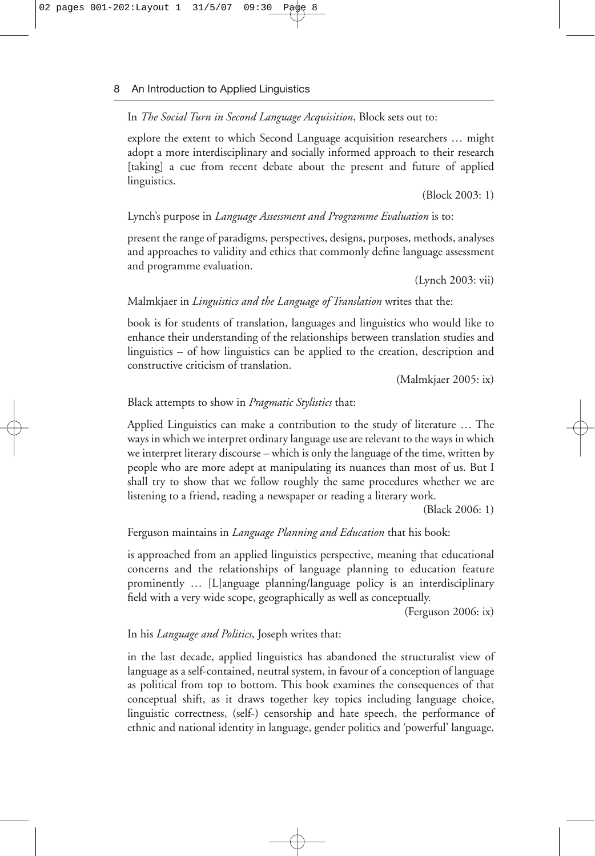In *The Social Turn in Second Language Acquisition*, Block sets out to:

explore the extent to which Second Language acquisition researchers … might adopt a more interdisciplinary and socially informed approach to their research [taking] a cue from recent debate about the present and future of applied linguistics.

(Block 2003: 1)

#### Lynch's purpose in *Language Assessment and Programme Evaluation* is to:

present the range of paradigms, perspectives, designs, purposes, methods, analyses and approaches to validity and ethics that commonly define language assessment and programme evaluation.

(Lynch 2003: vii)

#### Malmkjaer in *Linguistics and the Language of Translation* writes that the:

book is for students of translation, languages and linguistics who would like to enhance their understanding of the relationships between translation studies and linguistics – of how linguistics can be applied to the creation, description and constructive criticism of translation.

(Malmkjaer 2005: ix)

#### Black attempts to show in *Pragmatic Stylistics* that:

Applied Linguistics can make a contribution to the study of literature … The ways in which we interpret ordinary language use are relevant to the ways in which we interpret literary discourse – which is only the language of the time, written by people who are more adept at manipulating its nuances than most of us. But I shall try to show that we follow roughly the same procedures whether we are listening to a friend, reading a newspaper or reading a literary work.

(Black 2006: 1)

Ferguson maintains in *Language Planning and Education* that his book:

is approached from an applied linguistics perspective, meaning that educational concerns and the relationships of language planning to education feature prominently … [L]anguage planning/language policy is an interdisciplinary field with a very wide scope, geographically as well as conceptually.

(Ferguson 2006: ix)

#### In his *Language and Politics*, Joseph writes that:

in the last decade, applied linguistics has abandoned the structuralist view of language as a self-contained, neutral system, in favour of a conception of language as political from top to bottom. This book examines the consequences of that conceptual shift, as it draws together key topics including language choice, linguistic correctness, (self-) censorship and hate speech, the performance of ethnic and national identity in language, gender politics and 'powerful' language,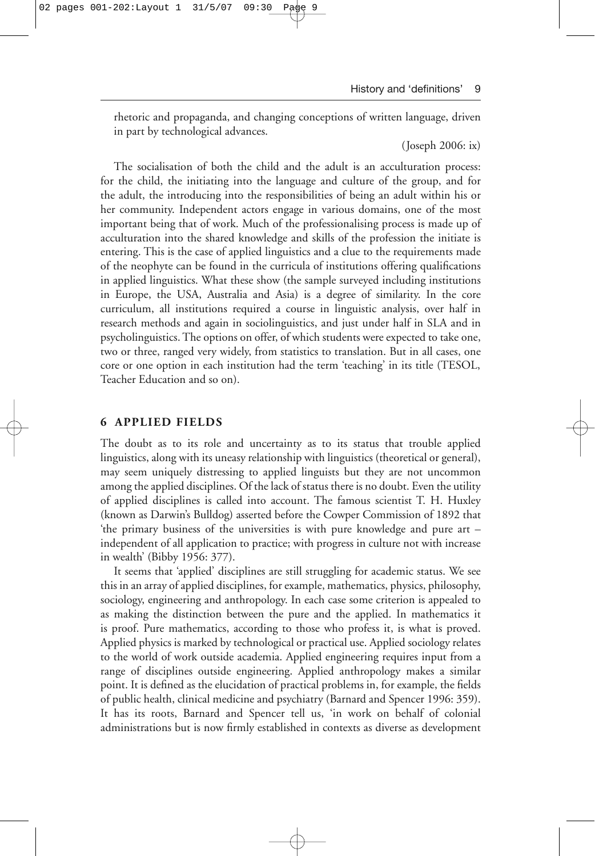rhetoric and propaganda, and changing conceptions of written language, driven in part by technological advances.

(Joseph 2006: ix)

The socialisation of both the child and the adult is an acculturation process: for the child, the initiating into the language and culture of the group, and for the adult, the introducing into the responsibilities of being an adult within his or her community. Independent actors engage in various domains, one of the most important being that of work. Much of the professionalising process is made up of acculturation into the shared knowledge and skills of the profession the initiate is entering. This is the case of applied linguistics and a clue to the requirements made of the neophyte can be found in the curricula of institutions offering qualifications in applied linguistics. What these show (the sample surveyed including institutions in Europe, the USA, Australia and Asia) is a degree of similarity. In the core curriculum, all institutions required a course in linguistic analysis, over half in research methods and again in sociolinguistics, and just under half in SLA and in psycholinguistics. The options on offer, of which students were expected to take one, two or three, ranged very widely, from statistics to translation. But in all cases, one core or one option in each institution had the term 'teaching' in its title (TESOL, Teacher Education and so on).

#### **6 APPLIED FIELDS**

The doubt as to its role and uncertainty as to its status that trouble applied linguistics, along with its uneasy relationship with linguistics (theoretical or general), may seem uniquely distressing to applied linguists but they are not uncommon among the applied disciplines. Of the lack of status there is no doubt. Even the utility of applied disciplines is called into account. The famous scientist T. H. Huxley (known as Darwin's Bulldog) asserted before the Cowper Commission of 1892 that 'the primary business of the universities is with pure knowledge and pure art – independent of all application to practice; with progress in culture not with increase in wealth' (Bibby 1956: 377).

It seems that 'applied' disciplines are still struggling for academic status. We see this in an array of applied disciplines, for example, mathematics, physics, philosophy, sociology, engineering and anthropology. In each case some criterion is appealed to as making the distinction between the pure and the applied. In mathematics it is proof. Pure mathematics, according to those who profess it, is what is proved. Applied physics is marked by technological or practical use. Applied sociology relates to the world of work outside academia. Applied engineering requires input from a range of disciplines outside engineering. Applied anthropology makes a similar point. It is defined as the elucidation of practical problems in, for example, the fields of public health, clinical medicine and psychiatry (Barnard and Spencer 1996: 359). It has its roots, Barnard and Spencer tell us, 'in work on behalf of colonial administrations but is now firmly established in contexts as diverse as development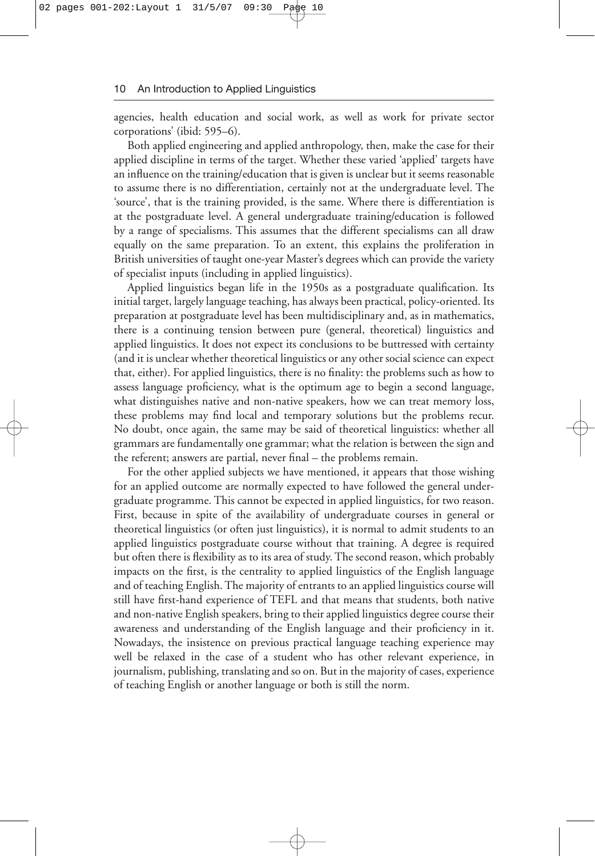agencies, health education and social work, as well as work for private sector corporations' (ibid: 595–6).

Both applied engineering and applied anthropology, then, make the case for their applied discipline in terms of the target. Whether these varied 'applied' targets have an influence on the training/education that is given is unclear but it seems reasonable to assume there is no differentiation, certainly not at the undergraduate level. The 'source', that is the training provided, is the same. Where there is differentiation is at the postgraduate level. A general undergraduate training/education is followed by a range of specialisms. This assumes that the different specialisms can all draw equally on the same preparation. To an extent, this explains the proliferation in British universities of taught one-year Master's degrees which can provide the variety of specialist inputs (including in applied linguistics).

Applied linguistics began life in the 1950s as a postgraduate qualification. Its initial target, largely language teaching, has always been practical, policy-oriented. Its preparation at postgraduate level has been multidisciplinary and, as in mathematics, there is a continuing tension between pure (general, theoretical) linguistics and applied linguistics. It does not expect its conclusions to be buttressed with certainty (and it is unclear whether theoretical linguistics or any other social science can expect that, either). For applied linguistics, there is no finality: the problems such as how to assess language proficiency, what is the optimum age to begin a second language, what distinguishes native and non-native speakers, how we can treat memory loss, these problems may find local and temporary solutions but the problems recur. No doubt, once again, the same may be said of theoretical linguistics: whether all grammars are fundamentally one grammar; what the relation is between the sign and the referent; answers are partial, never final – the problems remain.

For the other applied subjects we have mentioned, it appears that those wishing for an applied outcome are normally expected to have followed the general under graduate programme. This cannot be expected in applied linguistics, for two reason. First, because in spite of the availability of undergraduate courses in general or theoretical linguistics (or often just linguistics), it is normal to admit students to an applied linguistics postgraduate course without that training. A degree is required but often there is flexibility as to its area of study. The second reason, which probably impacts on the first, is the centrality to applied linguistics of the English language and of teaching English. The majority of entrants to an applied linguistics course will still have first-hand experience of TEFL and that means that students, both native and non-native English speakers, bring to their applied linguistics degree course their awareness and understanding of the English language and their proficiency in it. Nowadays, the insistence on previous practical language teaching experience may well be relaxed in the case of a student who has other relevant experience, in journalism, publishing, translating and so on. But in the majority of cases, experience of teaching English or another language or both is still the norm.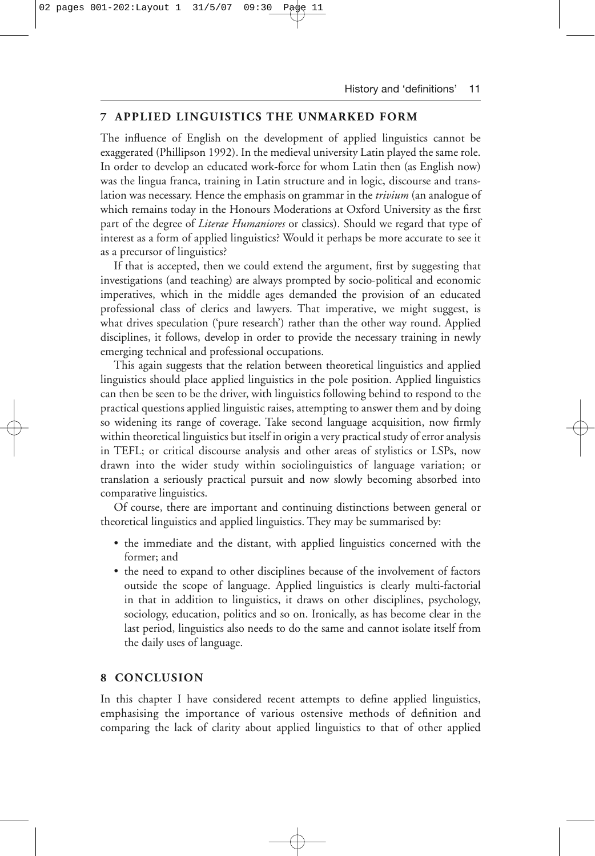#### **7 APPLIED LINGUISTICS THE UNMARKED FORM**

The influence of English on the development of applied linguistics cannot be exaggerated (Phillipson 1992). In the medieval university Latin played the same role. In order to develop an educated work-force for whom Latin then (as English now) was the lingua franca, training in Latin structure and in logic, discourse and trans lation was necessary. Hence the emphasis on grammar in the *trivium* (an analogue of which remains today in the Honours Moderations at Oxford University as the first part of the degree of *Literae Humaniores* or classics). Should we regard that type of interest as a form of applied linguistics? Would it perhaps be more accurate to see it as a precursor of linguistics?

If that is accepted, then we could extend the argument, first by suggesting that investigations (and teaching) are always prompted by socio-political and economic imperatives, which in the middle ages demanded the provision of an educated professional class of clerics and lawyers. That imperative, we might suggest, is what drives speculation ('pure research') rather than the other way round. Applied disciplines, it follows, develop in order to provide the necessary training in newly emerging technical and professional occupations.

This again suggests that the relation between theoretical linguistics and applied linguistics should place applied linguistics in the pole position. Applied linguistics can then be seen to be the driver, with linguistics following behind to respond to the practical questions applied linguistic raises, attempting to answer them and by doing so widening its range of coverage. Take second language acquisition, now firmly within theoretical linguistics but itself in origin a very practical study of error analysis in TEFL; or critical discourse analysis and other areas of stylistics or LSPs, now drawn into the wider study within sociolinguistics of language variation; or translation a seriously practical pursuit and now slowly becoming absorbed into comparative linguistics.

Of course, there are important and continuing distinctions between general or theoretical linguistics and applied linguistics. They may be summarised by:

- the immediate and the distant, with applied linguistics concerned with the former; and
- the need to expand to other disciplines because of the involvement of factors outside the scope of language. Applied linguistics is clearly multi-factorial in that in addition to linguistics, it draws on other disciplines, psychology, sociology, education, politics and so on. Ironically, as has become clear in the last period, linguistics also needs to do the same and cannot isolate itself from the daily uses of language.

#### **8 CONCLUSION**

In this chapter I have considered recent attempts to define applied linguistics, emphasising the importance of various ostensive methods of definition and comparing the lack of clarity about applied linguistics to that of other applied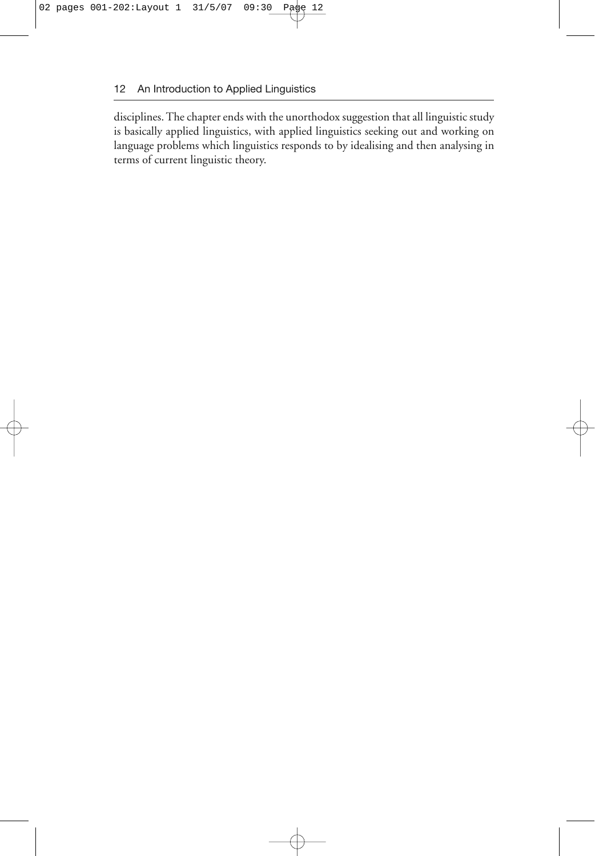disciplines. The chapter ends with the unorthodox suggestion that all linguistic study is basically applied linguistics, with applied linguistics seeking out and working on language problems which linguistics responds to by idealising and then analysing in terms of current linguistic theory.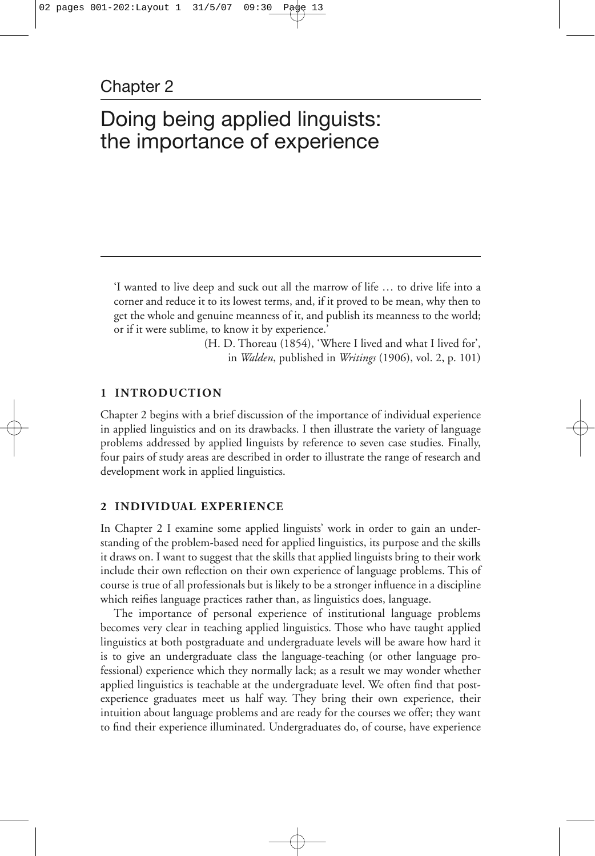## Doing being applied linguists: the importance of experience

'I wanted to live deep and suck out all the marrow of life … to drive life into a corner and reduce it to its lowest terms, and, if it proved to be mean, why then to get the whole and genuine meanness of it, and publish its meanness to the world; or if it were sublime, to know it by experience.'

> (H. D. Thoreau (1854), 'Where I lived and what I lived for', in *Walden*, published in *Writings* (1906), vol. 2, p. 101)

#### **1 INTRODUCTION**

Chapter 2 begins with a brief discussion of the importance of individual experience in applied linguistics and on its drawbacks. I then illustrate the variety of language problems addressed by applied linguists by reference to seven case studies. Finally, four pairs of study areas are described in order to illustrate the range of research and development work in applied linguistics.

#### **2 INDIVIDUAL EXPERIENCE**

In Chapter 2 I examine some applied linguists' work in order to gain an understanding of the problem-based need for applied linguistics, its purpose and the skills it draws on. I want to suggest that the skills that applied linguists bring to their work include their own reflection on their own experience of language problems. This of course is true of all professionals but is likely to be a stronger influence in a discipline which reifies language practices rather than, as linguistics does, language.

The importance of personal experience of institutional language problems becomes very clear in teaching applied linguistics. Those who have taught applied linguistics at both postgraduate and undergraduate levels will be aware how hard it is to give an undergraduate class the language-teaching (or other language professional) experience which they normally lack; as a result we may wonder whether applied linguistics is teachable at the undergraduate level. We often find that postexperience graduates meet us half way. They bring their own experience, their intuition about language problems and are ready for the courses we offer; they want to find their experience illuminated. Undergraduates do, of course, have experience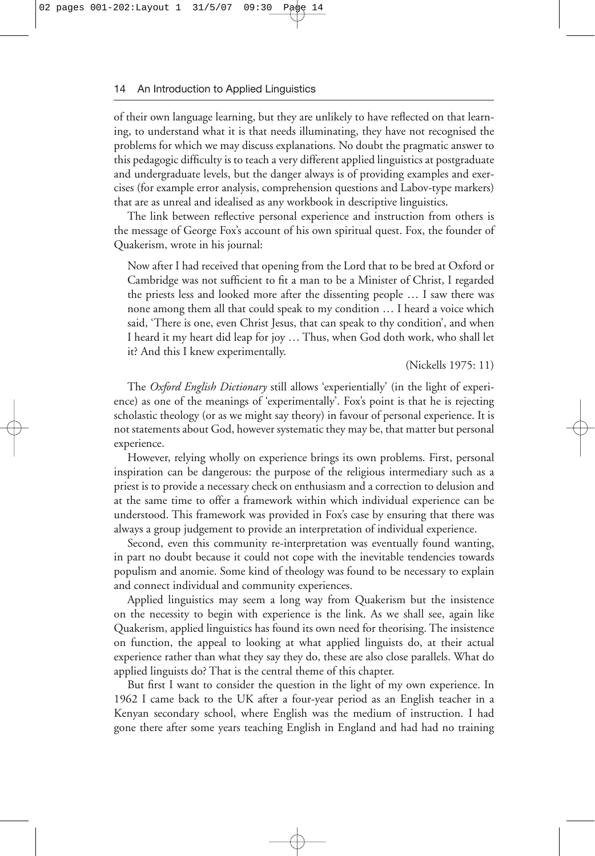of their own language learning, but they are unlikely to have reflected on that learn ing, to understand what it is that needs illuminating, they have not recognised the problems for which we may discuss explanations. No doubt the pragmatic answer to this pedagogic difficulty is to teach a very different applied linguistics at postgraduate and undergraduate levels, but the danger always is of providing examples and exercises (for example error analysis, comprehension questions and Labov-type markers) that are as unreal and idealised as any workbook in descriptive linguistics.

The link between reflective personal experience and instruction from others is the message of George Fox's account of his own spiritual quest. Fox, the founder of Quakerism, wrote in his journal:

Now after I had received that opening from the Lord that to be bred at Oxford or Cambridge was not sufficient to fit a man to be a Minister of Christ, I regarded the priests less and looked more after the dissenting people … I saw there was none among them all that could speak to my condition … I heard a voice which said, 'There is one, even Christ Jesus, that can speak to thy condition', and when I heard it my heart did leap for joy … Thus, when God doth work, who shall let it? And this I knew experimentally.

(Nickells 1975: 11)

The *Oxford English Dictionary* still allows 'experientially' (in the light of experience) as one of the meanings of 'experimentally'. Fox's point is that he is rejecting scholastic theology (or as we might say theory) in favour of personal experience. It is not statements about God, however systematic they may be, that matter but personal experience.

However, relying wholly on experience brings its own problems. First, personal inspiration can be dangerous: the purpose of the religious intermediary such as a priest is to provide a necessary check on enthusiasm and a correction to delusion and at the same time to offer a framework within which individual experience can be understood. This framework was provided in Fox's case by ensuring that there was always a group judgement to provide an interpretation of individual experience.

Second, even this community re-interpretation was eventually found wanting, in part no doubt because it could not cope with the inevitable tendencies towards populism and anomie. Some kind of theology was found to be necessary to explain and connect individual and community experiences.

Applied linguistics may seem a long way from Quakerism but the insistence on the necessity to begin with experience is the link. As we shall see, again like Quakerism, applied linguistics has found its own need for theorising. The insistence on function, the appeal to looking at what applied linguists do, at their actual experience rather than what they say they do, these are also close parallels. What do applied linguists do? That is the central theme of this chapter.

But first I want to consider the question in the light of my own experience. In 1962 I came back to the UK after a four-year period as an English teacher in a Kenyan secondary school, where English was the medium of instruction. I had gone there after some years teaching English in England and had had no training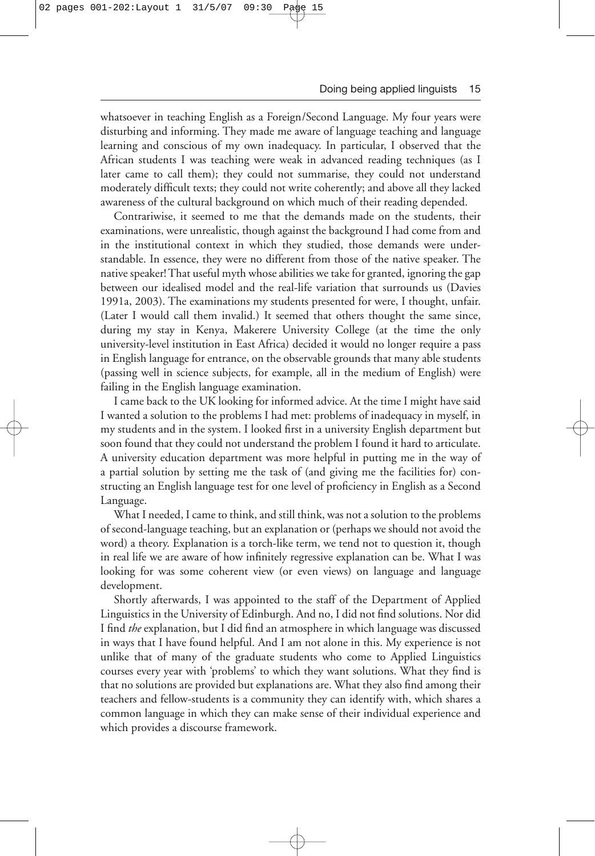whatsoever in teaching English as a Foreign/Second Language. My four years were disturbing and informing. They made me aware of language teaching and language learning and conscious of my own inadequacy. In particular, I observed that the African students I was teaching were weak in advanced reading techniques (as I later came to call them); they could not summarise, they could not understand moderately difficult texts; they could not write coherently; and above all they lacked awareness of the cultural background on which much of their reading depended.

Contrariwise, it seemed to me that the demands made on the students, their examinations, were unrealistic, though against the background I had come from and in the institutional context in which they studied, those demands were understandable. In essence, they were no different from those of the native speaker. The native speaker! That useful myth whose abilities we take for granted, ignoring the gap between our idealised model and the real-life variation that surrounds us (Davies 1991a, 2003). The examinations my students presented for were, I thought, unfair. (Later I would call them invalid.) It seemed that others thought the same since, during my stay in Kenya, Makerere University College (at the time the only university-level institution in East Africa) decided it would no longer require a pass in English language for entrance, on the observable grounds that many able students (passing well in science subjects, for example, all in the medium of English) were failing in the English language examination.

I came back to the UK looking for informed advice. At the time I might have said I wanted a solution to the problems I had met: problems of inadequacy in myself, in my students and in the system. I looked first in a university English department but soon found that they could not understand the problem I found it hard to articulate. A university education department was more helpful in putting me in the way of a partial solution by setting me the task of (and giving me the facilities for) constructing an English language test for one level of proficiency in English as a Second Language.

What I needed, I came to think, and still think, was not a solution to the problems of second-language teaching, but an explanation or (perhaps we should not avoid the word) a theory. Explanation is a torch-like term, we tend not to question it, though in real life we are aware of how infinitely regressive explanation can be. What I was looking for was some coherent view (or even views) on language and language development.

Shortly afterwards, I was appointed to the staff of the Department of Applied Linguistics in the University of Edinburgh. And no, I did not find solutions. Nor did I find *the* explanation, but I did find an atmosphere in which language was discussed in ways that I have found helpful. And I am not alone in this. My experience is not unlike that of many of the graduate students who come to Applied Linguistics courses every year with 'problems' to which they want solutions. What they find is that no solutions are provided but explanations are. What they also find among their teachers and fellow-students is a community they can identify with, which shares a common language in which they can make sense of their individual experience and which provides a discourse framework.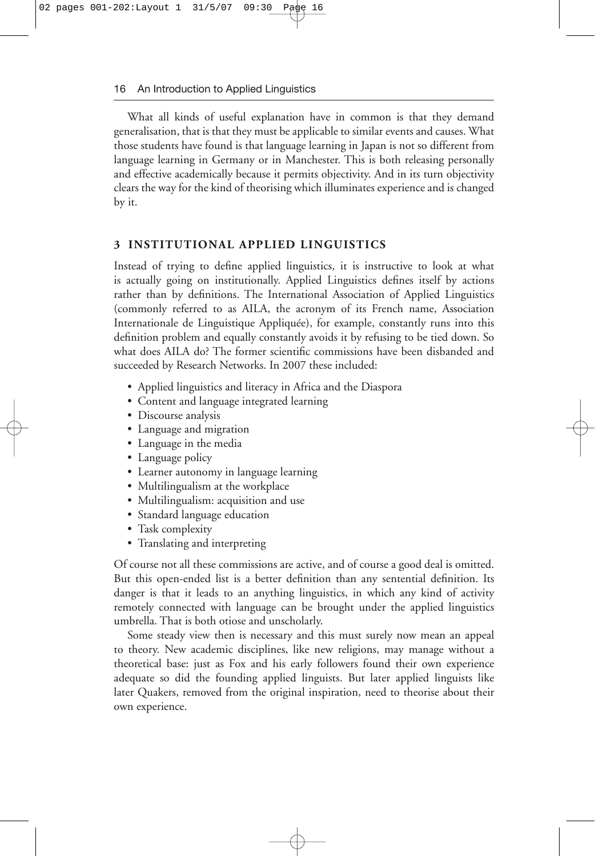What all kinds of useful explanation have in common is that they demand generalisation, that is that they must be applicable to similar events and causes. What those students have found is that language learning in Japan is not so different from language learning in Germany or in Manchester. This is both releasing personally and effective academically because it permits objectivity. And in its turn objectivity clears the way for the kind of theorising which illuminates experience and is changed by it.

#### **3 INSTITUTIONAL APPLIED LINGUISTICS**

Instead of trying to define applied linguistics, it is instructive to look at what is actually going on institutionally. Applied Linguistics defines itself by actions rather than by definitions. The International Association of Applied Linguistics (commonly referred to as AILA, the acronym of its French name, Association Internationale de Linguistique Appliquée), for example, constantly runs into this definition problem and equally constantly avoids it by refusing to be tied down. So what does AILA do? The former scientific commissions have been disbanded and succeeded by Research Networks. In 2007 these included:

- Applied linguistics and literacy in Africa and the Diaspora
- Content and language integrated learning
- Discourse analysis
- Language and migration
- Language in the media
- Language policy
- Learner autonomy in language learning
- Multilingualism at the workplace
- Multilingualism: acquisition and use
- Standard language education
- Task complexity
- Translating and interpreting

Of course not all these commissions are active, and of course a good deal is omitted. But this open-ended list is a better definition than any sentential definition. Its danger is that it leads to an anything linguistics, in which any kind of activity remotely connected with language can be brought under the applied linguistics umbrella. That is both otiose and unscholarly.

Some steady view then is necessary and this must surely now mean an appeal to theory. New academic disciplines, like new religions, may manage without a theoretical base: just as Fox and his early followers found their own experience adequate so did the founding applied linguists. But later applied linguists like later Quakers, removed from the original inspiration, need to theorise about their own experience.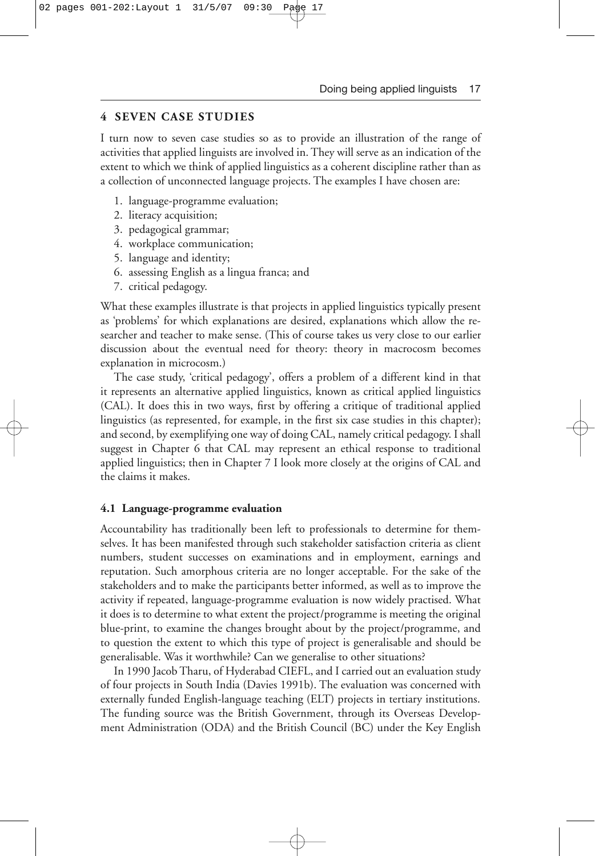#### **4 SEVEN CASE STUDIES**

I turn now to seven case studies so as to provide an illustration of the range of activities that applied linguists are involved in. They will serve as an indication of the extent to which we think of applied linguistics as a coherent discipline rather than as a collection of unconnected language projects. The examples I have chosen are:

- 1. language-programme evaluation;
- 2. literacy acquisition;
- 3. pedagogical grammar;
- 4. workplace communication;
- 5. language and identity;
- 6. assessing English as a lingua franca; and
- 7. critical pedagogy.

What these examples illustrate is that projects in applied linguistics typically present as 'problems' for which explanations are desired, explanations which allow the researcher and teacher to make sense. (This of course takes us very close to our earlier discussion about the eventual need for theory: theory in macrocosm becomes explanation in microcosm.)

The case study, 'critical pedagogy', offers a problem of a different kind in that it represents an alternative applied linguistics, known as critical applied linguistics (CAL). It does this in two ways, first by offering a critique of traditional applied linguistics (as represented, for example, in the first six case studies in this chapter); and second, by exemplifying one way of doing CAL, namely critical pedagogy. I shall suggest in Chapter 6 that CAL may represent an ethical response to traditional applied linguistics; then in Chapter 7 I look more closely at the origins of CAL and the claims it makes.

#### **4.1 Language-programme evaluation**

Accountability has traditionally been left to professionals to determine for themselves. It has been manifested through such stakeholder satisfaction criteria as client numbers, student successes on examinations and in employment, earnings and reputation. Such amorphous criteria are no longer acceptable. For the sake of the stakeholders and to make the participants better informed, as well as to improve the activity if repeated, language-programme evaluation is now widely practised. What it does is to determine to what extent the project/programme is meeting the original blue-print, to examine the changes brought about by the project/programme, and to question the extent to which this type of project is generalisable and should be generalisable. Was it worthwhile? Can we generalise to other situations?

In 1990 Jacob Tharu, of Hyderabad CIEFL, and I carried out an evaluation study of four projects in South India (Davies 1991b). The evaluation was concerned with externally funded English-language teaching (ELT) projects in tertiary institutions. The funding source was the British Government, through its Overseas Development Administration (ODA) and the British Council (BC) under the Key English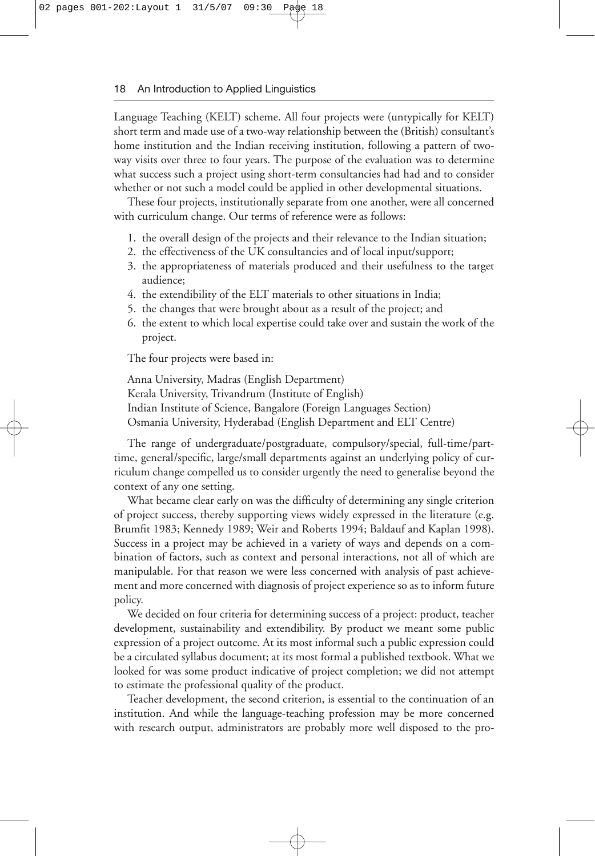Language Teaching (KELT) scheme. All four projects were (untypically for KELT) short term and made use of a two-way relationship between the (British) consultant's home institution and the Indian receiving institution, following a pattern of twoway visits over three to four years. The purpose of the evaluation was to determine what success such a project using short-term consultancies had had and to consider whether or not such a model could be applied in other developmental situations.

These four projects, institutionally separate from one another, were all concerned with curriculum change. Our terms of reference were as follows:

- 1. the overall design of the projects and their relevance to the Indian situation;
- 2. the effectiveness of the UK consultancies and of local input/support;
- 3. the appropriateness of materials produced and their usefulness to the target audience;
- 4. the extendibility of the ELT materials to other situations in India;
- 5. the changes that were brought about as a result of the project; and
- 6. the extent to which local expertise could take over and sustain the work of the project.

The four projects were based in:

Anna University, Madras (English Department) Kerala University, Trivandrum (Institute of English) Indian Institute of Science, Bangalore (Foreign Languages Section) Osmania University, Hyderabad (English Department and ELT Centre)

The range of undergraduate/postgraduate, compulsory/special, full-time/parttime, general/specific, large/small departments against an underlying policy of curriculum change compelled us to consider urgently the need to generalise beyond the context of any one setting.

What became clear early on was the difficulty of determining any single criterion of project success, thereby supporting views widely expressed in the literature (e.g. Brumfit 1983; Kennedy 1989; Weir and Roberts 1994; Baldauf and Kaplan 1998). Success in a project may be achieved in a variety of ways and depends on a combination of factors, such as context and personal interactions, not all of which are manipulable. For that reason we were less concerned with analysis of past achievement and more concerned with diagnosis of project experience so as to inform future policy.

We decided on four criteria for determining success of a project: product, teacher development, sustainability and extendibility. By product we meant some public expression of a project outcome. At its most informal such a public expression could be a circulated syllabus document; at its most formal a published textbook. What we looked for was some product indicative of project completion; we did not attempt to estimate the professional quality of the product.

Teacher development, the second criterion, is essential to the continuation of an institution. And while the language-teaching profession may be more concerned with research output, administrators are probably more well disposed to the pro-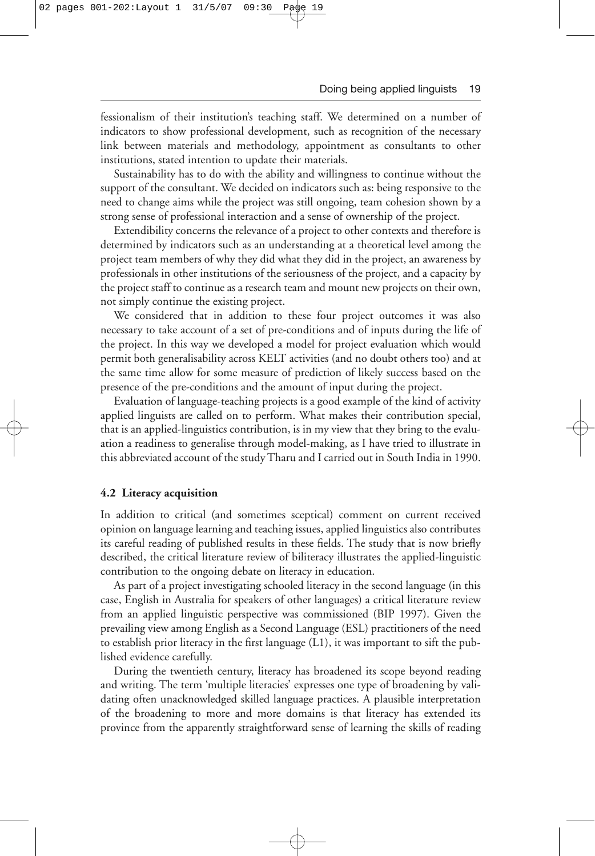fessionalism of their institution's teaching staff. We determined on a number of indicators to show professional development, such as recognition of the necessary link between materials and methodology, appointment as consultants to other institutions, stated intention to update their materials.

Sustainability has to do with the ability and willingness to continue without the support of the consultant. We decided on indicators such as: being responsive to the need to change aims while the project was still ongoing, team cohesion shown by a strong sense of professional interaction and a sense of ownership of the project.

Extendibility concerns the relevance of a project to other contexts and therefore is determined by indicators such as an understanding at a theoretical level among the project team members of why they did what they did in the project, an awareness by professionals in other institutions of the seriousness of the project, and a capacity by the project staff to continue as a research team and mount new projects on their own, not simply continue the existing project.

We considered that in addition to these four project outcomes it was also necessary to take account of a set of pre-conditions and of inputs during the life of the project. In this way we developed a model for project evaluation which would permit both generalisability across KELT activities (and no doubt others too) and at the same time allow for some measure of prediction of likely success based on the presence of the pre-conditions and the amount of input during the project.

Evaluation of language-teaching projects is a good example of the kind of activity applied linguists are called on to perform. What makes their contribution special, that is an applied-linguistics contribution, is in my view that they bring to the evalu ation a readiness to generalise through model-making, as I have tried to illustrate in this abbreviated account of the study Tharu and I carried out in South India in 1990.

#### **4.2 Literacy acquisition**

In addition to critical (and sometimes sceptical) comment on current received opinion on language learning and teaching issues, applied linguistics also contributes its careful reading of published results in these fields. The study that is now briefly described, the critical literature review of biliteracy illustrates the applied-linguistic contribution to the ongoing debate on literacy in education.

As part of a project investigating schooled literacy in the second language (in this case, English in Australia for speakers of other languages) a critical literature review from an applied linguistic perspective was commissioned (BIP 1997). Given the prevailing view among English as a Second Language (ESL) practitioners of the need to establish prior literacy in the first language (L1), it was important to sift the pub lished evidence carefully.

During the twentieth century, literacy has broadened its scope beyond reading and writing. The term 'multiple literacies' expresses one type of broadening by validating often unacknowledged skilled language practices. A plausible interpretation of the broadening to more and more domains is that literacy has extended its province from the apparently straightforward sense of learning the skills of reading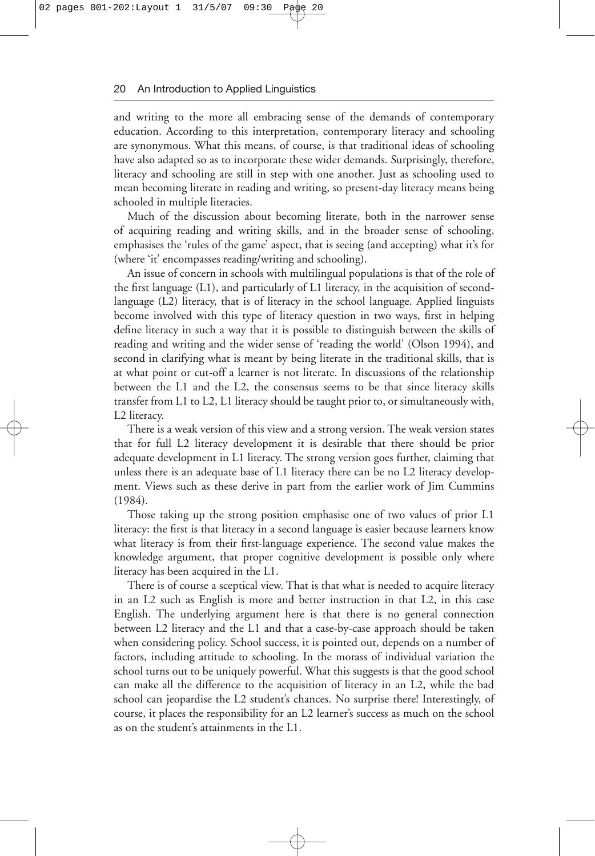and writing to the more all embracing sense of the demands of contemporary education. According to this interpretation, contemporary literacy and schooling are synonymous. What this means, of course, is that traditional ideas of schooling have also adapted so as to incorporate these wider demands. Surprisingly, therefore, literacy and schooling are still in step with one another. Just as schooling used to mean becoming literate in reading and writing, so present-day literacy means being schooled in multiple literacies.

Much of the discussion about becoming literate, both in the narrower sense of acquiring reading and writing skills, and in the broader sense of schooling, emphasises the 'rules of the game' aspect, that is seeing (and accepting) what it's for (where 'it' encompasses reading/writing and schooling).

An issue of concern in schools with multilingual populations is that of the role of the first language (L1), and particularly of L1 literacy, in the acquisition of secondlanguage (L2) literacy, that is of literacy in the school language. Applied linguists become involved with this type of literacy question in two ways, first in helping define literacy in such a way that it is possible to distinguish between the skills of reading and writing and the wider sense of 'reading the world' (Olson 1994), and second in clarifying what is meant by being literate in the traditional skills, that is at what point or cut-off a learner is not literate. In discussions of the relationship between the L1 and the L2, the consensus seems to be that since literacy skills transfer from L1 to L2, L1 literacy should be taught prior to, or simultaneously with, L2 literacy.

There is a weak version of this view and a strong version. The weak version states that for full L2 literacy development it is desirable that there should be prior adequate development in L1 literacy. The strong version goes further, claiming that unless there is an adequate base of L1 literacy there can be no L2 literacy development. Views such as these derive in part from the earlier work of Jim Cummins (1984).

Those taking up the strong position emphasise one of two values of prior L1 literacy: the first is that literacy in a second language is easier because learners know what literacy is from their first-language experience. The second value makes the knowledge argument, that proper cognitive development is possible only where literacy has been acquired in the L1.

There is of course a sceptical view. That is that what is needed to acquire literacy in an L2 such as English is more and better instruction in that L2, in this case English. The underlying argument here is that there is no general connection between L2 literacy and the L1 and that a case-by-case approach should be taken when considering policy. School success, it is pointed out, depends on a number of factors, including attitude to schooling. In the morass of individual variation the school turns out to be uniquely powerful. What this suggests is that the good school can make all the difference to the acquisition of literacy in an L2, while the bad school can jeopardise the L2 student's chances. No surprise there! Interestingly, of course, it places the responsibility for an L2 learner's success as much on the school as on the student's attainments in the L1.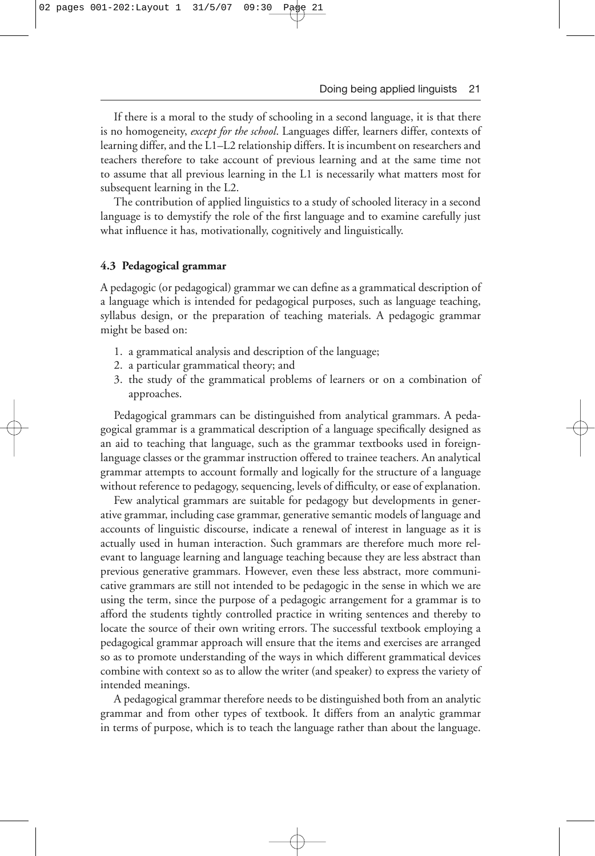If there is a moral to the study of schooling in a second language, it is that there is no homogeneity, *except for the school*. Languages differ, learners differ, contexts of learning differ, and the L1–L2 relationship differs. It is incumbent on researchers and teachers therefore to take account of previous learning and at the same time not to assume that all previous learning in the L1 is necessarily what matters most for subsequent learning in the L2.

The contribution of applied linguistics to a study of schooled literacy in a second language is to demystify the role of the first language and to examine carefully just what influence it has, motivationally, cognitively and linguistically.

#### **4.3 Pedagogical grammar**

A pedagogic (or pedagogical) grammar we can define as a grammatical description of a language which is intended for pedagogical purposes, such as language teaching, syllabus design, or the preparation of teaching materials. A pedagogic grammar might be based on:

- 1. a grammatical analysis and description of the language;
- 2. a particular grammatical theory; and
- 3. the study of the grammatical problems of learners or on a combination of approaches.

Pedagogical grammars can be distinguished from analytical grammars. A pedagogical grammar is a grammatical description of a language specifically designed as an aid to teaching that language, such as the grammar textbooks used in foreignlanguage classes or the grammar instruction offered to trainee teachers. An analytical grammar attempts to account formally and logically for the structure of a language without reference to pedagogy, sequencing, levels of difficulty, or ease of explanation.

Few analytical grammars are suitable for pedagogy but developments in generative grammar, including case grammar, generative semantic models of language and accounts of linguistic discourse, indicate a renewal of interest in language as it is actually used in human interaction. Such grammars are therefore much more relevant to language learning and language teaching because they are less abstract than previous generative grammars. However, even these less abstract, more communicative grammars are still not intended to be pedagogic in the sense in which we are using the term, since the purpose of a pedagogic arrangement for a grammar is to afford the students tightly controlled practice in writing sentences and thereby to locate the source of their own writing errors. The successful textbook employing a pedagogical grammar approach will ensure that the items and exercises are arranged so as to promote understanding of the ways in which different grammatical devices combine with context so as to allow the writer (and speaker) to express the variety of intended meanings.

A pedagogical grammar therefore needs to be distinguished both from an analytic grammar and from other types of textbook. It differs from an analytic grammar in terms of purpose, which is to teach the language rather than about the language.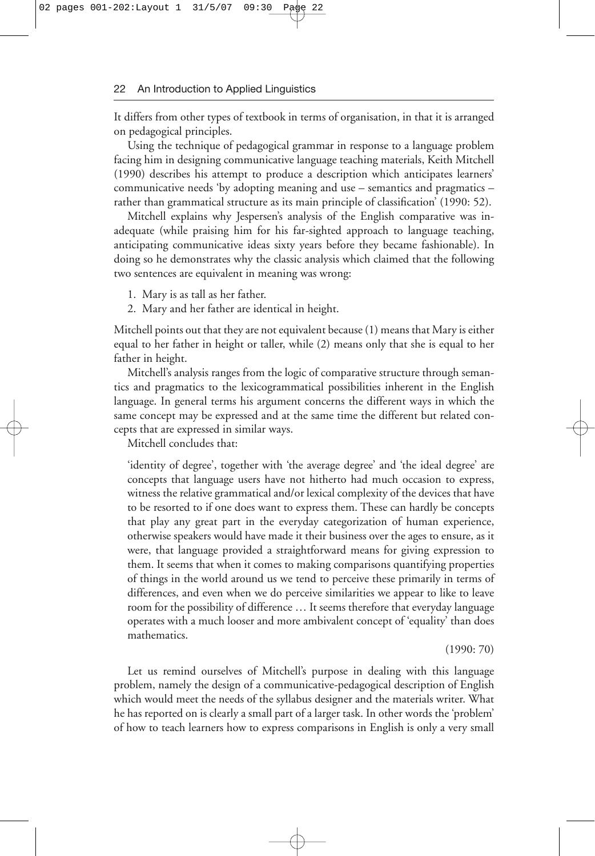It differs from other types of textbook in terms of organisation, in that it is arranged on pedagogical principles.

Using the technique of pedagogical grammar in response to a language problem facing him in designing communicative language teaching materials, Keith Mitchell (1990) describes his attempt to produce a description which anticipates learners' communicative needs 'by adopting meaning and use – semantics and pragmatics – rather than grammatical structure as its main principle of classification' (1990: 52).

Mitchell explains why Jespersen's analysis of the English comparative was in adequate (while praising him for his far-sighted approach to language teaching, anticipating communicative ideas sixty years before they became fashionable). In doing so he demonstrates why the classic analysis which claimed that the following two sentences are equivalent in meaning was wrong:

- 1. Mary is as tall as her father.
- 2. Mary and her father are identical in height.

Mitchell points out that they are not equivalent because (1) means that Mary is either equal to her father in height or taller, while (2) means only that she is equal to her father in height.

Mitchell's analysis ranges from the logic of comparative structure through seman tics and pragmatics to the lexicogrammatical possibilities inherent in the English language. In general terms his argument concerns the different ways in which the same concept may be expressed and at the same time the different but related concepts that are expressed in similar ways.

Mitchell concludes that:

'identity of degree', together with 'the average degree' and 'the ideal degree' are concepts that language users have not hitherto had much occasion to express, witness the relative grammatical and/or lexical complexity of the devices that have to be resorted to if one does want to express them. These can hardly be concepts that play any great part in the everyday categorization of human experience, otherwise speakers would have made it their business over the ages to ensure, as it were, that language provided a straightforward means for giving expression to them. It seems that when it comes to making comparisons quantifying properties of things in the world around us we tend to perceive these primarily in terms of differences, and even when we do perceive similarities we appear to like to leave room for the possibility of difference … It seems therefore that everyday language operates with a much looser and more ambivalent concept of 'equality' than does mathematics.

(1990: 70)

Let us remind ourselves of Mitchell's purpose in dealing with this language problem, namely the design of a communicative-pedagogical description of English which would meet the needs of the syllabus designer and the materials writer. What he has reported on is clearly a small part of a larger task. In other words the 'problem' of how to teach learners how to express comparisons in English is only a very small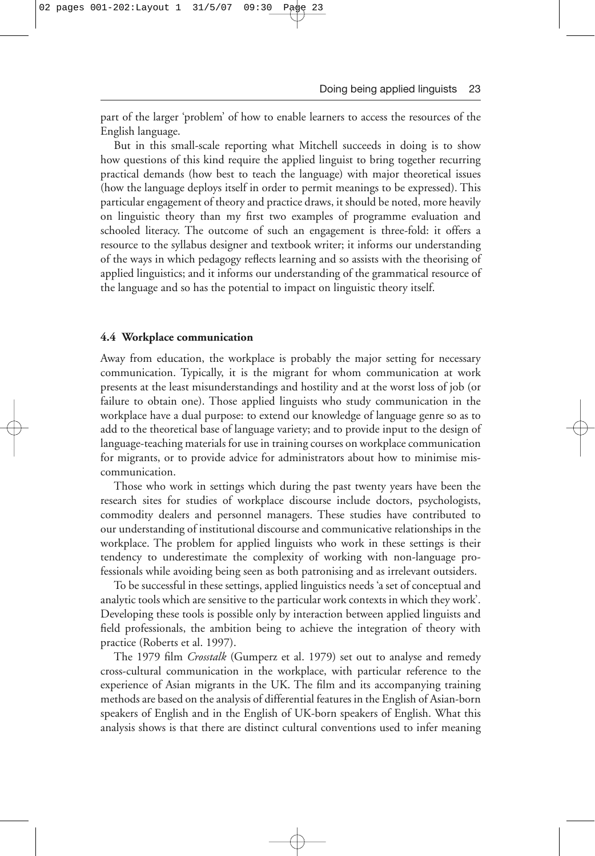part of the larger 'problem' of how to enable learners to access the resources of the English language.

But in this small-scale reporting what Mitchell succeeds in doing is to show how questions of this kind require the applied linguist to bring together recurring practical demands (how best to teach the language) with major theoretical issues (how the language deploys itself in order to permit meanings to be expressed). This particular engagement of theory and practice draws, it should be noted, more heavily on linguistic theory than my first two examples of programme evaluation and schooled literacy. The outcome of such an engagement is three-fold: it offers a resource to the syllabus designer and textbook writer; it informs our understanding of the ways in which pedagogy reflects learning and so assists with the theorising of applied linguistics; and it informs our understanding of the grammatical resource of the language and so has the potential to impact on linguistic theory itself.

#### **4.4 Workplace communication**

Away from education, the workplace is probably the major setting for necessary communication. Typically, it is the migrant for whom communication at work presents at the least misunderstandings and hostility and at the worst loss of job (or failure to obtain one). Those applied linguists who study communication in the workplace have a dual purpose: to extend our knowledge of language genre so as to add to the theoretical base of language variety; and to provide input to the design of language-teaching materials for use in training courses on workplace communication for migrants, or to provide advice for administrators about how to minimise miscommunication.

Those who work in settings which during the past twenty years have been the research sites for studies of workplace discourse include doctors, psychologists, commodity dealers and personnel managers. These studies have contributed to our understanding of institutional discourse and communicative relationships in the workplace. The problem for applied linguists who work in these settings is their tendency to underestimate the complexity of working with non-language professionals while avoiding being seen as both patronising and as irrelevant outsiders.

To be successful in these settings, applied linguistics needs 'a set of conceptual and analytic tools which are sensitive to the particular work contexts in which they work'. Developing these tools is possible only by interaction between applied linguists and field professionals, the ambition being to achieve the integration of theory with practice (Roberts et al. 1997).

The 1979 film *Crosstalk* (Gumperz et al. 1979) set out to analyse and remedy cross-cultural communication in the workplace, with particular reference to the experience of Asian migrants in the UK. The film and its accompanying training methods are based on the analysis of differential features in the English of Asian-born speakers of English and in the English of UK-born speakers of English. What this analysis shows is that there are distinct cultural conventions used to infer meaning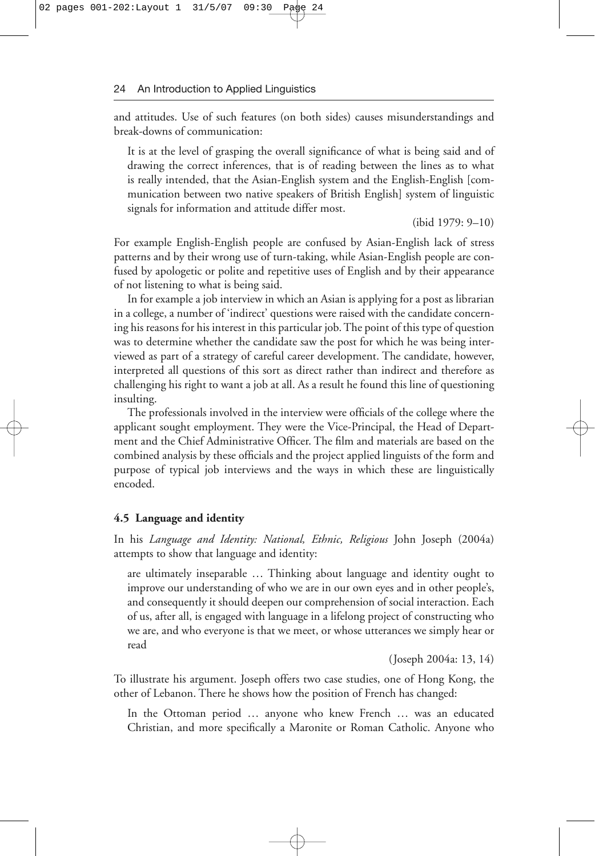and attitudes. Use of such features (on both sides) causes misunderstandings and break-downs of communication:

It is at the level of grasping the overall significance of what is being said and of drawing the correct inferences, that is of reading between the lines as to what is really intended, that the Asian-English system and the English-English [communication between two native speakers of British English] system of linguistic signals for information and attitude differ most.

(ibid 1979: 9–10)

For example English-English people are confused by Asian-English lack of stress patterns and by their wrong use of turn-taking, while Asian-English people are confused by apologetic or polite and repetitive uses of English and by their appearance of not listening to what is being said.

In for example a job interview in which an Asian is applying for a post as librarian in a college, a number of 'indirect' questions were raised with the candidate concerning his reasons for his interest in this particular job. The point of this type of question was to determine whether the candidate saw the post for which he was being interviewed as part of a strategy of careful career development. The candidate, however, interpreted all questions of this sort as direct rather than indirect and therefore as challenging his right to want a job at all. As a result he found this line of questioning insulting.

The professionals involved in the interview were officials of the college where the applicant sought employment. They were the Vice-Principal, the Head of Department and the Chief Administrative Officer. The film and materials are based on the combined analysis by these officials and the project applied linguists of the form and purpose of typical job interviews and the ways in which these are linguistically encoded.

#### **4.5 Language and identity**

In his *Language and Identity: National, Ethnic, Religious* John Joseph (2004a) attempts to show that language and identity:

are ultimately inseparable … Thinking about language and identity ought to improve our understanding of who we are in our own eyes and in other people's, and consequently it should deepen our comprehension of social interaction. Each of us, after all, is engaged with language in a lifelong project of constructing who we are, and who everyone is that we meet, or whose utterances we simply hear or read

(Joseph 2004a: 13, 14)

To illustrate his argument. Joseph offers two case studies, one of Hong Kong, the other of Lebanon. There he shows how the position of French has changed:

In the Ottoman period … anyone who knew French … was an educated Christian, and more specifically a Maronite or Roman Catholic. Anyone who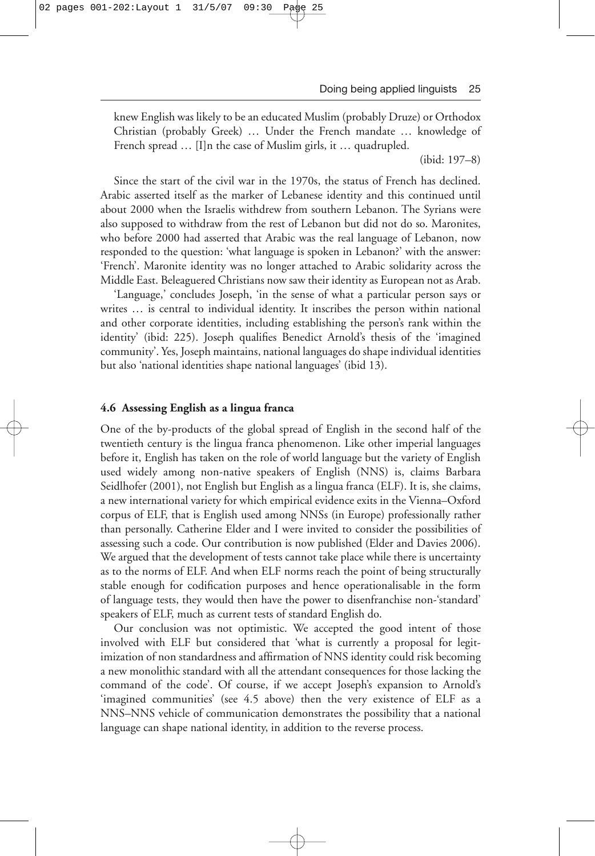knew English was likely to be an educated Muslim (probably Druze) or Orthodox Christian (probably Greek) … Under the French mandate … knowledge of French spread … [I]n the case of Muslim girls, it … quadrupled.

(ibid: 197–8)

Since the start of the civil war in the 1970s, the status of French has declined. Arabic asserted itself as the marker of Lebanese identity and this continued until about 2000 when the Israelis withdrew from southern Lebanon. The Syrians were also supposed to withdraw from the rest of Lebanon but did not do so. Maronites, who before 2000 had asserted that Arabic was the real language of Lebanon, now responded to the question: 'what language is spoken in Lebanon?' with the answer: 'French'. Maronite identity was no longer attached to Arabic solidarity across the Middle East. Beleaguered Christians now saw their identity as European not as Arab.

'Language,' concludes Joseph, 'in the sense of what a particular person says or writes … is central to individual identity. It inscribes the person within national and other corporate identities, including establishing the person's rank within the identity' (ibid: 225). Joseph qualifies Benedict Arnold's thesis of the 'imagined community'. Yes, Joseph maintains, national languages do shape individual identities but also 'national identities shape national languages' (ibid 13).

## **4.6 Assessing English as a lingua franca**

One of the by-products of the global spread of English in the second half of the twentieth century is the lingua franca phenomenon. Like other imperial languages before it, English has taken on the role of world language but the variety of English used widely among non-native speakers of English (NNS) is, claims Barbara Seidlhofer (2001), not English but English as a lingua franca (ELF). It is, she claims, a new international variety for which empirical evidence exits in the Vienna–Oxford corpus of ELF, that is English used among NNSs (in Europe) professionally rather than personally. Catherine Elder and I were invited to consider the possibilities of assessing such a code. Our contribution is now published (Elder and Davies 2006). We argued that the development of tests cannot take place while there is uncertainty as to the norms of ELF. And when ELF norms reach the point of being structurally stable enough for codification purposes and hence operationalisable in the form of language tests, they would then have the power to disenfranchise non-'standard' speakers of ELF, much as current tests of standard English do.

Our conclusion was not optimistic. We accepted the good intent of those involved with ELF but considered that 'what is currently a proposal for legitimization of non standardness and affirmation of NNS identity could risk becoming a new monolithic standard with all the attendant consequences for those lacking the command of the code'. Of course, if we accept Joseph's expansion to Arnold's 'imagined communities' (see 4.5 above) then the very existence of ELF as a NNS–NNS vehicle of communication demonstrates the possibility that a national language can shape national identity, in addition to the reverse process.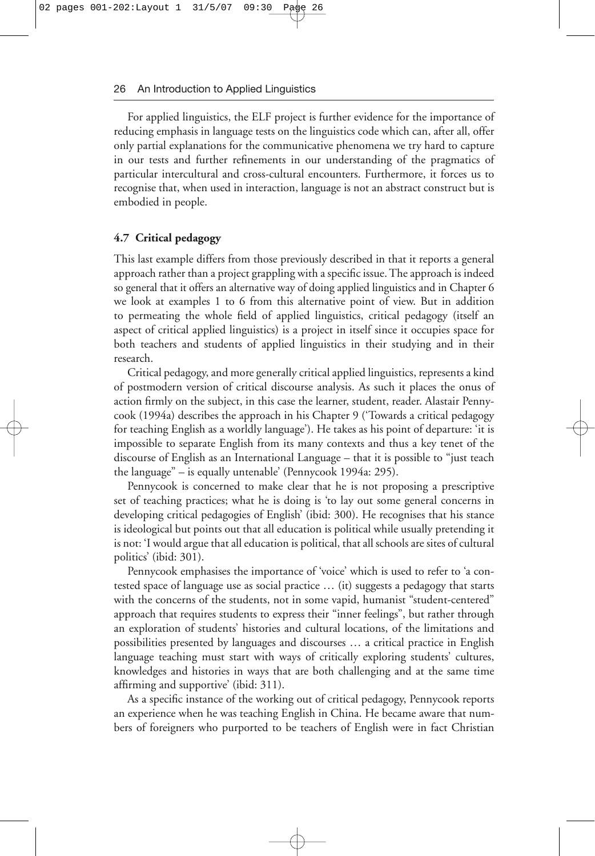For applied linguistics, the ELF project is further evidence for the importance of reducing emphasis in language tests on the linguistics code which can, after all, offer only partial explanations for the communicative phenomena we try hard to capture in our tests and further refinements in our understanding of the pragmatics of particular intercultural and cross-cultural encounters. Furthermore, it forces us to recognise that, when used in interaction, language is not an abstract construct but is embodied in people.

#### **4.7 Critical pedagogy**

This last example differs from those previously described in that it reports a general approach rather than a project grappling with a specific issue. The approach is indeed so general that it offers an alternative way of doing applied linguistics and in Chapter 6 we look at examples 1 to 6 from this alternative point of view. But in addition to permeating the whole field of applied linguistics, critical pedagogy (itself an aspect of critical applied linguistics) is a project in itself since it occupies space for both teachers and students of applied linguistics in their studying and in their research.

Critical pedagogy, and more generally critical applied linguistics, represents a kind of postmodern version of critical discourse analysis. As such it places the onus of action firmly on the subject, in this case the learner, student, reader. Alastair Penny cook (1994a) describes the approach in his Chapter 9 ('Towards a critical pedagogy for teaching English as a worldly language'). He takes as his point of departure: 'it is impossible to separate English from its many contexts and thus a key tenet of the discourse of English as an International Language – that it is possible to "just teach the language" – is equally untenable' (Pennycook 1994a: 295).

Pennycook is concerned to make clear that he is not proposing a prescriptive set of teaching practices; what he is doing is 'to lay out some general concerns in developing critical pedagogies of English' (ibid: 300). He recognises that his stance is ideological but points out that all education is political while usually pretending it is not: 'I would argue that all education is political, that all schools are sites of cultural politics' (ibid: 301).

Pennycook emphasises the importance of 'voice' which is used to refer to 'a contested space of language use as social practice … (it) suggests a pedagogy that starts with the concerns of the students, not in some vapid, humanist "student-centered" approach that requires students to express their "inner feelings", but rather through an exploration of students' histories and cultural locations, of the limitations and possibilities presented by languages and discourses … a critical practice in English language teaching must start with ways of critically exploring students' cultures, knowledges and histories in ways that are both challenging and at the same time affirming and supportive' (ibid: 311).

As a specific instance of the working out of critical pedagogy, Pennycook reports an experience when he was teaching English in China. He became aware that numbers of foreigners who purported to be teachers of English were in fact Christian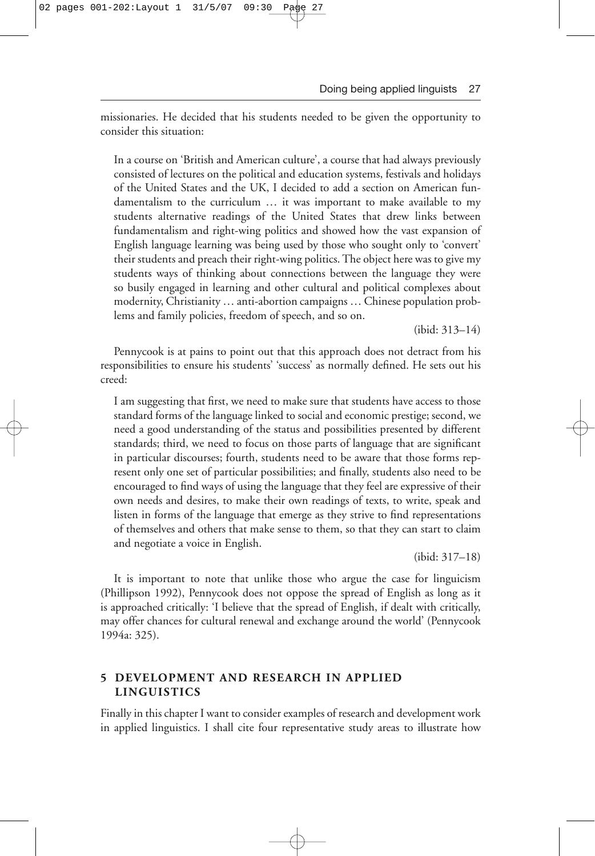missionaries. He decided that his students needed to be given the opportunity to consider this situation:

In a course on 'British and American culture', a course that had always previously consisted of lectures on the political and education systems, festivals and holidays of the United States and the UK, I decided to add a section on American fun damentalism to the curriculum … it was important to make available to my students alternative readings of the United States that drew links between fundamentalism and right-wing politics and showed how the vast expansion of English language learning was being used by those who sought only to 'convert' their students and preach their right-wing politics. The object here was to give my students ways of thinking about connections between the language they were so busily engaged in learning and other cultural and political complexes about modernity, Christianity ... anti-abortion campaigns ... Chinese population problems and family policies, freedom of speech, and so on.

(ibid: 313–14)

Pennycook is at pains to point out that this approach does not detract from his responsibilities to ensure his students' 'success' as normally defined. He sets out his creed:

I am suggesting that first, we need to make sure that students have access to those standard forms of the language linked to social and economic prestige; second, we need a good understanding of the status and possibilities presented by different standards; third, we need to focus on those parts of language that are significant in particular discourses; fourth, students need to be aware that those forms represent only one set of particular possibilities; and finally, students also need to be encouraged to find ways of using the language that they feel are expressive of their own needs and desires, to make their own readings of texts, to write, speak and listen in forms of the language that emerge as they strive to find representations of themselves and others that make sense to them, so that they can start to claim and negotiate a voice in English.

(ibid: 317–18)

It is important to note that unlike those who argue the case for linguicism (Phillipson 1992), Pennycook does not oppose the spread of English as long as it is approached critically: 'I believe that the spread of English, if dealt with critically, may offer chances for cultural renewal and exchange around the world' (Pennycook 1994a: 325).

# **5 DEVELOPMENT AND RESEARCH IN APPLIED LINGUISTICS**

Finally in this chapter I want to consider examples of research and development work in applied linguistics. I shall cite four representative study areas to illustrate how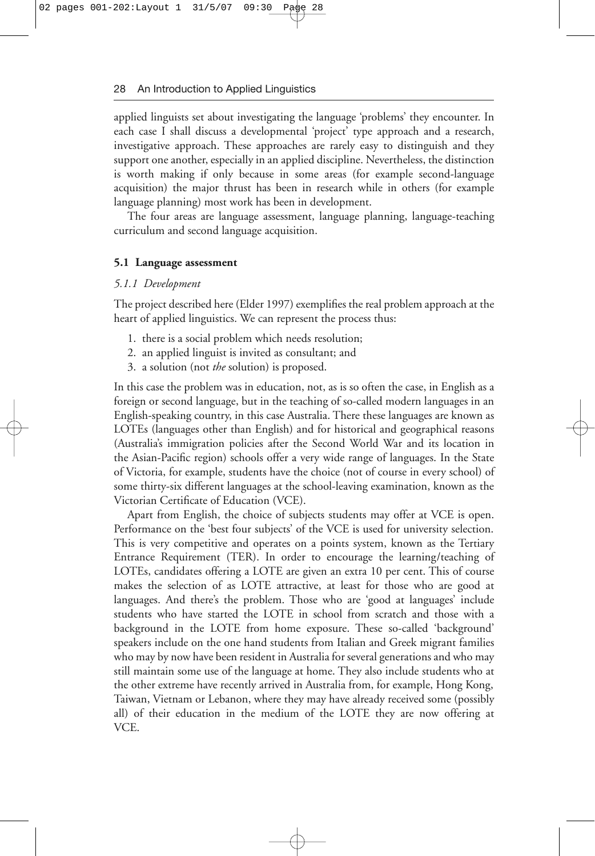applied linguists set about investigating the language 'problems' they encounter. In each case I shall discuss a developmental 'project' type approach and a research, investigative approach. These approaches are rarely easy to distinguish and they support one another, especially in an applied discipline. Nevertheless, the distinction is worth making if only because in some areas (for example second-language acquisition) the major thrust has been in research while in others (for example language planning) most work has been in development.

The four areas are language assessment, language planning, language-teaching curriculum and second language acquisition.

#### **5.1 Language assessment**

# *5.1.1 Development*

The project described here (Elder 1997) exemplifies the real problem approach at the heart of applied linguistics. We can represent the process thus:

- 1. there is a social problem which needs resolution;
- 2. an applied linguist is invited as consultant; and
- 3. a solution (not *the* solution) is proposed.

In this case the problem was in education, not, as is so often the case, in English as a foreign or second language, but in the teaching of so-called modern languages in an English-speaking country, in this case Australia. There these languages are known as LOTEs (languages other than English) and for historical and geographical reasons (Australia's immigration policies after the Second World War and its location in the Asian-Pacific region) schools offer a very wide range of languages. In the State of Victoria, for example, students have the choice (not of course in every school) of some thirty-six different languages at the school-leaving examination, known as the Victorian Certificate of Education (VCE).

Apart from English, the choice of subjects students may offer at VCE is open. Performance on the 'best four subjects' of the VCE is used for university selection. This is very competitive and operates on a points system, known as the Tertiary Entrance Requirement (TER). In order to encourage the learning/teaching of LOTEs, candidates offering a LOTE are given an extra 10 per cent. This of course makes the selection of as LOTE attractive, at least for those who are good at languages. And there's the problem. Those who are 'good at languages' include students who have started the LOTE in school from scratch and those with a background in the LOTE from home exposure. These so-called 'background' speakers include on the one hand students from Italian and Greek migrant families who may by now have been resident in Australia for several generations and who may still maintain some use of the language at home. They also include students who at the other extreme have recently arrived in Australia from, for example, Hong Kong, Taiwan, Vietnam or Lebanon, where they may have already received some (possibly all) of their education in the medium of the LOTE they are now offering at VCE.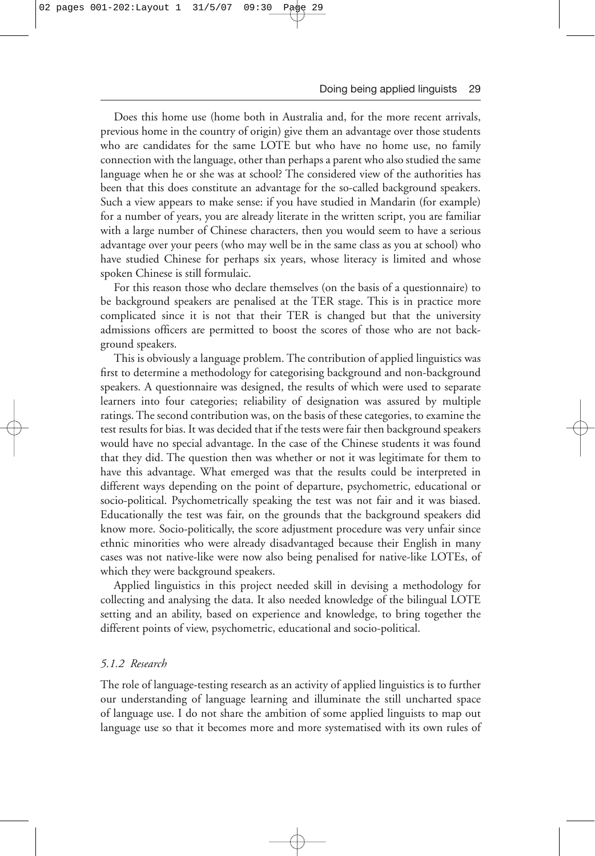Does this home use (home both in Australia and, for the more recent arrivals, previous home in the country of origin) give them an advantage over those students who are candidates for the same LOTE but who have no home use, no family connection with the language, other than perhaps a parent who also studied the same language when he or she was at school? The considered view of the authorities has been that this does constitute an advantage for the so-called background speakers. Such a view appears to make sense: if you have studied in Mandarin (for example) for a number of years, you are already literate in the written script, you are familiar with a large number of Chinese characters, then you would seem to have a serious advantage over your peers (who may well be in the same class as you at school) who have studied Chinese for perhaps six years, whose literacy is limited and whose spoken Chinese is still formulaic.

For this reason those who declare themselves (on the basis of a questionnaire) to be background speakers are penalised at the TER stage. This is in practice more complicated since it is not that their TER is changed but that the university admissions officers are permitted to boost the scores of those who are not background speakers.

This is obviously a language problem. The contribution of applied linguistics was first to determine a methodology for categorising background and non-background speakers. A questionnaire was designed, the results of which were used to separate learners into four categories; reliability of designation was assured by multiple ratings. The second contribution was, on the basis of these categories, to examine the test results for bias. It was decided that if the tests were fair then background speakers would have no special advantage. In the case of the Chinese students it was found that they did. The question then was whether or not it was legitimate for them to have this advantage. What emerged was that the results could be interpreted in different ways depending on the point of departure, psychometric, educational or socio-political. Psychometrically speaking the test was not fair and it was biased. Educationally the test was fair, on the grounds that the background speakers did know more. Socio-politically, the score adjustment procedure was very unfair since ethnic minorities who were already disadvantaged because their English in many cases was not native-like were now also being penalised for native-like LOTEs, of which they were background speakers.

Applied linguistics in this project needed skill in devising a methodology for collecting and analysing the data. It also needed knowledge of the bilingual LOTE setting and an ability, based on experience and knowledge, to bring together the different points of view, psychometric, educational and socio-political.

#### *5.1.2 Research*

The role of language-testing research as an activity of applied linguistics is to further our understanding of language learning and illuminate the still uncharted space of language use. I do not share the ambition of some applied linguists to map out language use so that it becomes more and more systematised with its own rules of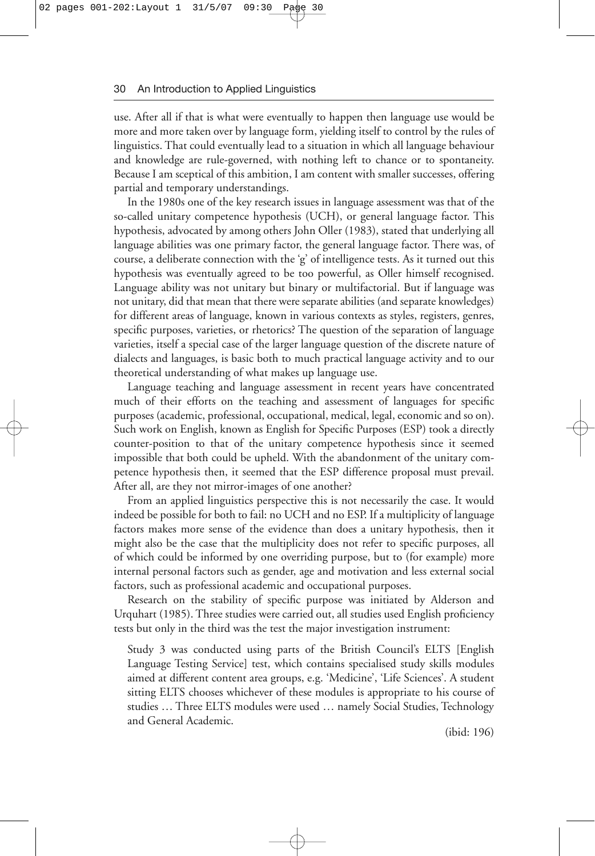use. After all if that is what were eventually to happen then language use would be more and more taken over by language form, yielding itself to control by the rules of linguistics. That could eventually lead to a situation in which all language behaviour and knowledge are rule-governed, with nothing left to chance or to spontaneity. Because I am sceptical of this ambition, I am content with smaller successes, offering partial and temporary understandings.

In the 1980s one of the key research issues in language assessment was that of the so-called unitary competence hypothesis (UCH), or general language factor. This hypothesis, advocated by among others John Oller (1983), stated that underlying all language abilities was one primary factor, the general language factor. There was, of course, a deliberate connection with the 'g' of intelligence tests. As it turned out this hypothesis was eventually agreed to be too powerful, as Oller himself recognised. Language ability was not unitary but binary or multifactorial. But if language was not unitary, did that mean that there were separate abilities (and separate knowledges) for different areas of language, known in various contexts as styles, registers, genres, specific purposes, varieties, or rhetorics? The question of the separation of language varieties, itself a special case of the larger language question of the discrete nature of dialects and languages, is basic both to much practical language activity and to our theoretical understanding of what makes up language use.

Language teaching and language assessment in recent years have concentrated much of their efforts on the teaching and assessment of languages for specific purposes (academic, professional, occupational, medical, legal, economic and so on). Such work on English, known as English for Specific Purposes (ESP) took a directly counter-position to that of the unitary competence hypothesis since it seemed impossible that both could be upheld. With the abandonment of the unitary com petence hypothesis then, it seemed that the ESP difference proposal must prevail. After all, are they not mirror-images of one another?

From an applied linguistics perspective this is not necessarily the case. It would indeed be possible for both to fail: no UCH and no ESP. If a multiplicity of language factors makes more sense of the evidence than does a unitary hypothesis, then it might also be the case that the multiplicity does not refer to specific purposes, all of which could be informed by one overriding purpose, but to (for example) more internal personal factors such as gender, age and motivation and less external social factors, such as professional academic and occupational purposes.

Research on the stability of specific purpose was initiated by Alderson and Urquhart (1985). Three studies were carried out, all studies used English proficiency tests but only in the third was the test the major investigation instrument:

Study 3 was conducted using parts of the British Council's ELTS [English Language Testing Service] test, which contains specialised study skills modules aimed at different content area groups, e.g. 'Medicine', 'Life Sciences'. A student sitting ELTS chooses whichever of these modules is appropriate to his course of studies … Three ELTS modules were used … namely Social Studies, Technology and General Academic.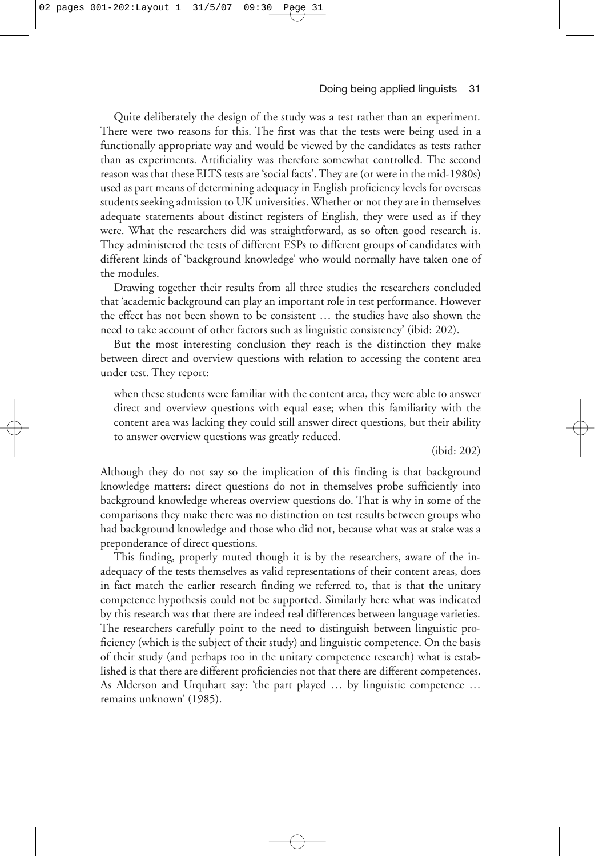Quite deliberately the design of the study was a test rather than an experiment. There were two reasons for this. The first was that the tests were being used in a functionally appropriate way and would be viewed by the candidates as tests rather than as experiments. Artificiality was therefore somewhat controlled. The second reason was that these ELTS tests are 'social facts'. They are (or were in the mid-1980s) used as part means of determining adequacy in English proficiency levels for overseas students seeking admission to UK universities. Whether or not they are in them selves adequate statements about distinct registers of English, they were used as if they were. What the researchers did was straightforward, as so often good research is. They administered the tests of different ESPs to different groups of candidates with different kinds of 'background knowledge' who would normally have taken one of the modules.

Drawing together their results from all three studies the researchers concluded that 'academic background can play an important role in test performance. However the effect has not been shown to be consistent … the studies have also shown the need to take account of other factors such as linguistic consistency' (ibid: 202).

But the most interesting conclusion they reach is the distinction they make between direct and overview questions with relation to accessing the content area under test. They report:

when these students were familiar with the content area, they were able to answer direct and overview questions with equal ease; when this familiarity with the content area was lacking they could still answer direct questions, but their ability to answer overview questions was greatly reduced.

(ibid: 202)

Although they do not say so the implication of this finding is that background knowledge matters: direct questions do not in themselves probe sufficiently into background knowledge whereas overview questions do. That is why in some of the comparisons they make there was no distinction on test results between groups who had background knowledge and those who did not, because what was at stake was a preponderance of direct questions.

This finding, properly muted though it is by the researchers, aware of the inadequacy of the tests themselves as valid representations of their content areas, does in fact match the earlier research finding we referred to, that is that the unitary competence hypothesis could not be supported. Similarly here what was indicated by this research was that there are indeed real differences between language varieties. The researchers carefully point to the need to distinguish between linguistic proficiency (which is the subject of their study) and linguistic competence. On the basis of their study (and perhaps too in the unitary competence research) what is estab lished is that there are different proficiencies not that there are different competences. As Alderson and Urquhart say: 'the part played … by linguistic competence … remains unknown' (1985).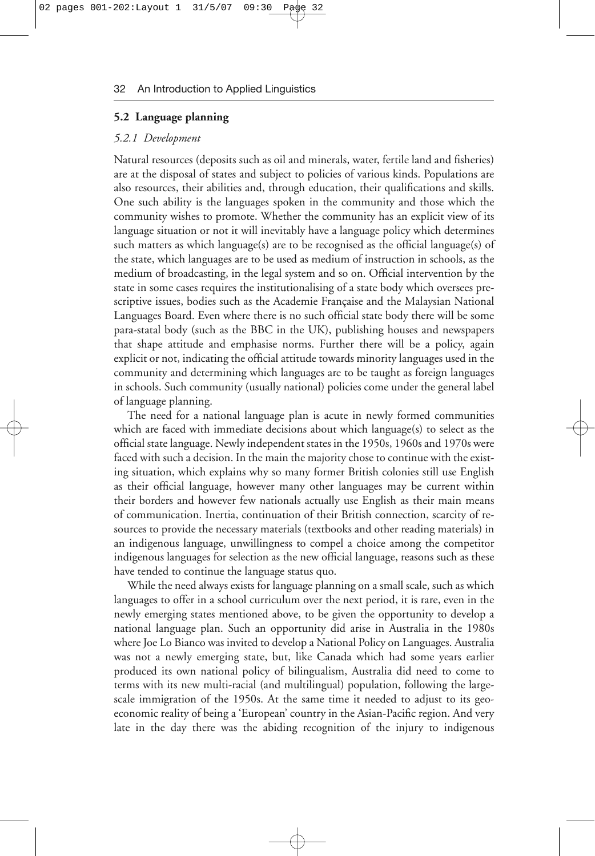# **5.2 Language planning**

#### *5.2.1 Development*

Natural resources (deposits such as oil and minerals, water, fertile land and fisheries) are at the disposal of states and subject to policies of various kinds. Populations are also resources, their abilities and, through education, their qualifications and skills. One such ability is the languages spoken in the community and those which the community wishes to promote. Whether the community has an explicit view of its language situation or not it will inevitably have a language policy which determines such matters as which language(s) are to be recognised as the official language(s) of the state, which languages are to be used as medium of instruction in schools, as the medium of broadcasting, in the legal system and so on. Official intervention by the state in some cases requires the institutionalising of a state body which oversees pre scriptive issues, bodies such as the Academie Française and the Malaysian National Languages Board. Even where there is no such official state body there will be some para-statal body (such as the BBC in the UK), publishing houses and newspapers that shape attitude and emphasise norms. Further there will be a policy, again explicit or not, indicating the official attitude towards minority languages used in the community and determining which languages are to be taught as foreign languages in schools. Such community (usually national) policies come under the general label of language planning.

The need for a national language plan is acute in newly formed communities which are faced with immediate decisions about which language(s) to select as the official state language. Newly independent states in the 1950s, 1960s and 1970s were faced with such a decision. In the main the majority chose to continue with the existing situation, which explains why so many former British colonies still use English as their official language, however many other languages may be current within their borders and however few nationals actually use English as their main means of communication. Inertia, continuation of their British connection, scarcity of re sources to provide the necessary materials (textbooks and other reading materials) in an indigenous language, unwillingness to compel a choice among the competitor indigenous languages for selection as the new official language, reasons such as these have tended to continue the language status quo.

While the need always exists for language planning on a small scale, such as which languages to offer in a school curriculum over the next period, it is rare, even in the newly emerging states mentioned above, to be given the opportunity to develop a national language plan. Such an opportunity did arise in Australia in the 1980s where Joe Lo Bianco was invited to develop a National Policy on Languages. Australia was not a newly emerging state, but, like Canada which had some years earlier produced its own national policy of bilingualism, Australia did need to come to terms with its new multi-racial (and multilingual) population, following the largescale immigration of the 1950s. At the same time it needed to adjust to its geoeconomic reality of being a 'European' country in the Asian-Pacific region. And very late in the day there was the abiding recognition of the injury to indigenous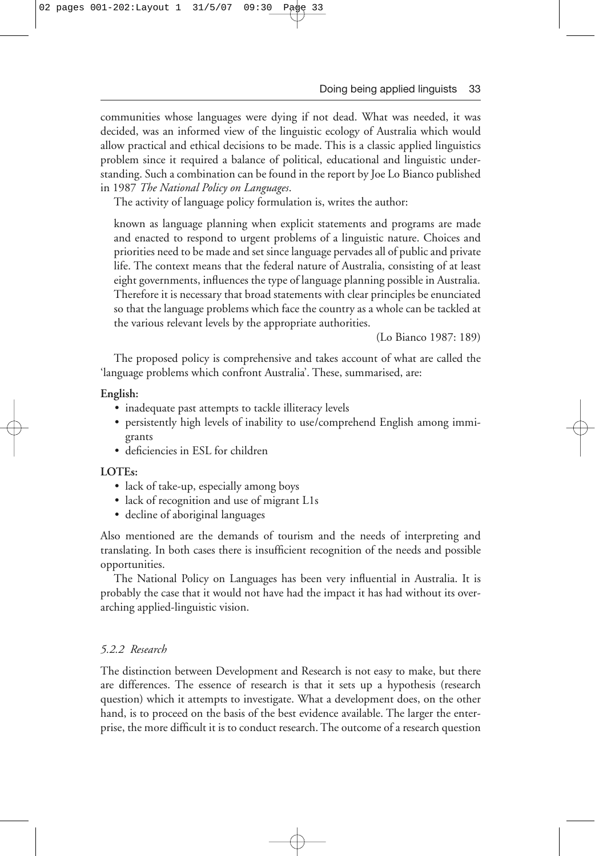communities whose languages were dying if not dead. What was needed, it was decided, was an informed view of the linguistic ecology of Australia which would allow practical and ethical decisions to be made. This is a classic applied linguistics problem since it required a balance of political, educational and linguistic under standing. Such a combination can be found in the report by Joe Lo Bianco published in 1987 *The National Policy on Languages*.

The activity of language policy formulation is, writes the author:

known as language planning when explicit statements and programs are made and enacted to respond to urgent problems of a linguistic nature. Choices and priorities need to be made and set since language pervades all of public and private life. The context means that the federal nature of Australia, consisting of at least eight governments, influences the type of language planning possible in Australia. Therefore it is necessary that broad statements with clear principles be enunciated so that the language problems which face the country as a whole can be tackled at the various relevant levels by the appropriate authorities.

(Lo Bianco 1987: 189)

The proposed policy is comprehensive and takes account of what are called the 'language problems which confront Australia'. These, summarised, are:

# **English:**

- inadequate past attempts to tackle illiteracy levels
- persistently high levels of inability to use/comprehend English among immigrants
- deficiencies in ESL for children

# **LOTEs:**

- lack of take-up, especially among boys
- lack of recognition and use of migrant L1s
- decline of aboriginal languages

Also mentioned are the demands of tourism and the needs of interpreting and translating. In both cases there is insufficient recognition of the needs and possible opportunities.

The National Policy on Languages has been very influential in Australia. It is probably the case that it would not have had the impact it has had without its over arching applied-linguistic vision.

# *5.2.2 Research*

The distinction between Development and Research is not easy to make, but there are differences. The essence of research is that it sets up a hypothesis (research question) which it attempts to investigate. What a development does, on the other hand, is to proceed on the basis of the best evidence available. The larger the enterprise, the more difficult it is to conduct research. The outcome of a research question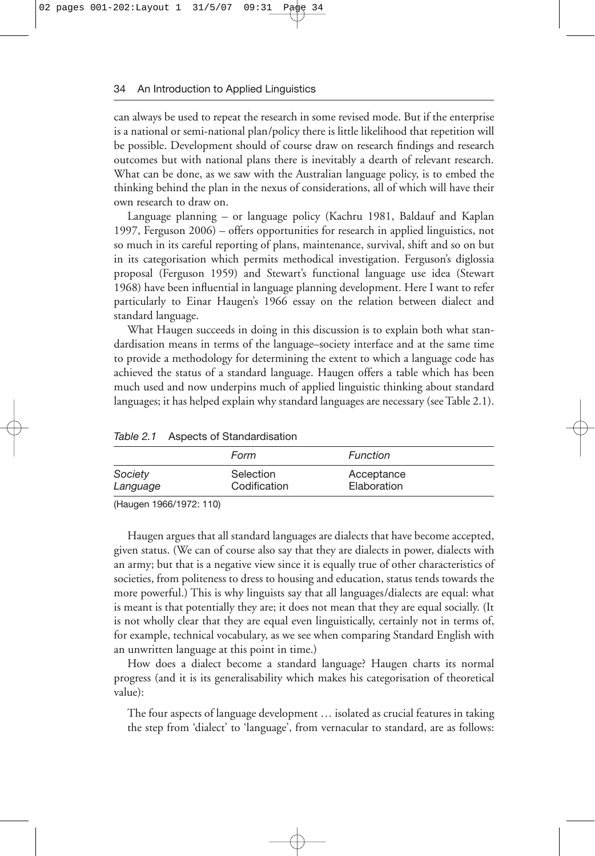can always be used to repeat the research in some revised mode. But if the enterprise is a national or semi-national plan/policy there is little likelihood that repetition will be possible. Development should of course draw on research findings and research outcomes but with national plans there is inevitably a dearth of relevant research. What can be done, as we saw with the Australian language policy, is to embed the thinking behind the plan in the nexus of considerations, all of which will have their own research to draw on.

Language planning – or language policy (Kachru 1981, Baldauf and Kaplan 1997, Ferguson 2006) – offers opportunities for research in applied linguistics, not so much in its careful reporting of plans, maintenance, survival, shift and so on but in its categorisation which permits methodical investigation. Ferguson's diglossia proposal (Ferguson 1959) and Stewart's functional language use idea (Stewart 1968) have been influential in language planning de velopment. Here I want to refer particularly to Einar Haugen's 1966 essay on the relation between dialect and standard language.

What Haugen succeeds in doing in this discussion is to explain both what standardisation means in terms of the language–society interface and at the same time to provide a methodology for determining the extent to which a language code has achieved the status of a standard language. Haugen offers a table which has been much used and now underpins much of applied linguistic thinking about standard languages; it has helped explain why standard languages are necessary (see Table 2.1).

| Table 2.1 |  | Aspects of Standardisation |  |
|-----------|--|----------------------------|--|
|-----------|--|----------------------------|--|

|          | Form         | Function    |  |
|----------|--------------|-------------|--|
| Society  | Selection    | Acceptance  |  |
| Language | Codification | Elaboration |  |

(Haugen 1966/1972: 110)

Haugen argues that all standard languages are dialects that have become accepted, given status. (We can of course also say that they are dialects in power, dialects with an army; but that is a negative view since it is equally true of other characteristics of societies, from politeness to dress to housing and education, status tends towards the more powerful.) This is why linguists say that all languages/dialects are equal: what is meant is that potentially they are; it does not mean that they are equal socially. (It is not wholly clear that they are equal even linguistically, certainly not in terms of, for example, technical vocabulary, as we see when comparing Standard English with an unwritten language at this point in time.)

How does a dialect become a standard language? Haugen charts its normal progress (and it is its generalisability which makes his categorisation of theoretical value):

The four aspects of language development … isolated as crucial features in taking the step from 'dialect' to 'language', from vernacular to standard, are as follows: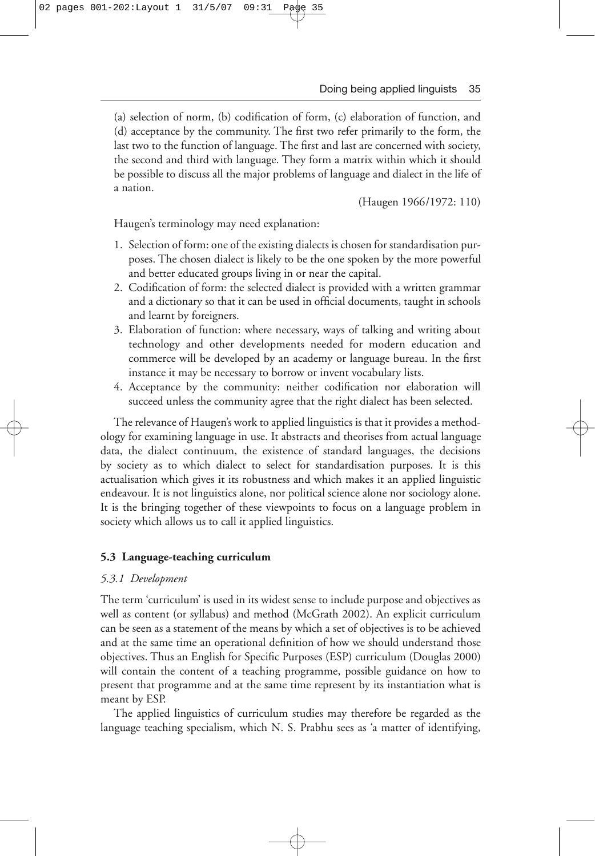(a) selection of norm, (b) codification of form, (c) elaboration of function, and (d) acceptance by the community. The first two refer primarily to the form, the last two to the function of language. The first and last are concerned with society, the second and third with language. They form a matrix within which it should be possible to discuss all the major problems of language and dialect in the life of a nation.

(Haugen 1966/1972: 110)

Haugen's terminology may need explanation:

- 1. Selection of form: one of the existing dialects is chosen for standardisation pur poses. The chosen dialect is likely to be the one spoken by the more powerful and better educated groups living in or near the capital.
- 2. Codification of form: the selected dialect is provided with a written grammar and a dictionary so that it can be used in official documents, taught in schools and learnt by foreigners.
- 3. Elaboration of function: where necessary, ways of talking and writing about technology and other developments needed for modern education and commerce will be developed by an academy or language bureau. In the first instance it may be necessary to borrow or invent vocabulary lists.
- 4. Acceptance by the community: neither codification nor elaboration will succeed unless the community agree that the right dialect has been selected.

The relevance of Haugen's work to applied linguistics is that it provides a method ology for examining language in use. It abstracts and theorises from actual language data, the dialect continuum, the existence of standard languages, the decisions by society as to which dialect to select for standardisation purposes. It is this actualisation which gives it its robustness and which makes it an applied linguistic endeavour. It is not linguistics alone, nor political science alone nor sociology alone. It is the bringing together of these viewpoints to focus on a language problem in society which allows us to call it applied linguistics.

# **5.3 Language-teaching curriculum**

#### *5.3.1 Development*

The term 'curriculum' is used in its widest sense to include purpose and objectives as well as content (or syllabus) and method (McGrath 2002). An explicit curriculum can be seen as a statement of the means by which a set of objectives is to be achieved and at the same time an operational definition of how we should understand those objectives. Thus an English for Specific Purposes (ESP) curriculum (Douglas 2000) will contain the content of a teaching programme, possible guidance on how to present that programme and at the same time represent by its instantiation what is meant by ESP.

The applied linguistics of curriculum studies may therefore be regarded as the language teaching specialism, which N. S. Prabhu sees as 'a matter of identifying,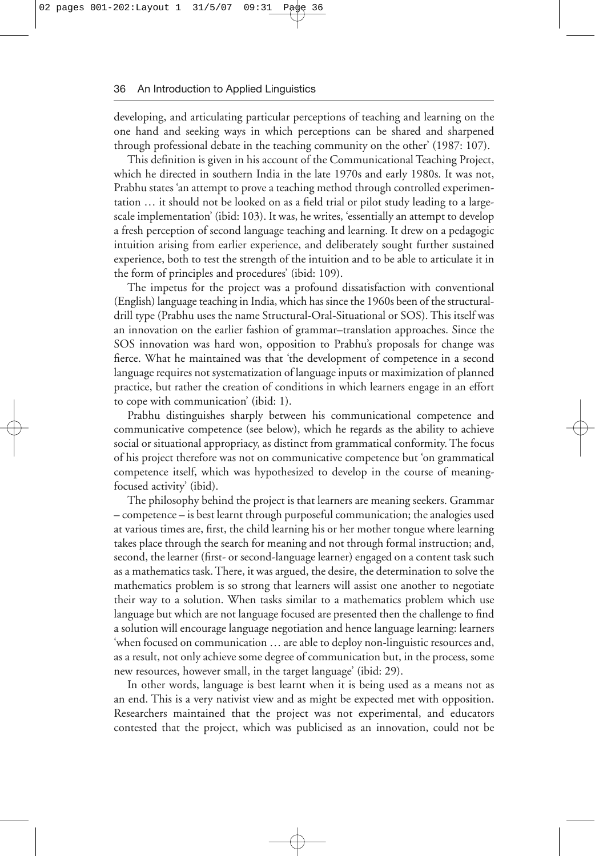developing, and articulating particular perceptions of teaching and learning on the one hand and seeking ways in which perceptions can be shared and sharpened through professional debate in the teaching community on the other' (1987: 107).

This definition is given in his account of the Communicational Teaching Project, which he directed in southern India in the late 1970s and early 1980s. It was not, Prabhu states 'an attempt to prove a teaching method through controlled experimentation … it should not be looked on as a field trial or pilot study leading to a largescale implementation' (ibid: 103). It was, he writes, 'essentially an attempt to develop a fresh perception of second language teaching and learning. It drew on a pedagogic intuition arising from earlier experience, and deliberately sought further sustained experience, both to test the strength of the intuition and to be able to articulate it in the form of principles and procedures' (ibid: 109).

The impetus for the project was a profound dissatisfaction with conventional (English) language teaching in India, which has since the 1960s been of the structuraldrill type (Prabhu uses the name Structural-Oral-Situational or SOS). This itself was an innovation on the earlier fashion of grammar–translation approaches. Since the SOS innovation was hard won, opposition to Prabhu's proposals for change was fierce. What he maintained was that 'the development of competence in a second language requires not systematization of language inputs or maximization of planned practice, but rather the creation of conditions in which learners engage in an effort to cope with communication' (ibid: 1).

Prabhu distinguishes sharply between his communicational competence and communicative competence (see below), which he regards as the ability to achieve social or situational appropriacy, as distinct from grammatical conformity. The focus of his project therefore was not on communicative competence but 'on grammatical competence itself, which was hypothesized to develop in the course of meaningfocused activity' (ibid).

The philosophy behind the project is that learners are meaning seekers. Grammar – competence – is best learnt through purposeful communication; the analogies used at various times are, first, the child learning his or her mother tongue where learning takes place through the search for meaning and not through formal instruction; and, second, the learner (first- or second-language learner) engaged on a content task such as a mathematics task. There, it was argued, the desire, the determination to solve the mathematics problem is so strong that learners will assist one another to negotiate their way to a solution. When tasks similar to a mathematics problem which use language but which are not language focused are presented then the challenge to find a solution will encourage language negotiation and hence language learning: learners 'when focused on communication … are able to deploy non-linguistic resources and, as a result, not only achieve some degree of communication but, in the process, some new resources, however small, in the target language' (ibid: 29).

In other words, language is best learnt when it is being used as a means not as an end. This is a very nativist view and as might be expected met with opposition. Researchers maintained that the project was not experimental, and educators contested that the project, which was publicised as an innovation, could not be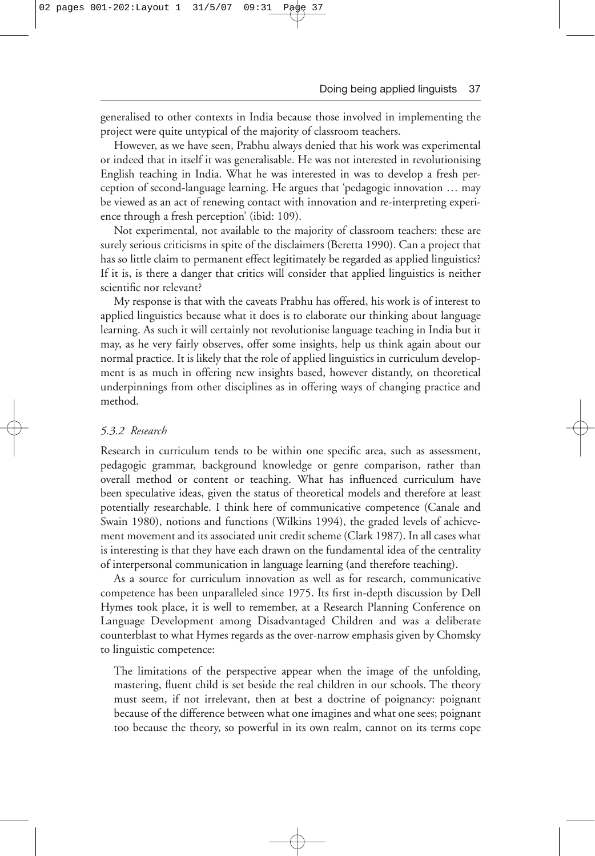generalised to other contexts in India because those involved in implementing the project were quite untypical of the majority of classroom teachers.

However, as we have seen, Prabhu always denied that his work was experimental or indeed that in itself it was generalisable. He was not interested in revolutionising English teaching in India. What he was interested in was to develop a fresh perception of second-language learning. He argues that 'pedagogic innovation … may be viewed as an act of renewing contact with innovation and re-interpreting experience through a fresh perception' (ibid: 109).

Not experimental, not available to the majority of classroom teachers: these are surely serious criticisms in spite of the disclaimers (Beretta 1990). Can a project that has so little claim to permanent effect legitimately be regarded as applied linguistics? If it is, is there a danger that critics will consider that applied linguistics is neither scientific nor relevant?

My response is that with the caveats Prabhu has offered, his work is of interest to applied linguistics because what it does is to elaborate our thinking about language learning. As such it will certainly not revolutionise language teaching in India but it may, as he very fairly observes, offer some insights, help us think again about our normal practice. It is likely that the role of applied linguistics in curriculum development is as much in offering new insights based, however distantly, on theoretical underpinnings from other disciplines as in offering ways of changing practice and method.

#### *5.3.2 Research*

Research in curriculum tends to be within one specific area, such as assessment, pedagogic grammar, background knowledge or genre comparison, rather than overall method or content or teaching. What has influenced curriculum have been speculative ideas, given the status of theoretical models and therefore at least potentially researchable. I think here of communicative competence (Canale and Swain 1980), notions and functions (Wilkins 1994), the graded levels of achievement movement and its associated unit credit scheme (Clark 1987). In all cases what is interesting is that they have each drawn on the fundamental idea of the centrality of interpersonal communication in language learning (and therefore teaching).

As a source for curriculum innovation as well as for research, communicative competence has been unparalleled since 1975. Its first in-depth discussion by Dell Hymes took place, it is well to remember, at a Research Planning Conference on Language Development among Disadvantaged Children and was a deliberate counterblast to what Hymes regards as the over-narrow emphasis given by Chomsky to linguistic competence:

The limitations of the perspective appear when the image of the unfolding, mastering, fluent child is set beside the real children in our schools. The theory must seem, if not irrelevant, then at best a doctrine of poignancy: poignant because of the difference between what one imagines and what one sees; poignant too because the theory, so powerful in its own realm, cannot on its terms cope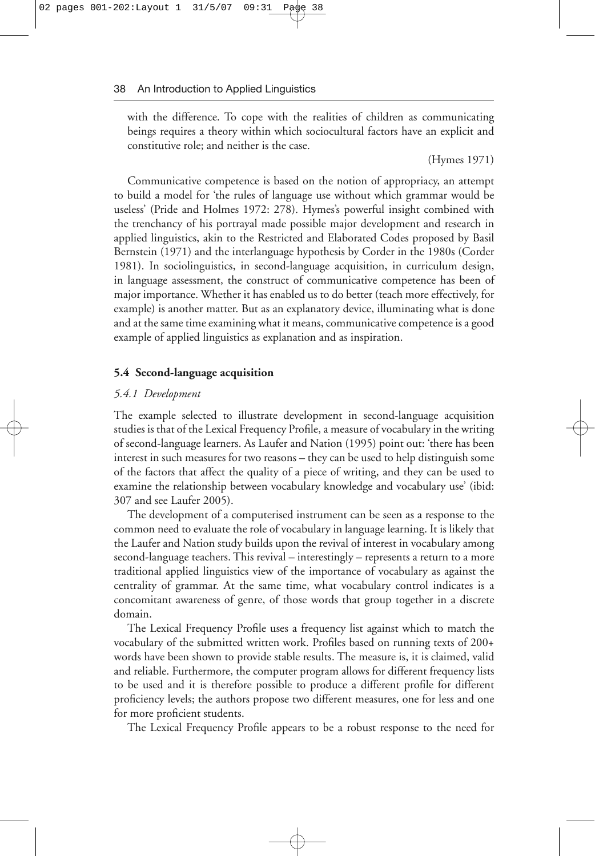with the difference. To cope with the realities of children as communicating beings requires a theory within which sociocultural factors have an explicit and constitutive role; and neither is the case.

(Hymes 1971)

Communicative competence is based on the notion of appropriacy, an attempt to build a model for 'the rules of language use without which grammar would be useless' (Pride and Holmes 1972: 278). Hymes's powerful insight combined with the trenchancy of his portrayal made possible major development and research in applied linguistics, akin to the Restricted and Elaborated Codes proposed by Basil Bernstein (1971) and the interlanguage hypothesis by Corder in the 1980s (Corder 1981). In sociolinguistics, in second-language acquisition, in curriculum design, in language assessment, the construct of communicative competence has been of major importance. Whether it has enabled us to do better (teach more effectively, for example) is another matter. But as an explanatory device, illuminating what is done and at the same time examining what it means, communicative competence is a good example of applied linguistics as explanation and as inspiration.

#### **5.4 Second-language acquisition**

#### *5.4.1 Development*

The example selected to illustrate development in second-language acquisition studies is that of the Lexical Frequency Profile, a measure of vocabulary in the writing of second-language learners. As Laufer and Nation (1995) point out: 'there has been interest in such measures for two reasons – they can be used to help distinguish some of the factors that affect the quality of a piece of writing, and they can be used to examine the relationship between vocabulary knowledge and vocabulary use' (ibid: 307 and see Laufer 2005).

The development of a computerised instrument can be seen as a response to the common need to evaluate the role of vocabulary in language learning. It is likely that the Laufer and Nation study builds upon the revival of interest in vocabulary among second-language teachers. This revival – interestingly – represents a return to a more traditional applied linguistics view of the importance of vocabulary as against the centrality of grammar. At the same time, what vocabulary control indicates is a concomitant awareness of genre, of those words that group together in a discrete domain.

The Lexical Frequency Profile uses a frequency list against which to match the vocabulary of the submitted written work. Profiles based on running texts of 200+ words have been shown to provide stable results. The measure is, it is claimed, valid and reliable. Furthermore, the computer program allows for different frequency lists to be used and it is therefore possible to produce a different profile for different proficiency levels; the authors propose two different measures, one for less and one for more proficient students.

The Lexical Frequency Profile appears to be a robust response to the need for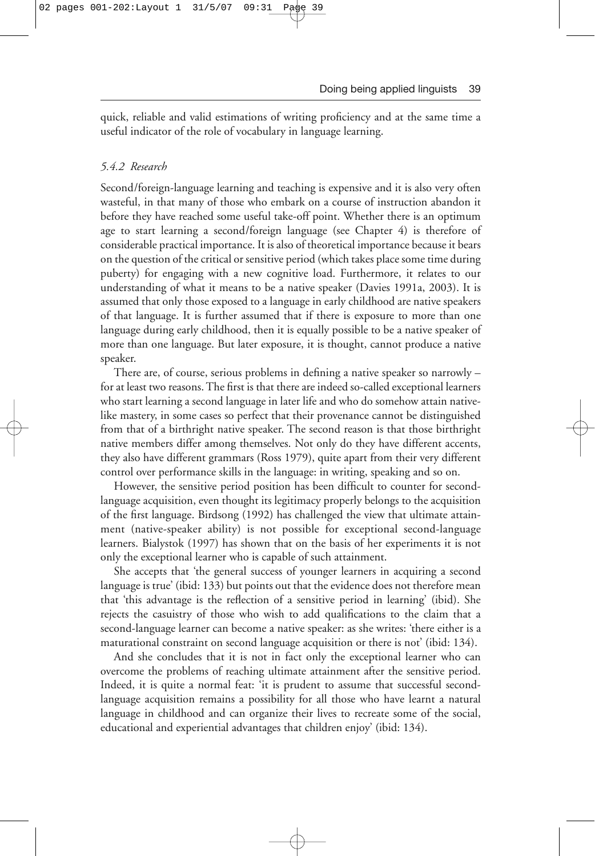quick, reliable and valid estimations of writing proficiency and at the same time a useful indicator of the role of vocabulary in language learning.

# *5.4.2 Research*

Second/foreign-language learning and teaching is expensive and it is also very often wasteful, in that many of those who embark on a course of instruction abandon it before they have reached some useful take-off point. Whether there is an optimum age to start learning a second/foreign language (see Chapter 4) is therefore of considerable practical importance. It is also of theoretical importance because it bears on the question of the critical or sensitive period (which takes place some time during puberty) for engaging with a new cognitive load. Furthermore, it relates to our understanding of what it means to be a native speaker (Davies 1991a, 2003). It is assumed that only those exposed to a language in early childhood are native speakers of that language. It is further assumed that if there is exposure to more than one language during early childhood, then it is equally possible to be a native speaker of more than one language. But later exposure, it is thought, cannot produce a native speaker.

There are, of course, serious problems in defining a native speaker so narrowly – for at least two reasons. The first is that there are indeed so-called exceptional learners who start learning a second language in later life and who do somehow attain nativelike mastery, in some cases so perfect that their provenance cannot be distinguished from that of a birthright native speaker. The second reason is that those birthright native members differ among themselves. Not only do they have different accents, they also have different grammars (Ross 1979), quite apart from their very different control over performance skills in the language: in writing, speaking and so on.

However, the sensitive period position has been difficult to counter for secondlanguage acquisition, even thought its legitimacy properly belongs to the acquisition of the first language. Birdsong (1992) has challenged the view that ultimate attain ment (native-speaker ability) is not possible for exceptional second-language learners. Bialystok (1997) has shown that on the basis of her experiments it is not only the exceptional learner who is capable of such attainment.

She accepts that 'the general success of younger learners in acquiring a second language is true' (ibid: 133) but points out that the evidence does not therefore mean that 'this advantage is the reflection of a sensitive period in learning' (ibid). She rejects the casuistry of those who wish to add qualifications to the claim that a second-language learner can become a native speaker: as she writes: 'there either is a maturational constraint on second language acquisition or there is not' (ibid: 134).

And she concludes that it is not in fact only the exceptional learner who can overcome the problems of reaching ultimate attainment after the sensitive period. Indeed, it is quite a normal feat: 'it is prudent to assume that successful secondlanguage acquisition remains a possibility for all those who have learnt a natural language in childhood and can organize their lives to recreate some of the social, educational and experiential advantages that children enjoy' (ibid: 134).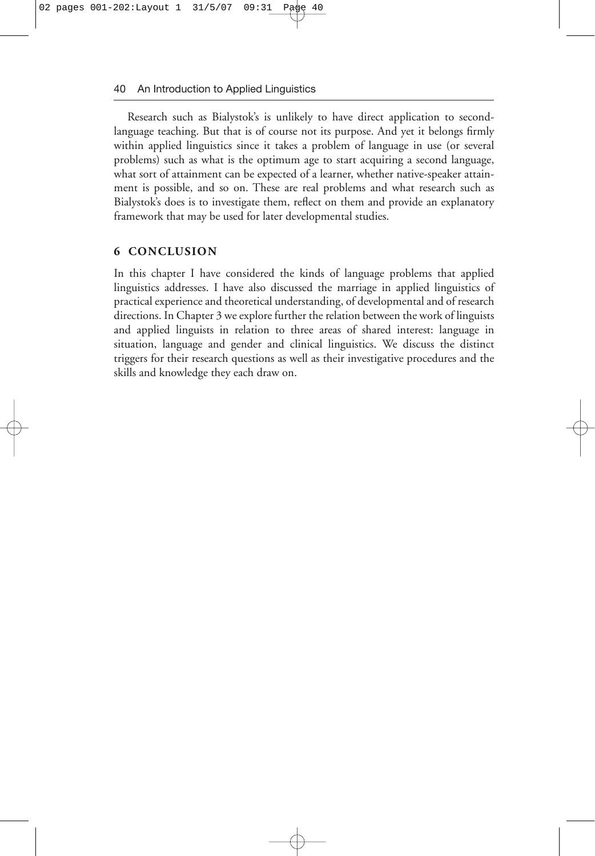Research such as Bialystok's is unlikely to have direct application to secondlanguage teaching. But that is of course not its purpose. And yet it belongs firmly within applied linguistics since it takes a problem of language in use (or several problems) such as what is the optimum age to start acquiring a second language, what sort of attainment can be expected of a learner, whether native-speaker attainment is possible, and so on. These are real problems and what research such as Bialystok's does is to investigate them, reflect on them and provide an explanatory framework that may be used for later developmental studies.

# **6 CONCLUSION**

In this chapter I have considered the kinds of language problems that applied linguistics addresses. I have also discussed the marriage in applied linguistics of practical experience and theoretical understanding, of developmental and of research directions. In Chapter 3 we explore further the relation between the work of linguists and applied linguists in relation to three areas of shared interest: language in situation, language and gender and clinical linguistics. We discuss the distinct triggers for their research questions as well as their investigative procedures and the skills and knowledge they each draw on.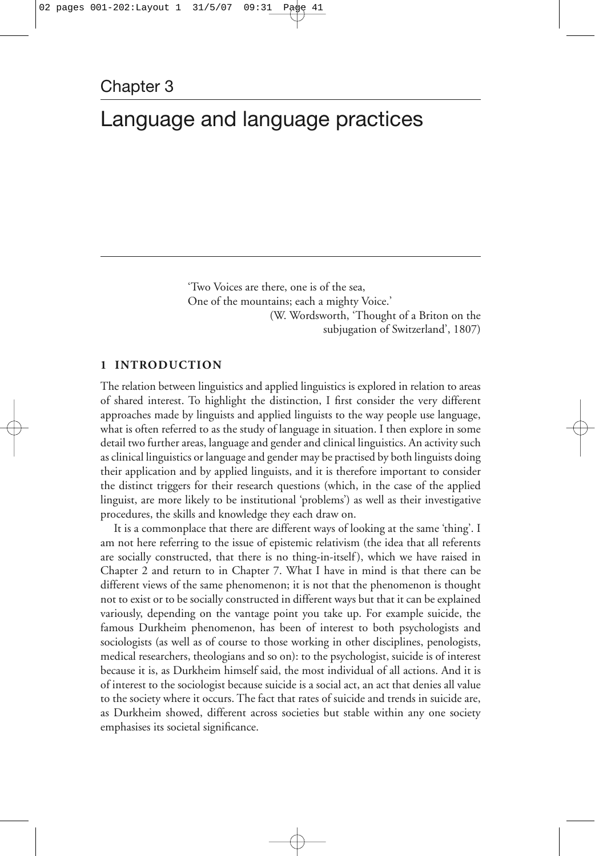# Language and language practices

'Two Voices are there, one is of the sea, One of the mountains; each a mighty Voice.' (W. Wordsworth, 'Thought of a Briton on the subjugation of Switzerland', 1807)

#### **1 INTRODUCTION**

The relation between linguistics and applied linguistics is explored in relation to areas of shared interest. To highlight the distinction, I first consider the very different approaches made by linguists and applied linguists to the way people use language, what is often referred to as the study of language in situation. I then explore in some detail two further areas, language and gender and clinical linguistics. An activity such as clinical linguistics or language and gender may be practised by both linguists doing their application and by applied linguists, and it is therefore important to consider the distinct triggers for their research questions (which, in the case of the applied linguist, are more likely to be institutional 'problems') as well as their investigative procedures, the skills and knowledge they each draw on.

It is a commonplace that there are different ways of looking at the same 'thing'. I am not here referring to the issue of epistemic relativism (the idea that all referents are socially constructed, that there is no thing-in-itself ), which we have raised in Chapter 2 and return to in Chapter 7. What I have in mind is that there can be different views of the same phenomenon; it is not that the phenomenon is thought not to exist or to be socially constructed in different ways but that it can be explained variously, depending on the vantage point you take up. For example suicide, the famous Durkheim phenomenon, has been of interest to both psychologists and sociologists (as well as of course to those working in other disciplines, penologists, medical researchers, theologians and so on): to the psychologist, suicide is of interest because it is, as Durkheim himself said, the most individual of all actions. And it is of interest to the sociologist because suicide is a social act, an act that denies all value to the society where it occurs. The fact that rates of suicide and trends in suicide are, as Durkheim showed, different across societies but stable within any one society emphasises its societal significance.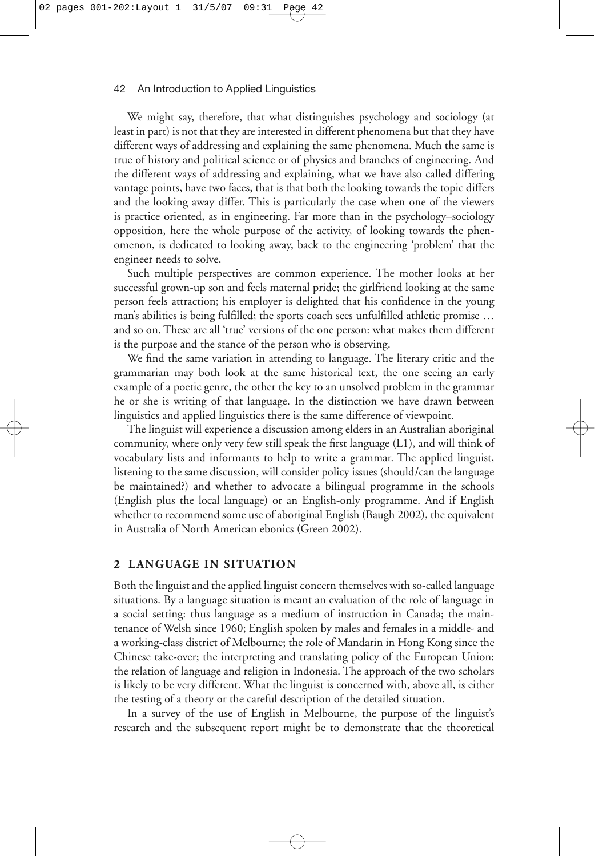We might say, therefore, that what distinguishes psychology and sociology (at least in part) is not that they are interested in different phenomena but that they have different ways of addressing and explaining the same phenomena. Much the same is true of history and political science or of physics and branches of engineering. And the different ways of addressing and explaining, what we have also called differing vantage points, have two faces, that is that both the looking towards the topic differs and the looking away differ. This is particularly the case when one of the viewers is practice oriented, as in engineering. Far more than in the psychology–sociology opposition, here the whole purpose of the activity, of looking towards the phenomenon, is dedicated to looking away, back to the engineering 'problem' that the engineer needs to solve.

Such multiple perspectives are common experience. The mother looks at her successful grown-up son and feels maternal pride; the girlfriend looking at the same person feels attraction; his employer is delighted that his confidence in the young man's abilities is being fulfilled; the sports coach sees unfulfilled athletic promise … and so on. These are all 'true' versions of the one person: what makes them different is the purpose and the stance of the person who is observing.

We find the same variation in attending to language. The literary critic and the grammarian may both look at the same historical text, the one seeing an early example of a poetic genre, the other the key to an unsolved problem in the grammar he or she is writing of that language. In the distinction we have drawn between linguistics and applied linguistics there is the same difference of viewpoint.

The linguist will experience a discussion among elders in an Australian aboriginal community, where only very few still speak the first language (L1), and will think of vocabulary lists and informants to help to write a grammar. The applied linguist, listening to the same discussion, will consider policy issues (should/can the language be maintained?) and whether to advocate a bilingual programme in the schools (English plus the local language) or an English-only programme. And if English whether to recommend some use of aboriginal English (Baugh 2002), the equivalent in Australia of North American ebonics (Green 2002).

# **2 LANGUAGE IN SITUATION**

Both the linguist and the applied linguist concern themselves with so-called language situations. By a language situation is meant an evaluation of the role of language in a social setting: thus language as a medium of instruction in Canada; the maintenance of Welsh since 1960; English spoken by males and females in a middle- and a working-class district of Melbourne; the role of Mandarin in Hong Kong since the Chinese take-over; the interpreting and translating policy of the European Union; the relation of language and religion in Indonesia. The approach of the two scholars is likely to be very different. What the linguist is concerned with, above all, is either the testing of a theory or the careful description of the detailed situation.

In a survey of the use of English in Melbourne, the purpose of the linguist's research and the subsequent report might be to demonstrate that the theoretical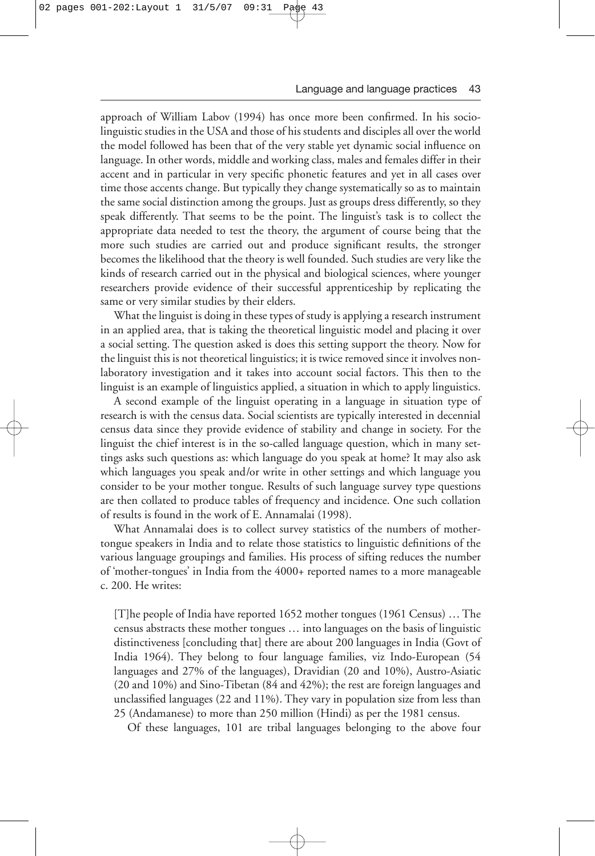approach of William Labov (1994) has once more been confirmed. In his sociolinguistic studies in the USA and those of his students and disciples all over the world the model followed has been that of the very stable yet dynamic social influence on language. In other words, middle and working class, males and females differ in their accent and in particular in very specific phonetic features and yet in all cases over time those accents change. But typically they change systematically so as to maintain the same social distinction among the groups. Just as groups dress differently, so they speak differently. That seems to be the point. The linguist's task is to collect the appropriate data needed to test the theory, the argument of course being that the more such studies are carried out and produce significant results, the stronger becomes the likelihood that the theory is well founded. Such studies are very like the kinds of research carried out in the physical and biological sciences, where younger researchers provide evidence of their successful apprenticeship by replicating the same or very similar studies by their elders.

What the linguist is doing in these types of study is applying a research instrument in an applied area, that is taking the theoretical linguistic model and placing it over a social setting. The question asked is does this setting support the theory. Now for the linguist this is not theoretical linguistics; it is twice removed since it involves nonlaboratory investigation and it takes into account social factors. This then to the linguist is an example of linguistics applied, a situation in which to apply linguistics.

A second example of the linguist operating in a language in situation type of research is with the census data. Social scientists are typically interested in decennial census data since they provide evidence of stability and change in society. For the linguist the chief interest is in the so-called language question, which in many settings asks such questions as: which language do you speak at home? It may also ask which languages you speak and/or write in other settings and which language you consider to be your mother tongue. Results of such language survey type questions are then collated to produce tables of frequency and incidence. One such collation of results is found in the work of E. Annamalai (1998).

What Annamalai does is to collect survey statistics of the numbers of mothertongue speakers in India and to relate those statistics to linguistic definitions of the various language groupings and families. His process of sifting reduces the number of 'mother-tongues' in India from the 4000+ reported names to a more manageable c. 200. He writes:

[T]he people of India have reported 1652 mother tongues (1961 Census) … The census abstracts these mother tongues … into languages on the basis of linguistic distinctiveness [concluding that] there are about 200 languages in India (Govt of India 1964). They belong to four language families, viz Indo-European (54 languages and 27% of the languages), Dravidian (20 and 10%), Austro-Asiatic (20 and 10%) and Sino-Tibetan (84 and 42%); the rest are foreign languages and unclassified languages (22 and 11%). They vary in population size from less than 25 (Andamanese) to more than 250 million (Hindi) as per the 1981 census.

Of these languages, 101 are tribal languages belonging to the above four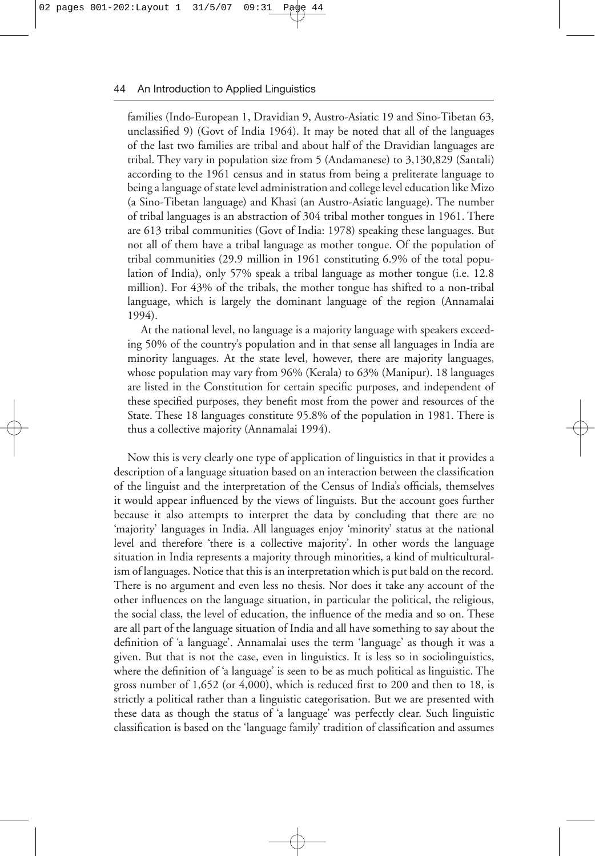families (Indo-European 1, Dravidian 9, Austro-Asiatic 19 and Sino-Tibetan 63, unclassified 9) (Govt of India 1964). It may be noted that all of the languages of the last two families are tribal and about half of the Dravidian languages are tribal. They vary in population size from 5 (Andamanese) to 3,130,829 (Santali) according to the 1961 census and in status from being a preliterate language to being a language of state level administration and college level education like Mizo (a Sino-Tibetan language) and Khasi (an Austro-Asiatic language). The number of tribal languages is an abstraction of 304 tribal mother tongues in 1961. There are 613 tribal communities (Govt of India: 1978) speaking these languages. But not all of them have a tribal language as mother tongue. Of the population of tribal communities (29.9 million in 1961 constituting 6.9% of the total population of India), only 57% speak a tribal language as mother tongue (i.e. 12.8 million). For 43% of the tribals, the mother tongue has shifted to a non-tribal language, which is largely the dominant language of the region (Annamalai 1994).

At the national level, no language is a majority language with speakers exceed ing 50% of the country's population and in that sense all languages in India are minority languages. At the state level, however, there are majority languages, whose population may vary from 96% (Kerala) to 63% (Manipur). 18 languages are listed in the Constitution for certain specific purposes, and independent of these specified purposes, they benefit most from the power and resources of the State. These 18 languages constitute 95.8% of the population in 1981. There is thus a collective majority (Annamalai 1994).

Now this is very clearly one type of application of linguistics in that it provides a description of a language situation based on an interaction between the classification of the linguist and the interpretation of the Census of India's officials, themselves it would appear influenced by the views of linguists. But the account goes further because it also attempts to interpret the data by concluding that there are no 'majority' languages in India. All languages enjoy 'minority' status at the national level and therefore 'there is a collective majority'. In other words the language situation in India represents a majority through minorities, a kind of multicultural ism of languages. Notice that this is an interpretation which is put bald on the record. There is no argument and even less no thesis. Nor does it take any account of the other influences on the language situation, in particular the political, the religious, the social class, the level of education, the influence of the media and so on. These are all part of the language situation of India and all have something to say about the definition of 'a language'. Annamalai uses the term 'language' as though it was a given. But that is not the case, even in linguistics. It is less so in sociolinguistics, where the definition of 'a language' is seen to be as much political as linguistic. The gross number of 1,652 (or 4,000), which is reduced first to 200 and then to 18, is strictly a political rather than a linguistic categorisation. But we are presented with these data as though the status of 'a language' was perfectly clear. Such linguistic classification is based on the 'language family' tradition of classification and assumes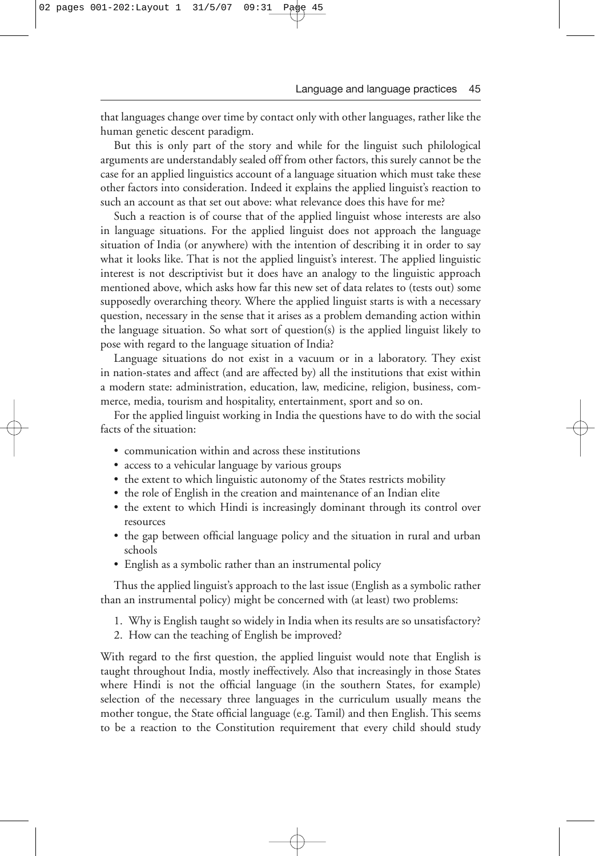that languages change over time by contact only with other languages, rather like the human genetic descent paradigm.

But this is only part of the story and while for the linguist such philological arguments are understandably sealed off from other factors, this surely cannot be the case for an applied linguistics account of a language situation which must take these other factors into consideration. Indeed it explains the applied linguist's reaction to such an account as that set out above: what relevance does this have for me?

Such a reaction is of course that of the applied linguist whose interests are also in language situations. For the applied linguist does not approach the language situation of India (or anywhere) with the intention of describing it in order to say what it looks like. That is not the applied linguist's interest. The applied linguistic interest is not descriptivist but it does have an analogy to the linguistic approach mentioned above, which asks how far this new set of data relates to (tests out) some supposedly overarching theory. Where the applied linguist starts is with a necessary question, necessary in the sense that it arises as a problem demanding action within the language situation. So what sort of question(s) is the applied linguist likely to pose with regard to the language situation of India?

Language situations do not exist in a vacuum or in a laboratory. They exist in nation-states and affect (and are affected by) all the institutions that exist within a modern state: administration, education, law, medicine, religion, business, commerce, media, tourism and hospitality, entertainment, sport and so on.

For the applied linguist working in India the questions have to do with the social facts of the situation:

- communication within and across these institutions
- access to a vehicular language by various groups
- the extent to which linguistic autonomy of the States restricts mobility
- the role of English in the creation and maintenance of an Indian elite
- the extent to which Hindi is increasingly dominant through its control over resources
- the gap between official language policy and the situation in rural and urban schools
- English as a symbolic rather than an instrumental policy

Thus the applied linguist's approach to the last issue (English as a symbolic rather than an instrumental policy) might be concerned with (at least) two problems:

- 1. Why is English taught so widely in India when its results are so unsatisfactory?
- 2. How can the teaching of English be improved?

With regard to the first question, the applied linguist would note that English is taught throughout India, mostly ineffectively. Also that increasingly in those States where Hindi is not the official language (in the southern States, for example) selection of the necessary three languages in the curriculum usually means the mother tongue, the State official language (e.g. Tamil) and then English. This seems to be a reaction to the Constitution requirement that every child should study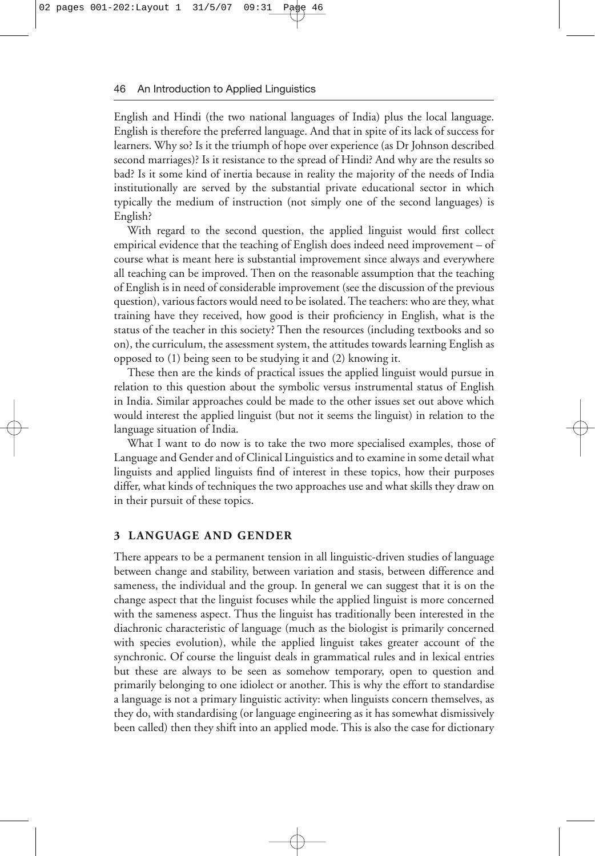English and Hindi (the two national languages of India) plus the local language. English is therefore the preferred language. And that in spite of its lack of success for learners. Why so? Is it the triumph of hope over experience (as Dr Johnson described second marriages)? Is it resistance to the spread of Hindi? And why are the results so bad? Is it some kind of inertia because in reality the majority of the needs of India institutionally are served by the substantial private educational sector in which typically the medium of instruction (not simply one of the second languages) is English?

With regard to the second question, the applied linguist would first collect empirical evidence that the teaching of English does indeed need improvement – of course what is meant here is substantial improvement since always and everywhere all teaching can be improved. Then on the reasonable assumption that the teaching of English is in need of considerable improvement (see the discussion of the previous question), various factors would need to be isolated. The teachers: who are they, what training have they received, how good is their proficiency in English, what is the status of the teacher in this society? Then the resources (including textbooks and so on), the curriculum, the assessment system, the attitudes towards learning English as opposed to (1) being seen to be studying it and (2) knowing it.

These then are the kinds of practical issues the applied linguist would pursue in relation to this question about the symbolic versus instrumental status of English in India. Similar approaches could be made to the other issues set out above which would interest the applied linguist (but not it seems the linguist) in relation to the language situation of India.

What I want to do now is to take the two more specialised examples, those of Language and Gender and of Clinical Linguistics and to examine in some detail what linguists and applied linguists find of interest in these topics, how their purposes differ, what kinds of techniques the two approaches use and what skills they draw on in their pursuit of these topics.

## **3 LANGUAGE AND GENDER**

There appears to be a permanent tension in all linguistic-driven studies of language between change and stability, between variation and stasis, between difference and sameness, the individual and the group. In general we can suggest that it is on the change aspect that the linguist focuses while the applied linguist is more concerned with the sameness aspect. Thus the linguist has traditionally been interested in the diachronic characteristic of language (much as the biologist is primarily concerned with species evolution), while the applied linguist takes greater account of the synchronic. Of course the linguist deals in grammatical rules and in lexical entries but these are always to be seen as somehow temporary, open to question and primarily belonging to one idiolect or another. This is why the effort to standardise a language is not a primary linguistic activity: when linguists concern themselves, as they do, with standardising (or language engineering as it has somewhat dismissively been called) then they shift into an applied mode. This is also the case for dictionary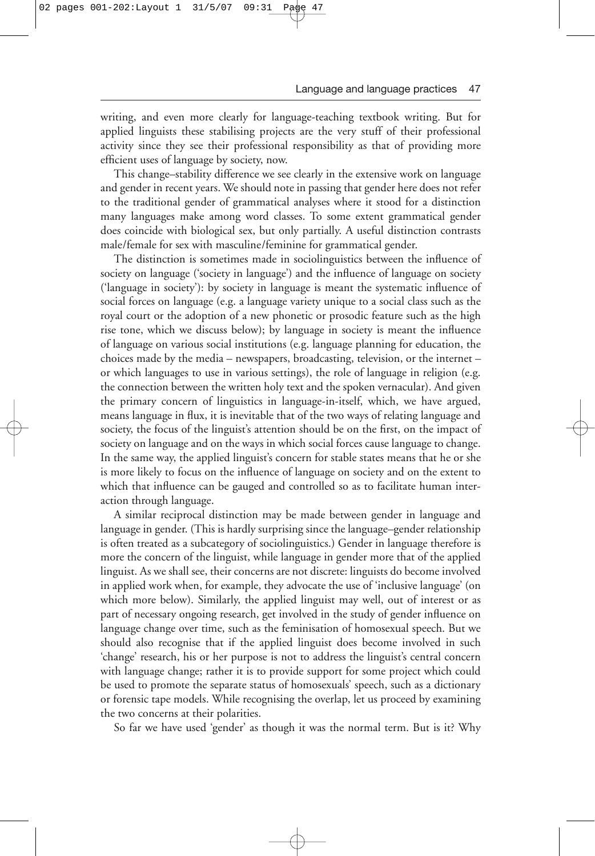writing, and even more clearly for language-teaching textbook writing. But for applied linguists these stabilising projects are the very stuff of their professional activity since they see their professional responsibility as that of providing more efficient uses of language by society, now.

This change–stability difference we see clearly in the extensive work on language and gender in recent years. We should note in passing that gender here does not refer to the traditional gender of grammatical analyses where it stood for a distinction many languages make among word classes. To some extent grammatical gender does coincide with biological sex, but only partially. A useful distinction contrasts male/female for sex with masculine/feminine for grammatical gender.

The distinction is sometimes made in sociolinguistics between the influence of society on language ('society in language') and the influence of language on society ('language in society'): by society in language is meant the systematic influence of social forces on language (e.g. a language variety unique to a social class such as the royal court or the adoption of a new phonetic or prosodic feature such as the high rise tone, which we discuss below); by language in society is meant the influence of language on various social institutions (e.g. language planning for education, the choices made by the media – newspapers, broadcasting, television, or the internet – or which languages to use in various settings), the role of language in religion (e.g. the connection between the written holy text and the spoken vernacular). And given the primary concern of linguistics in language-in-itself, which, we have argued, means language in flux, it is inevitable that of the two ways of relating language and society, the focus of the linguist's attention should be on the first, on the impact of society on language and on the ways in which social forces cause language to change. In the same way, the applied linguist's concern for stable states means that he or she is more likely to focus on the influence of language on society and on the extent to which that influence can be gauged and controlled so as to facilitate human interaction through language.

A similar reciprocal distinction may be made between gender in language and language in gender. (This is hardly surprising since the language–gender relationship is often treated as a subcategory of sociolinguistics.) Gender in language therefore is more the concern of the linguist, while language in gender more that of the applied linguist. As we shall see, their concerns are not discrete: linguists do become involved in applied work when, for example, they advocate the use of 'inclusive language' (on which more below). Similarly, the applied linguist may well, out of interest or as part of necessary ongoing research, get involved in the study of gender influence on language change over time, such as the feminisation of homosexual speech. But we should also recognise that if the applied linguist does become involved in such 'change' research, his or her purpose is not to address the linguist's central concern with language change; rather it is to provide support for some project which could be used to promote the separate status of homosexuals' speech, such as a dictionary or forensic tape models. While recognising the overlap, let us proceed by examining the two concerns at their polarities.

So far we have used 'gender' as though it was the normal term. But is it? Why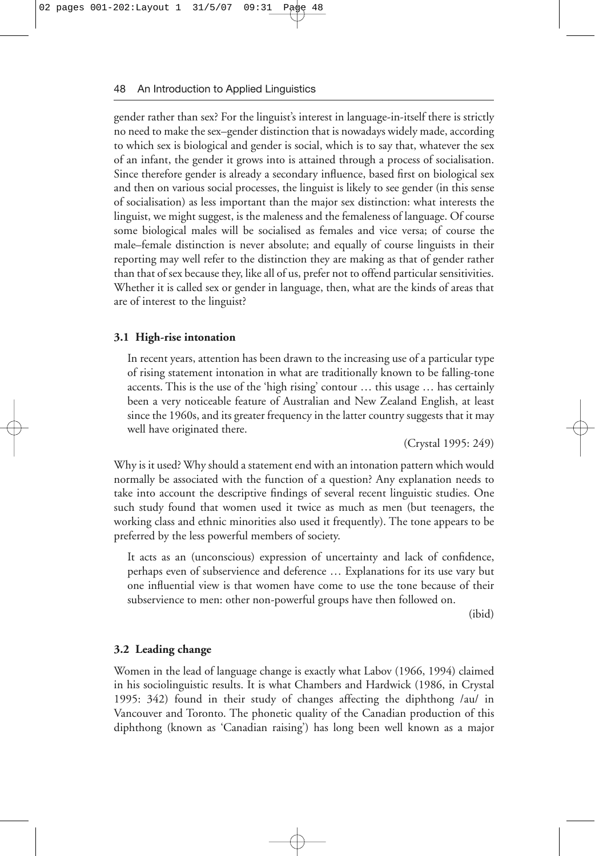gender rather than sex? For the linguist's interest in language-in-itself there is strictly no need to make the sex–gender distinction that is nowadays widely made, according to which sex is biological and gender is social, which is to say that, whatever the sex of an infant, the gender it grows into is attained through a process of socialisation. Since therefore gender is already a secondary influence, based first on biological sex and then on various social processes, the linguist is likely to see gender (in this sense of socialisation) as less important than the major sex distinction: what interests the linguist, we might suggest, is the maleness and the femaleness of language. Of course some biological males will be socialised as females and vice versa; of course the male–female distinction is never absolute; and equally of course linguists in their reporting may well refer to the distinction they are making as that of gender rather than that of sex because they, like all of us, prefer not to offend particular sensitivities. Whether it is called sex or gender in language, then, what are the kinds of areas that are of interest to the linguist?

# **3.1 High-rise intonation**

In recent years, attention has been drawn to the increasing use of a particular type of rising statement intonation in what are traditionally known to be falling-tone accents. This is the use of the 'high rising' contour … this usage … has certainly been a very noticeable feature of Australian and New Zealand English, at least since the 1960s, and its greater frequency in the latter country suggests that it may well have originated there.

(Crystal 1995: 249)

Why is it used? Why should a statement end with an intonation pattern which would normally be associated with the function of a question? Any explanation needs to take into account the descriptive findings of several recent linguistic studies. One such study found that women used it twice as much as men (but teenagers, the working class and ethnic minorities also used it frequently). The tone appears to be preferred by the less powerful members of society.

It acts as an (unconscious) expression of uncertainty and lack of confidence, perhaps even of subservience and deference … Explanations for its use vary but one influential view is that women have come to use the tone because of their subservience to men: other non-powerful groups have then followed on.

(ibid)

# **3.2 Leading change**

Women in the lead of language change is exactly what Labov (1966, 1994) claimed in his sociolinguistic results. It is what Chambers and Hardwick (1986, in Crystal 1995: 342) found in their study of changes affecting the diphthong /au/ in Vancouver and Toronto. The phonetic quality of the Canadian production of this diphthong (known as 'Canadian raising') has long been well known as a major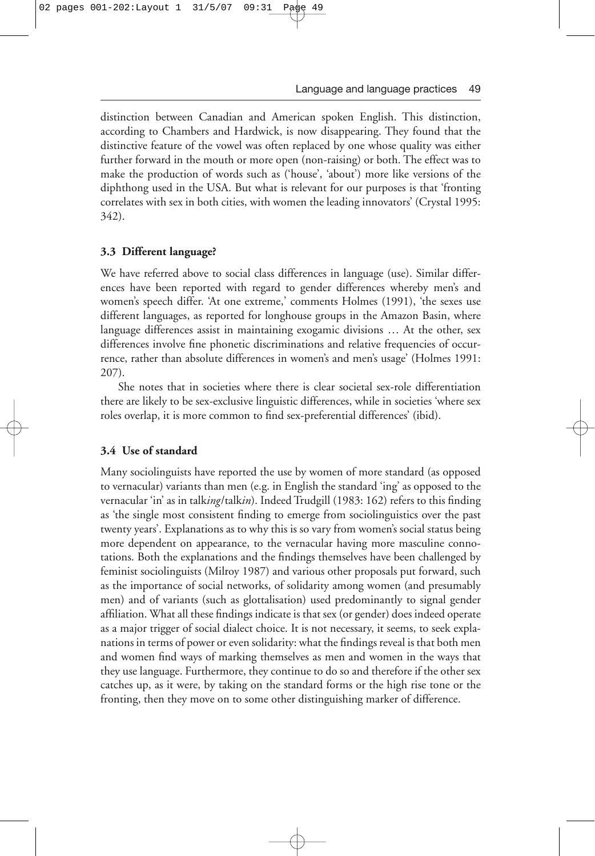distinction between Canadian and American spoken English. This distinction, according to Chambers and Hardwick, is now disappearing. They found that the distinctive feature of the vowel was often replaced by one whose quality was either further forward in the mouth or more open (non-raising) or both. The effect was to make the production of words such as ('house', 'about') more like versions of the diphthong used in the USA. But what is relevant for our purposes is that 'fronting correlates with sex in both cities, with women the leading innovators' (Crystal 1995: 342).

#### **3.3 Different language?**

We have referred above to social class differences in language (use). Similar differences have been reported with regard to gender differences whereby men's and women's speech differ. 'At one extreme,' comments Holmes (1991), 'the sexes use different languages, as reported for longhouse groups in the Amazon Basin, where language differences assist in maintaining exogamic divisions … At the other, sex differences involve fine phonetic discriminations and relative frequencies of occurrence, rather than absolute differences in women's and men's usage' (Holmes 1991: 207).

She notes that in societies where there is clear societal sex-role differentiation there are likely to be sex-exclusive linguistic differences, while in societies 'where sex roles overlap, it is more common to find sex-preferential differences' (ibid).

#### **3.4 Use of standard**

Many sociolinguists have reported the use by women of more standard (as opposed to vernacular) variants than men (e.g. in English the standard 'ing' as opposed to the vernacular 'in' as in talk*ing*/talk*in*). Indeed Trudgill (1983: 162) refers to this finding as 'the single most consistent finding to emerge from sociolinguistics over the past twenty years'. Explanations as to why this is so vary from women's social status being more dependent on appearance, to the vernacular having more masculine connotations. Both the explanations and the findings themselves have been challenged by feminist sociolinguists (Milroy 1987) and various other proposals put forward, such as the importance of social networks, of solidarity among women (and presumably men) and of variants (such as glottalisation) used predominantly to signal gender affiliation. What all these findings indicate is that sex (or gender) does indeed operate as a major trigger of social dialect choice. It is not necessary, it seems, to seek explanations in terms of power or even solidarity: what the findings reveal is that both men and women find ways of marking themselves as men and women in the ways that they use language. Furthermore, they continue to do so and therefore if the other sex catches up, as it were, by taking on the standard forms or the high rise tone or the fronting, then they move on to some other distinguishing marker of difference.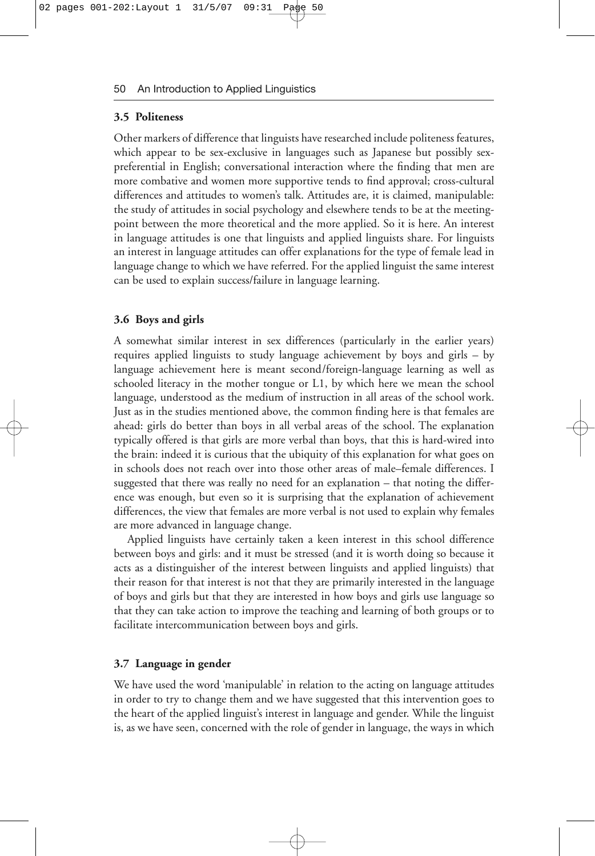# **3.5 Politeness**

Other markers of difference that linguists have researched include politeness features, which appear to be sex-exclusive in languages such as Japanese but possibly sexpreferential in English; conversational interaction where the finding that men are more combative and women more supportive tends to find approval; cross-cultural differences and attitudes to women's talk. Attitudes are, it is claimed, manipulable: the study of attitudes in social psychology and elsewhere tends to be at the meetingpoint between the more theoretical and the more applied. So it is here. An interest in language attitudes is one that linguists and applied linguists share. For linguists an interest in language attitudes can offer explanations for the type of female lead in language change to which we have referred. For the applied linguist the same interest can be used to explain success/failure in language learning.

# **3.6 Boys and girls**

A somewhat similar interest in sex differences (particularly in the earlier years) requires applied linguists to study language achievement by boys and girls – by language achievement here is meant second/foreign-language learning as well as schooled literacy in the mother tongue or L1, by which here we mean the school language, understood as the medium of instruction in all areas of the school work. Just as in the studies mentioned above, the common finding here is that females are ahead: girls do better than boys in all verbal areas of the school. The explanation typically offered is that girls are more verbal than boys, that this is hard-wired into the brain: indeed it is curious that the ubiquity of this explanation for what goes on in schools does not reach over into those other areas of male–female differences. I suggested that there was really no need for an explanation – that noting the differ ence was enough, but even so it is surprising that the explanation of achievement differences, the view that females are more verbal is not used to explain why females are more advanced in language change.

Applied linguists have certainly taken a keen interest in this school difference between boys and girls: and it must be stressed (and it is worth doing so because it acts as a distinguisher of the interest between linguists and applied linguists) that their reason for that interest is not that they are primarily interested in the language of boys and girls but that they are interested in how boys and girls use language so that they can take action to improve the teaching and learning of both groups or to facilitate intercommunication between boys and girls.

# **3.7 Language in gender**

We have used the word 'manipulable' in relation to the acting on language attitudes in order to try to change them and we have suggested that this intervention goes to the heart of the applied linguist's interest in language and gender. While the linguist is, as we have seen, concerned with the role of gender in language, the ways in which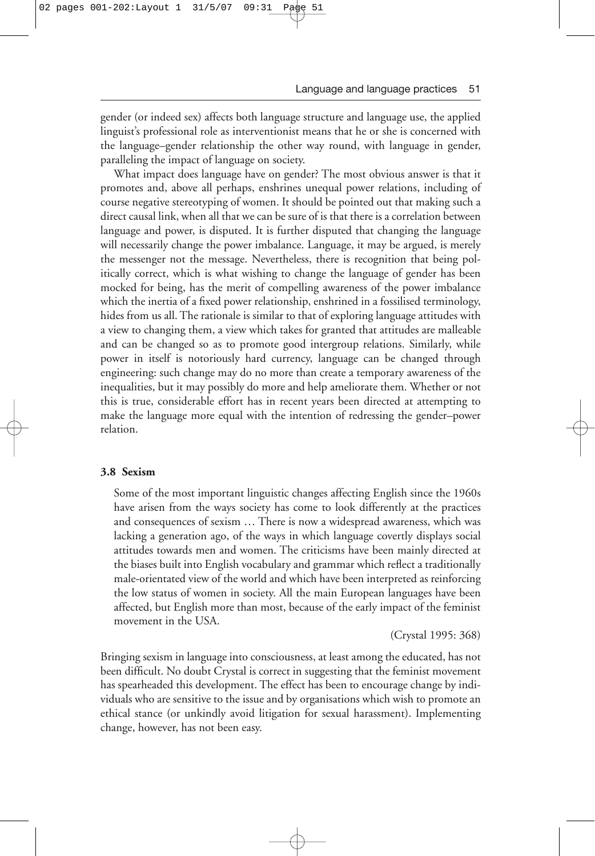gender (or indeed sex) affects both language structure and language use, the applied linguist's professional role as interventionist means that he or she is concerned with the language–gender relationship the other way round, with language in gender, paralleling the impact of language on society.

What impact does language have on gender? The most obvious answer is that it promotes and, above all perhaps, enshrines unequal power relations, including of course negative stereotyping of women. It should be pointed out that making such a direct causal link, when all that we can be sure of is that there is a correlation between language and power, is disputed. It is further disputed that changing the language will necessarily change the power imbalance. Language, it may be argued, is merely the messenger not the message. Nevertheless, there is recognition that being politically correct, which is what wishing to change the language of gender has been mocked for being, has the merit of compelling awareness of the power imbalance which the inertia of a fixed power relationship, enshrined in a fossilised terminology, hides from us all. The rationale is similar to that of exploring language attitudes with a view to changing them, a view which takes for granted that attitudes are malleable and can be changed so as to promote good intergroup relations. Similarly, while power in itself is notoriously hard currency, language can be changed through engineering: such change may do no more than create a temporary awareness of the inequalities, but it may possibly do more and help ameliorate them. Whether or not this is true, considerable effort has in recent years been directed at attempting to make the language more equal with the intention of redressing the gender–power relation.

#### **3.8 Sexism**

Some of the most important linguistic changes affecting English since the 1960s have arisen from the ways society has come to look differently at the practices and consequences of sexism … There is now a widespread awareness, which was lacking a generation ago, of the ways in which language covertly displays social attitudes towards men and women. The criticisms have been mainly directed at the biases built into English vocabulary and grammar which reflect a traditionally male-orientated view of the world and which have been interpreted as reinforcing the low status of women in society. All the main European languages have been affected, but English more than most, because of the early impact of the feminist movement in the USA.

(Crystal 1995: 368)

Bringing sexism in language into consciousness, at least among the educated, has not been difficult. No doubt Crystal is correct in suggesting that the feminist movement has spearheaded this development. The effect has been to encourage change by individuals who are sensitive to the issue and by organisations which wish to promote an ethical stance (or unkindly avoid litigation for sexual harassment). Implementing change, however, has not been easy.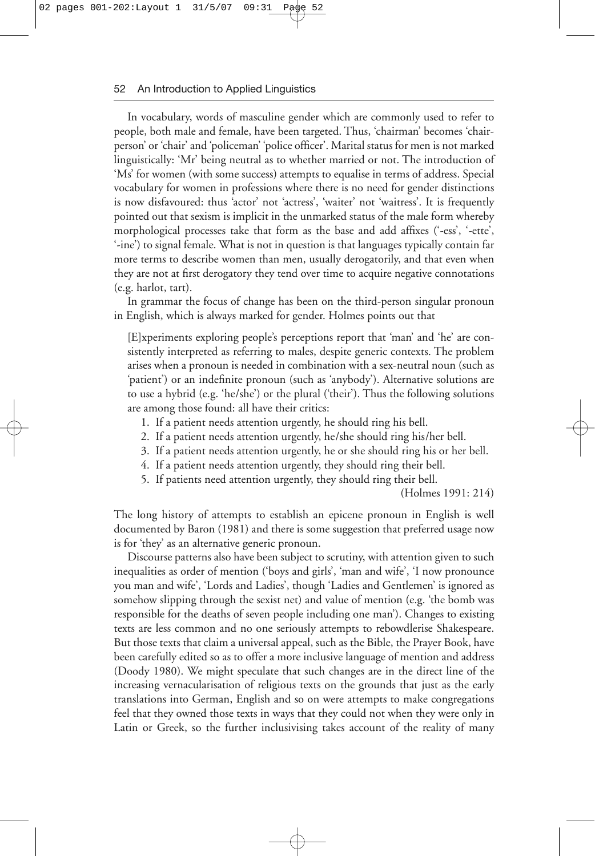In vocabulary, words of masculine gender which are commonly used to refer to people, both male and female, have been targeted. Thus, 'chairman' becomes 'chair person' or 'chair' and 'policeman' 'police officer'. Marital status for men is not marked linguistically: 'Mr' being neutral as to whether married or not. The introduction of 'Ms' for women (with some success) attempts to equalise in terms of address. Special vocabulary for women in professions where there is no need for gender distinctions is now disfavoured: thus 'actor' not 'actress', 'waiter' not 'waitress'. It is frequently pointed out that sexism is implicit in the unmarked status of the male form whereby morphological processes take that form as the base and add affixes ('-ess', '-ette', '-ine') to signal female. What is not in question is that languages typically contain far more terms to describe women than men, usually derogatorily, and that even when they are not at first derogatory they tend over time to acquire negative connotations (e.g. harlot, tart).

In grammar the focus of change has been on the third-person singular pronoun in English, which is always marked for gender. Holmes points out that

[E]xperiments exploring people's perceptions report that 'man' and 'he' are con sistently interpreted as referring to males, despite generic contexts. The problem arises when a pronoun is needed in combination with a sex-neutral noun (such as 'patient') or an indefinite pronoun (such as 'anybody'). Alternative solutions are to use a hybrid (e.g. 'he/she') or the plural ('their'). Thus the following solutions are among those found: all have their critics:

- 1. If a patient needs attention urgently, he should ring his bell.
- 2. If a patient needs attention urgently, he/she should ring his/her bell.
- 3. If a patient needs attention urgently, he or she should ring his or her bell.
- 4. If a patient needs attention urgently, they should ring their bell.
- 5. If patients need attention urgently, they should ring their bell.

(Holmes 1991: 214)

The long history of attempts to establish an epicene pronoun in English is well documented by Baron (1981) and there is some suggestion that preferred usage now is for 'they' as an alternative generic pronoun.

Discourse patterns also have been subject to scrutiny, with attention given to such inequalities as order of mention ('boys and girls', 'man and wife', 'I now pronounce you man and wife', 'Lords and Ladies', though 'Ladies and Gentlemen' is ignored as somehow slipping through the sexist net) and value of mention (e.g. 'the bomb was responsible for the deaths of seven people including one man'). Changes to existing texts are less common and no one seriously attempts to rebowdlerise Shakespeare. But those texts that claim a universal appeal, such as the Bible, the Prayer Book, have been carefully edited so as to offer a more inclusive language of mention and address (Doody 1980). We might speculate that such changes are in the direct line of the increasing vernacularisation of religious texts on the grounds that just as the early translations into German, English and so on were attempts to make congregations feel that they owned those texts in ways that they could not when they were only in Latin or Greek, so the further inclusivising takes account of the reality of many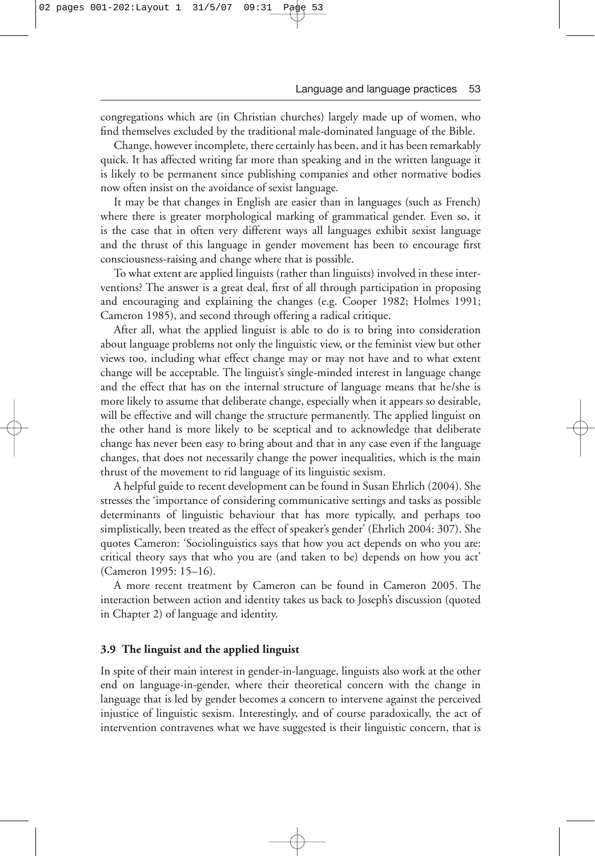congregations which are (in Christian churches) largely made up of women, who find themselves excluded by the traditional male-dominated language of the Bible.

Change, however incomplete, there certainly has been, and it has been remarkably quick. It has affected writing far more than speaking and in the written language it is likely to be permanent since publishing companies and other normative bodies now often insist on the avoidance of sexist language.

It may be that changes in English are easier than in languages (such as French) where there is greater morphological marking of grammatical gender. Even so, it is the case that in often very different ways all languages exhibit sexist language and the thrust of this language in gender movement has been to encourage first consciousness-raising and change where that is possible.

To what extent are applied linguists (rather than linguists) involved in these inter ventions? The answer is a great deal, first of all through participation in proposing and encouraging and explaining the changes (e.g. Cooper 1982; Holmes 1991; Cameron 1985), and second through offering a radical critique.

After all, what the applied linguist is able to do is to bring into consideration about language problems not only the linguistic view, or the feminist view but other views too, including what effect change may or may not have and to what extent change will be acceptable. The linguist's single-minded interest in language change and the effect that has on the internal structure of language means that he/she is more likely to assume that deliberate change, especially when it appears so desirable, will be effective and will change the structure permanently. The applied linguist on the other hand is more likely to be sceptical and to acknowledge that deliberate change has never been easy to bring about and that in any case even if the language changes, that does not necessarily change the power inequalities, which is the main thrust of the movement to rid language of its linguistic sexism.

A helpful guide to recent development can be found in Susan Ehrlich (2004). She stresses the 'importance of considering communicative settings and tasks as possible determinants of linguistic behaviour that has more typically, and perhaps too simplistically, been treated as the effect of speaker's gender' (Ehrlich 2004: 307). She quotes Cameron: 'Sociolinguistics says that how you act depends on who you are: critical theory says that who you are (and taken to be) depends on how you act' (Cameron 1995: 15–16).

A more recent treatment by Cameron can be found in Cameron 2005. The interaction between action and identity takes us back to Joseph's discussion (quoted in Chapter 2) of language and identity.

#### **3.9 The linguist and the applied linguist**

In spite of their main interest in gender-in-language, linguists also work at the other end on language-in-gender, where their theoretical concern with the change in language that is led by gender becomes a concern to intervene against the perceived injustice of linguistic sexism. Interestingly, and of course paradoxically, the act of intervention contravenes what we have suggested is their linguistic concern, that is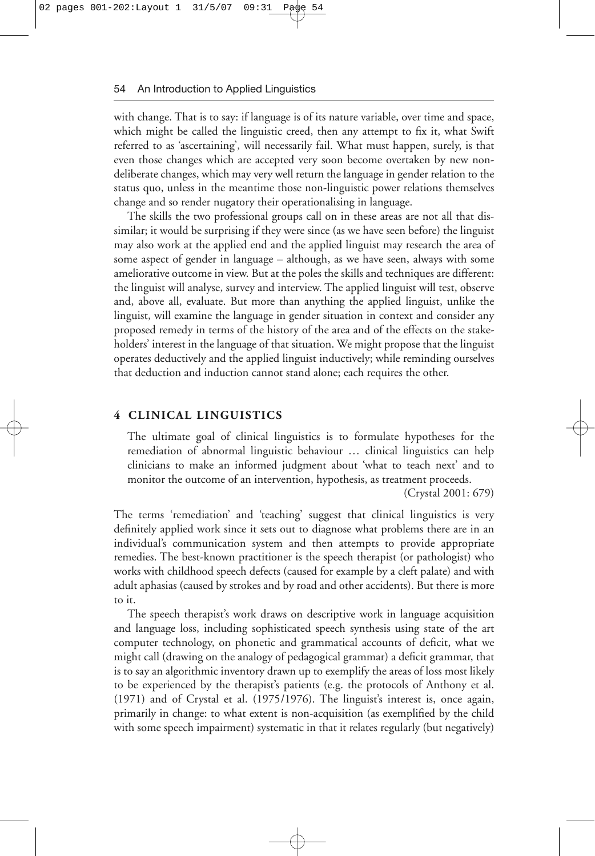with change. That is to say: if language is of its nature variable, over time and space, which might be called the linguistic creed, then any attempt to fix it, what Swift referred to as 'ascertaining', will necessarily fail. What must happen, surely, is that even those changes which are accepted very soon become overtaken by new nondeliberate changes, which may very well return the language in gender relation to the status quo, unless in the meantime those non-linguistic power relations themselves change and so render nugatory their operationalising in language.

The skills the two professional groups call on in these areas are not all that dissimilar; it would be surprising if they were since (as we have seen before) the linguist may also work at the applied end and the applied linguist may research the area of some aspect of gender in language – although, as we have seen, always with some ameliorative outcome in view. But at the poles the skills and techniques are different: the linguist will analyse, survey and interview. The applied linguist will test, observe and, above all, evaluate. But more than anything the applied linguist, unlike the linguist, will examine the language in gender situation in context and consider any proposed remedy in terms of the history of the area and of the effects on the stake holders' interest in the language of that situation. We might propose that the linguist operates deductively and the applied linguist inductively; while reminding ourselves that deduction and induction cannot stand alone; each requires the other.

## **4 CLINICAL LINGUISTICS**

The ultimate goal of clinical linguistics is to formulate hypotheses for the remediation of abnormal linguistic behaviour … clinical linguistics can help clinicians to make an informed judgment about 'what to teach next' and to monitor the outcome of an intervention, hypothesis, as treatment proceeds.

(Crystal 2001: 679)

The terms 'remediation' and 'teaching' suggest that clinical linguistics is very definitely applied work since it sets out to diagnose what problems there are in an individual's communication system and then attempts to provide appropriate remedies. The best-known practitioner is the speech therapist (or pathologist) who works with childhood speech defects (caused for example by a cleft palate) and with adult aphasias (caused by strokes and by road and other accidents). But there is more to it.

The speech therapist's work draws on descriptive work in language acquisition and language loss, including sophisticated speech synthesis using state of the art computer technology, on phonetic and grammatical accounts of deficit, what we might call (drawing on the analogy of pedagogical grammar) a deficit grammar, that is to say an algorithmic inventory drawn up to exemplify the areas of loss most likely to be experienced by the therapist's patients (e.g. the protocols of Anthony et al. (1971) and of Crystal et al. (1975/1976). The linguist's interest is, once again, primarily in change: to what extent is non-acquisition (as exemplified by the child with some speech impairment) systematic in that it relates regularly (but negatively)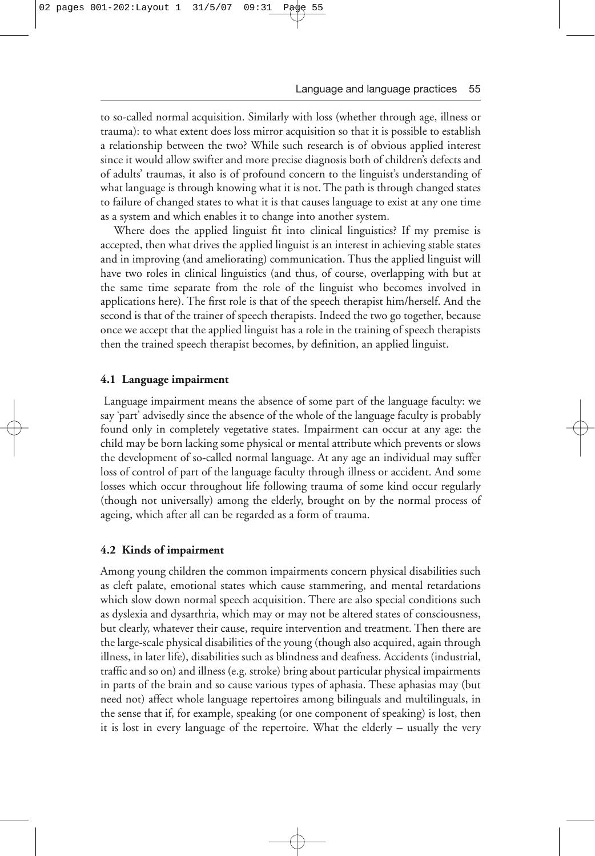to so-called normal acquisition. Similarly with loss (whether through age, illness or trauma): to what extent does loss mirror acquisition so that it is possible to establish a relationship between the two? While such research is of obvious applied interest since it would allow swifter and more precise diagnosis both of children's defects and of adults' traumas, it also is of profound concern to the linguist's understanding of what language is through knowing what it is not. The path is through changed states to failure of changed states to what it is that causes language to exist at any one time as a system and which enables it to change into another system.

Where does the applied linguist fit into clinical linguistics? If my premise is accepted, then what drives the applied linguist is an interest in achieving stable states and in improving (and ameliorating) communication. Thus the applied linguist will have two roles in clinical linguistics (and thus, of course, overlapping with but at the same time separate from the role of the linguist who becomes involved in applications here). The first role is that of the speech therapist him/herself. And the second is that of the trainer of speech therapists. Indeed the two go together, because once we accept that the applied linguist has a role in the training of speech therapists then the trained speech therapist becomes, by definition, an applied linguist.

#### **4.1 Language impairment**

Language impairment means the absence of some part of the language faculty: we say 'part' advisedly since the absence of the whole of the language faculty is probably found only in completely vegetative states. Impairment can occur at any age: the child may be born lacking some physical or mental attribute which prevents or slows the development of so-called normal language. At any age an individual may suffer loss of control of part of the language faculty through illness or accident. And some losses which occur throughout life following trauma of some kind occur regularly (though not universally) among the elderly, brought on by the normal process of ageing, which after all can be regarded as a form of trauma.

#### **4.2 Kinds of impairment**

Among young children the common impairments concern physical disabilities such as cleft palate, emotional states which cause stammering, and mental retardations which slow down normal speech acquisition. There are also special conditions such as dyslexia and dysarthria, which may or may not be altered states of consciousness, but clearly, whatever their cause, require intervention and treatment. Then there are the large-scale physical disabilities of the young (though also acquired, again through illness, in later life), disabilities such as blindness and deafness. Accidents (industrial, traffic and so on) and illness (e.g. stroke) bring about particular physical impairments in parts of the brain and so cause various types of aphasia. These aphasias may (but need not) affect whole language repertoires among bilinguals and multilinguals, in the sense that if, for example, speaking (or one component of speaking) is lost, then it is lost in every language of the repertoire. What the elderly – usually the very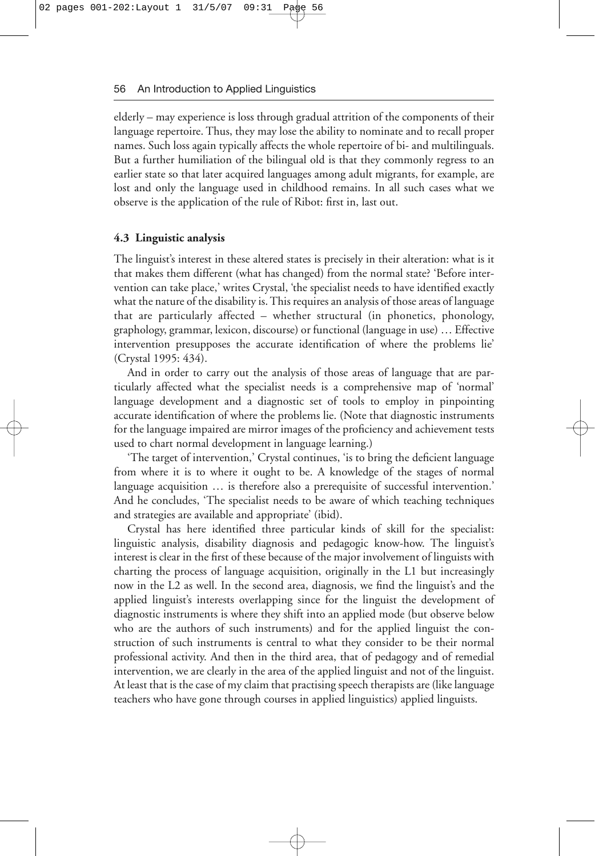elderly – may experience is loss through gradual attrition of the components of their language repertoire. Thus, they may lose the ability to nominate and to recall proper names. Such loss again typically affects the whole repertoire of bi- and multilinguals. But a further humiliation of the bilingual old is that they commonly regress to an earlier state so that later acquired languages among adult migrants, for example, are lost and only the language used in childhood remains. In all such cases what we observe is the application of the rule of Ribot: first in, last out.

#### **4.3 Linguistic analysis**

The linguist's interest in these altered states is precisely in their alteration: what is it that makes them different (what has changed) from the normal state? 'Before inter vention can take place,' writes Crystal, 'the specialist needs to have identified exactly what the nature of the disability is. This requires an analysis of those areas of language that are particularly affected – whether structural (in phonetics, phonology, graphology, grammar, lexicon, discourse) or functional (language in use) … Effective intervention presupposes the accurate identification of where the problems lie' (Crystal 1995: 434).

And in order to carry out the analysis of those areas of language that are particularly affected what the specialist needs is a comprehensive map of 'normal' language development and a diagnostic set of tools to employ in pinpointing accurate identification of where the problems lie. (Note that diagnostic instruments for the language impaired are mirror images of the proficiency and achievement tests used to chart normal development in language learning.)

'The target of intervention,' Crystal continues, 'is to bring the deficient language from where it is to where it ought to be. A knowledge of the stages of normal language acquisition … is therefore also a prerequisite of successful intervention.' And he concludes, 'The specialist needs to be aware of which teaching techniques and strategies are available and appropriate' (ibid).

Crystal has here identified three particular kinds of skill for the specialist: linguistic analysis, disability diagnosis and pedagogic know-how. The linguist's interest is clear in the first of these because of the major involvement of linguists with charting the process of language acquisition, originally in the L1 but increasingly now in the L2 as well. In the second area, diagnosis, we find the linguist's and the applied linguist's interests overlapping since for the linguist the development of diagnostic instruments is where they shift into an applied mode (but observe below who are the authors of such instruments) and for the applied linguist the construction of such instruments is central to what they consider to be their normal professional activity. And then in the third area, that of pedagogy and of remedial intervention, we are clearly in the area of the applied linguist and not of the linguist. At least that is the case of my claim that practising speech therapists are (like language teachers who have gone through courses in applied linguistics) applied linguists.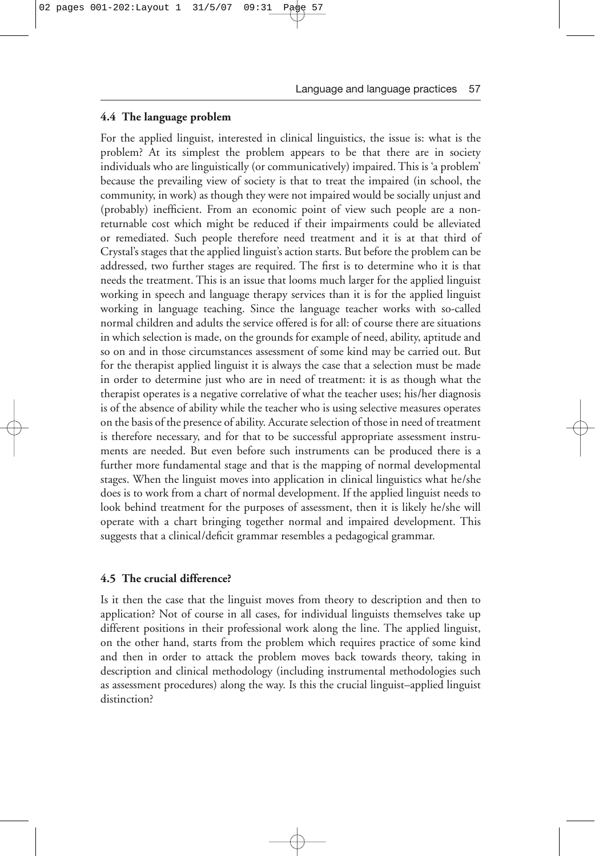#### **4.4 The language problem**

For the applied linguist, interested in clinical linguistics, the issue is: what is the problem? At its simplest the problem appears to be that there are in society individuals who are linguistically (or communicatively) impaired. This is 'a problem' because the prevailing view of society is that to treat the impaired (in school, the community, in work) as though they were not impaired would be socially unjust and (probably) inefficient. From an economic point of view such people are a nonreturnable cost which might be reduced if their impairments could be alleviated or remediated. Such people therefore need treatment and it is at that third of Crystal's stages that the applied linguist's action starts. But before the problem can be addressed, two further stages are required. The first is to determine who it is that needs the treatment. This is an issue that looms much larger for the applied linguist working in speech and language therapy services than it is for the applied linguist working in language teaching. Since the language teacher works with so-called normal children and adults the service offered is for all: of course there are situations in which selection is made, on the grounds for example of need, ability, aptitude and so on and in those circumstances assessment of some kind may be carried out. But for the therapist applied linguist it is always the case that a selection must be made in order to determine just who are in need of treatment: it is as though what the therapist operates is a negative correlative of what the teacher uses; his/her diagnosis is of the absence of ability while the teacher who is using selective measures operates on the basis of the presence of ability. Accurate selection of those in need of treatment is therefore necessary, and for that to be successful appropriate assessment instruments are needed. But even before such instruments can be produced there is a further more fundamental stage and that is the mapping of normal developmental stages. When the linguist moves into application in clinical linguistics what he/she does is to work from a chart of normal development. If the applied linguist needs to look behind treatment for the purposes of assessment, then it is likely he/she will operate with a chart bringing together normal and impaired development. This suggests that a clinical/deficit grammar resembles a pedagogical grammar.

## **4.5 The crucial difference?**

Is it then the case that the linguist moves from theory to description and then to application? Not of course in all cases, for individual linguists themselves take up different positions in their professional work along the line. The applied linguist, on the other hand, starts from the problem which requires practice of some kind and then in order to attack the problem moves back towards theory, taking in description and clinical methodology (including instrumental methodologies such as assessment procedures) along the way. Is this the crucial linguist–applied linguist distinction?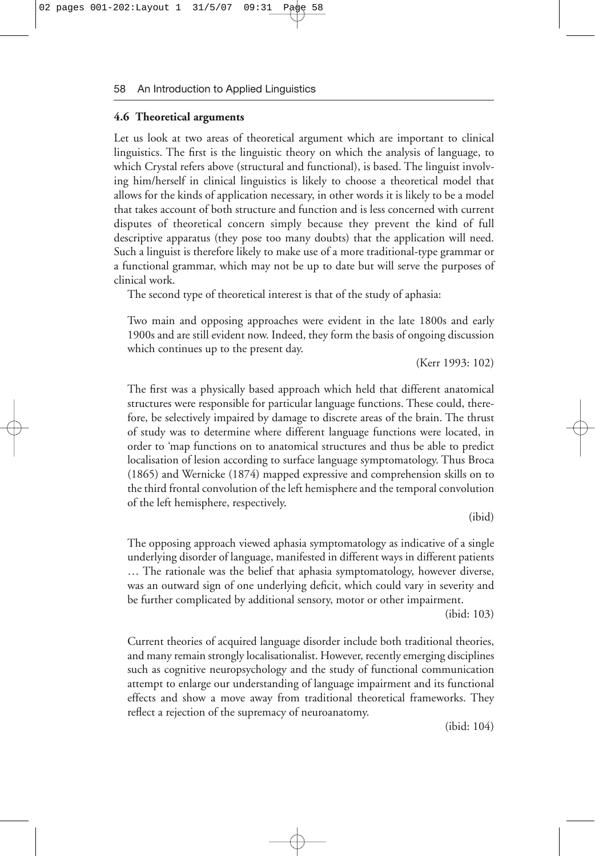## **4.6 Theoretical arguments**

Let us look at two areas of theoretical argument which are important to clinical linguistics. The first is the linguistic theory on which the analysis of language, to which Crystal refers above (structural and functional), is based. The linguist involving him/herself in clinical linguistics is likely to choose a theoretical model that allows for the kinds of application necessary, in other words it is likely to be a model that takes account of both structure and function and is less concerned with current disputes of theoretical concern simply because they prevent the kind of full descriptive apparatus (they pose too many doubts) that the application will need. Such a linguist is therefore likely to make use of a more traditional-type grammar or a functional grammar, which may not be up to date but will serve the purposes of clinical work.

The second type of theoretical interest is that of the study of aphasia:

Two main and opposing approaches were evident in the late 1800s and early 1900s and are still evident now. Indeed, they form the basis of ongoing discussion which continues up to the present day.

(Kerr 1993: 102)

The first was a physically based approach which held that different anatomical structures were responsible for particular language functions. These could, there fore, be selectively impaired by damage to discrete areas of the brain. The thrust of study was to determine where different language functions were located, in order to 'map functions on to anatomical structures and thus be able to predict localisation of lesion according to surface language symptomatology. Thus Broca (1865) and Wernicke (1874) mapped expressive and comprehension skills on to the third frontal convolution of the left hemisphere and the temporal convolution of the left hemisphere, respectively.

(ibid)

The opposing approach viewed aphasia symptomatology as indicative of a single underlying disorder of language, manifested in different ways in different patients … The rationale was the belief that aphasia symptomatology, however diverse, was an outward sign of one underlying deficit, which could vary in severity and be further complicated by additional sensory, motor or other impairment.

(ibid: 103)

Current theories of acquired language disorder include both traditional theories, and many remain strongly localisationalist. However, recently emerging disciplines such as cognitive neuropsychology and the study of functional communication attempt to enlarge our understanding of language impairment and its functional effects and show a move away from traditional theoretical frameworks. They reflect a rejection of the supremacy of neuroanatomy.

(ibid: 104)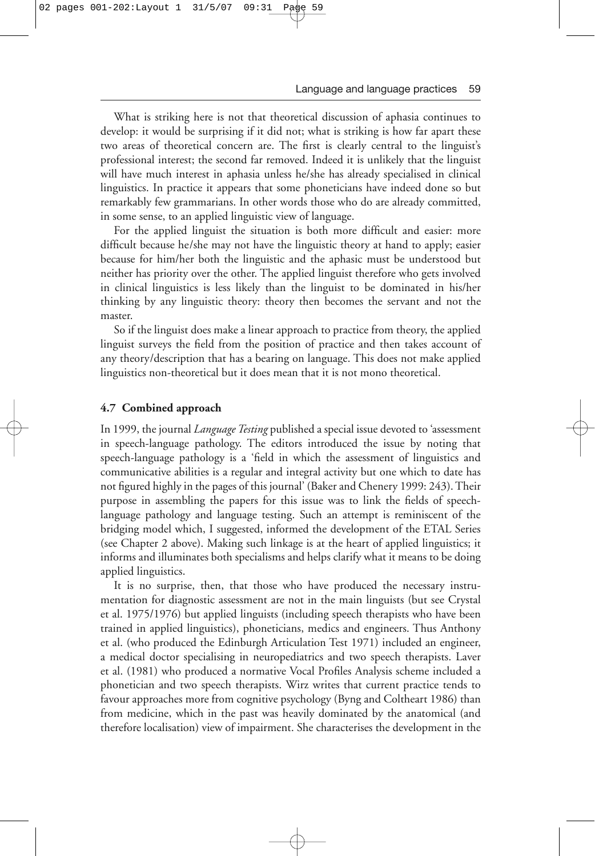What is striking here is not that theoretical discussion of aphasia continues to develop: it would be surprising if it did not; what is striking is how far apart these two areas of theoretical concern are. The first is clearly central to the linguist's professional interest; the second far removed. Indeed it is unlikely that the linguist will have much interest in aphasia unless he/she has already specialised in clinical linguistics. In practice it appears that some phoneticians have indeed done so but remarkably few grammarians. In other words those who do are already committed, in some sense, to an applied linguistic view of language.

For the applied linguist the situation is both more difficult and easier: more difficult because he/she may not have the linguistic theory at hand to apply; easier because for him/her both the linguistic and the aphasic must be understood but neither has priority over the other. The applied linguist therefore who gets involved in clinical linguistics is less likely than the linguist to be dominated in his/her thinking by any linguistic theory: theory then becomes the servant and not the master.

So if the linguist does make a linear approach to practice from theory, the applied linguist surveys the field from the position of practice and then takes account of any theory/description that has a bearing on language. This does not make applied linguistics non-theoretical but it does mean that it is not mono theoretical.

#### **4.7 Combined approach**

In 1999, the journal *Language Testing* published a special issue devoted to 'assessment in speech-language pathology. The editors introduced the issue by noting that speech-language pathology is a 'field in which the assessment of linguistics and communicative abilities is a regular and integral activity but one which to date has not figured highly in the pages of this journal' (Baker and Chenery 1999: 243). Their purpose in assembling the papers for this issue was to link the fields of speechlanguage pathology and language testing. Such an attempt is reminiscent of the bridging model which, I suggested, informed the development of the ETAL Series (see Chapter 2 above). Making such linkage is at the heart of applied linguistics; it informs and illuminates both specialisms and helps clarify what it means to be doing applied linguistics.

It is no surprise, then, that those who have produced the necessary instrumentation for diagnostic assessment are not in the main linguists (but see Crystal et al. 1975/1976) but applied linguists (including speech therapists who have been trained in applied linguistics), phoneticians, medics and engineers. Thus Anthony et al. (who produced the Edinburgh Articulation Test 1971) included an engineer, a medical doctor specialising in neuropediatrics and two speech therapists. Laver et al. (1981) who produced a normative Vocal Profiles Analysis scheme included a phonetician and two speech therapists. Wirz writes that current practice tends to favour approaches more from cognitive psychology (Byng and Coltheart 1986) than from medicine, which in the past was heavily dominated by the anatomical (and therefore localisation) view of impair ment. She characterises the development in the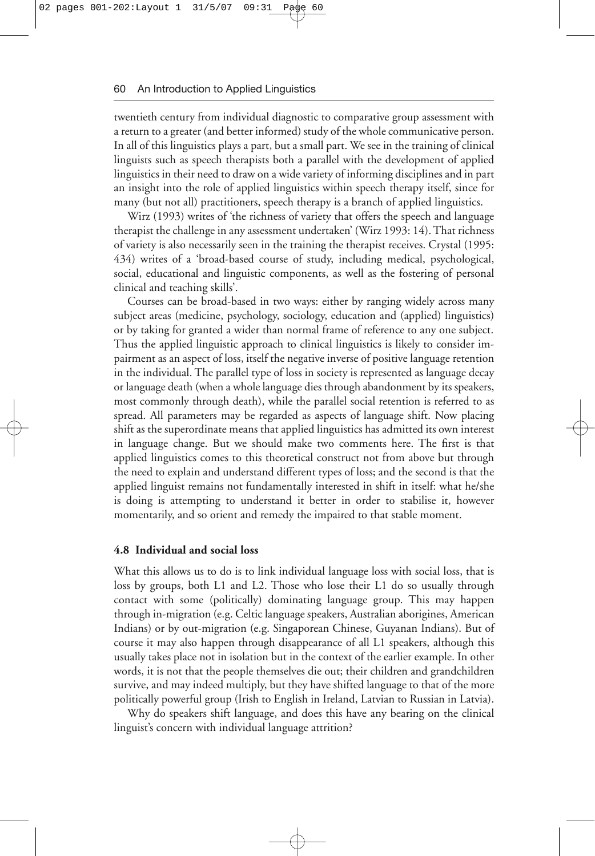twentieth century from individual diagnostic to comparative group assessment with a return to a greater (and better informed) study of the whole communicative person. In all of this linguistics plays a part, but a small part. We see in the training of clinical linguists such as speech therapists both a parallel with the development of applied linguistics in their need to draw on a wide variety of informing disciplines and in part an insight into the role of applied linguistics within speech therapy itself, since for many (but not all) practitioners, speech therapy is a branch of applied linguistics.

Wirz (1993) writes of 'the richness of variety that offers the speech and language therapist the challenge in any assessment undertaken' (Wirz 1993: 14). That richness of variety is also necessarily seen in the training the therapist receives. Crystal (1995: 434) writes of a 'broad-based course of study, including medical, psychological, social, educational and linguistic components, as well as the fostering of personal clinical and teaching skills'.

Courses can be broad-based in two ways: either by ranging widely across many subject areas (medicine, psychology, sociology, education and (applied) linguistics) or by taking for granted a wider than normal frame of reference to any one subject. Thus the applied linguistic approach to clinical linguistics is likely to consider im pairment as an aspect of loss, itself the negative inverse of positive language retention in the individual. The parallel type of loss in society is represented as language decay or language death (when a whole language dies through abandonment by its speakers, most commonly through death), while the parallel social retention is referred to as spread. All parameters may be regarded as aspects of language shift. Now placing shift as the superordinate means that applied linguistics has admitted its own interest in language change. But we should make two comments here. The first is that applied linguistics comes to this theoretical construct not from above but through the need to explain and understand different types of loss; and the second is that the applied linguist remains not fundamentally interested in shift in itself: what he/she is doing is attempting to understand it better in order to stabilise it, however momentarily, and so orient and remedy the impaired to that stable moment.

#### **4.8 Individual and social loss**

What this allows us to do is to link individual language loss with social loss, that is loss by groups, both L1 and L2. Those who lose their L1 do so usually through contact with some (politically) dominating language group. This may happen through in-migration (e.g. Celtic language speakers, Australian aborigines, American Indians) or by out-migration (e.g. Singaporean Chinese, Guyanan Indians). But of course it may also happen through disappearance of all L1 speakers, although this usually takes place not in isolation but in the context of the earlier example. In other words, it is not that the people themselves die out; their children and grandchildren survive, and may indeed multiply, but they have shifted language to that of the more politically powerful group (Irish to English in Ireland, Latvian to Russian in Latvia).

Why do speakers shift language, and does this have any bearing on the clinical linguist's concern with individual language attrition?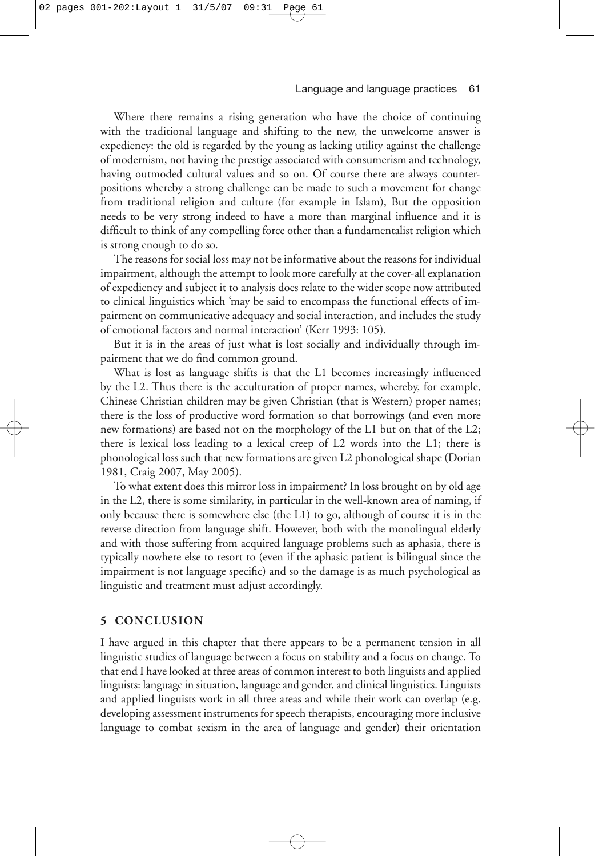Where there remains a rising generation who have the choice of continuing with the traditional language and shifting to the new, the unwelcome answer is expediency: the old is regarded by the young as lacking utility against the challenge of modernism, not having the prestige associated with consumerism and technology, having outmoded cultural values and so on. Of course there are always counterpositions whereby a strong challenge can be made to such a movement for change from traditional religion and culture (for example in Islam), But the opposition needs to be very strong indeed to have a more than marginal influence and it is difficult to think of any compelling force other than a fundamentalist religion which is strong enough to do so.

The reasons for social loss may not be informative about the reasons for individual impairment, although the attempt to look more carefully at the cover-all explanation of expediency and subject it to analysis does relate to the wider scope now attributed to clinical linguistics which 'may be said to encompass the functional effects of im pairment on communicative adequacy and social interaction, and includes the study of emotional factors and normal interaction' (Kerr 1993: 105).

But it is in the areas of just what is lost socially and individually through impairment that we do find common ground.

What is lost as language shifts is that the L1 becomes increasingly influenced by the L2. Thus there is the acculturation of proper names, whereby, for example, Chinese Christian children may be given Christian (that is Western) proper names; there is the loss of productive word formation so that borrowings (and even more new formations) are based not on the morphology of the L1 but on that of the L2; there is lexical loss leading to a lexical creep of L2 words into the L1; there is phonological loss such that new formations are given L2 phonological shape (Dorian 1981, Craig 2007, May 2005).

To what extent does this mirror loss in impairment? In loss brought on by old age in the L2, there is some similarity, in particular in the well-known area of naming, if only because there is somewhere else (the L1) to go, although of course it is in the reverse direction from language shift. However, both with the monolingual elderly and with those suffering from acquired language problems such as aphasia, there is typically nowhere else to resort to (even if the aphasic patient is bilingual since the impairment is not language specific) and so the damage is as much psychological as linguistic and treatment must adjust accordingly.

#### **5 CONCLUSION**

I have argued in this chapter that there appears to be a permanent tension in all linguistic studies of language between a focus on stability and a focus on change. To that end I have looked at three areas of common interest to both linguists and applied linguists: language in situation, language and gender, and clinical linguistics. Linguists and applied linguists work in all three areas and while their work can overlap (e.g. developing assessment instruments for speech therapists, encouraging more inclusive language to combat sexism in the area of language and gender) their orientation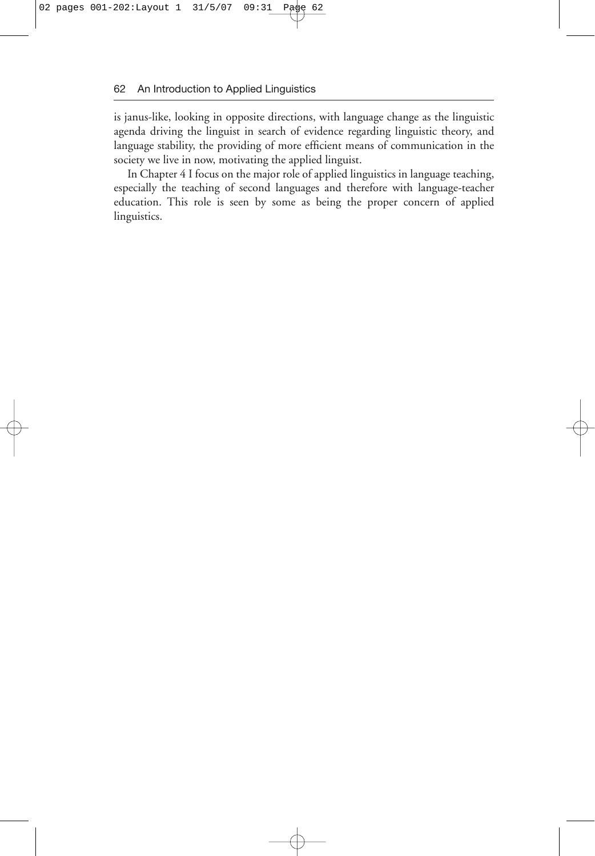is janus-like, looking in opposite directions, with language change as the linguistic agenda driving the linguist in search of evidence regarding linguistic theory, and language stability, the providing of more efficient means of communication in the society we live in now, motivating the applied linguist.

In Chapter 4 I focus on the major role of applied linguistics in language teaching, especially the teaching of second languages and therefore with language-teacher education. This role is seen by some as being the proper concern of applied linguistics.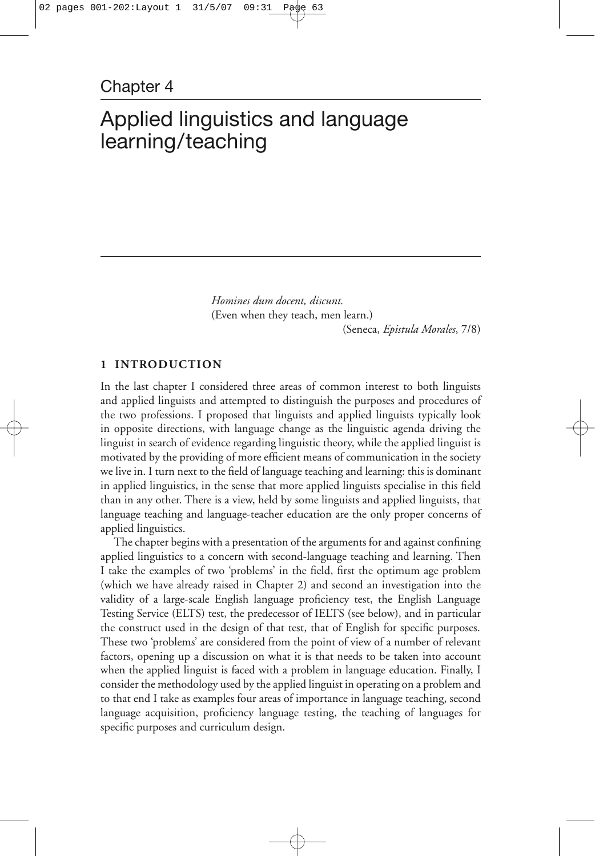# Applied linguistics and language learning/teaching

*Homines dum docent, discunt.* (Even when they teach, men learn.) (Seneca, *Epistula Morales*, 7/8)

### **1 INTRODUCTION**

In the last chapter I considered three areas of common interest to both linguists and applied linguists and attempted to distinguish the purposes and procedures of the two professions. I proposed that linguists and applied linguists typically look in opposite directions, with language change as the linguistic agenda driving the linguist in search of evidence regarding linguistic theory, while the applied linguist is motivated by the providing of more efficient means of communication in the society we live in. I turn next to the field of language teaching and learning: this is dominant in applied linguistics, in the sense that more applied linguists specialise in this field than in any other. There is a view, held by some linguists and applied linguists, that language teaching and language-teacher education are the only proper concerns of applied linguistics.

The chapter begins with a presentation of the arguments for and against confining applied linguistics to a concern with second-language teaching and learning. Then I take the examples of two 'problems' in the field, first the optimum age problem (which we have already raised in Chapter 2) and second an investigation into the validity of a large-scale English language proficiency test, the English Language Testing Service (ELTS) test, the predecessor of IELTS (see below), and in particular the construct used in the design of that test, that of English for specific purposes. These two 'problems' are considered from the point of view of a number of relevant factors, opening up a discussion on what it is that needs to be taken into account when the applied linguist is faced with a problem in language education. Finally, I consider the methodology used by the applied linguist in operating on a problem and to that end I take as examples four areas of importance in language teaching, second language acquisition, proficiency language testing, the teaching of languages for specific purposes and curriculum design.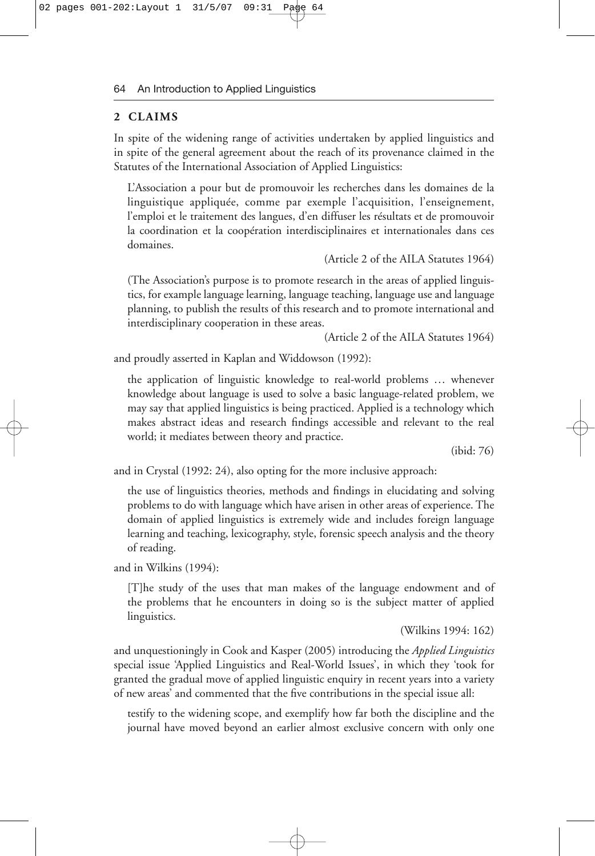# **2 CLAIMS**

In spite of the widening range of activities undertaken by applied linguistics and in spite of the general agreement about the reach of its provenance claimed in the Statutes of the International Association of Applied Linguistics:

L'Association a pour but de promouvoir les recherches dans les domaines de la linguistique appliquée, comme par exemple l'acquisition, l'enseignement, l'emploi et le traitement des langues, d'en diffuser les résultats et de promouvoir la coordination et la coopération interdisciplinaires et internationales dans ces domaines.

(Article 2 of the AILA Statutes 1964)

(The Association's purpose is to promote research in the areas of applied linguis tics, for example language learning, language teaching, language use and language planning, to publish the results of this research and to promote international and interdisciplinary cooperation in these areas.

(Article 2 of the AILA Statutes 1964)

and proudly asserted in Kaplan and Widdowson (1992):

the application of linguistic knowledge to real-world problems … whenever knowledge about language is used to solve a basic language-related problem, we may say that applied linguistics is being practiced. Applied is a technology which makes abstract ideas and research findings accessible and relevant to the real world; it mediates between theory and practice.

(ibid: 76)

and in Crystal (1992: 24), also opting for the more inclusive approach:

the use of linguistics theories, methods and findings in elucidating and solving problems to do with language which have arisen in other areas of experience. The domain of applied linguistics is extremely wide and includes foreign language learning and teaching, lexicography, style, forensic speech analysis and the theory of reading.

and in Wilkins (1994):

[T]he study of the uses that man makes of the language endowment and of the problems that he encounters in doing so is the subject matter of applied linguistics.

(Wilkins 1994: 162)

and unquestioningly in Cook and Kasper (2005) introducing the *Applied Linguistics* special issue 'Applied Linguistics and Real-World Issues', in which they 'took for granted the gradual move of applied linguistic enquiry in recent years into a variety of new areas' and commented that the five contributions in the special issue all:

testify to the widening scope, and exemplify how far both the discipline and the journal have moved beyond an earlier almost exclusive concern with only one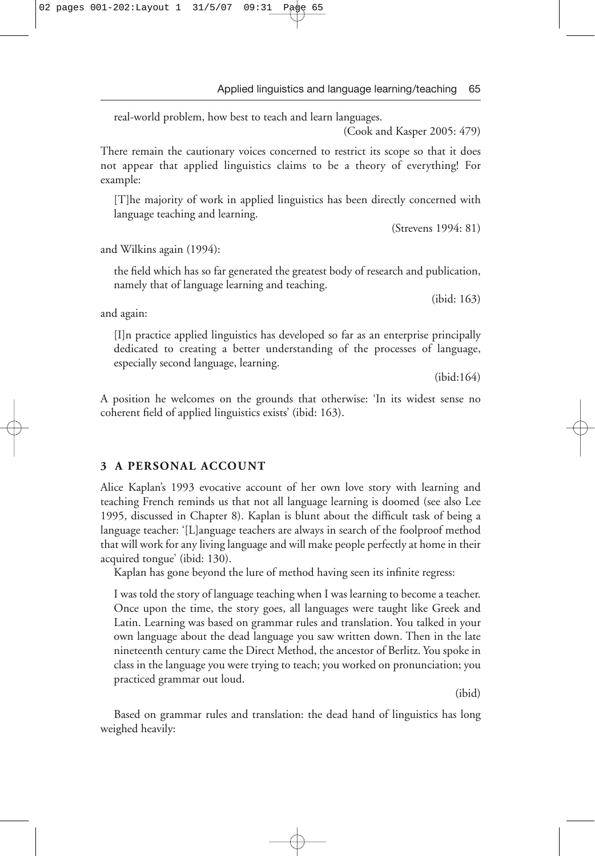real-world problem, how best to teach and learn languages.

(Cook and Kasper 2005: 479)

There remain the cautionary voices concerned to restrict its scope so that it does not appear that applied linguistics claims to be a theory of everything! For example:

[T]he majority of work in applied linguistics has been directly concerned with language teaching and learning.

(Strevens 1994: 81)

and Wilkins again (1994):

the field which has so far generated the greatest body of research and publication, namely that of language learning and teaching.

and again:

[I]n practice applied linguistics has developed so far as an enterprise principally dedicated to creating a better understanding of the processes of language, especially second language, learning.

(ibid:164)

(ibid: 163)

A position he welcomes on the grounds that otherwise: 'In its widest sense no coherent field of applied linguistics exists' (ibid: 163).

## **3 A PERSONAL ACCOUNT**

Alice Kaplan's 1993 evocative account of her own love story with learning and teaching French reminds us that not all language learning is doomed (see also Lee 1995, discussed in Chapter 8). Kaplan is blunt about the difficult task of being a language teacher: '[L]anguage teachers are always in search of the foolproof method that will work for any living language and will make people perfectly at home in their acquired tongue' (ibid: 130).

Kaplan has gone beyond the lure of method having seen its infinite regress:

I was told the story of language teaching when I was learning to become a teacher. Once upon the time, the story goes, all languages were taught like Greek and Latin. Learning was based on grammar rules and translation. You talked in your own language about the dead language you saw written down. Then in the late nineteenth century came the Direct Method, the ancestor of Berlitz. You spoke in class in the language you were trying to teach; you worked on pronunciation; you practiced grammar out loud.

(ibid)

Based on grammar rules and translation: the dead hand of linguistics has long weighed heavily: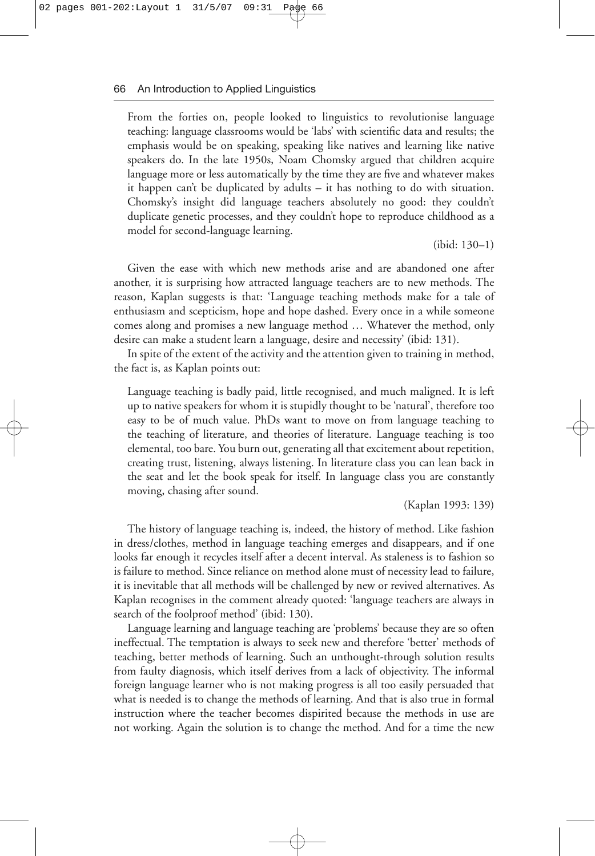From the forties on, people looked to linguistics to revolutionise language teaching: language classrooms would be 'labs' with scientific data and results; the emphasis would be on speaking, speaking like natives and learning like native speakers do. In the late 1950s, Noam Chomsky argued that children acquire language more or less automatically by the time they are five and whatever makes it happen can't be duplicated by adults – it has nothing to do with situation. Chomsky's insight did language teachers absolutely no good: they couldn't duplicate genetic processes, and they couldn't hope to reproduce childhood as a model for second-language learning.

(ibid: 130–1)

Given the ease with which new methods arise and are abandoned one after another, it is surprising how attracted language teachers are to new methods. The reason, Kaplan suggests is that: 'Language teaching methods make for a tale of enthusiasm and scepticism, hope and hope dashed. Every once in a while someone comes along and promises a new language method … Whatever the method, only desire can make a student learn a language, desire and necessity' (ibid: 131).

In spite of the extent of the activity and the attention given to training in method, the fact is, as Kaplan points out:

Language teaching is badly paid, little recognised, and much maligned. It is left up to native speakers for whom it is stupidly thought to be 'natural', therefore too easy to be of much value. PhDs want to move on from language teaching to the teaching of literature, and theories of literature. Language teaching is too elemental, too bare. You burn out, generating all that excitement about repetition, creating trust, listening, always listening. In literature class you can lean back in the seat and let the book speak for itself. In language class you are constantly moving, chasing after sound.

(Kaplan 1993: 139)

The history of language teaching is, indeed, the history of method. Like fashion in dress/clothes, method in language teaching emerges and disappears, and if one looks far enough it recycles itself after a decent interval. As staleness is to fashion so is failure to method. Since reliance on method alone must of necessity lead to failure, it is inevitable that all methods will be challenged by new or revived alternatives. As Kaplan recognises in the comment already quoted: 'language teachers are always in search of the foolproof method' (ibid: 130).

Language learning and language teaching are 'problems' because they are so often ineffectual. The temptation is always to seek new and therefore 'better' methods of teaching, better methods of learning. Such an unthought-through solution results from faulty diagnosis, which itself derives from a lack of objectivity. The informal foreign language learner who is not making progress is all too easily persuaded that what is needed is to change the methods of learning. And that is also true in formal instruction where the teacher becomes dispirited because the methods in use are not working. Again the solution is to change the method. And for a time the new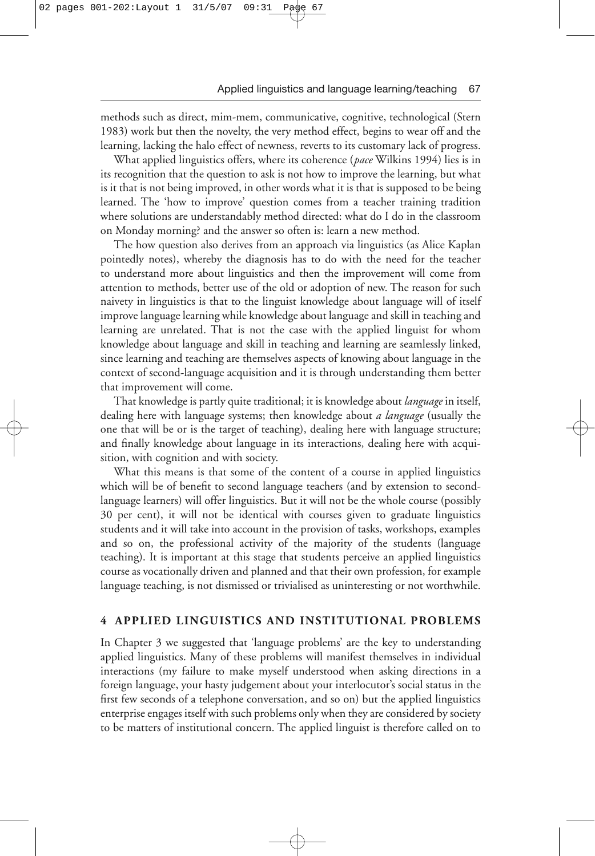methods such as direct, mim-mem, communicative, cognitive, technological (Stern 1983) work but then the novelty, the very method effect, begins to wear off and the learning, lacking the halo effect of newness, reverts to its customary lack of progress.

What applied linguistics offers, where its coherence (*pace* Wilkins 1994) lies is in its recognition that the question to ask is not how to improve the learning, but what is it that is not being improved, in other words what it is that is supposed to be being learned. The 'how to improve' question comes from a teacher training tradition where solutions are understandably method directed: what do I do in the classroom on Monday morning? and the answer so often is: learn a new method.

The how question also derives from an approach via linguistics (as Alice Kaplan pointedly notes), whereby the diagnosis has to do with the need for the teacher to understand more about linguistics and then the improvement will come from attention to methods, better use of the old or adoption of new. The reason for such naivety in linguistics is that to the linguist knowledge about language will of itself improve language learning while knowledge about language and skill in teaching and learning are unrelated. That is not the case with the applied linguist for whom knowledge about language and skill in teaching and learning are seamlessly linked, since learning and teaching are themselves aspects of knowing about language in the context of second-language acquisition and it is through understanding them better that improvement will come.

That knowledge is partly quite traditional; it is knowledge about *language* in itself, dealing here with language systems; then knowledge about *a language* (usually the one that will be or is the target of teaching), dealing here with language structure; and finally knowledge about language in its interactions, dealing here with acquisition, with cognition and with society.

What this means is that some of the content of a course in applied linguistics which will be of benefit to second language teachers (and by extension to secondlanguage learners) will offer linguistics. But it will not be the whole course (possibly 30 per cent), it will not be identical with courses given to graduate linguistics students and it will take into account in the provision of tasks, workshops, examples and so on, the professional activity of the majority of the students (language teaching). It is important at this stage that students perceive an applied linguistics course as vocationally driven and planned and that their own profession, for example language teaching, is not dismissed or trivialised as uninteresting or not worthwhile.

#### **4 APPLIED LINGUISTICS AND INSTITUTIONAL PROBLEMS**

In Chapter 3 we suggested that 'language problems' are the key to understanding applied linguistics. Many of these problems will manifest themselves in individual interactions (my failure to make myself understood when asking directions in a foreign language, your hasty judgement about your interlocutor's social status in the first few seconds of a telephone conversation, and so on) but the applied linguistics enterprise engages itself with such problems only when they are considered by society to be matters of institutional concern. The applied linguist is therefore called on to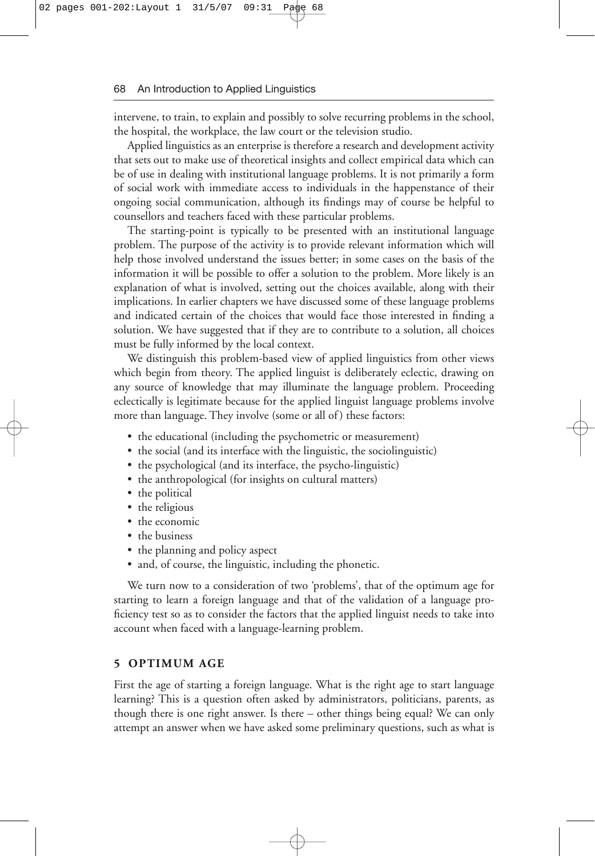intervene, to train, to explain and possibly to solve recurring problems in the school, the hospital, the workplace, the law court or the television studio.

Applied linguistics as an enterprise is therefore a research and development activity that sets out to make use of theoretical insights and collect empirical data which can be of use in dealing with institutional language problems. It is not primarily a form of social work with immediate access to individuals in the happenstance of their ongoing social communication, although its findings may of course be helpful to counsellors and teachers faced with these particular problems.

The starting-point is typically to be presented with an institutional language problem. The purpose of the activity is to provide relevant information which will help those involved understand the issues better; in some cases on the basis of the information it will be possible to offer a solution to the problem. More likely is an explanation of what is involved, setting out the choices available, along with their implications. In earlier chapters we have discussed some of these language problems and indicated certain of the choices that would face those interested in finding a solution. We have suggested that if they are to contribute to a solution, all choices must be fully informed by the local context.

We distinguish this problem-based view of applied linguistics from other views which begin from theory. The applied linguist is deliberately eclectic, drawing on any source of knowledge that may illuminate the language problem. Proceeding eclectically is legitimate because for the applied linguist language problems involve more than language. They involve (some or all of) these factors:

- the educational (including the psychometric or measurement)
- the social (and its interface with the linguistic, the sociolinguistic)
- the psychological (and its interface, the psycho-linguistic)
- the anthropological (for insights on cultural matters)
- the political
- the religious
- the economic
- the business
- the planning and policy aspect
- and, of course, the linguistic, including the phonetic.

We turn now to a consideration of two 'problems', that of the optimum age for starting to learn a foreign language and that of the validation of a language proficiency test so as to consider the factors that the applied linguist needs to take into account when faced with a language-learning problem.

# **5 OPTIMUM AGE**

First the age of starting a foreign language. What is the right age to start language learning? This is a question often asked by administrators, politicians, parents, as though there is one right answer. Is there – other things being equal? We can only attempt an answer when we have asked some preliminary questions, such as what is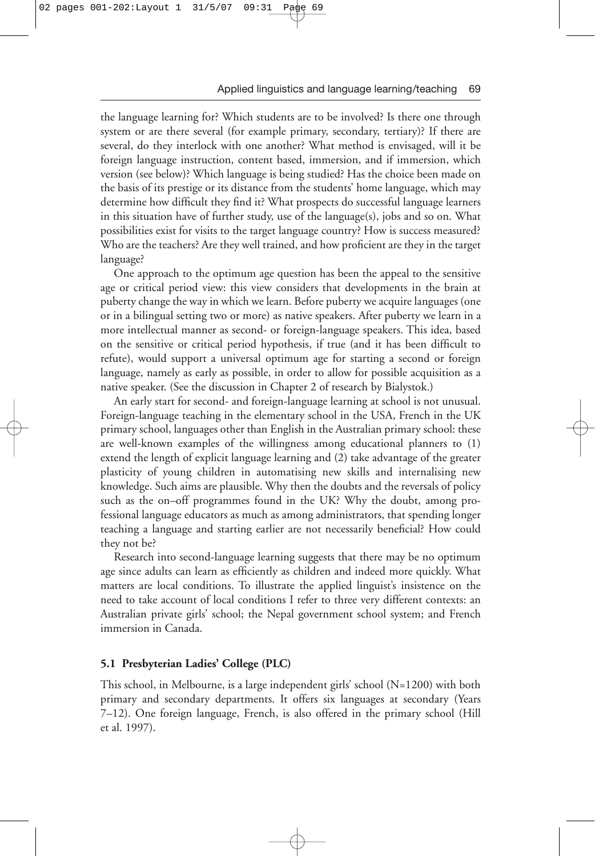the language learning for? Which students are to be involved? Is there one through system or are there several (for example primary, secondary, tertiary)? If there are several, do they interlock with one another? What method is envisaged, will it be foreign language instruction, content based, immersion, and if immersion, which version (see below)? Which language is being studied? Has the choice been made on the basis of its prestige or its distance from the students' home language, which may determine how difficult they find it? What prospects do successful language learners in this situation have of further study, use of the language(s), jobs and so on. What possibilities exist for visits to the target language country? How is success measured? Who are the teachers? Are they well trained, and how proficient are they in the target language?

One approach to the optimum age question has been the appeal to the sensitive age or critical period view: this view considers that developments in the brain at puberty change the way in which we learn. Before puberty we acquire languages (one or in a bilingual setting two or more) as native speakers. After puberty we learn in a more intellectual manner as second- or foreign-language speakers. This idea, based on the sensitive or critical period hypothesis, if true (and it has been difficult to refute), would support a universal optimum age for starting a second or foreign language, namely as early as possible, in order to allow for possible acquisition as a native speaker. (See the discussion in Chapter 2 of research by Bialystok.)

An early start for second- and foreign-language learning at school is not unusual. Foreign-language teaching in the elementary school in the USA, French in the UK primary school, languages other than English in the Australian primary school: these are well-known examples of the willingness among educational planners to (1) extend the length of explicit language learning and (2) take advantage of the greater plasticity of young children in automatising new skills and internalising new knowledge. Such aims are plausible. Why then the doubts and the reversals of policy such as the on–off programmes found in the UK? Why the doubt, among professional language educators as much as among administrators, that spending longer teaching a language and starting earlier are not necessarily beneficial? How could they not be?

Research into second-language learning suggests that there may be no optimum age since adults can learn as efficiently as children and indeed more quickly. What matters are local conditions. To illustrate the applied linguist's insistence on the need to take account of local conditions I refer to three very different contexts: an Australian private girls' school; the Nepal government school system; and French immersion in Canada.

#### **5.1 Presbyterian Ladies' College (PLC)**

This school, in Melbourne, is a large independent girls' school (N=1200) with both primary and secondary departments. It offers six languages at secondary (Years 7–12). One foreign language, French, is also offered in the primary school (Hill et al. 1997).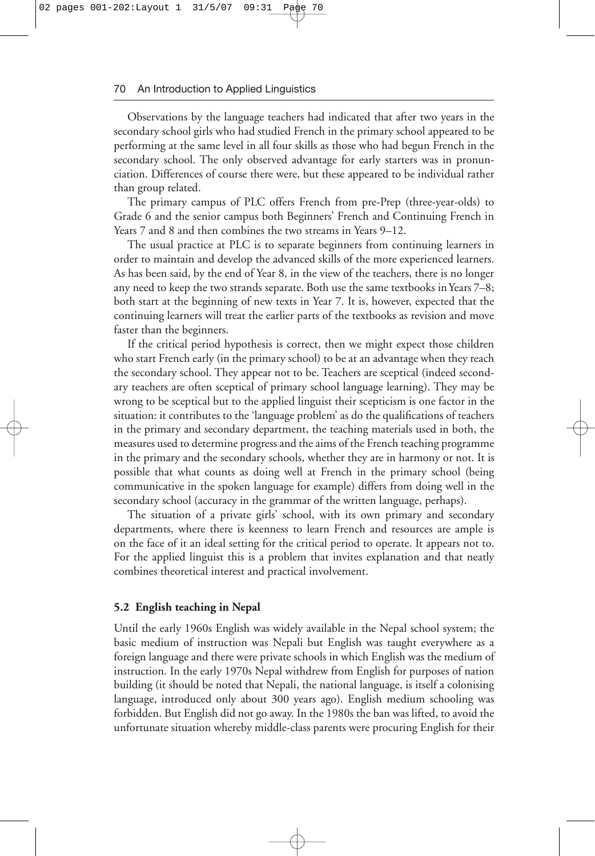Observations by the language teachers had indicated that after two years in the secondary school girls who had studied French in the primary school appeared to be performing at the same level in all four skills as those who had begun French in the secondary school. The only observed advantage for early starters was in pronunciation. Differences of course there were, but these appeared to be individual rather than group related.

The primary campus of PLC offers French from pre-Prep (three-year-olds) to Grade 6 and the senior campus both Beginners' French and Continuing French in Years 7 and 8 and then combines the two streams in Years 9–12.

The usual practice at PLC is to separate beginners from continuing learners in order to maintain and develop the advanced skills of the more experienced learners. As has been said, by the end of Year 8, in the view of the teachers, there is no longer any need to keep the two strands separate. Both use the same textbooks inYears 7–8; both start at the beginning of new texts in Year 7. It is, however, expected that the continuing learners will treat the earlier parts of the textbooks as revision and move faster than the beginners.

If the critical period hypothesis is correct, then we might expect those children who start French early (in the primary school) to be at an advantage when they reach the secondary school. They appear not to be. Teachers are sceptical (indeed second ary teachers are often sceptical of primary school language learning). They may be wrong to be sceptical but to the applied linguist their scepticism is one factor in the situation: it contributes to the 'language problem' as do the qualifications of teachers in the primary and secondary department, the teaching materials used in both, the measures used to determine progress and the aims of the French teaching programme in the primary and the secondary schools, whether they are in harmony or not. It is possible that what counts as doing well at French in the primary school (being communicative in the spoken language for example) differs from doing well in the secondary school (accuracy in the grammar of the written language, perhaps).

The situation of a private girls' school, with its own primary and secondary departments, where there is keenness to learn French and resources are ample is on the face of it an ideal setting for the critical period to operate. It appears not to. For the applied linguist this is a problem that invites explanation and that neatly combines theoretical interest and practical involvement.

#### **5.2 English teaching in Nepal**

Until the early 1960s English was widely available in the Nepal school system; the basic medium of instruction was Nepali but English was taught everywhere as a foreign language and there were private schools in which English was the medium of instruction. In the early 1970s Nepal withdrew from English for purposes of nation building (it should be noted that Nepali, the national language, is itself a colonising language, introduced only about 300 years ago). English medium schooling was forbidden. But English did not go away. In the 1980s the ban was lifted, to avoid the unfortunate situation whereby middle-class parents were procuring English for their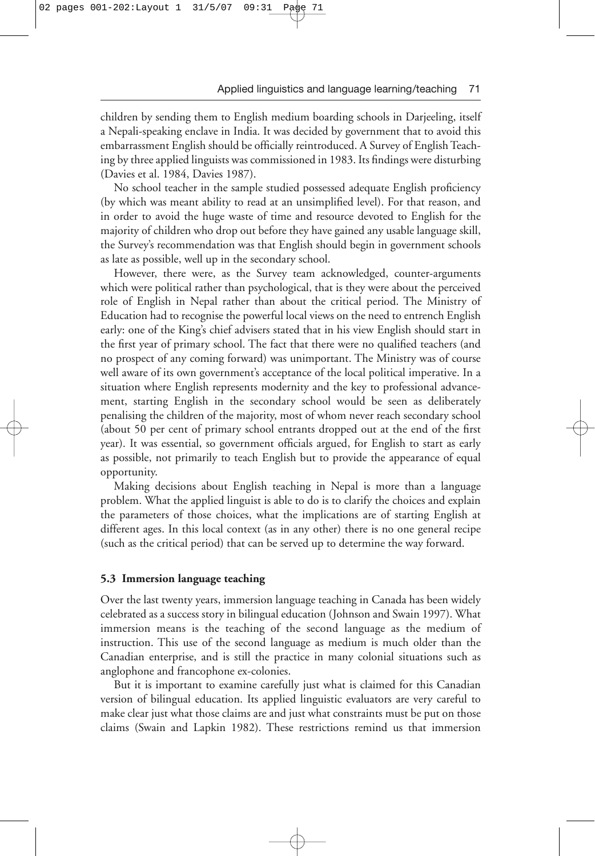children by sending them to English medium boarding schools in Darjeeling, itself a Nepali-speaking enclave in India. It was decided by government that to avoid this embarrassment English should be officially reintroduced. A Survey of English Teach ing by three applied linguists was commissioned in 1983. Its findings were disturbing (Davies et al. 1984, Davies 1987).

No school teacher in the sample studied possessed adequate English proficiency (by which was meant ability to read at an unsimplified level). For that reason, and in order to avoid the huge waste of time and resource devoted to English for the majority of children who drop out before they have gained any usable language skill, the Survey's recommendation was that English should begin in government schools as late as possible, well up in the secondary school.

However, there were, as the Survey team acknowledged, counter-arguments which were political rather than psychological, that is they were about the perceived role of English in Nepal rather than about the critical period. The Ministry of Education had to recognise the powerful local views on the need to entrench English early: one of the King's chief advisers stated that in his view English should start in the first year of primary school. The fact that there were no qualified teachers (and no prospect of any coming forward) was unimportant. The Ministry was of course well aware of its own government's acceptance of the local political imperative. In a situation where English represents modernity and the key to professional advancement, starting English in the secondary school would be seen as deliberately penalising the children of the majority, most of whom never reach secondary school (about 50 per cent of primary school entrants dropped out at the end of the first year). It was essential, so government officials argued, for English to start as early as possible, not primarily to teach English but to provide the appearance of equal opportunity.

Making decisions about English teaching in Nepal is more than a language problem. What the applied linguist is able to do is to clarify the choices and explain the parameters of those choices, what the implications are of starting English at different ages. In this local context (as in any other) there is no one general recipe (such as the critical period) that can be served up to determine the way forward.

#### **5.3 Immersion language teaching**

Over the last twenty years, immersion language teaching in Canada has been widely celebrated as a success story in bilingual education (Johnson and Swain 1997). What immersion means is the teaching of the second language as the medium of instruction. This use of the second language as medium is much older than the Canadian enterprise, and is still the practice in many colonial situations such as anglophone and francophone ex-colonies.

But it is important to examine carefully just what is claimed for this Canadian version of bilingual education. Its applied linguistic evaluators are very careful to make clear just what those claims are and just what constraints must be put on those claims (Swain and Lapkin 1982). These restrictions remind us that immersion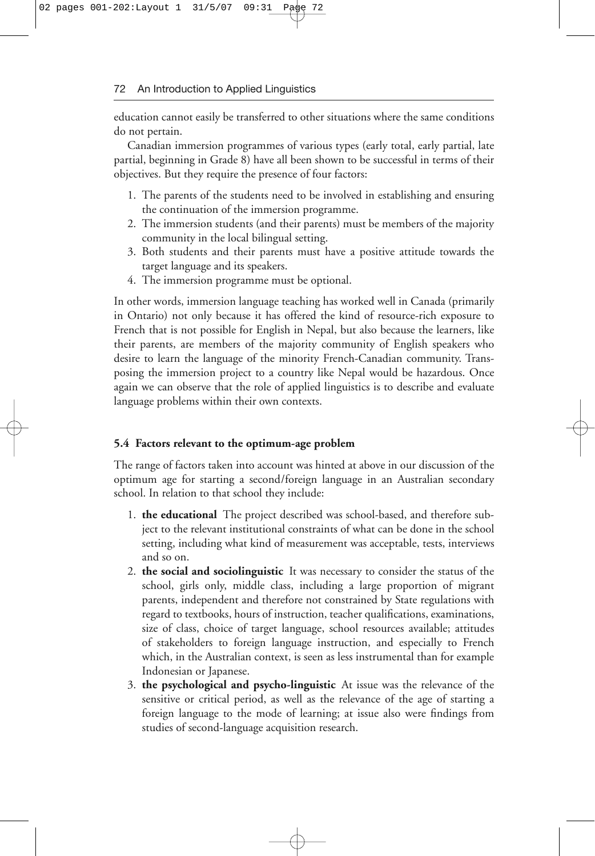education cannot easily be transferred to other situations where the same conditions do not pertain.

Canadian immersion programmes of various types (early total, early partial, late partial, beginning in Grade 8) have all been shown to be successful in terms of their objectives. But they require the presence of four factors:

- 1. The parents of the students need to be involved in establishing and ensuring the continuation of the immersion programme.
- 2. The immersion students (and their parents) must be members of the majority community in the local bilingual setting.
- 3. Both students and their parents must have a positive attitude towards the target language and its speakers.
- 4. The immersion programme must be optional.

In other words, immersion language teaching has worked well in Canada (primarily in Ontario) not only because it has offered the kind of resource-rich exposure to French that is not possible for English in Nepal, but also because the learners, like their parents, are members of the majority community of English speakers who desire to learn the language of the minority French-Canadian community. Transposing the immersion project to a country like Nepal would be hazardous. Once again we can observe that the role of applied linguistics is to describe and evaluate language problems within their own contexts.

# **5.4 Factors relevant to the optimum-age problem**

The range of factors taken into account was hinted at above in our discussion of the optimum age for starting a second/foreign language in an Australian secondary school. In relation to that school they include:

- 1. **the educational** The project described was school-based, and therefore sub ject to the relevant institutional constraints of what can be done in the school setting, including what kind of measurement was acceptable, tests, interviews and so on.
- 2. **the social and sociolinguistic** It was necessary to consider the status of the school, girls only, middle class, including a large proportion of migrant parents, independent and therefore not constrained by State regulations with regard to textbooks, hours of instruction, teacher qualifications, examinations, size of class, choice of target language, school resources available; attitudes of stakeholders to foreign language instruction, and especially to French which, in the Australian context, is seen as less instrumental than for example Indonesian or Japanese.
- 3. **the psychological and psycho-linguistic** At issue was the relevance of the sensitive or critical period, as well as the relevance of the age of starting a foreign language to the mode of learning; at issue also were findings from studies of second-language acquisition research.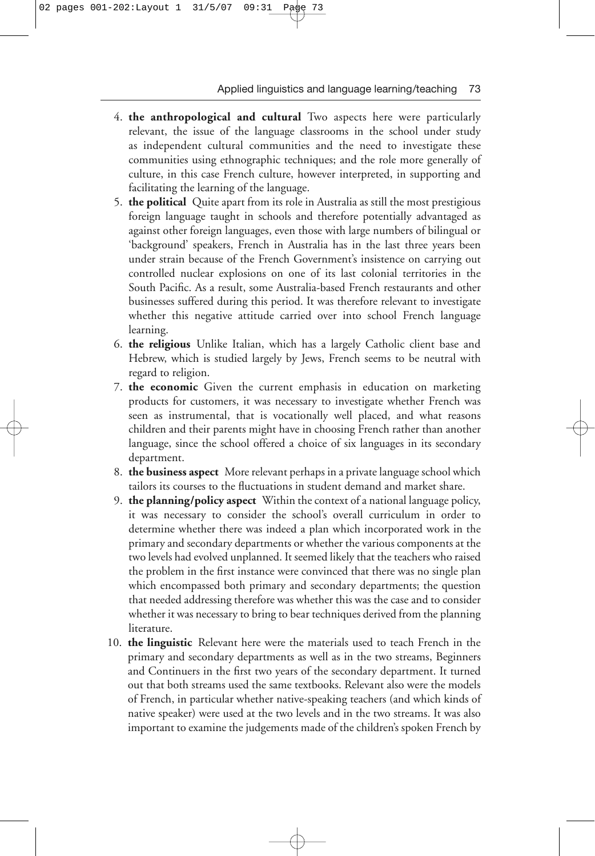- 4. **the anthropological and cultural** Two aspects here were particularly relevant, the issue of the language classrooms in the school under study as independent cultural communities and the need to investigate these communities using ethnographic techniques; and the role more generally of culture, in this case French culture, however interpreted, in supporting and facilitating the learning of the language.
- 5. **the political** Quite apart from its role in Australia as still the most prestigious foreign language taught in schools and therefore potentially advantaged as against other foreign languages, even those with large numbers of bilingual or 'background' speakers, French in Australia has in the last three years been under strain because of the French Government's insistence on carrying out controlled nuclear explosions on one of its last colonial territories in the South Pacific. As a result, some Australia-based French restaurants and other businesses suffered during this period. It was therefore relevant to investigate whether this negative attitude carried over into school French language learning.
- 6. **the religious** Unlike Italian, which has a largely Catholic client base and Hebrew, which is studied largely by Jews, French seems to be neutral with regard to religion.
- 7. **the economic** Given the current emphasis in education on marketing products for customers, it was necessary to investigate whether French was seen as instrumental, that is vocationally well placed, and what reasons children and their parents might have in choosing French rather than another language, since the school offered a choice of six languages in its secondary department.
- 8. **the business aspect** More relevant perhaps in a private language school which tailors its courses to the fluctuations in student demand and market share.
- 9. **the planning/policy aspect** Within the context of a national language policy, it was necessary to consider the school's overall curriculum in order to determine whether there was indeed a plan which incorporated work in the primary and secondary departments or whether the various components at the two levels had evolved unplanned. It seemed likely that the teachers who raised the problem in the first instance were convinced that there was no single plan which encompassed both primary and secondary departments; the question that needed addressing therefore was whether this was the case and to consider whether it was necessary to bring to bear techniques derived from the planning literature.
- 10. **the linguistic** Relevant here were the materials used to teach French in the primary and secondary departments as well as in the two streams, Beginners and Continuers in the first two years of the secondary department. It turned out that both streams used the same textbooks. Relevant also were the models of French, in particular whether native-speaking teachers (and which kinds of native speaker) were used at the two levels and in the two streams. It was also important to examine the judgements made of the children's spoken French by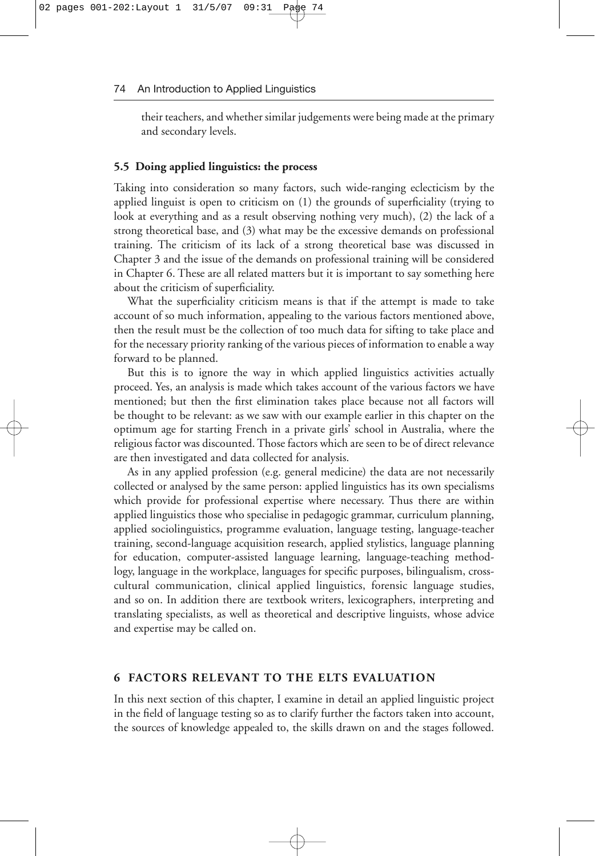their teachers, and whether similar judgements were being made at the primary and secondary levels.

#### **5.5 Doing applied linguistics: the process**

Taking into consideration so many factors, such wide-ranging eclecticism by the applied linguist is open to criticism on (1) the grounds of superficiality (trying to look at everything and as a result observing nothing very much), (2) the lack of a strong theoretical base, and (3) what may be the excessive demands on professional training. The criticism of its lack of a strong theoretical base was discussed in Chapter 3 and the issue of the demands on professional training will be considered in Chapter 6. These are all related matters but it is important to say something here about the criticism of superficiality.

What the superficiality criticism means is that if the attempt is made to take account of so much information, appealing to the various factors mentioned above, then the result must be the collection of too much data for sifting to take place and for the necessary priority ranking of the various pieces of information to enable a way forward to be planned.

But this is to ignore the way in which applied linguistics activities actually proceed. Yes, an analysis is made which takes account of the various factors we have mentioned; but then the first elimination takes place because not all factors will be thought to be relevant: as we saw with our example earlier in this chapter on the optimum age for starting French in a private girls' school in Australia, where the religious factor was discounted. Those factors which are seen to be of direct relevance are then investigated and data collected for analysis.

As in any applied profession (e.g. general medicine) the data are not necessarily collected or analysed by the same person: applied linguistics has its own specialisms which provide for professional expertise where necessary. Thus there are within applied linguistics those who specialise in pedagogic grammar, curriculum planning, applied sociolinguistics, programme evaluation, language testing, language-teacher training, second-language acquisition research, applied stylistics, language planning for education, computer-assisted language learning, language-teaching methodlogy, language in the workplace, languages for specific purposes, bilingualism, crosscultural communication, clinical applied linguistics, forensic language studies, and so on. In addition there are textbook writers, lexicographers, interpreting and translating specialists, as well as theoretical and descriptive linguists, whose advice and expertise may be called on.

# **6 FACTORS RELEVANT TO THE ELTS EVALUATION**

In this next section of this chapter, I examine in detail an applied linguistic project in the field of language testing so as to clarify further the factors taken into account, the sources of knowledge appealed to, the skills drawn on and the stages followed.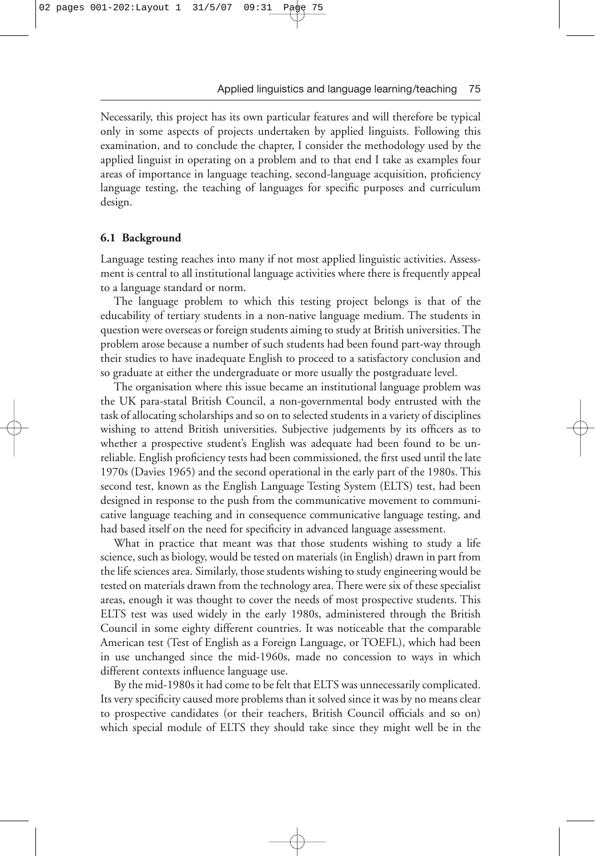Necessarily, this project has its own particular features and will therefore be typical only in some aspects of projects undertaken by applied linguists. Following this examination, and to conclude the chapter, I consider the methodology used by the applied linguist in operating on a problem and to that end I take as examples four areas of importance in language teaching, second-language acquisition, proficiency language testing, the teaching of languages for specific purposes and curriculum design.

#### **6.1 Background**

Language testing reaches into many if not most applied linguistic activities. Assessment is central to all institutional language activities where there is frequently appeal to a language standard or norm.

The language problem to which this testing project belongs is that of the educability of tertiary students in a non-native language medium. The students in question were overseas or foreign students aiming to study at British universities. The problem arose because a number of such students had been found part-way through their studies to have inadequate English to proceed to a satisfactory conclusion and so graduate at either the undergraduate or more usually the postgraduate level.

The organisation where this issue became an institutional language problem was the UK para-statal British Council, a non-governmental body entrusted with the task of allocating scholarships and so on to selected students in a variety of disciplines wishing to attend British universities. Subjective judgements by its officers as to whether a prospective student's English was adequate had been found to be unreliable. English proficiency tests had been commissioned, the first used until the late 1970s (Davies 1965) and the second operational in the early part of the 1980s. This second test, known as the English Language Testing System (ELTS) test, had been designed in response to the push from the communicative movement to communicative language teaching and in consequence communicative language testing, and had based itself on the need for specificity in advanced language assessment.

What in practice that meant was that those students wishing to study a life science, such as biology, would be tested on materials (in English) drawn in part from the life sciences area. Similarly, those students wishing to study engineering would be tested on materials drawn from the technology area. There were six of these specialist areas, enough it was thought to cover the needs of most prospective students. This ELTS test was used widely in the early 1980s, administered through the British Council in some eighty different countries. It was noticeable that the comparable American test (Test of English as a Foreign Language, or TOEFL), which had been in use unchanged since the mid-1960s, made no concession to ways in which different contexts influence language use.

By the mid-1980s it had come to be felt that ELTS was unnecessarily complicated. Its very specificity caused more problems than it solved since it was by no means clear to prospective candidates (or their teachers, British Council officials and so on) which special module of ELTS they should take since they might well be in the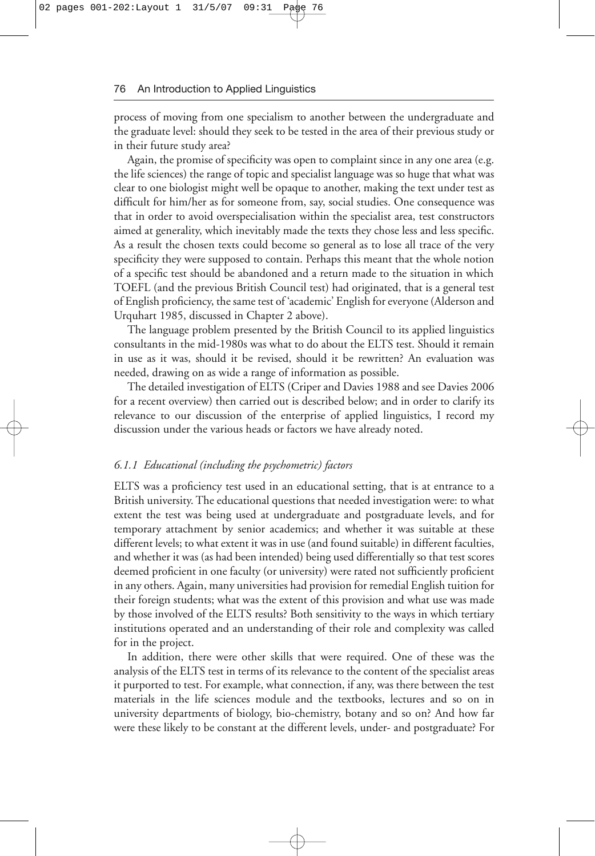process of moving from one specialism to another between the undergraduate and the graduate level: should they seek to be tested in the area of their previous study or in their future study area?

Again, the promise of specificity was open to complaint since in any one area (e.g. the life sciences) the range of topic and specialist language was so huge that what was clear to one biologist might well be opaque to another, making the text under test as difficult for him/her as for someone from, say, social studies. One consequence was that in order to avoid overspecialisation within the specialist area, test constructors aimed at generality, which inevitably made the texts they chose less and less specific. As a result the chosen texts could become so general as to lose all trace of the very specificity they were supposed to contain. Perhaps this meant that the whole notion of a specific test should be abandoned and a return made to the situation in which TOEFL (and the previous British Council test) had originated, that is a general test of English proficiency, the same test of 'academic' English for everyone (Alderson and Urquhart 1985, discussed in Chapter 2 above).

The language problem presented by the British Council to its applied linguistics consultants in the mid-1980s was what to do about the ELTS test. Should it remain in use as it was, should it be revised, should it be rewritten? An evaluation was needed, drawing on as wide a range of information as possible.

The detailed investigation of ELTS (Criper and Davies 1988 and see Davies 2006 for a recent overview) then carried out is described below; and in order to clarify its relevance to our discussion of the enterprise of applied linguistics, I record my discussion under the various heads or factors we have already noted.

#### *6.1.1 Educational (including the psychometric) factors*

ELTS was a proficiency test used in an educational setting, that is at entrance to a British university. The educational questions that needed investigation were: to what extent the test was being used at undergraduate and postgraduate levels, and for temporary attachment by senior academics; and whether it was suitable at these different levels; to what extent it was in use (and found suitable) in different faculties, and whether it was (as had been intended) being used differentially so that test scores deemed proficient in one faculty (or university) were rated not sufficiently proficient in any others. Again, many universities had provision for remedial English tuition for their foreign students; what was the extent of this provision and what use was made by those involved of the ELTS results? Both sensitivity to the ways in which tertiary institutions operated and an understanding of their role and complexity was called for in the project.

In addition, there were other skills that were required. One of these was the analysis of the ELTS test in terms of its relevance to the content of the specialist areas it purported to test. For example, what connection, if any, was there between the test materials in the life sciences module and the textbooks, lectures and so on in university departments of biology, bio-chemistry, botany and so on? And how far were these likely to be constant at the different levels, under- and postgraduate? For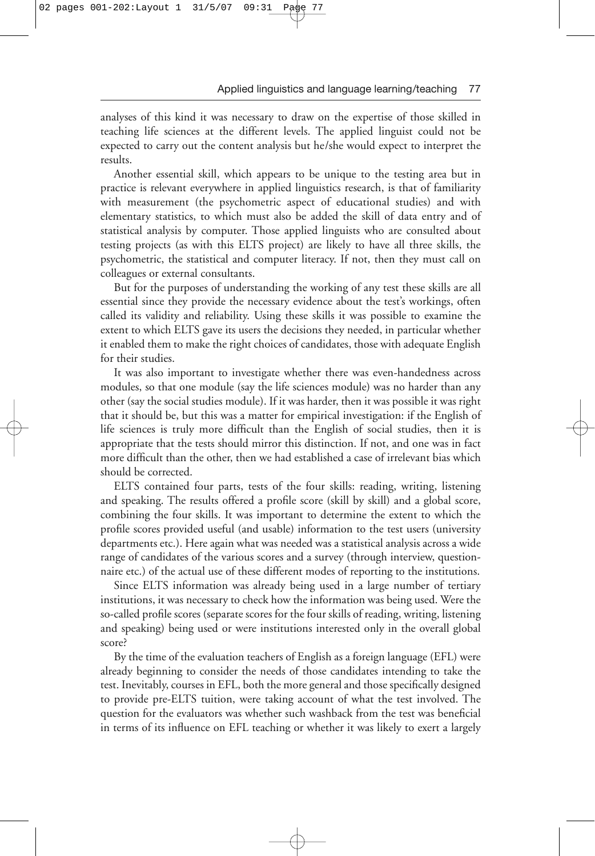analyses of this kind it was necessary to draw on the expertise of those skilled in teaching life sciences at the different levels. The applied linguist could not be expected to carry out the content analysis but he/she would expect to interpret the results.

Another essential skill, which appears to be unique to the testing area but in practice is relevant everywhere in applied linguistics research, is that of familiarity with measurement (the psychometric aspect of educational studies) and with elementary statistics, to which must also be added the skill of data entry and of statistical analysis by computer. Those applied linguists who are consulted about testing projects (as with this ELTS project) are likely to have all three skills, the psychometric, the statistical and computer literacy. If not, then they must call on colleagues or external consultants.

But for the purposes of understanding the working of any test these skills are all essential since they provide the necessary evidence about the test's workings, often called its validity and reliability. Using these skills it was possible to examine the extent to which ELTS gave its users the decisions they needed, in particular whether it enabled them to make the right choices of candidates, those with adequate English for their studies.

It was also important to investigate whether there was even-handedness across modules, so that one module (say the life sciences module) was no harder than any other (say the social studies module). If it was harder, then it was possible it was right that it should be, but this was a matter for empirical investigation: if the English of life sciences is truly more difficult than the English of social studies, then it is appropriate that the tests should mirror this distinction. If not, and one was in fact more difficult than the other, then we had established a case of irrelevant bias which should be corrected.

ELTS contained four parts, tests of the four skills: reading, writing, listening and speaking. The results offered a profile score (skill by skill) and a global score, combining the four skills. It was important to determine the extent to which the profile scores provided useful (and usable) information to the test users (university departments etc.). Here again what was needed was a statistical analysis across a wide range of candidates of the various scores and a survey (through interview, questionnaire etc.) of the actual use of these different modes of reporting to the institutions.

Since ELTS information was already being used in a large number of tertiary institutions, it was necessary to check how the information was being used. Were the so-called profile scores (separate scores for the four skills of reading, writing, listening and speaking) being used or were institutions interested only in the overall global score?

By the time of the evaluation teachers of English as a foreign language (EFL) were already beginning to consider the needs of those candidates intending to take the test. Inevitably, courses in EFL, both the more general and those specifically designed to provide pre-ELTS tuition, were taking account of what the test involved. The question for the evaluators was whether such washback from the test was beneficial in terms of its influence on EFL teaching or whether it was likely to exert a largely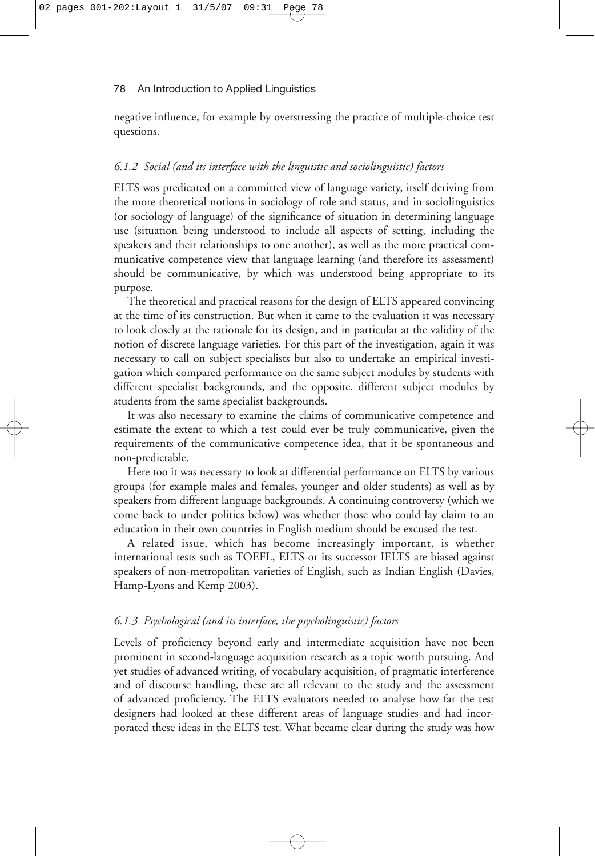negative influence, for example by overstressing the practice of multiple-choice test questions.

## *6.1.2 Social (and its interface with the linguistic and sociolinguistic) factors*

ELTS was predicated on a committed view of language variety, itself deriving from the more theoretical notions in sociology of role and status, and in sociolinguistics (or sociology of language) of the significance of situation in determining language use (situation being understood to include all aspects of setting, including the speakers and their relationships to one another), as well as the more practical com municative competence view that language learning (and therefore its assessment) should be communicative, by which was understood being appropriate to its purpose.

The theoretical and practical reasons for the design of ELTS appeared convincing at the time of its construction. But when it came to the evaluation it was necessary to look closely at the rationale for its design, and in particular at the validity of the notion of discrete language varieties. For this part of the investigation, again it was necessary to call on subject specialists but also to undertake an empirical investigation which compared performance on the same subject modules by students with different specialist backgrounds, and the opposite, different subject modules by students from the same specialist backgrounds.

It was also necessary to examine the claims of communicative competence and estimate the extent to which a test could ever be truly communicative, given the requirements of the communicative competence idea, that it be spontaneous and non-predictable.

Here too it was necessary to look at differential performance on ELTS by various groups (for example males and females, younger and older students) as well as by speakers from different language backgrounds. A continuing controversy (which we come back to under politics below) was whether those who could lay claim to an education in their own countries in English medium should be excused the test.

A related issue, which has become increasingly important, is whether international tests such as TOEFL, ELTS or its successor IELTS are biased against speakers of non-metropolitan varieties of English, such as Indian English (Davies, Hamp-Lyons and Kemp 2003).

#### *6.1.3 Psychological (and its interface, the psycholinguistic) factors*

Levels of proficiency beyond early and intermediate acquisition have not been prominent in second-language acquisition research as a topic worth pursuing. And yet studies of advanced writing, of vocabulary acquisition, of pragmatic interference and of discourse handling, these are all relevant to the study and the assessment of advanced proficiency. The ELTS evaluators needed to analyse how far the test designers had looked at these different areas of language studies and had incorporated these ideas in the ELTS test. What became clear during the study was how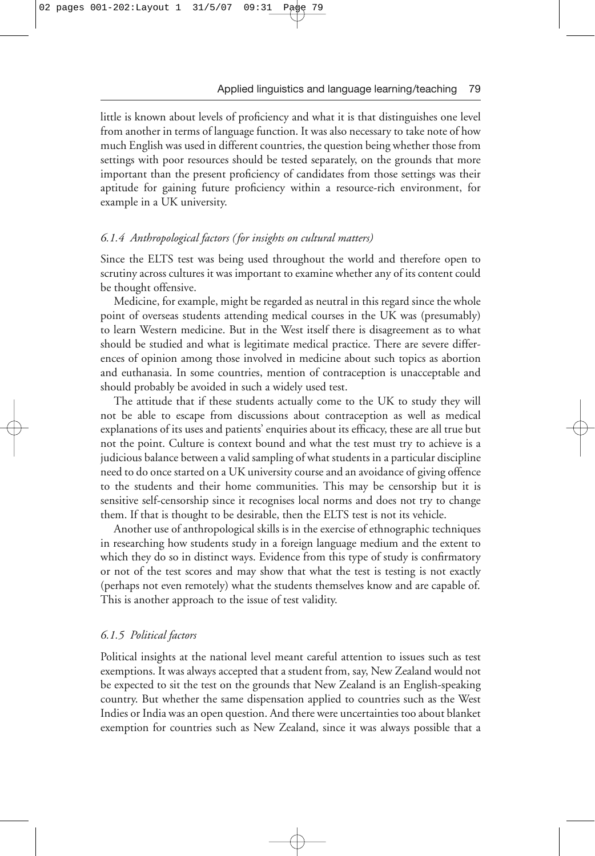little is known about levels of proficiency and what it is that distinguishes one level from another in terms of language function. It was also necessary to take note of how much English was used in different countries, the question being whether those from settings with poor resources should be tested separately, on the grounds that more important than the present proficiency of candidates from those settings was their aptitude for gaining future proficiency within a resource-rich environment, for example in a UK university.

#### *6.1.4 Anthropological factors (for insights on cultural matters)*

Since the ELTS test was being used throughout the world and therefore open to scrutiny across cultures it was important to examine whether any of its content could be thought offensive.

Medicine, for example, might be regarded as neutral in this regard since the whole point of overseas students attending medical courses in the UK was (presumably) to learn Western medicine. But in the West itself there is disagreement as to what should be studied and what is legitimate medical practice. There are severe differ ences of opinion among those involved in medicine about such topics as abortion and euthanasia. In some countries, mention of contraception is unacceptable and should probably be avoided in such a widely used test.

The attitude that if these students actually come to the UK to study they will not be able to escape from discussions about contraception as well as medical explanations of its uses and patients' enquiries about its efficacy, these are all true but not the point. Culture is context bound and what the test must try to achieve is a judicious balance between a valid sampling of what students in a particular discipline need to do once started on a UK university course and an avoidance of giving offence to the students and their home communities. This may be censorship but it is sensitive self-censorship since it recognises local norms and does not try to change them. If that is thought to be desirable, then the ELTS test is not its vehicle.

Another use of anthropological skills is in the exercise of ethnographic techniques in researching how students study in a foreign language medium and the extent to which they do so in distinct ways. Evidence from this type of study is confirmatory or not of the test scores and may show that what the test is testing is not exactly (perhaps not even remotely) what the students themselves know and are capable of. This is another approach to the issue of test validity.

#### *6.1.5 Political factors*

Political insights at the national level meant careful attention to issues such as test exemptions. It was always accepted that a student from, say, New Zealand would not be expected to sit the test on the grounds that New Zealand is an English-speaking country. But whether the same dispensation applied to countries such as the West Indies or India was an open question. And there were uncertainties too about blanket exemption for countries such as New Zealand, since it was always possible that a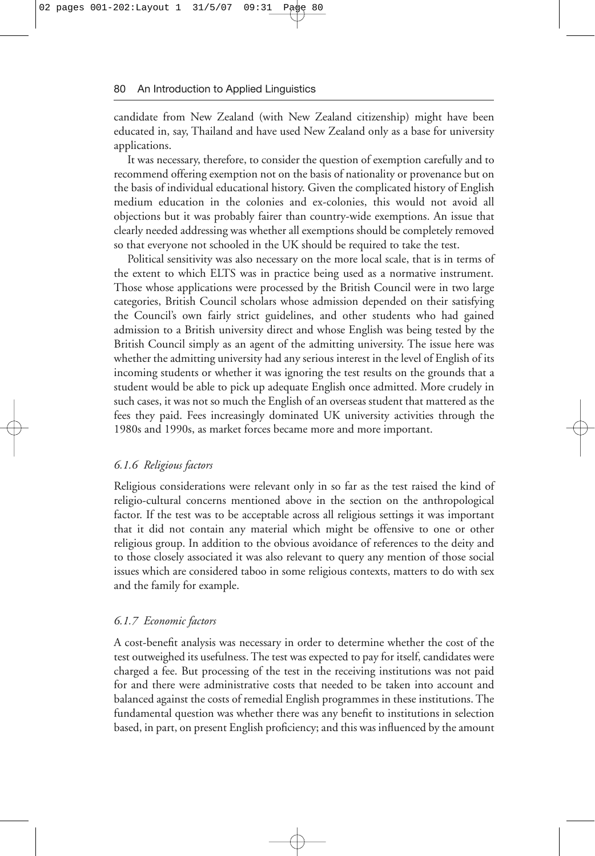candidate from New Zealand (with New Zealand citizenship) might have been educated in, say, Thailand and have used New Zealand only as a base for university applications.

It was necessary, therefore, to consider the question of exemption carefully and to recommend offering exemption not on the basis of nationality or provenance but on the basis of individual educational history. Given the complicated history of English medium education in the colonies and ex-colonies, this would not avoid all objections but it was probably fairer than country-wide exemptions. An issue that clearly needed addressing was whether all exemptions should be completely removed so that everyone not schooled in the UK should be required to take the test.

Political sensitivity was also necessary on the more local scale, that is in terms of the extent to which ELTS was in practice being used as a normative instrument. Those whose applications were processed by the British Council were in two large categories, British Council scholars whose admission depended on their satisfying the Council's own fairly strict guidelines, and other students who had gained admission to a British university direct and whose English was being tested by the British Council simply as an agent of the admitting university. The issue here was whether the admitting university had any serious interest in the level of English of its incoming students or whether it was ignoring the test results on the grounds that a student would be able to pick up adequate English once admitted. More crudely in such cases, it was not so much the English of an overseas student that mattered as the fees they paid. Fees increasingly dominated UK university activities through the 1980s and 1990s, as market forces became more and more important.

#### *6.1.6 Religious factors*

Religious considerations were relevant only in so far as the test raised the kind of religio-cultural concerns mentioned above in the section on the anthropological factor. If the test was to be acceptable across all religious settings it was important that it did not contain any material which might be offensive to one or other religious group. In addition to the obvious avoidance of references to the deity and to those closely associated it was also relevant to query any mention of those social issues which are considered taboo in some religious contexts, matters to do with sex and the family for example.

#### *6.1.7 Economic factors*

A cost-benefit analysis was necessary in order to determine whether the cost of the test outweighed its usefulness. The test was expected to pay for itself, candidates were charged a fee. But processing of the test in the receiving institutions was not paid for and there were administrative costs that needed to be taken into account and balanced against the costs of remedial English programmes in these institutions. The fundamental question was whether there was any benefit to institutions in selection based, in part, on present English proficiency; and this was influenced by the amount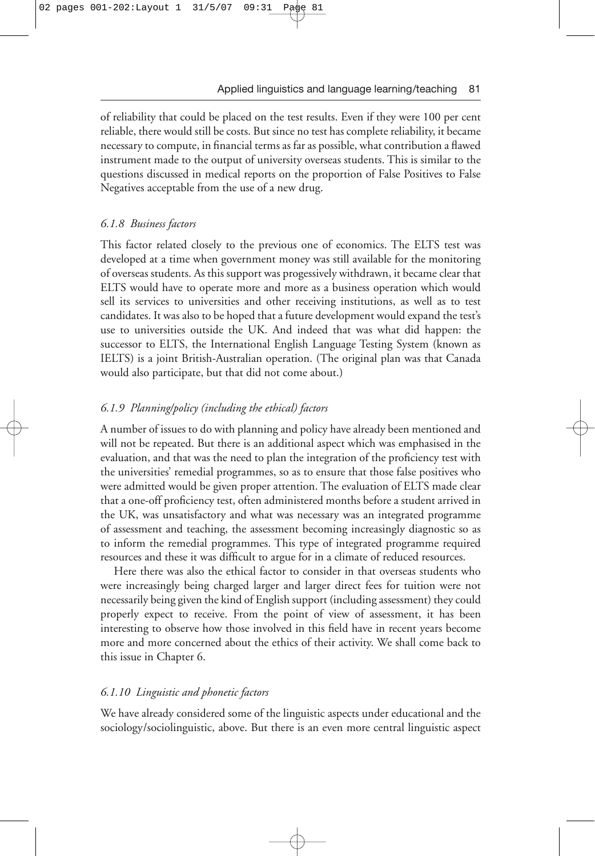of reliability that could be placed on the test results. Even if they were 100 per cent reliable, there would still be costs. But since no test has complete reliability, it became necessary to compute, in financial terms as far as possible, what contribution a flawed instrument made to the output of university overseas students. This is similar to the questions discussed in medical reports on the proportion of False Positives to False Negatives acceptable from the use of a new drug.

#### *6.1.8 Business factors*

This factor related closely to the previous one of economics. The ELTS test was developed at a time when government money was still available for the monitoring of overseas students. As this support was progessively withdrawn, it became clear that ELTS would have to operate more and more as a business operation which would sell its services to universities and other receiving institutions, as well as to test candidates. It was also to be hoped that a future development would expand the test's use to universities outside the UK. And indeed that was what did happen: the successor to ELTS, the International English Language Testing System (known as IELTS) is a joint British-Australian operation. (The original plan was that Canada would also participate, but that did not come about.)

## *6.1.9 Planning/policy (including the ethical) factors*

A number of issues to do with planning and policy have already been mentioned and will not be repeated. But there is an additional aspect which was emphasised in the evaluation, and that was the need to plan the integration of the proficiency test with the universities' remedial programmes, so as to ensure that those false positives who were admitted would be given proper attention. The evaluation of ELTS made clear that a one-off proficiency test, often administered months before a student arrived in the UK, was unsatisfactory and what was necessary was an integrated programme of assessment and teaching, the assessment becoming increasingly diagnostic so as to inform the remedial programmes. This type of integrated programme required resources and these it was difficult to argue for in a climate of reduced resources.

Here there was also the ethical factor to consider in that overseas students who were increasingly being charged larger and larger direct fees for tuition were not necessarily being given the kind of English support (including assessment) they could properly expect to receive. From the point of view of assessment, it has been interesting to observe how those involved in this field have in recent years become more and more concerned about the ethics of their activity. We shall come back to this issue in Chapter 6.

#### *6.1.10 Linguistic and phonetic factors*

We have already considered some of the linguistic aspects under educational and the sociology/sociolinguistic, above. But there is an even more central linguistic aspect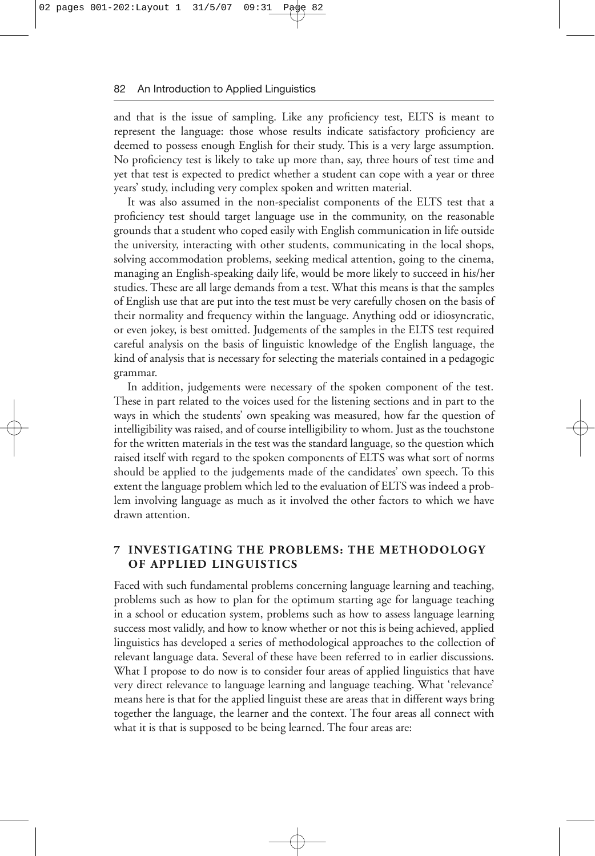and that is the issue of sampling. Like any proficiency test, ELTS is meant to represent the language: those whose results indicate satisfactory proficiency are deemed to possess enough English for their study. This is a very large assumption. No proficiency test is likely to take up more than, say, three hours of test time and yet that test is expected to predict whether a student can cope with a year or three years' study, including very complex spoken and written material.

It was also assumed in the non-specialist components of the ELTS test that a proficiency test should target language use in the community, on the reasonable grounds that a student who coped easily with English communication in life outside the university, interacting with other students, communicating in the local shops, solving accommodation problems, seeking medical attention, going to the cinema, managing an English-speaking daily life, would be more likely to succeed in his/her studies. These are all large demands from a test. What this means is that the samples of English use that are put into the test must be very carefully chosen on the basis of their normality and frequency within the language. Anything odd or idiosyncratic, or even jokey, is best omitted. Judgements of the samples in the ELTS test required careful analysis on the basis of linguistic knowledge of the English language, the kind of analysis that is necessary for selecting the materials contained in a pedagogic grammar.

In addition, judgements were necessary of the spoken component of the test. These in part related to the voices used for the listening sections and in part to the ways in which the students' own speaking was measured, how far the question of intelligibility was raised, and of course intelligibility to whom. Just as the touchstone for the written materials in the test was the standard language, so the question which raised itself with regard to the spoken components of ELTS was what sort of norms should be applied to the judgements made of the candidates' own speech. To this extent the language problem which led to the evaluation of ELTS was indeed a problem involving language as much as it involved the other factors to which we have drawn attention.

# **7 INVESTIGATING THE PROBLEMS: THE METHODOLOGY OF APPLIED LINGUISTICS**

Faced with such fundamental problems concerning language learning and teaching, problems such as how to plan for the optimum starting age for language teaching in a school or education system, problems such as how to assess language learning success most validly, and how to know whether or not this is being achieved, applied linguistics has developed a series of methodological approaches to the collection of relevant language data. Several of these have been referred to in earlier discussions. What I propose to do now is to consider four areas of applied linguistics that have very direct relevance to language learning and language teaching. What 'relevance' means here is that for the applied linguist these are areas that in different ways bring together the language, the learner and the context. The four areas all connect with what it is that is supposed to be being learned. The four areas are: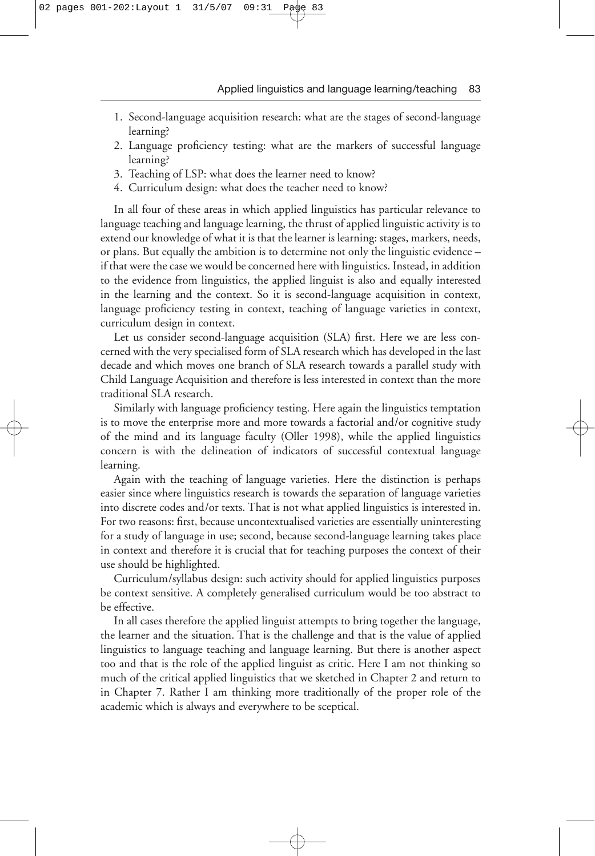- 1. Second-language acquisition research: what are the stages of second-language learning?
- 2. Language proficiency testing: what are the markers of successful language learning?
- 3. Teaching of LSP: what does the learner need to know?
- 4. Curriculum design: what does the teacher need to know?

In all four of these areas in which applied linguistics has particular relevance to language teaching and language learning, the thrust of applied linguistic activity is to extend our knowledge of what it is that the learner is learning: stages, markers, needs, or plans. But equally the ambition is to determine not only the linguistic evidence – if that were the case we would be concerned here with linguistics. Instead, in addition to the evidence from linguistics, the applied linguist is also and equally interested in the learning and the context. So it is second-language acquisition in context, language proficiency testing in context, teaching of language varieties in context, curriculum design in context.

Let us consider second-language acquisition (SLA) first. Here we are less concerned with the very specialised form of SLA research which has developed in the last decade and which moves one branch of SLA research towards a parallel study with Child Language Acquisition and therefore is less interested in context than the more traditional SLA research.

Similarly with language proficiency testing. Here again the linguistics temptation is to move the enterprise more and more towards a factorial and/or cognitive study of the mind and its language faculty (Oller 1998), while the applied linguistics concern is with the delineation of indicators of successful contextual language learning.

Again with the teaching of language varieties. Here the distinction is perhaps easier since where linguistics research is towards the separation of language varieties into discrete codes and/or texts. That is not what applied linguistics is interested in. For two reasons: first, because uncontextualised varieties are essentially uninteresting for a study of language in use; second, because second-language learning takes place in context and therefore it is crucial that for teaching purposes the context of their use should be highlighted.

Curriculum/syllabus design: such activity should for applied linguistics purposes be context sensitive. A completely generalised curriculum would be too abstract to be effective.

In all cases therefore the applied linguist attempts to bring together the language, the learner and the situation. That is the challenge and that is the value of applied linguistics to language teaching and language learning. But there is another aspect too and that is the role of the applied linguist as critic. Here I am not thinking so much of the critical applied linguistics that we sketched in Chapter 2 and return to in Chapter 7. Rather I am thinking more traditionally of the proper role of the academic which is always and everywhere to be sceptical.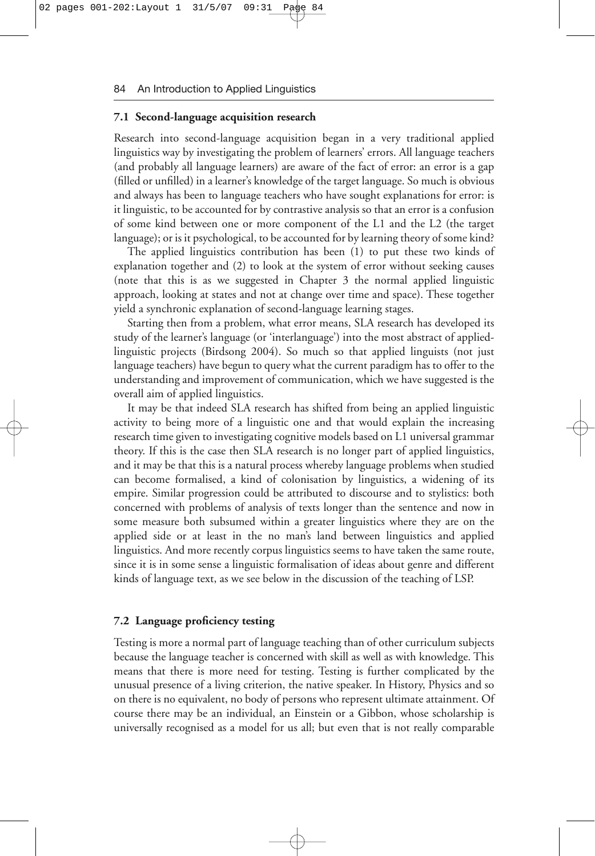#### **7.1 Second-language acquisition research**

Research into second-language acquisition began in a very traditional applied linguistics way by investigating the problem of learners' errors. All language teachers (and probably all language learners) are aware of the fact of error: an error is a gap (filled or unfilled) in a learner's knowledge of the target language. So much is obvious and always has been to language teachers who have sought explanations for error: is it linguistic, to be accounted for by contrastive analysis so that an error is a confusion of some kind between one or more component of the L1 and the L2 (the target language); or is it psychological, to be accounted for by learning theory of some kind?

The applied linguistics contribution has been (1) to put these two kinds of explanation together and (2) to look at the system of error without seeking causes (note that this is as we suggested in Chapter 3 the normal applied linguistic approach, looking at states and not at change over time and space). These together yield a synchronic explanation of second-language learning stages.

Starting then from a problem, what error means, SLA research has developed its study of the learner's language (or 'interlanguage') into the most abstract of appliedlinguistic projects (Birdsong 2004). So much so that applied linguists (not just language teachers) have begun to query what the current paradigm has to offer to the understanding and improvement of communication, which we have suggested is the overall aim of applied linguistics.

It may be that indeed SLA research has shifted from being an applied linguistic activity to being more of a linguistic one and that would explain the increasing research time given to investigating cognitive models based on L1 universal grammar theory. If this is the case then SLA research is no longer part of applied linguistics, and it may be that this is a natural process whereby language problems when studied can become formalised, a kind of colonisation by linguistics, a widening of its empire. Similar progression could be attributed to discourse and to stylistics: both concerned with problems of analysis of texts longer than the sentence and now in some measure both subsumed within a greater linguistics where they are on the applied side or at least in the no man's land between linguistics and applied linguistics. And more recently corpus linguistics seems to have taken the same route, since it is in some sense a linguistic formalisation of ideas about genre and different kinds of language text, as we see below in the discussion of the teaching of LSP.

#### **7.2 Language proficiency testing**

Testing is more a normal part of language teaching than of other curriculum subjects because the language teacher is concerned with skill as well as with knowledge. This means that there is more need for testing. Testing is further complicated by the unusual presence of a living criterion, the native speaker. In History, Physics and so on there is no equivalent, no body of persons who represent ultimate attainment. Of course there may be an individual, an Einstein or a Gibbon, whose scholarship is universally recognised as a model for us all; but even that is not really comparable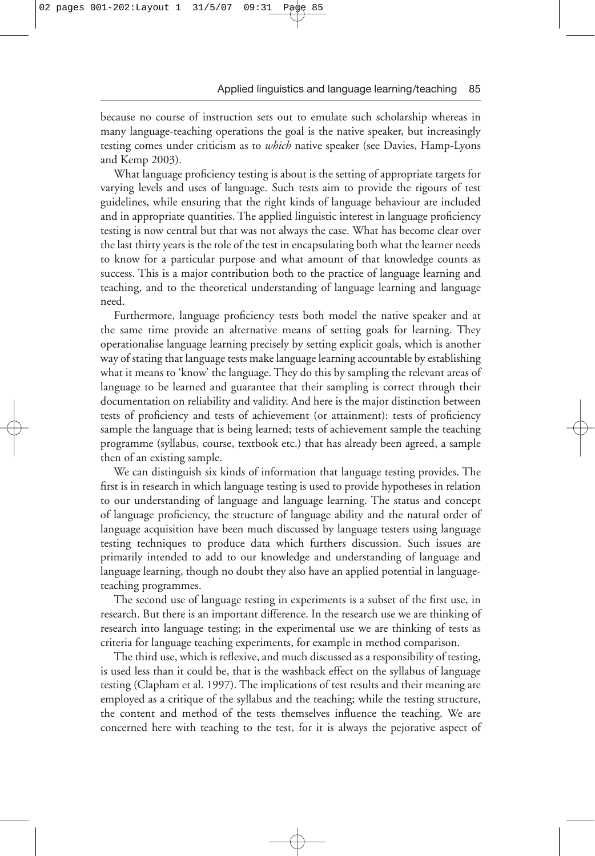because no course of instruction sets out to emulate such scholarship whereas in many language-teaching operations the goal is the native speaker, but increasingly testing comes under criticism as to *which* native speaker (see Davies, Hamp-Lyons and Kemp 2003).

What language proficiency testing is about is the setting of appropriate targets for varying levels and uses of language. Such tests aim to provide the rigours of test guidelines, while ensuring that the right kinds of language behaviour are included and in appropriate quantities. The applied linguistic interest in language proficiency testing is now central but that was not always the case. What has become clear over the last thirty years is the role of the test in encapsulating both what the learner needs to know for a particular purpose and what amount of that knowledge counts as success. This is a major contribution both to the practice of language learning and teaching, and to the theoretical understanding of language learning and language need.

Furthermore, language proficiency tests both model the native speaker and at the same time provide an alternative means of setting goals for learning. They operationalise language learning precisely by setting explicit goals, which is another way of stating that language tests make language learning accountable by establishing what it means to 'know' the language. They do this by sampling the relevant areas of language to be learned and guarantee that their sampling is correct through their documentation on reliability and validity. And here is the major distinction between tests of proficiency and tests of achievement (or attainment): tests of proficiency sample the language that is being learned; tests of achievement sample the teaching programme (syllabus, course, textbook etc.) that has already been agreed, a sample then of an existing sample.

We can distinguish six kinds of information that language testing provides. The first is in research in which language testing is used to provide hypotheses in relation to our understanding of language and language learning. The status and concept of language proficiency, the structure of language ability and the natural order of language acquisition have been much discussed by language testers using language testing techniques to produce data which furthers discussion. Such issues are primarily intended to add to our knowledge and understanding of language and language learning, though no doubt they also have an applied potential in languageteaching programmes.

The second use of language testing in experiments is a subset of the first use, in research. But there is an important difference. In the research use we are thinking of research into language testing; in the experimental use we are thinking of tests as criteria for language teaching experiments, for example in method comparison.

The third use, which is reflexive, and much discussed as a responsibility of testing, is used less than it could be, that is the washback effect on the syllabus of language testing (Clapham et al. 1997). The implications of test results and their meaning are employed as a critique of the syllabus and the teaching; while the testing structure, the content and method of the tests themselves influence the teaching. We are concerned here with teaching to the test, for it is always the pejorative aspect of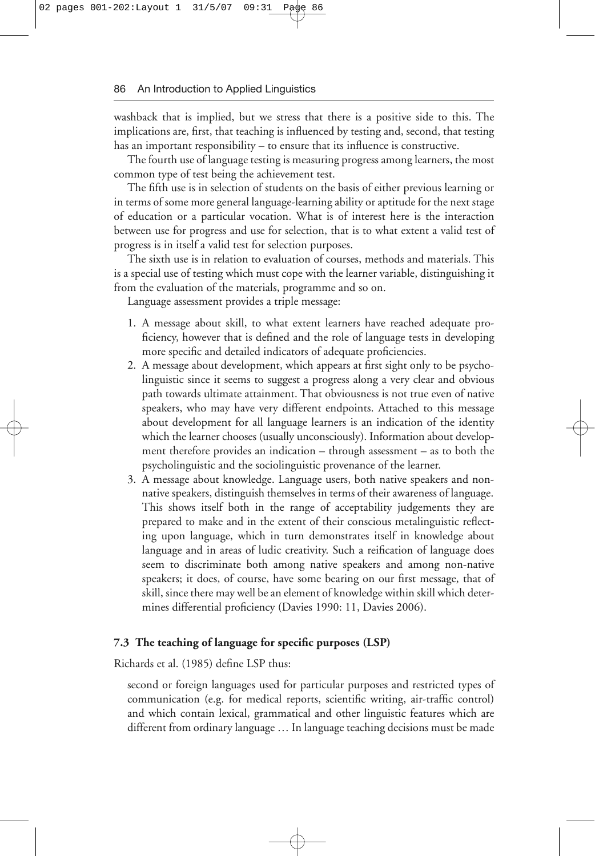washback that is implied, but we stress that there is a positive side to this. The implications are, first, that teaching is influenced by testing and, second, that testing has an important responsibility – to ensure that its influence is constructive.

The fourth use of language testing is measuring progress among learners, the most common type of test being the achievement test.

The fifth use is in selection of students on the basis of either previous learning or in terms of some more general language-learning ability or aptitude for the next stage of education or a particular vocation. What is of interest here is the interaction between use for progress and use for selection, that is to what extent a valid test of progress is in itself a valid test for selection purposes.

The sixth use is in relation to evaluation of courses, methods and materials. This is a special use of testing which must cope with the learner variable, distinguishing it from the evaluation of the materials, programme and so on.

Language assessment provides a triple message:

- 1. A message about skill, to what extent learners have reached adequate proficiency, however that is defined and the role of language tests in developing more specific and detailed indicators of adequate proficiencies.
- 2. A message about development, which appears at first sight only to be psycholinguistic since it seems to suggest a progress along a very clear and obvious path towards ultimate attainment. That obviousness is not true even of native speakers, who may have very different endpoints. Attached to this message about development for all language learners is an indication of the identity which the learner chooses (usually unconsciously). Information about development therefore provides an indication – through assessment – as to both the psycholinguistic and the sociolinguistic provenance of the learner.
- 3. A message about knowledge. Language users, both native speakers and nonnative speakers, distinguish themselves in terms of their awareness of language. This shows itself both in the range of acceptability judgements they are prepared to make and in the extent of their conscious metalinguistic reflecting upon language, which in turn demonstrates itself in knowledge about language and in areas of ludic creativity. Such a reification of language does seem to discriminate both among native speakers and among non-native speakers; it does, of course, have some bearing on our first message, that of skill, since there may well be an element of knowledge within skill which deter mines differential proficiency (Davies 1990: 11, Davies 2006).

# **7.3 The teaching of language for specific purposes (LSP)**

Richards et al. (1985) define LSP thus:

second or foreign languages used for particular purposes and restricted types of communication (e.g. for medical reports, scientific writing, air-traffic control) and which contain lexical, grammatical and other linguistic features which are different from ordinary language … In language teaching decisions must be made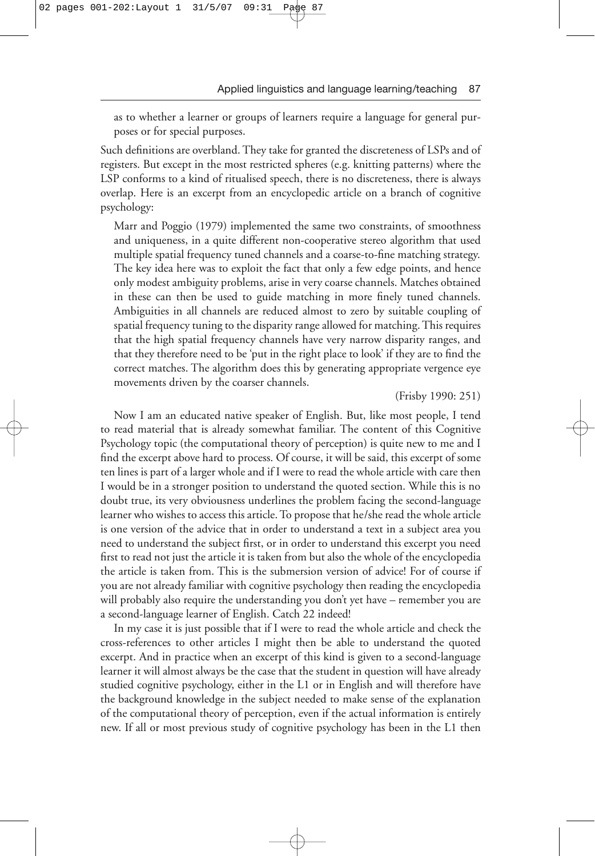as to whether a learner or groups of learners require a language for general purposes or for special purposes.

Such definitions are overbland. They take for granted the discreteness of LSPs and of registers. But except in the most restricted spheres (e.g. knitting patterns) where the LSP conforms to a kind of ritualised speech, there is no discreteness, there is always overlap. Here is an excerpt from an encyclopedic article on a branch of cognitive psychology:

Marr and Poggio (1979) implemented the same two constraints, of smoothness and uniqueness, in a quite different non-cooperative stereo algorithm that used multiple spatial frequency tuned channels and a coarse-to-fine matching strategy. The key idea here was to exploit the fact that only a few edge points, and hence only modest ambiguity problems, arise in very coarse channels. Matches obtained in these can then be used to guide matching in more finely tuned channels. Ambiguities in all channels are reduced almost to zero by suitable coupling of spatial frequency tuning to the disparity range allowed for matching. This requires that the high spatial frequency channels have very narrow disparity ranges, and that they therefore need to be 'put in the right place to look' if they are to find the correct matches. The algorithm does this by generating appropriate vergence eye movements driven by the coarser channels.

#### (Frisby 1990: 251)

Now I am an educated native speaker of English. But, like most people, I tend to read material that is already somewhat familiar. The content of this Cognitive Psychology topic (the computational theory of perception) is quite new to me and I find the excerpt above hard to process. Of course, it will be said, this excerpt of some ten lines is part of a larger whole and if I were to read the whole article with care then I would be in a stronger position to understand the quoted section. While this is no doubt true, its very obviousness underlines the problem facing the second-language learner who wishes to access this article. To propose that he/she read the whole article is one version of the advice that in order to understand a text in a subject area you need to understand the subject first, or in order to understand this excerpt you need first to read not just the article it is taken from but also the whole of the encyclopedia the article is taken from. This is the submersion version of advice! For of course if you are not already familiar with cognitive psychology then reading the encyclopedia will probably also require the understanding you don't yet have – remember you are a second-language learner of English. Catch 22 indeed!

In my case it is just possible that if I were to read the whole article and check the cross-references to other articles I might then be able to understand the quoted excerpt. And in practice when an excerpt of this kind is given to a second-language learner it will almost always be the case that the student in question will have already studied cognitive psychology, either in the L1 or in English and will therefore have the background knowledge in the subject needed to make sense of the explanation of the computational theory of perception, even if the actual information is entirely new. If all or most previous study of cognitive psychology has been in the L1 then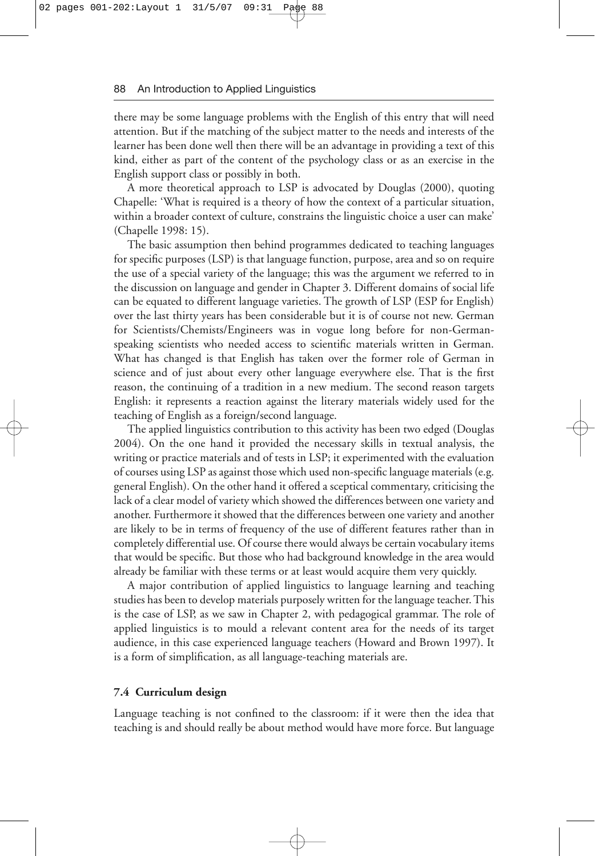there may be some language problems with the English of this entry that will need attention. But if the matching of the subject matter to the needs and interests of the learner has been done well then there will be an advantage in providing a text of this kind, either as part of the content of the psychology class or as an exercise in the English support class or possibly in both.

A more theoretical approach to LSP is advocated by Douglas (2000), quoting Chapelle: 'What is required is a theory of how the context of a particular situation, within a broader context of culture, constrains the linguistic choice a user can make' (Chapelle 1998: 15).

The basic assumption then behind programmes dedicated to teaching languages for specific purposes (LSP) is that language function, purpose, area and so on require the use of a special variety of the language; this was the argument we referred to in the discussion on language and gender in Chapter 3. Different domains of social life can be equated to different language varieties. The growth of LSP (ESP for English) over the last thirty years has been considerable but it is of course not new. German for Scientists/Chemists/Engineers was in vogue long before for non-Germanspeaking scientists who needed access to scientific materials written in German. What has changed is that English has taken over the former role of German in science and of just about every other language everywhere else. That is the first reason, the continuing of a tradition in a new medium. The second reason targets English: it represents a reaction against the literary materials widely used for the teaching of English as a foreign/second language.

The applied linguistics contribution to this activity has been two edged (Douglas 2004). On the one hand it provided the necessary skills in textual analysis, the writing or practice materials and of tests in LSP; it experimented with the evaluation of courses using LSP as against those which used non-specific language materials (e.g. general English). On the other hand it offered a sceptical commentary, criticising the lack of a clear model of variety which showed the differences between one variety and another. Furthermore it showed that the differences between one variety and another are likely to be in terms of frequency of the use of different features rather than in completely differential use. Of course there would always be certain vocabulary items that would be specific. But those who had background knowledge in the area would already be familiar with these terms or at least would acquire them very quickly.

A major contribution of applied linguistics to language learning and teaching studies has been to develop materials purposely written for the language teacher. This is the case of LSP, as we saw in Chapter 2, with pedagogical grammar. The role of applied linguistics is to mould a relevant content area for the needs of its target audience, in this case experienced language teachers (Howard and Brown 1997). It is a form of simplification, as all language-teaching materials are.

#### **7.4 Curriculum design**

Language teaching is not confined to the classroom: if it were then the idea that teaching is and should really be about method would have more force. But language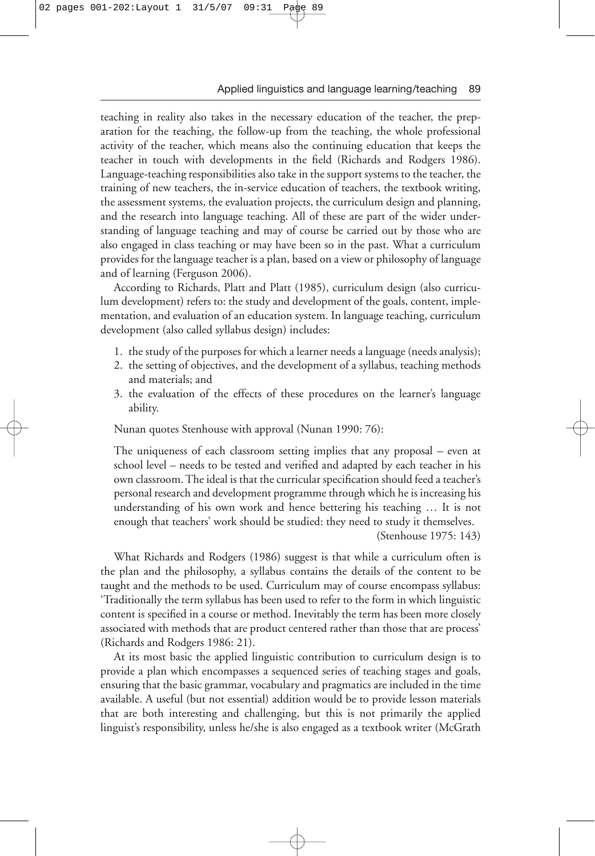teaching in reality also takes in the necessary education of the teacher, the preparation for the teaching, the follow-up from the teaching, the whole professional activity of the teacher, which means also the continuing education that keeps the teacher in touch with developments in the field (Richards and Rodgers 1986). Language-teaching responsibilities also take in the support systems to the teacher, the training of new teachers, the in-service education of teachers, the textbook writing, the assessment systems, the evaluation projects, the curriculum design and planning, and the research into language teaching. All of these are part of the wider understanding of language teaching and may of course be carried out by those who are also engaged in class teaching or may have been so in the past. What a curriculum provides for the language teacher is a plan, based on a view or philosophy of language and of learning (Ferguson 2006).

According to Richards, Platt and Platt (1985), curriculum design (also curriculum development) refers to: the study and development of the goals, content, implementation, and evaluation of an education system. In language teaching, curriculum development (also called syllabus design) includes:

- 1. the study of the purposes for which a learner needs a language (needs analysis);
- 2. the setting of objectives, and the development of a syllabus, teaching methods and materials; and
- 3. the evaluation of the effects of these procedures on the learner's language ability.

Nunan quotes Stenhouse with approval (Nunan 1990: 76):

The uniqueness of each classroom setting implies that any proposal – even at school level – needs to be tested and verified and adapted by each teacher in his own classroom. The ideal is that the curricular specification should feed a teacher's personal research and development programme through which he is increasing his understanding of his own work and hence bettering his teaching … It is not enough that teachers' work should be studied: they need to study it themselves.

(Stenhouse 1975: 143)

What Richards and Rodgers (1986) suggest is that while a curriculum often is the plan and the philosophy, a syllabus contains the details of the content to be taught and the methods to be used. Curriculum may of course encompass syllabus: 'Traditionally the term syllabus has been used to refer to the form in which linguistic content is specified in a course or method. Inevitably the term has been more closely associated with methods that are product centered rather than those that are process' (Richards and Rodgers 1986: 21).

At its most basic the applied linguistic contribution to curriculum design is to provide a plan which encompasses a sequenced series of teaching stages and goals, ensuring that the basic grammar, vocabulary and pragmatics are included in the time available. A useful (but not essential) addition would be to provide lesson materials that are both interesting and challenging, but this is not primarily the applied linguist's responsibility, unless he/she is also engaged as a textbook writer (McGrath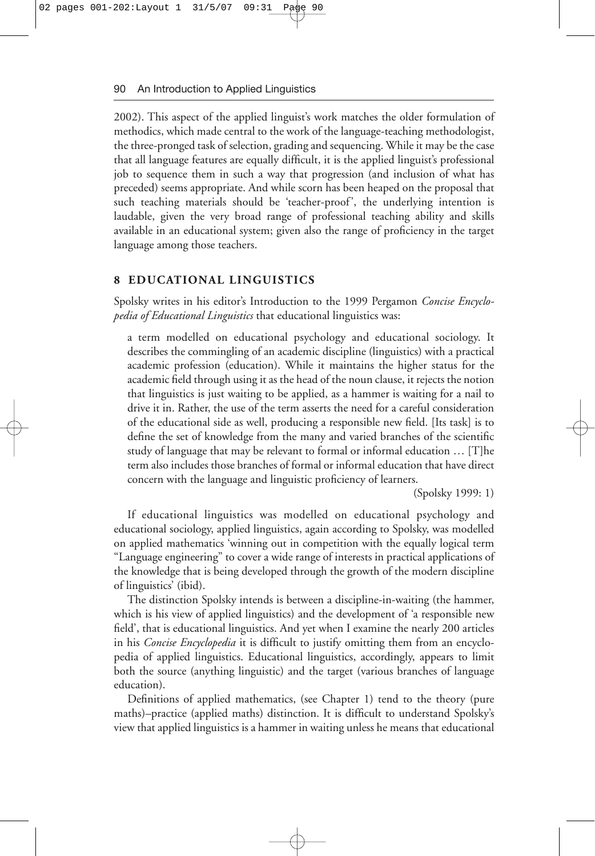2002). This aspect of the applied linguist's work matches the older formulation of methodics, which made central to the work of the language-teaching methodologist, the three-pronged task of selection, grading and sequencing. While it may be the case that all language features are equally difficult, it is the applied linguist's professional job to sequence them in such a way that progression (and inclusion of what has preceded) seems appropriate. And while scorn has been heaped on the proposal that such teaching materials should be 'teacher-proof', the underlying intention is laudable, given the very broad range of professional teaching ability and skills available in an educational system; given also the range of proficiency in the target language among those teachers.

#### **8 EDUCATIONAL LINGUISTICS**

Spolsky writes in his editor's Introduction to the 1999 Pergamon *Concise Encyclo pedia of Educational Linguistics* that educational linguistics was:

a term modelled on educational psychology and educational sociology. It describes the commingling of an academic discipline (linguistics) with a practical academic profession (education). While it maintains the higher status for the academic field through using it as the head of the noun clause, it rejects the notion that linguistics is just waiting to be applied, as a hammer is waiting for a nail to drive it in. Rather, the use of the term asserts the need for a careful consideration of the educational side as well, producing a responsible new field. [Its task] is to define the set of knowledge from the many and varied branches of the scientific study of language that may be relevant to formal or informal education … [T]he term also includes those branches of formal or informal education that have direct concern with the language and linguistic proficiency of learners.

(Spolsky 1999: 1)

If educational linguistics was modelled on educational psychology and educational sociology, applied linguistics, again according to Spolsky, was modelled on applied mathematics 'winning out in competition with the equally logical term "Language engineering" to cover a wide range of interests in practical applications of the knowledge that is being developed through the growth of the modern discipline of linguistics' (ibid).

The distinction Spolsky intends is between a discipline-in-waiting (the hammer, which is his view of applied linguistics) and the development of 'a responsible new field', that is educational linguistics. And yet when I examine the nearly 200 articles in his *Concise Encyclopedia* it is difficult to justify omitting them from an encyclopedia of applied linguistics. Educational linguistics, accordingly, appears to limit both the source (anything linguistic) and the target (various branches of language education).

Definitions of applied mathematics, (see Chapter 1) tend to the theory (pure maths)–practice (applied maths) distinction. It is difficult to understand Spolsky's view that applied linguistics is a hammer in waiting unless he means that educational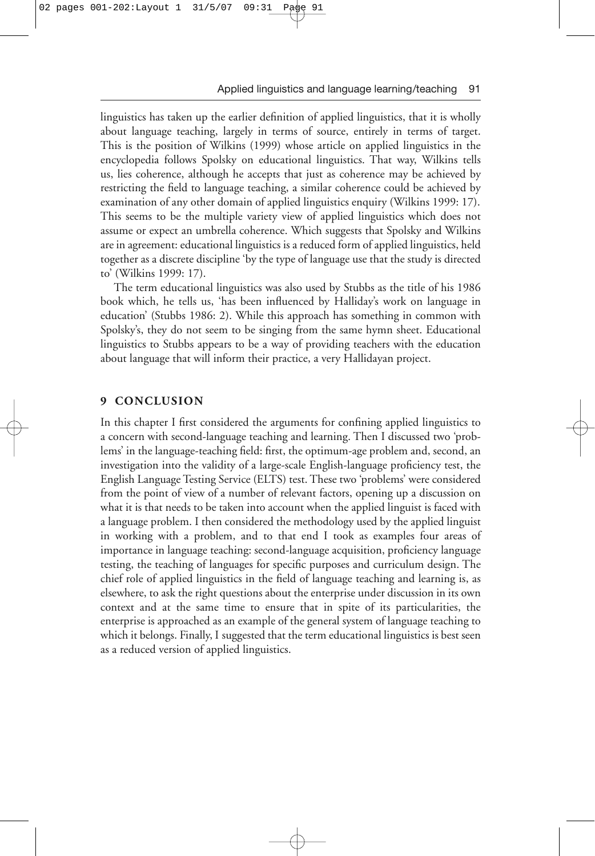linguistics has taken up the earlier definition of applied linguistics, that it is wholly about language teaching, largely in terms of source, entirely in terms of target. This is the position of Wilkins (1999) whose article on applied linguistics in the encyclopedia follows Spolsky on educational linguistics. That way, Wilkins tells us, lies coherence, although he accepts that just as coherence may be achieved by restricting the field to language teaching, a similar coherence could be achieved by examination of any other domain of applied linguistics enquiry (Wilkins 1999: 17). This seems to be the multiple variety view of applied linguistics which does not assume or expect an umbrella coherence. Which suggests that Spolsky and Wilkins are in agreement: educational linguistics is a reduced form of applied linguistics, held together as a discrete discipline 'by the type of language use that the study is directed to' (Wilkins 1999: 17).

The term educational linguistics was also used by Stubbs as the title of his 1986 book which, he tells us, 'has been influenced by Halliday's work on language in education' (Stubbs 1986: 2). While this approach has something in common with Spolsky's, they do not seem to be singing from the same hymn sheet. Educational linguistics to Stubbs appears to be a way of providing teachers with the education about language that will inform their practice, a very Hallidayan project.

### **9 CONCLUSION**

In this chapter I first considered the arguments for confining applied linguistics to a concern with second-language teaching and learning. Then I discussed two 'problems' in the language-teaching field: first, the optimum-age problem and, second, an investigation into the validity of a large-scale English-language proficiency test, the English Language Testing Service (ELTS) test. These two 'problems' were considered from the point of view of a number of relevant factors, opening up a discussion on what it is that needs to be taken into account when the applied linguist is faced with a language problem. I then considered the methodology used by the applied linguist in working with a problem, and to that end I took as examples four areas of importance in language teaching: second-language acquisition, proficiency language testing, the teaching of languages for specific purposes and curriculum design. The chief role of applied linguistics in the field of language teaching and learning is, as elsewhere, to ask the right questions about the enterprise under discussion in its own context and at the same time to ensure that in spite of its particularities, the enterprise is approached as an example of the general system of language teaching to which it belongs. Finally, I suggested that the term educational linguistics is best seen as a reduced version of applied linguistics.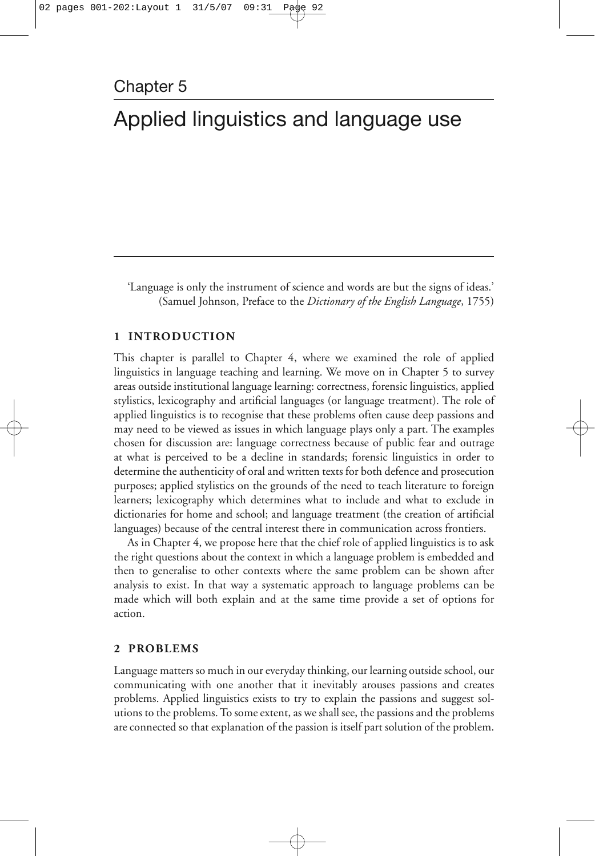# Applied linguistics and language use

'Language is only the instrument of science and words are but the signs of ideas.' (Samuel Johnson, Preface to the *Dictionary of the English Language*, 1755)

## **1 INTRODUCTION**

This chapter is parallel to Chapter 4, where we examined the role of applied linguistics in language teaching and learning. We move on in Chapter 5 to survey areas outside institutional language learning: correctness, forensic linguistics, applied stylistics, lexicography and artificial languages (or language treatment). The role of applied linguistics is to recognise that these problems often cause deep passions and may need to be viewed as issues in which language plays only a part. The examples chosen for discussion are: language correctness because of public fear and outrage at what is perceived to be a decline in standards; forensic linguistics in order to determine the authenticity of oral and written texts for both defence and prosecution purposes; applied stylistics on the grounds of the need to teach literature to foreign learners; lexicography which determines what to include and what to exclude in dictionaries for home and school; and language treatment (the creation of artificial languages) because of the central interest there in communication across frontiers.

As in Chapter 4, we propose here that the chief role of applied linguistics is to ask the right questions about the context in which a language problem is embedded and then to generalise to other contexts where the same problem can be shown after analysis to exist. In that way a systematic approach to language problems can be made which will both explain and at the same time provide a set of options for action.

#### **2 PROBLEMS**

Language matters so much in our everyday thinking, our learning outside school, our communicating with one another that it inevitably arouses passions and creates problems. Applied linguistics exists to try to explain the passions and suggest sol utions to the problems. To some extent, as we shall see, the passions and the problems are connected so that explanation of the passion is itself part solution of the problem.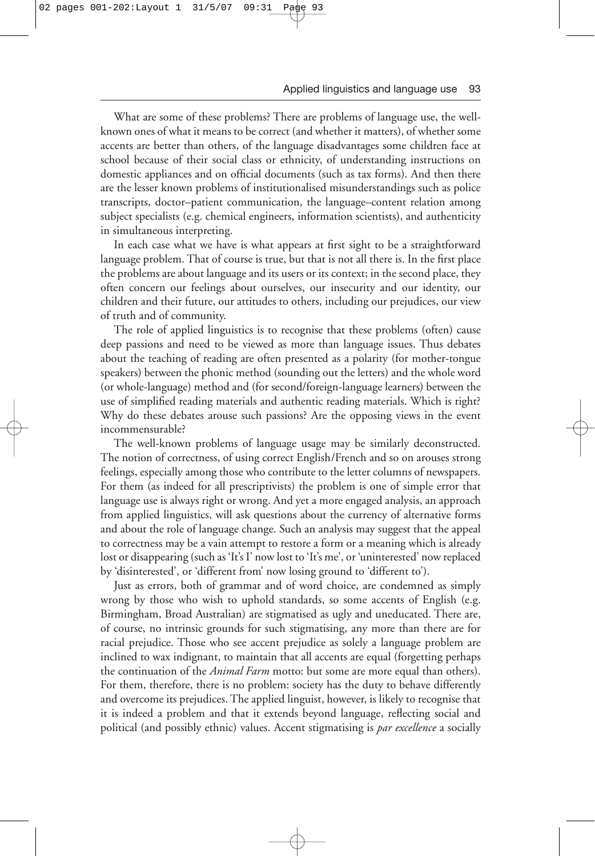What are some of these problems? There are problems of language use, the wellknown ones of what it means to be correct (and whether it matters), of whether some accents are better than others, of the language disadvantages some children face at school because of their social class or ethnicity, of understanding instructions on domestic appliances and on official documents (such as tax forms). And then there are the lesser known problems of institutionalised misunderstandings such as police transcripts, doctor–patient communication, the language–content relation among subject specialists (e.g. chemical engineers, information scientists), and authenticity in simultaneous interpreting.

In each case what we have is what appears at first sight to be a straightforward language problem. That of course is true, but that is not all there is. In the first place the problems are about language and its users or its context; in the second place, they often concern our feelings about ourselves, our insecurity and our identity, our children and their future, our attitudes to others, including our prejudices, our view of truth and of community.

The role of applied linguistics is to recognise that these problems (often) cause deep passions and need to be viewed as more than language issues. Thus debates about the teaching of reading are often presented as a polarity (for mother-tongue speakers) between the phonic method (sounding out the letters) and the whole word (or whole-language) method and (for second/foreign-language learners) between the use of simplified reading materials and authentic reading materials. Which is right? Why do these debates arouse such passions? Are the opposing views in the event incommensurable?

The well-known problems of language usage may be similarly deconstructed. The notion of correctness, of using correct English/French and so on arouses strong feelings, especially among those who contribute to the letter columns of newspapers. For them (as indeed for all prescriptivists) the problem is one of simple error that language use is always right or wrong. And yet a more engaged analysis, an approach from applied linguistics, will ask questions about the currency of alternative forms and about the role of language change. Such an analysis may suggest that the appeal to correctness may be a vain attempt to restore a form or a meaning which is already lost or disappearing (such as 'It's I' now lost to 'It's me', or 'uninterested' now replaced by 'disinterested', or 'different from' now losing ground to 'different to').

Just as errors, both of grammar and of word choice, are condemned as simply wrong by those who wish to uphold standards, so some accents of English (e.g. Birmingham, Broad Australian) are stigmatised as ugly and uneducated. There are, of course, no intrinsic grounds for such stigmatising, any more than there are for racial prejudice. Those who see accent prejudice as solely a language problem are inclined to wax indignant, to maintain that all accents are equal (forgetting perhaps the continuation of the *Animal Farm* motto: but some are more equal than others). For them, therefore, there is no problem: society has the duty to behave differently and overcome its prejudices. The applied linguist, however, is likely to recognise that it is indeed a problem and that it extends beyond language, reflecting social and political (and possibly ethnic) values. Accent stigmatising is *par excellence* a socially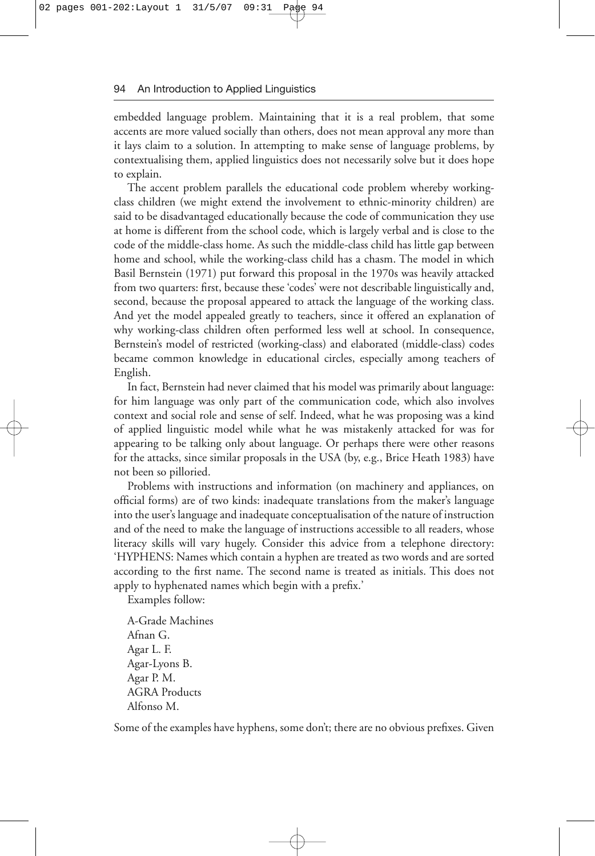embedded language problem. Maintaining that it is a real problem, that some accents are more valued socially than others, does not mean approval any more than it lays claim to a solution. In attempting to make sense of language problems, by contextualising them, applied linguistics does not necessarily solve but it does hope to explain.

The accent problem parallels the educational code problem whereby workingclass children (we might extend the involvement to ethnic-minority children) are said to be disadvantaged educationally because the code of communication they use at home is different from the school code, which is largely verbal and is close to the code of the middle-class home. As such the middle-class child has little gap between home and school, while the working-class child has a chasm. The model in which Basil Bernstein (1971) put forward this proposal in the 1970s was heavily attacked from two quarters: first, because these 'codes' were not describable linguistically and, second, because the proposal appeared to attack the language of the working class. And yet the model appealed greatly to teachers, since it offered an explanation of why working-class children often performed less well at school. In consequence, Bernstein's model of restricted (working-class) and elaborated (middle-class) codes became common knowledge in educational circles, especially among teachers of English.

In fact, Bernstein had never claimed that his model was primarily about language: for him language was only part of the communication code, which also involves context and social role and sense of self. Indeed, what he was proposing was a kind of applied linguistic model while what he was mistakenly attacked for was for appearing to be talking only about language. Or perhaps there were other reasons for the attacks, since similar proposals in the USA (by, e.g., Brice Heath 1983) have not been so pilloried.

Problems with instructions and information (on machinery and appliances, on official forms) are of two kinds: inadequate translations from the maker's language into the user's language and inadequate conceptualisation of the nature of instruction and of the need to make the language of instructions accessible to all readers, whose literacy skills will vary hugely. Consider this advice from a telephone directory: 'HYPHENS: Names which contain a hyphen are treated as two words and are sorted according to the first name. The second name is treated as initials. This does not apply to hyphenated names which begin with a prefix.'

Examples follow:

A-Grade Machines Afnan G. Agar L. F. Agar-Lyons B. Agar P. M. AGRA Products Alfonso M.

Some of the examples have hyphens, some don't; there are no obvious prefixes. Given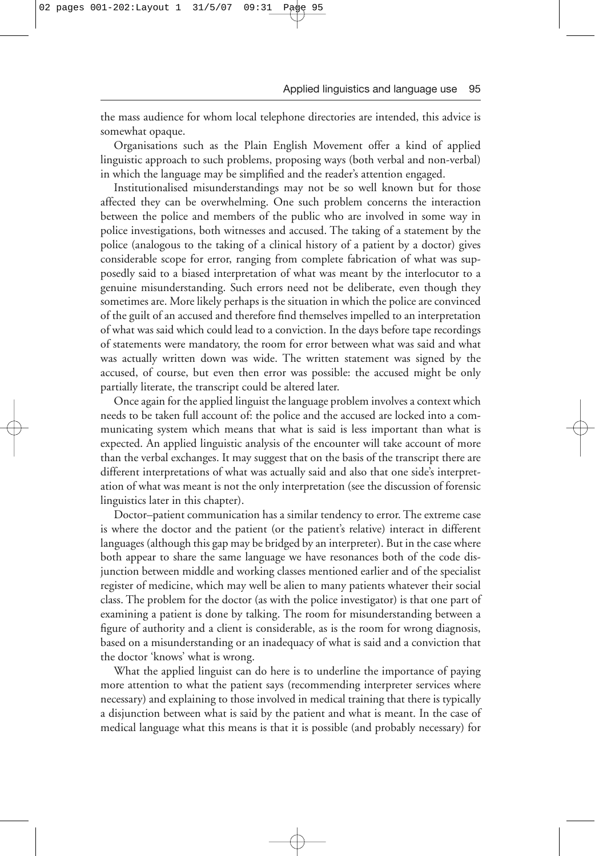the mass audience for whom local telephone directories are intended, this advice is somewhat opaque.

Organisations such as the Plain English Movement offer a kind of applied linguistic approach to such problems, proposing ways (both verbal and non-verbal) in which the language may be simplified and the reader's attention engaged.

Institutionalised misunderstandings may not be so well known but for those affected they can be overwhelming. One such problem concerns the interaction between the police and members of the public who are involved in some way in police investigations, both witnesses and accused. The taking of a statement by the police (analogous to the taking of a clinical history of a patient by a doctor) gives considerable scope for error, ranging from complete fabrication of what was supposedly said to a biased interpretation of what was meant by the interlocutor to a genuine misunderstanding. Such errors need not be deliberate, even though they sometimes are. More likely perhaps is the situation in which the police are convinced of the guilt of an accused and therefore find themselves impelled to an interpretation of what was said which could lead to a conviction. In the days before tape recordings of statements were mandatory, the room for error between what was said and what was actually written down was wide. The written statement was signed by the accused, of course, but even then error was possible: the accused might be only partially literate, the transcript could be altered later.

Once again for the applied linguist the language problem involves a context which needs to be taken full account of: the police and the accused are locked into a com municating system which means that what is said is less important than what is expected. An applied linguistic analysis of the encounter will take account of more than the verbal exchanges. It may suggest that on the basis of the transcript there are different interpretations of what was actually said and also that one side's interpretation of what was meant is not the only interpretation (see the discussion of forensic linguistics later in this chapter).

Doctor–patient communication has a similar tendency to error. The extreme case is where the doctor and the patient (or the patient's relative) interact in different languages (although this gap may be bridged by an interpreter). But in the case where both appear to share the same language we have resonances both of the code disjunction between middle and working classes mentioned earlier and of the specialist register of medicine, which may well be alien to many patients whatever their social class. The problem for the doctor (as with the police investigator) is that one part of examining a patient is done by talking. The room for misunderstanding between a figure of authority and a client is considerable, as is the room for wrong diagnosis, based on a misunderstanding or an inadequacy of what is said and a conviction that the doctor 'knows' what is wrong.

What the applied linguist can do here is to underline the importance of paying more attention to what the patient says (recommending interpreter services where necessary) and explaining to those involved in medical training that there is typically a disjunction between what is said by the patient and what is meant. In the case of medical language what this means is that it is possible (and probably necessary) for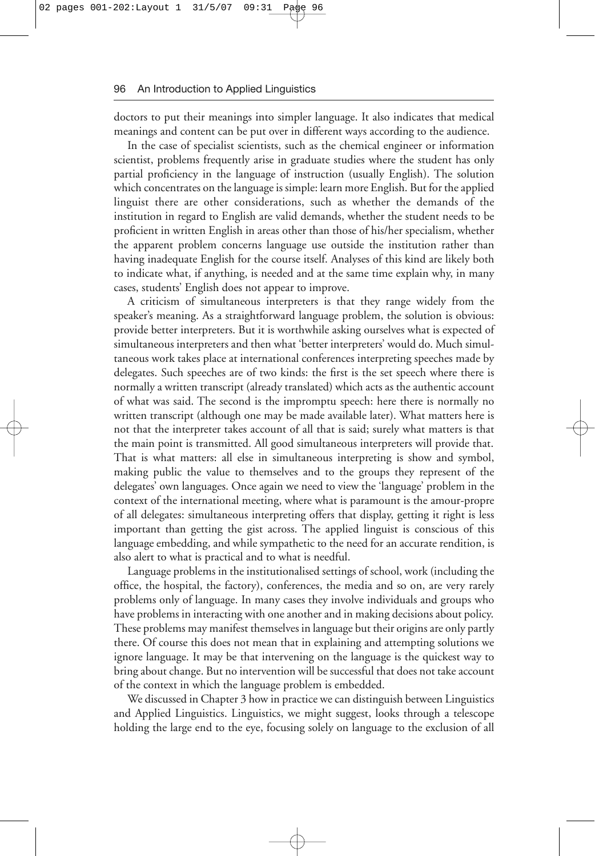doctors to put their meanings into simpler language. It also indicates that medical meanings and content can be put over in different ways according to the audience.

In the case of specialist scientists, such as the chemical engineer or information scientist, problems frequently arise in graduate studies where the student has only partial proficiency in the language of instruction (usually English). The solution which concentrates on the language is simple: learn more English. But for the applied linguist there are other considerations, such as whether the demands of the institution in regard to English are valid demands, whether the student needs to be proficient in written English in areas other than those of his/her specialism, whether the apparent problem concerns language use outside the institution rather than having inadequate English for the course itself. Analyses of this kind are likely both to indicate what, if anything, is needed and at the same time explain why, in many cases, students' English does not appear to improve.

A criticism of simultaneous interpreters is that they range widely from the speaker's meaning. As a straightforward language problem, the solution is obvious: provide better interpreters. But it is worthwhile asking ourselves what is expected of simultaneous interpreters and then what 'better interpreters' would do. Much simul taneous work takes place at international conferences interpreting speeches made by delegates. Such speeches are of two kinds: the first is the set speech where there is normally a written transcript (already translated) which acts as the authentic account of what was said. The second is the impromptu speech: here there is normally no written transcript (although one may be made available later). What matters here is not that the interpreter takes account of all that is said; surely what matters is that the main point is transmitted. All good simultaneous interpreters will provide that. That is what matters: all else in simultaneous interpreting is show and symbol, making public the value to themselves and to the groups they represent of the delegates' own languages. Once again we need to view the 'language' problem in the context of the international meeting, where what is paramount is the amour-propre of all delegates: simultaneous interpreting offers that display, getting it right is less important than getting the gist across. The applied linguist is conscious of this language embedding, and while sympathetic to the need for an accurate rendition, is also alert to what is practical and to what is needful.

Language problems in the institutionalised settings of school, work (including the office, the hospital, the factory), conferences, the media and so on, are very rarely problems only of language. In many cases they involve individuals and groups who have problems in interacting with one another and in making decisions about policy. These problems may manifest themselves in language but their origins are only partly there. Of course this does not mean that in explaining and attempting solutions we ignore language. It may be that intervening on the language is the quickest way to bring about change. But no intervention will be successful that does not take account of the context in which the language problem is embedded.

We discussed in Chapter 3 how in practice we can distinguish between Linguistics and Applied Linguistics. Linguistics, we might suggest, looks through a telescope holding the large end to the eye, focusing solely on language to the exclusion of all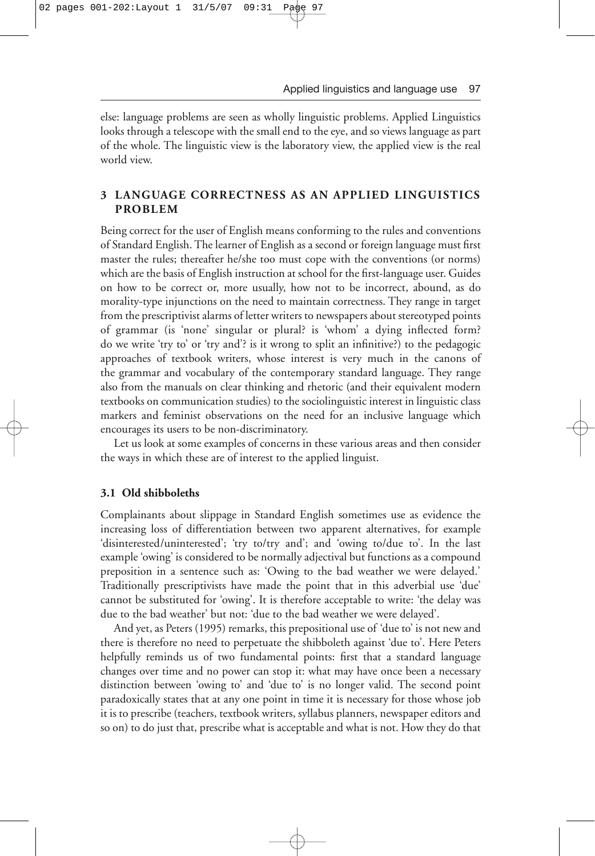else: language problems are seen as wholly linguistic problems. Applied Linguistics looks through a telescope with the small end to the eye, and so views language as part of the whole. The linguistic view is the laboratory view, the applied view is the real world view.

# **3 LANGUAGE CORRECTNESS AS AN APPLIED LINGUISTICS PROBLEM**

Being correct for the user of English means conforming to the rules and conventions of Standard English. The learner of English as a second or foreign language must first master the rules; thereafter he/she too must cope with the conventions (or norms) which are the basis of English instruction at school for the first-language user. Guides on how to be correct or, more usually, how not to be incorrect, abound, as do morality-type injunctions on the need to maintain correctness. They range in target from the prescriptivist alarms of letter writers to newspapers about stereotyped points of grammar (is 'none' singular or plural? is 'whom' a dying inflected form? do we write 'try to' or 'try and'? is it wrong to split an infinitive?) to the pedagogic approaches of textbook writers, whose interest is very much in the canons of the grammar and vocabulary of the contemporary standard language. They range also from the manuals on clear thinking and rhetoric (and their equivalent modern textbooks on communication studies) to the sociolinguistic interest in linguistic class markers and feminist observations on the need for an inclusive language which encourages its users to be non-discriminatory.

Let us look at some examples of concerns in these various areas and then consider the ways in which these are of interest to the applied linguist.

## **3.1 Old shibboleths**

Complainants about slippage in Standard English sometimes use as evidence the increasing loss of differentiation between two apparent alternatives, for example 'disinterested/uninterested'; 'try to/try and'; and 'owing to/due to'. In the last example 'owing' is considered to be normally adjectival but functions as a compound preposition in a sentence such as: 'Owing to the bad weather we were delayed.' Traditionally prescriptivists have made the point that in this adverbial use 'due' cannot be substituted for 'owing'. It is therefore acceptable to write: 'the delay was due to the bad weather' but not: 'due to the bad weather we were delayed'.

And yet, as Peters (1995) remarks, this prepositional use of 'due to' is not new and there is therefore no need to perpetuate the shibboleth against 'due to'. Here Peters helpfully reminds us of two fundamental points: first that a standard language changes over time and no power can stop it: what may have once been a necessary distinction between 'owing to' and 'due to' is no longer valid. The second point paradoxically states that at any one point in time it is necessary for those whose job it is to prescribe (teachers, textbook writers, syllabus planners, newspaper editors and so on) to do just that, prescribe what is acceptable and what is not. How they do that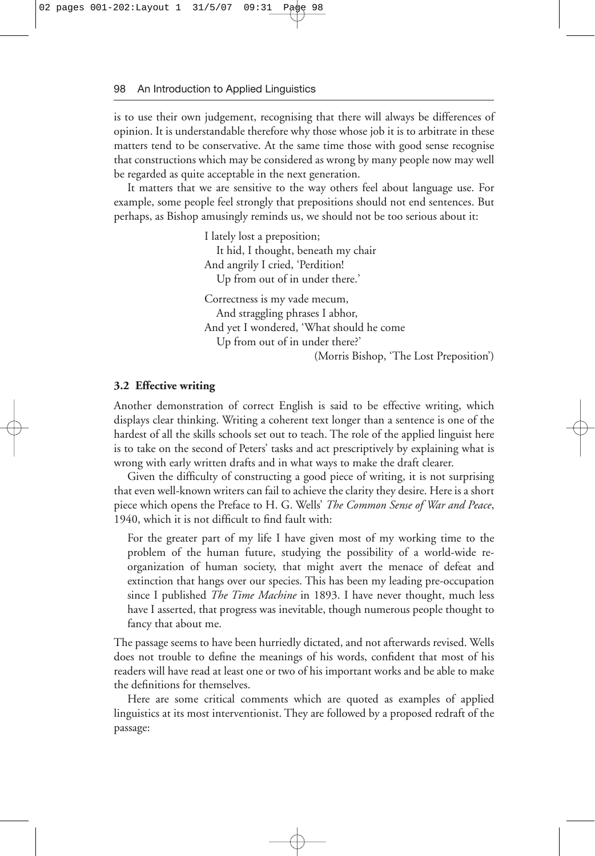is to use their own judgement, recognising that there will always be differences of opinion. It is understandable therefore why those whose job it is to arbitrate in these matters tend to be conservative. At the same time those with good sense recognise that constructions which may be considered as wrong by many people now may well be regarded as quite acceptable in the next generation.

It matters that we are sensitive to the way others feel about language use. For example, some people feel strongly that prepositions should not end sentences. But perhaps, as Bishop amusingly reminds us, we should not be too serious about it:

> I lately lost a preposition; It hid, I thought, beneath my chair And angrily I cried, 'Perdition! Up from out of in under there.'

Correctness is my vade mecum, And straggling phrases I abhor, And yet I wondered, 'What should he come Up from out of in under there?'

(Morris Bishop, 'The Lost Preposition')

## **3.2 Effective writing**

Another demonstration of correct English is said to be effective writing, which displays clear thinking. Writing a coherent text longer than a sentence is one of the hardest of all the skills schools set out to teach. The role of the applied linguist here is to take on the second of Peters' tasks and act prescriptively by explaining what is wrong with early written drafts and in what ways to make the draft clearer.

Given the difficulty of constructing a good piece of writing, it is not surprising that even well-known writers can fail to achieve the clarity they desire. Here is a short piece which opens the Preface to H. G. Wells' *The Common Sense of War and Peace*, 1940, which it is not difficult to find fault with:

For the greater part of my life I have given most of my working time to the problem of the human future, studying the possibility of a world-wide reorganization of human society, that might avert the menace of defeat and extinction that hangs over our species. This has been my leading pre-occupation since I published *The Time Machine* in 1893. I have never thought, much less have I asserted, that progress was inevitable, though numerous people thought to fancy that about me.

The passage seems to have been hurriedly dictated, and not afterwards revised. Wells does not trouble to define the meanings of his words, confident that most of his readers will have read at least one or two of his important works and be able to make the definitions for themselves.

Here are some critical comments which are quoted as examples of applied linguistics at its most interventionist. They are followed by a proposed redraft of the passage: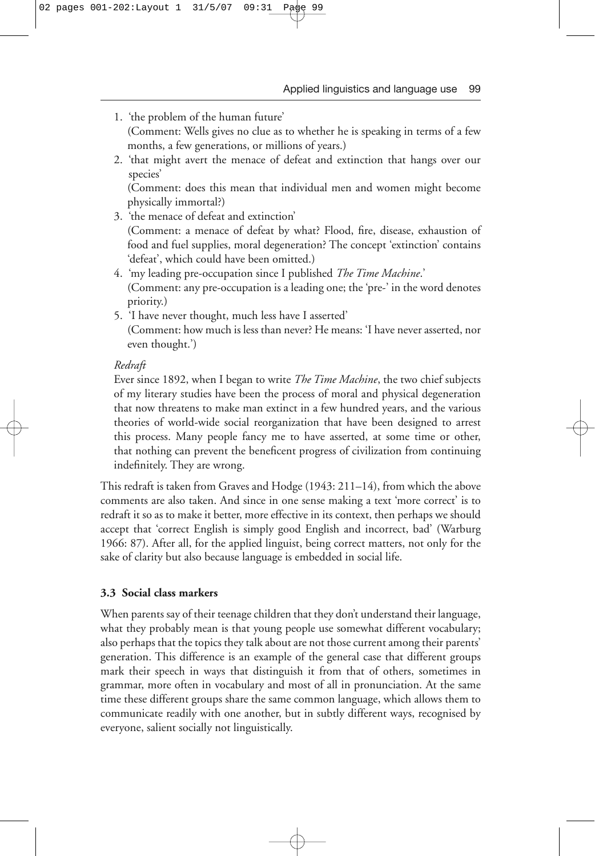- 1. 'the problem of the human future' (Comment: Wells gives no clue as to whether he is speaking in terms of a few months, a few generations, or millions of years.)
- 2. 'that might avert the menace of defeat and extinction that hangs over our species'

(Comment: does this mean that individual men and women might become physically immortal?)

- 3. 'the menace of defeat and extinction' (Comment: a menace of defeat by what? Flood, fire, disease, exhaustion of food and fuel supplies, moral degeneration? The concept 'extinction' contains 'defeat', which could have been omitted.)
- 4. 'my leading pre-occupation since I published *The Time Machine*.' (Comment: any pre-occupation is a leading one; the 'pre-' in the word denotes priority.)
- 5. 'I have never thought, much less have I asserted' (Comment: how much is less than never? He means: 'I have never asserted, nor even thought.')

# *Redraft*

Ever since 1892, when I began to write *The Time Machine*, the two chief subjects of my literary studies have been the process of moral and physical degeneration that now threatens to make man extinct in a few hundred years, and the various theories of world-wide social reorganization that have been designed to arrest this process. Many people fancy me to have asserted, at some time or other, that nothing can prevent the beneficent progress of civilization from continuing indefinitely. They are wrong.

This redraft is taken from Graves and Hodge (1943: 211–14), from which the above comments are also taken. And since in one sense making a text 'more correct' is to redraft it so as to make it better, more effective in its context, then perhaps we should accept that 'correct English is simply good English and incorrect, bad' (Warburg 1966: 87). After all, for the applied linguist, being correct matters, not only for the sake of clarity but also because language is embedded in social life.

# **3.3 Social class markers**

When parents say of their teenage children that they don't understand their language, what they probably mean is that young people use somewhat different vocabulary; also perhaps that the topics they talk about are not those current among their parents' generation. This difference is an example of the general case that different groups mark their speech in ways that distinguish it from that of others, sometimes in grammar, more often in vocabulary and most of all in pronunciation. At the same time these different groups share the same common language, which allows them to communicate readily with one another, but in subtly different ways, recognised by everyone, salient socially not linguistically.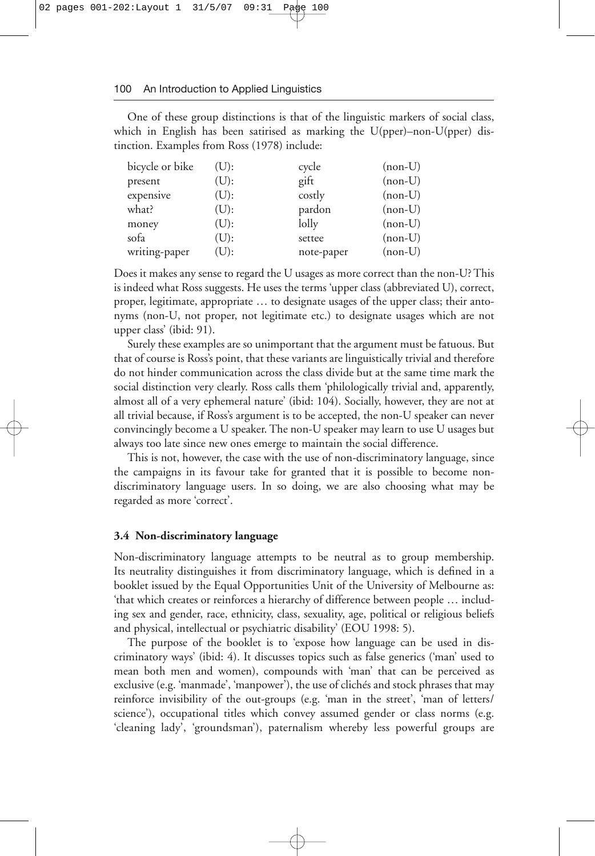One of these group distinctions is that of the linguistic markers of social class, which in English has been satirised as marking the U(pper)–non-U(pper) distinction. Examples from Ross (1978) include:

| bicycle or bike | $(U)$ : | cycle      | $(non-U)$ |
|-----------------|---------|------------|-----------|
| present         | (U):    | gift       | $(non-U)$ |
| expensive       | (U):    | costly     | $(non-U)$ |
| what?           | (U):    | pardon     | $(non-U)$ |
| money           | (U):    | lolly      | $(non-U)$ |
| sofa            | (U):    | settee     | $(non-U)$ |
| writing-paper   | $(U)$ : | note-paper | $(non-U)$ |

Does it makes any sense to regard the U usages as more correct than the non-U? This is indeed what Ross suggests. He uses the terms 'upper class (abbreviated U), correct, proper, legitimate, appropriate ... to designate usages of the upper class; their antonyms (non-U, not proper, not legitimate etc.) to designate usages which are not upper class' (ibid: 91).

Surely these examples are so unimportant that the argument must be fatuous. But that of course is Ross's point, that these variants are linguistically trivial and therefore do not hinder communication across the class divide but at the same time mark the social distinction very clearly. Ross calls them 'philologically trivial and, apparently, almost all of a very ephemeral nature' (ibid: 104). Socially, however, they are not at all trivial because, if Ross's argument is to be accepted, the non-U speaker can never convincingly become a U speaker. The non-U speaker may learn to use U usages but always too late since new ones emerge to maintain the social difference.

This is not, however, the case with the use of non-discriminatory language, since the campaigns in its favour take for granted that it is possible to become nondiscriminatory language users. In so doing, we are also choosing what may be regarded as more 'correct'.

#### **3.4 Non-discriminatory language**

Non-discriminatory language attempts to be neutral as to group membership. Its neutrality distinguishes it from discriminatory language, which is defined in a booklet issued by the Equal Opportunities Unit of the University of Melbourne as: 'that which creates or reinforces a hierarchy of difference between people … includ ing sex and gender, race, ethnicity, class, sexuality, age, political or religious beliefs and physical, intellectual or psychiatric disability' (EOU 1998: 5).

The purpose of the booklet is to 'expose how language can be used in discriminatory ways' (ibid: 4). It discusses topics such as false generics ('man' used to mean both men and women), compounds with 'man' that can be perceived as exclusive (e.g. 'manmade', 'manpower'), the use of clichés and stock phrases that may reinforce invisibility of the out-groups (e.g. 'man in the street', 'man of letters/ science'), occupational titles which convey assumed gender or class norms (e.g. 'cleaning lady', 'groundsman'), paternalism whereby less powerful groups are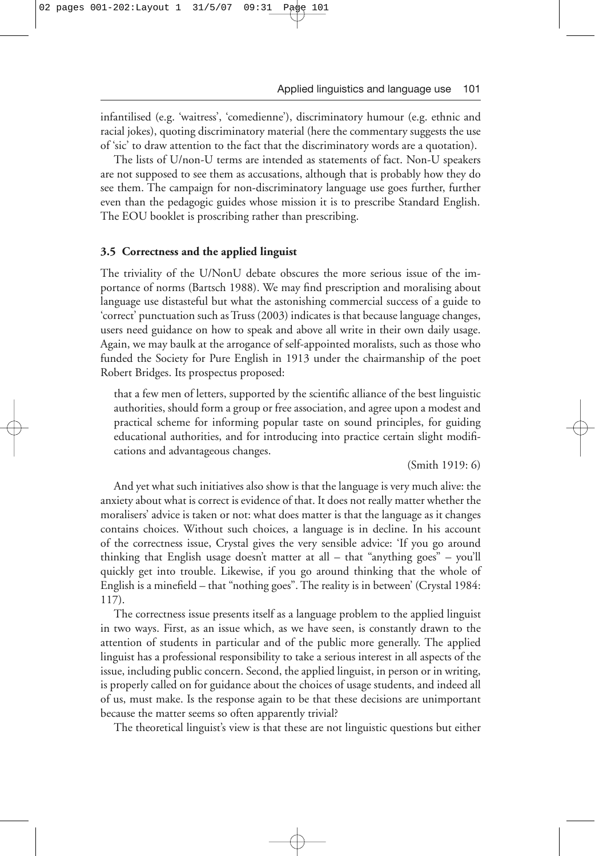infantilised (e.g. 'waitress', 'comedienne'), discriminatory humour (e.g. ethnic and racial jokes), quoting discriminatory material (here the commentary suggests the use of 'sic' to draw attention to the fact that the discriminatory words are a quotation).

The lists of U/non-U terms are intended as statements of fact. Non-U speakers are not supposed to see them as accusations, although that is probably how they do see them. The campaign for non-discriminatory language use goes further, further even than the pedagogic guides whose mission it is to prescribe Standard English. The EOU booklet is proscribing rather than prescribing.

#### **3.5 Correctness and the applied linguist**

The triviality of the U/NonU debate obscures the more serious issue of the importance of norms (Bartsch 1988). We may find prescription and moralising about language use distasteful but what the astonishing commercial success of a guide to 'correct' punctuation such as Truss (2003) indicates is that because language changes, users need guidance on how to speak and above all write in their own daily usage. Again, we may baulk at the arrogance of self-appointed moralists, such as those who funded the Society for Pure English in 1913 under the chairmanship of the poet Robert Bridges. Its prospectus proposed:

that a few men of letters, supported by the scientific alliance of the best linguistic authorities, should form a group or free association, and agree upon a modest and practical scheme for informing popular taste on sound principles, for guiding educational authorities, and for introducing into practice certain slight modifications and advantageous changes.

(Smith 1919: 6)

And yet what such initiatives also show is that the language is very much alive: the anxiety about what is correct is evidence of that. It does not really matter whether the moralisers' advice is taken or not: what does matter is that the language as it changes contains choices. Without such choices, a language is in decline. In his account of the correctness issue, Crystal gives the very sensible advice: 'If you go around thinking that English usage doesn't matter at all – that "anything goes" – you'll quickly get into trouble. Likewise, if you go around thinking that the whole of English is a minefield – that "nothing goes". The reality is in between' (Crystal 1984: 117).

The correctness issue presents itself as a language problem to the applied linguist in two ways. First, as an issue which, as we have seen, is constantly drawn to the attention of students in particular and of the public more generally. The applied linguist has a professional responsibility to take a serious interest in all aspects of the issue, including public concern. Second, the applied linguist, in person or in writing, is properly called on for guidance about the choices of usage students, and indeed all of us, must make. Is the response again to be that these decisions are unimportant because the matter seems so often apparently trivial?

The theoretical linguist's view is that these are not linguistic questions but either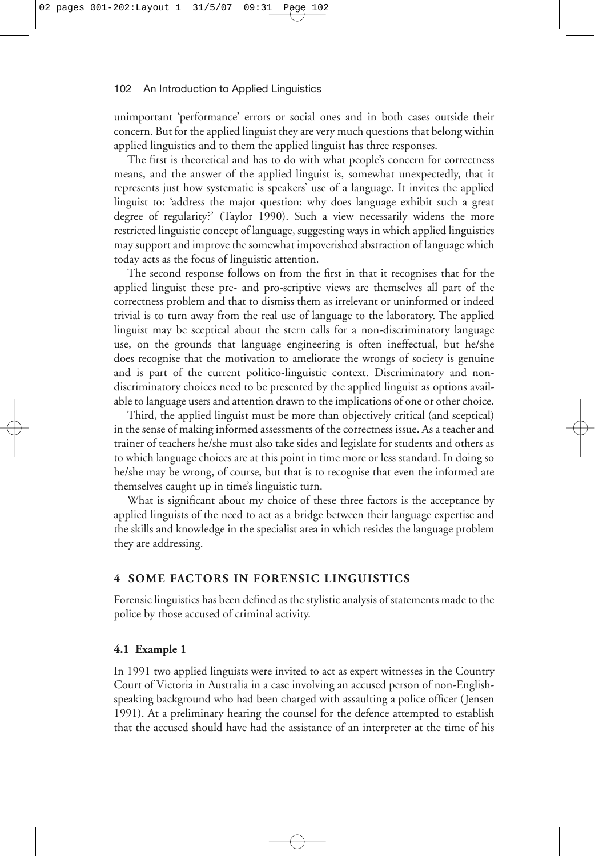unimportant 'performance' errors or social ones and in both cases outside their concern. But for the applied linguist they are very much questions that belong within applied linguistics and to them the applied linguist has three responses.

The first is theoretical and has to do with what people's concern for correctness means, and the answer of the applied linguist is, somewhat unexpectedly, that it represents just how systematic is speakers' use of a language. It invites the applied linguist to: 'address the major question: why does language exhibit such a great degree of regularity?' (Taylor 1990). Such a view necessarily widens the more restricted linguistic concept of language, suggesting ways in which applied linguistics may support and improve the somewhat impoverished abstraction of language which today acts as the focus of linguistic attention.

The second response follows on from the first in that it recognises that for the applied linguist these pre- and pro-scriptive views are themselves all part of the correctness problem and that to dismiss them as irrelevant or uninformed or indeed trivial is to turn away from the real use of language to the laboratory. The applied linguist may be sceptical about the stern calls for a non-discriminatory language use, on the grounds that language engineering is often ineffectual, but he/she does recognise that the motivation to ameliorate the wrongs of society is genuine and is part of the current politico-linguistic context. Discriminatory and nondiscriminatory choices need to be presented by the applied linguist as options avail able to language users and attention drawn to the implications of one or other choice.

Third, the applied linguist must be more than objectively critical (and sceptical) in the sense of making informed assessments of the correctness issue. As a teacher and trainer of teachers he/she must also take sides and legislate for students and others as to which language choices are at this point in time more or less standard. In doing so he/she may be wrong, of course, but that is to recognise that even the informed are themselves caught up in time's linguistic turn.

What is significant about my choice of these three factors is the acceptance by applied linguists of the need to act as a bridge between their language expertise and the skills and knowledge in the specialist area in which resides the language problem they are addressing.

# **4 SOME FACTORS IN FORENSIC LINGUISTICS**

Forensic linguistics has been defined as the stylistic analysis of statements made to the police by those accused of criminal activity.

## **4.1 Example 1**

In 1991 two applied linguists were invited to act as expert witnesses in the Country Court of Victoria in Australia in a case involving an accused person of non-Englishspeaking background who had been charged with assaulting a police officer (Jensen 1991). At a preliminary hearing the counsel for the defence attempted to establish that the accused should have had the assistance of an interpreter at the time of his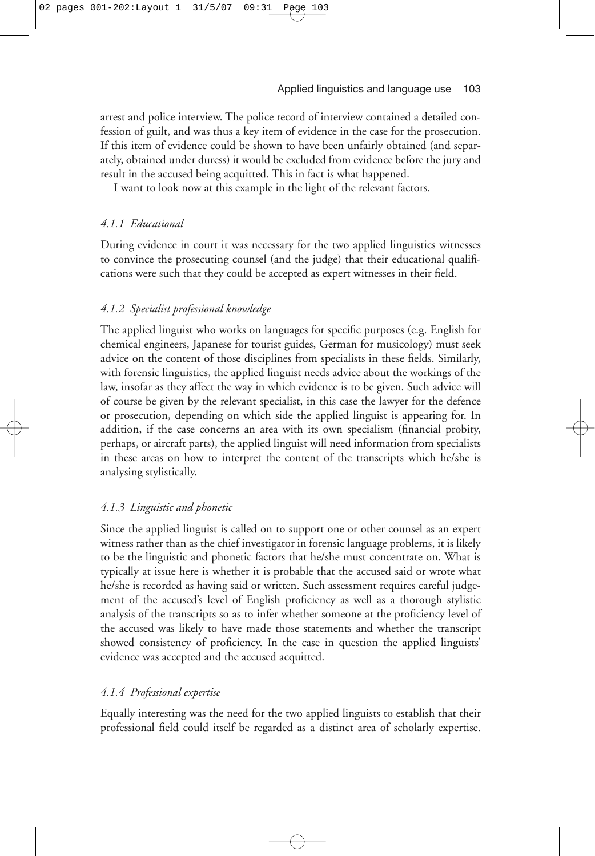arrest and police interview. The police record of interview contained a detailed confession of guilt, and was thus a key item of evidence in the case for the prosecution. If this item of evidence could be shown to have been unfairly obtained (and separately, obtained under duress) it would be excluded from evidence before the jury and result in the accused being acquitted. This in fact is what happened.

I want to look now at this example in the light of the relevant factors.

# *4.1.1 Educational*

During evidence in court it was necessary for the two applied linguistics witnesses to convince the prosecuting counsel (and the judge) that their educational qualifications were such that they could be accepted as expert witnesses in their field.

# *4.1.2 Specialist professional knowledge*

The applied linguist who works on languages for specific purposes (e.g. English for chemical engineers, Japanese for tourist guides, German for musicology) must seek advice on the content of those disciplines from specialists in these fields. Similarly, with forensic linguistics, the applied linguist needs advice about the workings of the law, insofar as they affect the way in which evidence is to be given. Such advice will of course be given by the relevant specialist, in this case the lawyer for the defence or prosecution, depending on which side the applied linguist is appearing for. In addition, if the case concerns an area with its own specialism (financial probity, perhaps, or aircraft parts), the applied linguist will need information from specialists in these areas on how to interpret the content of the transcripts which he/she is analysing stylistically.

## *4.1.3 Linguistic and phonetic*

Since the applied linguist is called on to support one or other counsel as an expert witness rather than as the chief investigator in forensic language problems, it is likely to be the linguistic and phonetic factors that he/she must concentrate on. What is typically at issue here is whether it is probable that the accused said or wrote what he/she is recorded as having said or written. Such assessment requires careful judgement of the accused's level of English proficiency as well as a thorough stylistic analysis of the transcripts so as to infer whether someone at the proficiency level of the accused was likely to have made those statements and whether the transcript showed consistency of proficiency. In the case in question the applied linguists' evidence was accepted and the accused acquitted.

## *4.1.4 Professional expertise*

Equally interesting was the need for the two applied linguists to establish that their professional field could itself be regarded as a distinct area of scholarly expertise.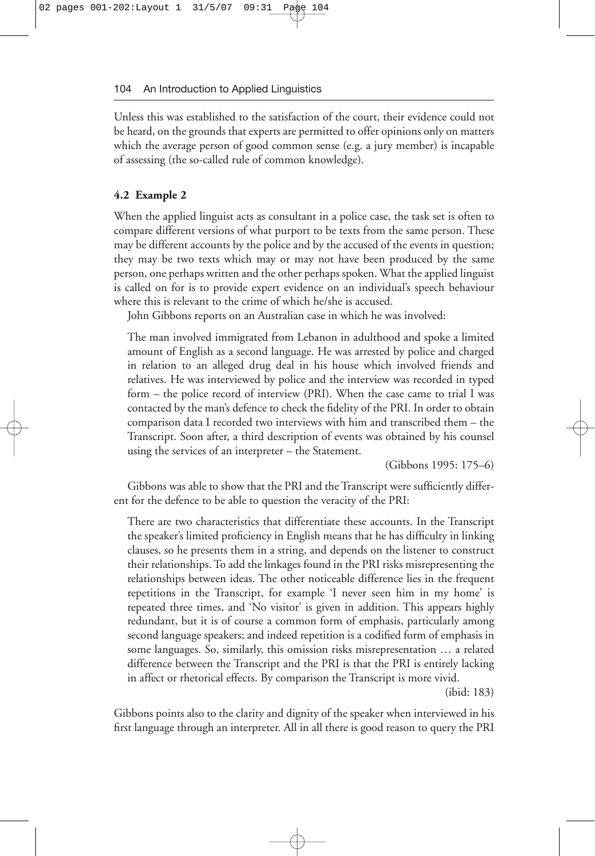Unless this was established to the satisfaction of the court, their evidence could not be heard, on the grounds that experts are permitted to offer opinions only on matters which the average person of good common sense (e.g. a jury member) is incapable of assessing (the so-called rule of common knowledge).

# **4.2 Example 2**

When the applied linguist acts as consultant in a police case, the task set is often to compare different versions of what purport to be texts from the same person. These may be different accounts by the police and by the accused of the events in question; they may be two texts which may or may not have been produced by the same person, one perhaps written and the other perhaps spoken. What the applied linguist is called on for is to provide expert evidence on an individual's speech behaviour where this is relevant to the crime of which he/she is accused.

John Gibbons reports on an Australian case in which he was involved:

The man involved immigrated from Lebanon in adulthood and spoke a limited amount of English as a second language. He was arrested by police and charged in relation to an alleged drug deal in his house which involved friends and relatives. He was interviewed by police and the interview was recorded in typed form – the police record of interview (PRI). When the case came to trial I was contacted by the man's defence to check the fidelity of the PRI. In order to obtain comparison data I recorded two interviews with him and transcribed them – the Transcript. Soon after, a third description of events was obtained by his counsel using the services of an interpreter – the Statement.

(Gibbons 1995: 175–6)

Gibbons was able to show that the PRI and the Transcript were sufficiently differ ent for the defence to be able to question the veracity of the PRI:

There are two characteristics that differentiate these accounts. In the Transcript the speaker's limited proficiency in English means that he has difficulty in linking clauses, so he presents them in a string, and depends on the listener to construct their relationships. To add the linkages found in the PRI risks misrepresenting the relationships between ideas. The other noticeable difference lies in the frequent repetitions in the Transcript, for example 'I never seen him in my home' is repeated three times, and 'No visitor' is given in addition. This appears highly redundant, but it is of course a common form of emphasis, particularly among second language speakers; and indeed repetition is a codified form of emphasis in some languages. So, similarly, this omission risks misrepresentation … a related difference between the Transcript and the PRI is that the PRI is entirely lacking in affect or rhetorical effects. By comparison the Transcript is more vivid.

(ibid: 183)

Gibbons points also to the clarity and dignity of the speaker when interviewed in his first language through an interpreter. All in all there is good reason to query the PRI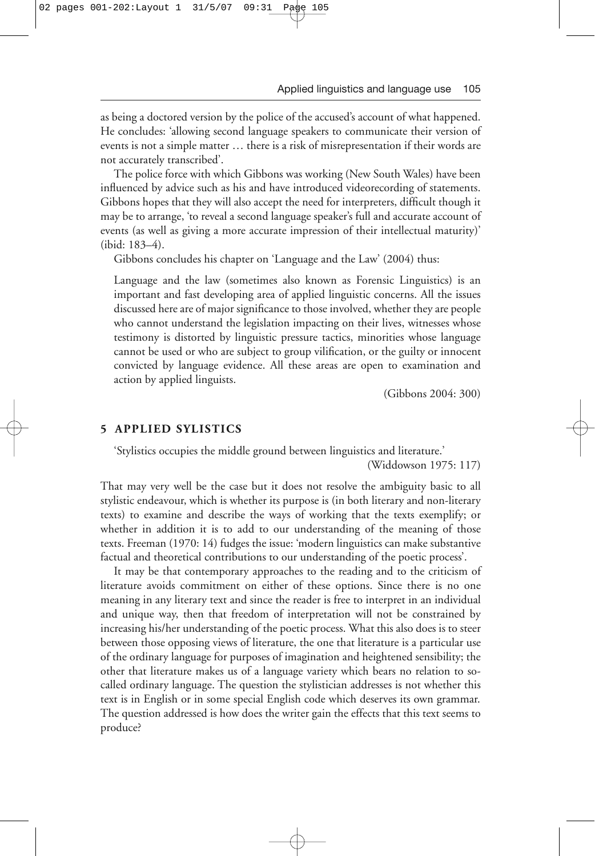as being a doctored version by the police of the accused's account of what happened. He concludes: 'allowing second language speakers to communicate their version of events is not a simple matter … there is a risk of misrepresentation if their words are not accurately transcribed'.

The police force with which Gibbons was working (New South Wales) have been influenced by advice such as his and have introduced videorecording of statements. Gibbons hopes that they will also accept the need for interpreters, difficult though it may be to arrange, 'to reveal a second language speaker's full and accurate account of events (as well as giving a more accurate impression of their intellectual maturity)' (ibid: 183–4).

Gibbons concludes his chapter on 'Language and the Law' (2004) thus:

Language and the law (sometimes also known as Forensic Linguistics) is an important and fast developing area of applied linguistic concerns. All the issues discussed here are of major significance to those involved, whether they are people who cannot understand the legislation impacting on their lives, witnesses whose testimony is distorted by linguistic pressure tactics, minorities whose language cannot be used or who are subject to group vilification, or the guilty or innocent convicted by language evidence. All these areas are open to examination and action by applied linguists.

(Gibbons 2004: 300)

## **5 APPLIED SYLISTICS**

'Stylistics occupies the middle ground between linguistics and literature.' (Widdowson 1975: 117)

That may very well be the case but it does not resolve the ambiguity basic to all stylistic endeavour, which is whether its purpose is (in both literary and non-literary texts) to examine and describe the ways of working that the texts exemplify; or whether in addition it is to add to our understanding of the meaning of those texts. Freeman (1970: 14) fudges the issue: 'modern linguistics can make substantive factual and theoretical contributions to our understanding of the poetic process'.

It may be that contemporary approaches to the reading and to the criticism of literature avoids commitment on either of these options. Since there is no one meaning in any literary text and since the reader is free to interpret in an individual and unique way, then that freedom of interpretation will not be constrained by increasing his/her understanding of the poetic process. What this also does is to steer between those opposing views of literature, the one that literature is a particular use of the ordinary language for purposes of imagination and heightened sensibility; the other that literature makes us of a language variety which bears no relation to socalled ordinary language. The question the stylistician addresses is not whether this text is in English or in some special English code which deserves its own grammar. The question addressed is how does the writer gain the effects that this text seems to produce?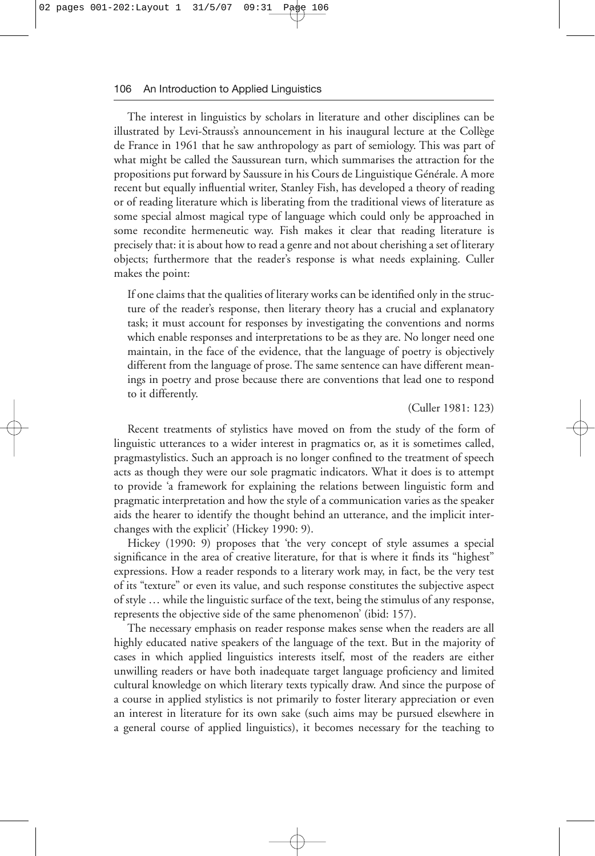The interest in linguistics by scholars in literature and other disciplines can be illustrated by Levi-Strauss's announcement in his inaugural lecture at the Collège de France in 1961 that he saw anthropology as part of semiology. This was part of what might be called the Saussurean turn, which summarises the attraction for the propositions put forward by Saussure in his Cours de Linguistique Générale. A more recent but equally influential writer, Stanley Fish, has developed a theory of reading or of reading literature which is liberating from the traditional views of literature as some special almost magical type of language which could only be approached in some recondite hermeneutic way. Fish makes it clear that reading literature is precisely that: it is about how to read a genre and not about cherishing a set of literary objects; furthermore that the reader's response is what needs explaining. Culler makes the point:

If one claims that the qualities of literary works can be identified only in the structure of the reader's response, then literary theory has a crucial and explanatory task; it must account for responses by investigating the conventions and norms which enable responses and interpretations to be as they are. No longer need one maintain, in the face of the evidence, that the language of poetry is objectively different from the language of prose. The same sentence can have different meanings in poetry and prose because there are conventions that lead one to respond to it differently.

(Culler 1981: 123)

Recent treatments of stylistics have moved on from the study of the form of linguistic utterances to a wider interest in pragmatics or, as it is sometimes called, pragmastylistics. Such an approach is no longer confined to the treatment of speech acts as though they were our sole pragmatic indicators. What it does is to attempt to provide 'a framework for explaining the relations between linguistic form and pragmatic interpretation and how the style of a communication varies as the speaker aids the hearer to identify the thought behind an utterance, and the implicit interchanges with the explicit' (Hickey 1990: 9).

Hickey (1990: 9) proposes that 'the very concept of style assumes a special significance in the area of creative literature, for that is where it finds its "highest" expressions. How a reader responds to a literary work may, in fact, be the very test of its "texture" or even its value, and such response constitutes the subjective aspect of style … while the linguistic surface of the text, being the stimulus of any response, represents the objective side of the same phenomenon' (ibid: 157).

The necessary emphasis on reader response makes sense when the readers are all highly educated native speakers of the language of the text. But in the majority of cases in which applied linguistics interests itself, most of the readers are either unwilling readers or have both inadequate target language proficiency and limited cultural knowledge on which literary texts typically draw. And since the purpose of a course in applied stylistics is not primarily to foster literary appreciation or even an interest in literature for its own sake (such aims may be pursued elsewhere in a general course of applied linguistics), it becomes necessary for the teaching to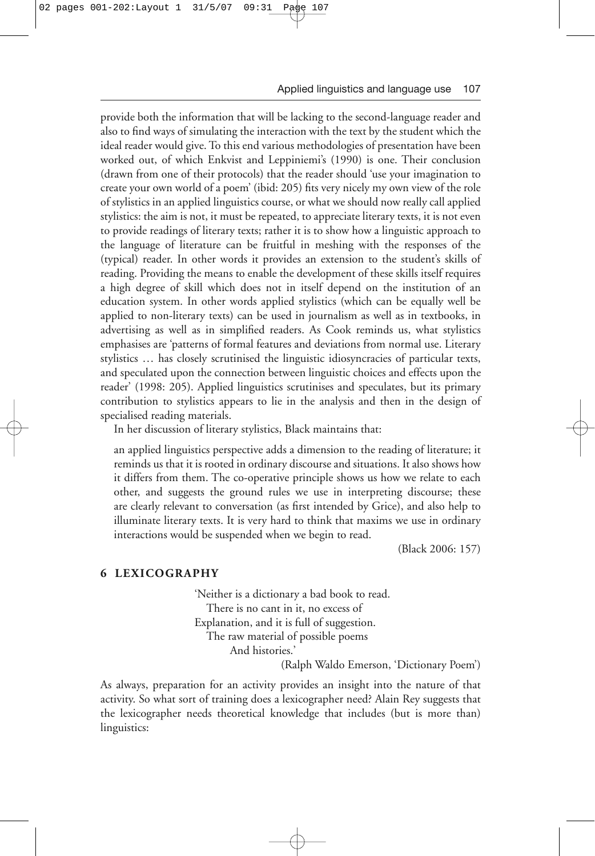provide both the information that will be lacking to the second-language reader and also to find ways of simulating the interaction with the text by the student which the ideal reader would give. To this end various methodologies of presentation have been worked out, of which Enkvist and Leppiniemi's (1990) is one. Their conclusion (drawn from one of their protocols) that the reader should 'use your imagination to create your own world of a poem' (ibid: 205) fits very nicely my own view of the role of stylistics in an applied linguistics course, or what we should now really call applied stylistics: the aim is not, it must be repeated, to appreciate literary texts, it is not even to provide readings of literary texts; rather it is to show how a linguistic approach to the language of literature can be fruitful in meshing with the responses of the (typical) reader. In other words it provides an extension to the student's skills of reading. Providing the means to enable the development of these skills itself requires a high degree of skill which does not in itself depend on the institution of an education system. In other words applied stylistics (which can be equally well be applied to non-literary texts) can be used in journalism as well as in textbooks, in advertising as well as in simplified readers. As Cook reminds us, what stylistics emphasises are 'patterns of formal features and deviations from normal use. Literary stylistics … has closely scrutinised the linguistic idiosyncracies of particular texts, and speculated upon the connection between linguistic choices and effects upon the reader' (1998: 205). Applied linguistics scrutinises and speculates, but its primary contribution to stylistics appears to lie in the analysis and then in the design of specialised reading materials.

In her discussion of literary stylistics, Black maintains that:

an applied linguistics perspective adds a dimension to the reading of literature; it reminds us that it is rooted in ordinary discourse and situations. It also shows how it differs from them. The co-operative principle shows us how we relate to each other, and suggests the ground rules we use in interpreting discourse; these are clearly relevant to conversation (as first intended by Grice), and also help to illuminate literary texts. It is very hard to think that maxims we use in ordinary interactions would be suspended when we begin to read.

(Black 2006: 157)

## **6 LEXICOGRAPHY**

'Neither is a dictionary a bad book to read. There is no cant in it, no excess of Explanation, and it is full of suggestion. The raw material of possible poems And histories.'

(Ralph Waldo Emerson, 'Dictionary Poem')

As always, preparation for an activity provides an insight into the nature of that activity. So what sort of training does a lexicographer need? Alain Rey suggests that the lexicographer needs theoretical knowledge that includes (but is more than) linguistics: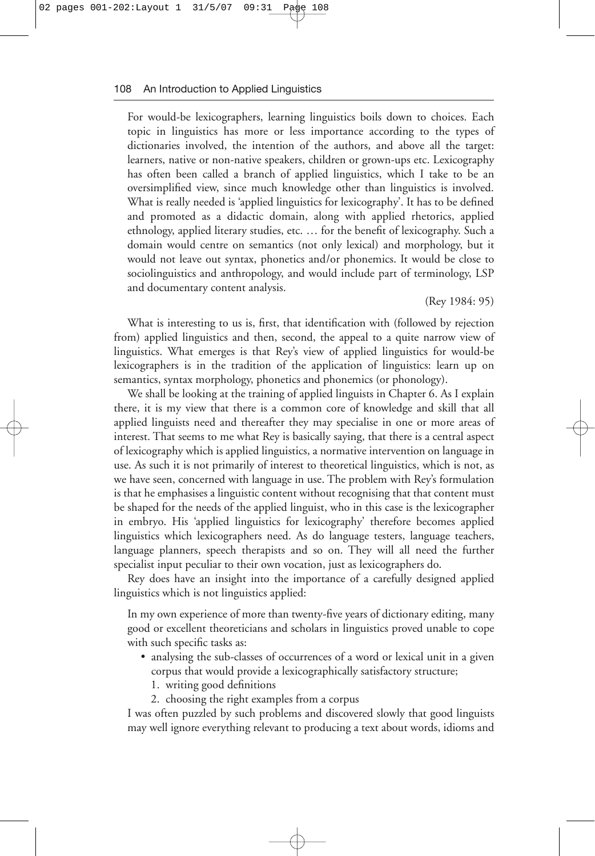For would-be lexicographers, learning linguistics boils down to choices. Each topic in linguistics has more or less importance according to the types of dictionaries involved, the intention of the authors, and above all the target: learners, native or non-native speakers, children or grown-ups etc. Lexicography has often been called a branch of applied linguistics, which I take to be an oversimplified view, since much knowledge other than linguistics is involved. What is really needed is 'applied linguistics for lexicography'. It has to be defined and promoted as a didactic domain, along with applied rhetorics, applied ethnology, applied literary studies, etc. … for the benefit of lexicography. Such a domain would centre on semantics (not only lexical) and morphology, but it would not leave out syntax, phonetics and/or phonemics. It would be close to sociolinguistics and anthropology, and would include part of terminology, LSP and documentary content analysis.

(Rey 1984: 95)

What is interesting to us is, first, that identification with (followed by rejection from) applied linguistics and then, second, the appeal to a quite narrow view of linguistics. What emerges is that Rey's view of applied linguistics for would-be lexicographers is in the tradition of the application of linguistics: learn up on semantics, syntax morphology, phonetics and phonemics (or phonology).

We shall be looking at the training of applied linguists in Chapter 6. As I explain there, it is my view that there is a common core of knowledge and skill that all applied linguists need and thereafter they may specialise in one or more areas of interest. That seems to me what Rey is basically saying, that there is a central aspect of lexicography which is applied linguistics, a normative intervention on language in use. As such it is not primarily of interest to theoretical linguistics, which is not, as we have seen, concerned with language in use. The problem with Rey's formulation is that he emphasises a linguistic content without recognising that that content must be shaped for the needs of the applied linguist, who in this case is the lexicographer in embryo. His 'applied linguistics for lexicography' therefore becomes applied linguistics which lexicographers need. As do language testers, language teachers, language planners, speech therapists and so on. They will all need the further specialist input peculiar to their own vocation, just as lexicographers do.

Rey does have an insight into the importance of a carefully designed applied linguistics which is not linguistics applied:

In my own experience of more than twenty-five years of dictionary editing, many good or excellent theoreticians and scholars in linguistics proved unable to cope with such specific tasks as:

- analysing the sub-classes of occurrences of a word or lexical unit in a given corpus that would provide a lexicographically satisfactory structure;
	- 1. writing good definitions
	- 2. choosing the right examples from a corpus

I was often puzzled by such problems and discovered slowly that good linguists may well ignore everything relevant to producing a text about words, idioms and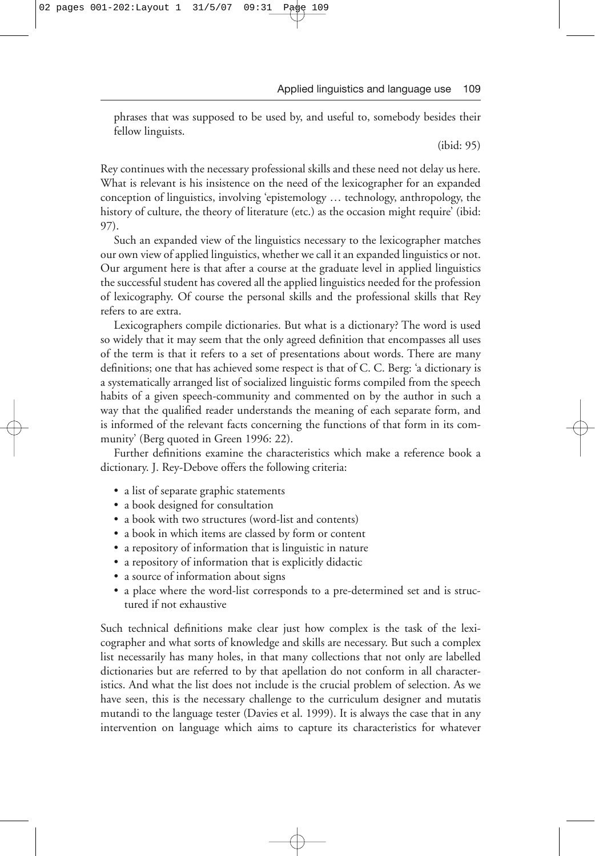phrases that was supposed to be used by, and useful to, somebody besides their fellow linguists.

(ibid: 95)

Rey continues with the necessary professional skills and these need not delay us here. What is relevant is his insistence on the need of the lexicographer for an expanded conception of linguistics, involving 'epistemology … technology, anthropology, the history of culture, the theory of literature (etc.) as the occasion might require' (ibid: 97).

Such an expanded view of the linguistics necessary to the lexicographer matches our own view of applied linguistics, whether we call it an expanded linguistics or not. Our argument here is that after a course at the graduate level in applied linguistics the successful student has covered all the applied linguistics needed for the profession of lexicography. Of course the personal skills and the professional skills that Rey refers to are extra.

Lexicographers compile dictionaries. But what is a dictionary? The word is used so widely that it may seem that the only agreed definition that encompasses all uses of the term is that it refers to a set of presentations about words. There are many definitions; one that has achieved some respect is that of C. C. Berg: 'a dictionary is a systematically arranged list of socialized linguistic forms compiled from the speech habits of a given speech-community and commented on by the author in such a way that the qualified reader understands the meaning of each separate form, and is informed of the relevant facts concerning the functions of that form in its community' (Berg quoted in Green 1996: 22).

Further definitions examine the characteristics which make a reference book a dictionary. J. Rey-Debove offers the following criteria:

- a list of separate graphic statements
- a book designed for consultation
- a book with two structures (word-list and contents)
- a book in which items are classed by form or content
- a repository of information that is linguistic in nature
- a repository of information that is explicitly didactic
- a source of information about signs
- a place where the word-list corresponds to a pre-determined set and is structured if not exhaustive

Such technical definitions make clear just how complex is the task of the lexicographer and what sorts of knowledge and skills are necessary. But such a complex list necessarily has many holes, in that many collections that not only are labelled dictionaries but are referred to by that apellation do not conform in all characteristics. And what the list does not include is the crucial problem of selection. As we have seen, this is the necessary challenge to the curriculum designer and mutatis mutandi to the language tester (Davies et al. 1999). It is always the case that in any intervention on language which aims to capture its characteristics for whatever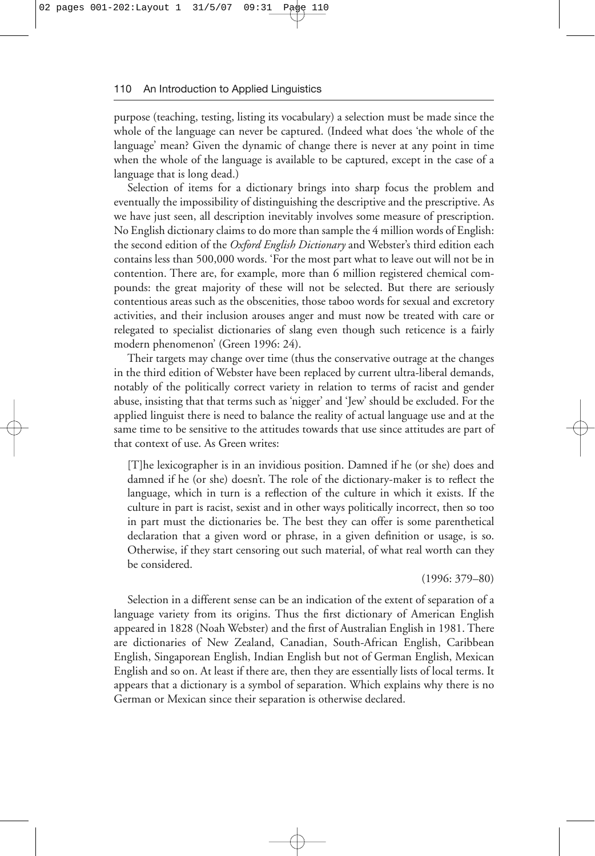purpose (teaching, testing, listing its vocabulary) a selection must be made since the whole of the language can never be captured. (Indeed what does 'the whole of the language' mean? Given the dynamic of change there is never at any point in time when the whole of the language is available to be captured, except in the case of a language that is long dead.)

Selection of items for a dictionary brings into sharp focus the problem and eventually the impossibility of distinguishing the descriptive and the prescriptive. As we have just seen, all description inevitably involves some measure of prescription. No English dictionary claims to do more than sample the 4 million words of English: the second edition of the *Oxford English Dictionary* and Webster's third edition each contains less than 500,000 words. 'For the most part what to leave out will not be in contention. There are, for example, more than 6 million registered chemical com pounds: the great majority of these will not be selected. But there are seriously contentious areas such as the obscenities, those taboo words for sexual and excretory activities, and their inclusion arouses anger and must now be treated with care or relegated to specialist dictionaries of slang even though such reticence is a fairly modern phenomenon' (Green 1996: 24).

Their targets may change over time (thus the conservative outrage at the changes in the third edition of Webster have been replaced by current ultra-liberal demands, notably of the politically correct variety in relation to terms of racist and gender abuse, insisting that that terms such as 'nigger' and 'Jew' should be excluded. For the applied linguist there is need to balance the reality of actual language use and at the same time to be sensitive to the attitudes towards that use since attitudes are part of that context of use. As Green writes:

[T]he lexicographer is in an invidious position. Damned if he (or she) does and damned if he (or she) doesn't. The role of the dictionary-maker is to reflect the language, which in turn is a reflection of the culture in which it exists. If the culture in part is racist, sexist and in other ways politically incorrect, then so too in part must the dictionaries be. The best they can offer is some parenthetical declaration that a given word or phrase, in a given definition or usage, is so. Otherwise, if they start censoring out such material, of what real worth can they be considered.

(1996: 379–80)

Selection in a different sense can be an indication of the extent of separation of a language variety from its origins. Thus the first dictionary of American English appeared in 1828 (Noah Webster) and the first of Australian English in 1981. There are dictionaries of New Zealand, Canadian, South-African English, Caribbean English, Singaporean English, Indian English but not of German English, Mexican English and so on. At least if there are, then they are essentially lists of local terms. It appears that a dictionary is a symbol of separation. Which explains why there is no German or Mexican since their separation is otherwise declared.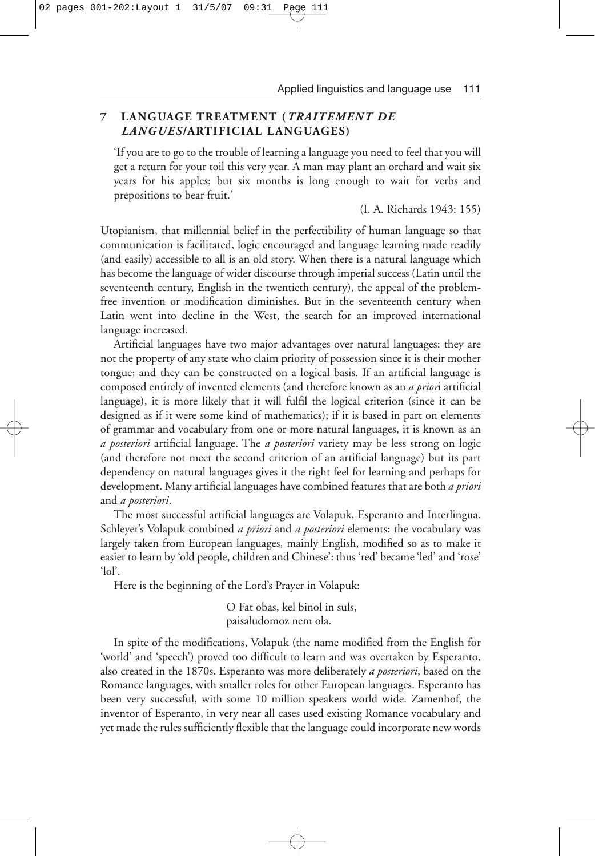# **7 LANGUAGE TREATMENT (***TRAITEMENT DE LANGUES* **/ARTIFICIAL LANGUAGES)**

'If you are to go to the trouble of learning a language you need to feel that you will get a return for your toil this very year. A man may plant an orchard and wait six years for his apples; but six months is long enough to wait for verbs and prepositions to bear fruit.'

(I. A. Richards 1943: 155)

Utopianism, that millennial belief in the perfectibility of human language so that communication is facilitated, logic encouraged and language learning made readily (and easily) accessible to all is an old story. When there is a natural language which has become the language of wider discourse through imperial success (Latin until the seventeenth century, English in the twentieth century), the appeal of the problemfree invention or modification diminishes. But in the seventeenth century when Latin went into decline in the West, the search for an improved international language increased.

Artificial languages have two major advantages over natural languages: they are not the property of any state who claim priority of possession since it is their mother tongue; and they can be constructed on a logical basis. If an artificial language is composed entirely of invented elements (and therefore known as an *a prior*i artificial language), it is more likely that it will fulfil the logical criterion (since it can be designed as if it were some kind of mathematics); if it is based in part on elements of grammar and vocabulary from one or more natural languages, it is known as an *a posteriori* artificial language. The *a posteriori* variety may be less strong on logic (and therefore not meet the second criterion of an artificial language) but its part dependency on natural languages gives it the right feel for learning and perhaps for development. Many artificial languages have combined features that are both *a priori* and *a posteriori*.

The most successful artificial languages are Volapuk, Esperanto and Interlingua. Schleyer's Volapuk combined *a priori* and *a posteriori* elements: the vocabulary was largely taken from European languages, mainly English, modified so as to make it easier to learn by 'old people, children and Chinese': thus 'red' became 'led' and 'rose' 'lol'.

Here is the beginning of the Lord's Prayer in Volapuk:

O Fat obas, kel binol in suls, paisaludomoz nem ola.

In spite of the modifications, Volapuk (the name modified from the English for 'world' and 'speech') proved too difficult to learn and was overtaken by Esperanto, also created in the 1870s. Esperanto was more deliberately *a posteriori*, based on the Romance languages, with smaller roles for other European languages. Esperanto has been very successful, with some 10 million speakers world wide. Zamenhof, the inventor of Esperanto, in very near all cases used existing Romance vocabulary and yet made the rules sufficiently flexible that the language could incorporate new words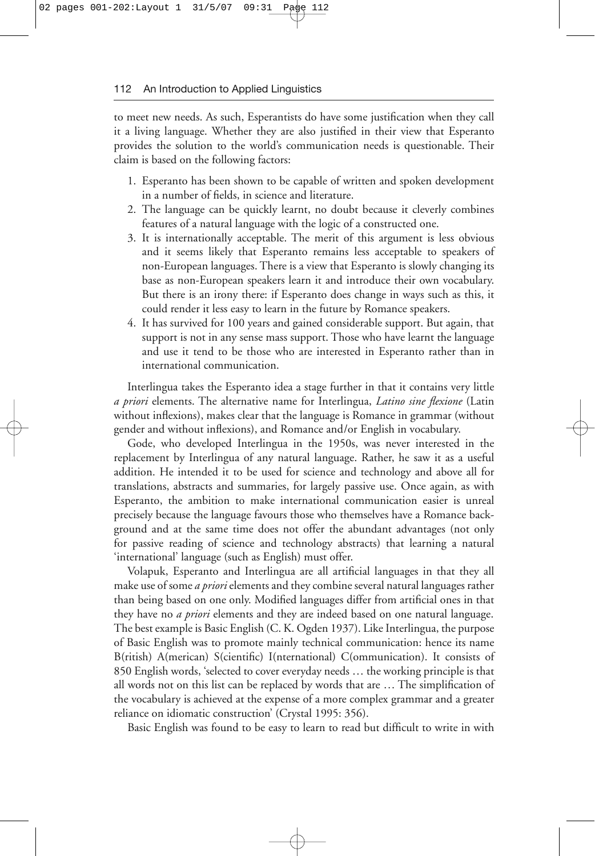to meet new needs. As such, Esperantists do have some justification when they call it a living language. Whether they are also justified in their view that Esperanto provides the solution to the world's communication needs is questionable. Their claim is based on the following factors:

- 1. Esperanto has been shown to be capable of written and spoken development in a number of fields, in science and literature.
- 2. The language can be quickly learnt, no doubt because it cleverly combines features of a natural language with the logic of a constructed one.
- 3. It is internationally acceptable. The merit of this argument is less obvious and it seems likely that Esperanto remains less acceptable to speakers of non-European languages. There is a view that Esperanto is slowly changing its base as non-European speakers learn it and introduce their own vocabulary. But there is an irony there: if Esperanto does change in ways such as this, it could render it less easy to learn in the future by Romance speakers.
- 4. It has survived for 100 years and gained considerable support. But again, that support is not in any sense mass support. Those who have learnt the language and use it tend to be those who are interested in Esperanto rather than in international communication.

Interlingua takes the Esperanto idea a stage further in that it contains very little *a priori* elements. The alternative name for Interlingua, *Latino sine flexione* (Latin without inflexions), makes clear that the language is Romance in grammar (without gender and without inflexions), and Romance and/or English in vocabulary.

Gode, who developed Interlingua in the 1950s, was never interested in the replacement by Interlingua of any natural language. Rather, he saw it as a useful addition. He intended it to be used for science and technology and above all for translations, abstracts and summaries, for largely passive use. Once again, as with Esperanto, the ambition to make international communication easier is unreal precisely because the language favours those who themselves have a Romance back ground and at the same time does not offer the abundant advantages (not only for passive reading of science and technology abstracts) that learning a natural 'international' language (such as English) must offer.

Volapuk, Esperanto and Interlingua are all artificial languages in that they all make use of some *a priori*elements and they combine several natural languages rather than being based on one only. Modified languages differ from artificial ones in that they have no *a priori* elements and they are indeed based on one natural language. The best example is Basic English (C. K. Ogden 1937). Like Interlingua, the purpose of Basic English was to promote mainly technical communication: hence its name B(ritish) A(merican) S(cientific) I(nternational) C(ommunication). It consists of 850 English words, 'selected to cover everyday needs … the working principle is that all words not on this list can be replaced by words that are … The simplification of the vocabulary is achieved at the expense of a more complex grammar and a greater reliance on idiomatic construction' (Crystal 1995: 356).

Basic English was found to be easy to learn to read but difficult to write in with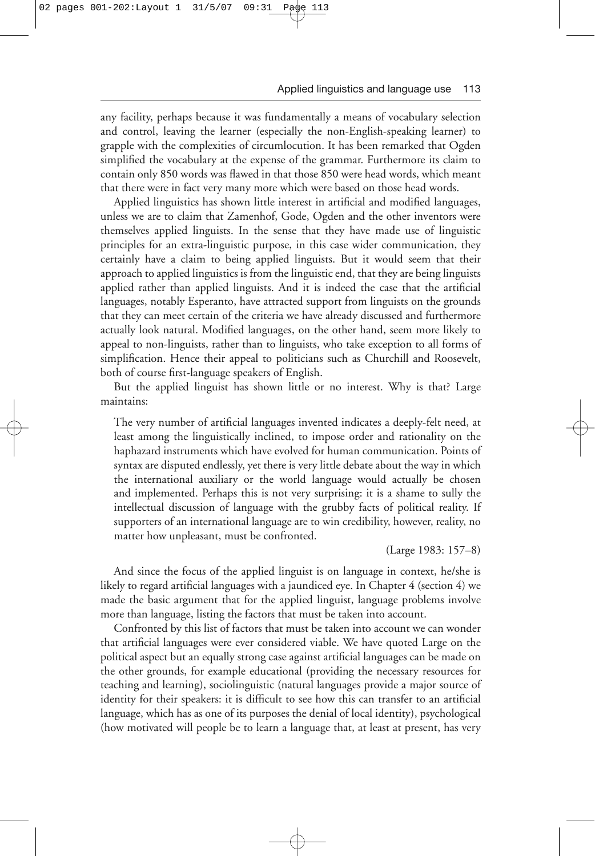any facility, perhaps because it was fundamentally a means of vocabulary selection and control, leaving the learner (especially the non-English-speaking learner) to grapple with the complexities of circumlocution. It has been remarked that Ogden simplified the vocabulary at the expense of the grammar. Furthermore its claim to contain only 850 words was flawed in that those 850 were head words, which meant that there were in fact very many more which were based on those head words.

Applied linguistics has shown little interest in artificial and modified languages, unless we are to claim that Zamenhof, Gode, Ogden and the other inventors were themselves applied linguists. In the sense that they have made use of linguistic principles for an extra-linguistic purpose, in this case wider communication, they certainly have a claim to being applied linguists. But it would seem that their approach to applied linguistics is from the linguistic end, that they are being linguists applied rather than applied linguists. And it is indeed the case that the artificial languages, notably Esperanto, have attracted support from linguists on the grounds that they can meet certain of the criteria we have already discussed and furthermore actually look natural. Modified languages, on the other hand, seem more likely to appeal to non-linguists, rather than to linguists, who take exception to all forms of simplification. Hence their appeal to politicians such as Churchill and Roosevelt, both of course first-language speakers of English.

But the applied linguist has shown little or no interest. Why is that? Large maintains:

The very number of artificial languages invented indicates a deeply-felt need, at least among the linguistically inclined, to impose order and rationality on the haphazard instruments which have evolved for human communication. Points of syntax are disputed endlessly, yet there is very little debate about the way in which the international auxiliary or the world language would actually be chosen and implemented. Perhaps this is not very surprising: it is a shame to sully the intellectual discussion of language with the grubby facts of political reality. If supporters of an international language are to win credibility, however, reality, no matter how unpleasant, must be confronted.

(Large 1983: 157–8)

And since the focus of the applied linguist is on language in context, he/she is likely to regard artificial languages with a jaundiced eye. In Chapter 4 (section 4) we made the basic argument that for the applied linguist, language problems involve more than language, listing the factors that must be taken into account.

Confronted by this list of factors that must be taken into account we can wonder that artificial languages were ever considered viable. We have quoted Large on the political aspect but an equally strong case against artificial languages can be made on the other grounds, for example educational (providing the necessary resources for teaching and learning), sociolinguistic (natural languages provide a major source of identity for their speakers: it is difficult to see how this can transfer to an artificial language, which has as one of its purposes the denial of local identity), psychological (how motivated will people be to learn a language that, at least at present, has very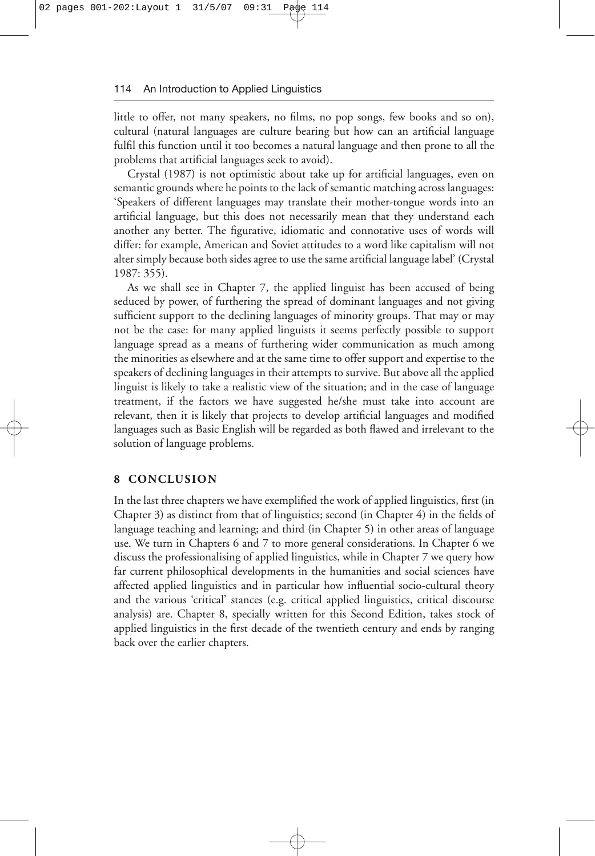little to offer, not many speakers, no films, no pop songs, few books and so on), cultural (natural languages are culture bearing but how can an artificial language fulfil this function until it too becomes a natural language and then prone to all the problems that artificial languages seek to avoid).

Crystal (1987) is not optimistic about take up for artificial languages, even on semantic grounds where he points to the lack of semantic matching across languages: 'Speakers of different languages may translate their mother-tongue words into an artificial language, but this does not necessarily mean that they understand each another any better. The figurative, idiomatic and connotative uses of words will differ: for example, American and Soviet attitudes to a word like capitalism will not alter simply because both sides agree to use the same artificial language label' (Crystal 1987: 355).

As we shall see in Chapter 7, the applied linguist has been accused of being seduced by power, of furthering the spread of dominant languages and not giving sufficient support to the declining languages of minority groups. That may or may not be the case: for many applied linguists it seems perfectly possible to support language spread as a means of furthering wider communication as much among the minorities as elsewhere and at the same time to offer support and expertise to the speakers of declining languages in their attempts to survive. But above all the applied linguist is likely to take a realistic view of the situation; and in the case of language treatment, if the factors we have suggested he/she must take into account are relevant, then it is likely that projects to develop artificial languages and modified languages such as Basic English will be regarded as both flawed and irrelevant to the solution of language problems.

## **8 CONCLUSION**

In the last three chapters we have exemplified the work of applied linguistics, first (in Chapter 3) as distinct from that of linguistics; second (in Chapter 4) in the fields of language teaching and learning; and third (in Chapter 5) in other areas of language use. We turn in Chapters 6 and 7 to more general considerations. In Chapter 6 we discuss the professionalising of applied linguistics, while in Chapter 7 we query how far current philosophical developments in the humanities and social sciences have affected applied linguistics and in particular how influential socio-cultural theory and the various 'critical' stances (e.g. critical applied linguistics, critical discourse analysis) are. Chapter 8, specially written for this Second Edition, takes stock of applied linguistics in the first decade of the twentieth century and ends by ranging back over the earlier chapters.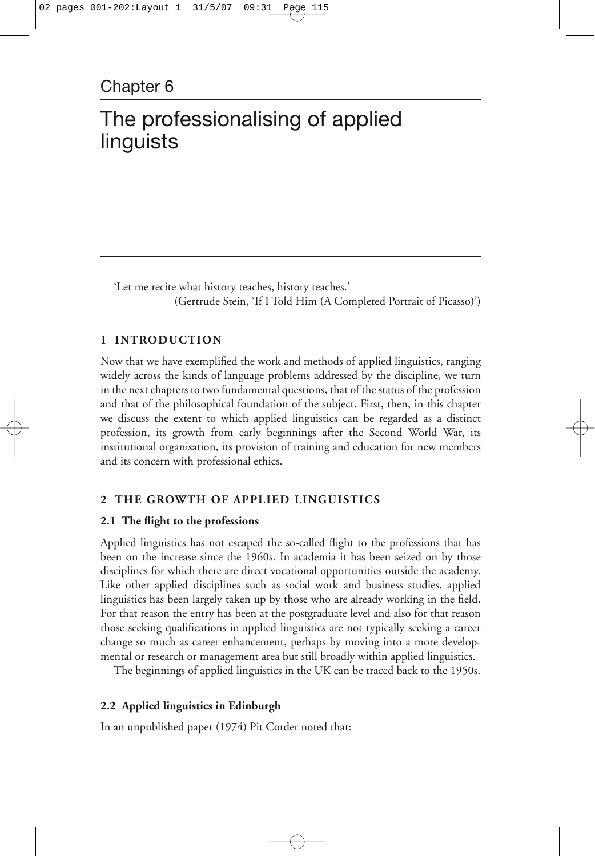# The professionalising of applied linguists

'Let me recite what history teaches, history teaches.' (Gertrude Stein, 'If I Told Him (A Completed Portrait of Picasso)')

# **1 INTRODUCTION**

Now that we have exemplified the work and methods of applied linguistics, ranging widely across the kinds of language problems addressed by the discipline, we turn in the next chapters to two fundamental questions, that of the status of the profession and that of the philosophical foundation of the subject. First, then, in this chapter we discuss the extent to which applied linguistics can be regarded as a distinct profession, its growth from early beginnings after the Second World War, its institutional organisation, its provision of training and education for new members and its concern with professional ethics.

# **2 THE GROWTH OF APPLIED LINGUISTICS**

## **2.1 The flight to the professions**

Applied linguistics has not escaped the so-called flight to the professions that has been on the increase since the 1960s. In academia it has been seized on by those disciplines for which there are direct vocational opportunities outside the academy. Like other applied disciplines such as social work and business studies, applied linguistics has been largely taken up by those who are already working in the field. For that reason the entry has been at the postgraduate level and also for that reason those seeking qualifications in applied linguistics are not typically seeking a career change so much as career enhancement, perhaps by moving into a more developmental or research or management area but still broadly within applied linguistics.

The beginnings of applied linguistics in the UK can be traced back to the 1950s.

# **2.2 Applied linguistics in Edinburgh**

In an unpublished paper (1974) Pit Corder noted that: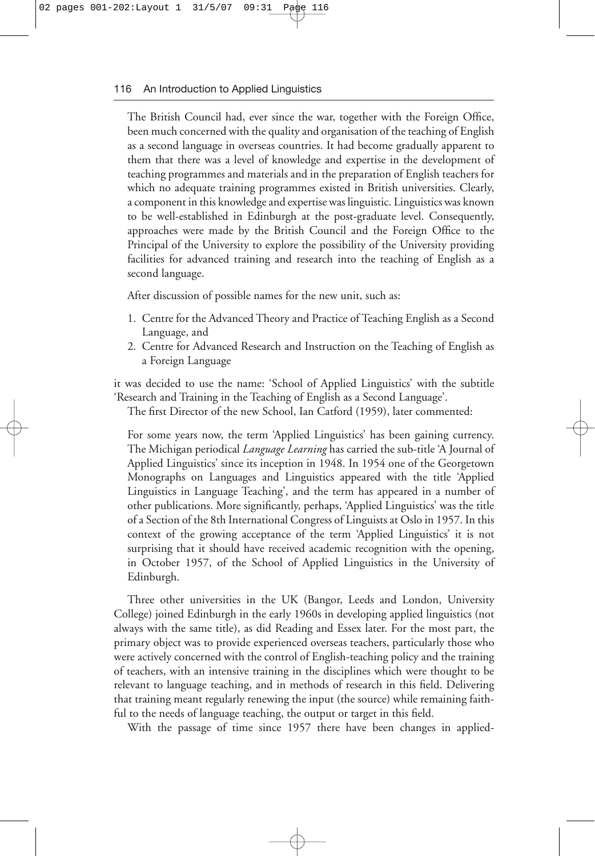The British Council had, ever since the war, together with the Foreign Office, been much concerned with the quality and organisation of the teaching of English as a second language in overseas countries. It had become gradually apparent to them that there was a level of knowledge and expertise in the development of teaching programmes and materials and in the preparation of English teachers for which no adequate training programmes existed in British universities. Clearly, a component in this knowledge and expertise was linguistic. Linguistics was known to be well-established in Edinburgh at the post-graduate level. Consequently, approaches were made by the British Council and the Foreign Office to the Principal of the University to explore the possibility of the University providing facilities for advanced training and research into the teaching of English as a second language.

After discussion of possible names for the new unit, such as:

- 1. Centre for the Advanced Theory and Practice of Teaching English as a Second Language, and
- 2. Centre for Advanced Research and Instruction on the Teaching of English as a Foreign Language

it was decided to use the name: 'School of Applied Linguistics' with the subtitle 'Research and Training in the Teaching of English as a Second Language'.

The first Director of the new School, Ian Catford (1959), later commented:

For some years now, the term 'Applied Linguistics' has been gaining currency. The Michigan periodical *Language Learning* has carried the sub-title 'A Journal of Applied Linguistics' since its inception in 1948. In 1954 one of the Georgetown Monographs on Languages and Linguistics appeared with the title 'Applied Linguistics in Language Teaching', and the term has appeared in a number of other publications. More significantly, perhaps, 'Applied Linguistics' was the title of a Section of the 8th International Congress of Linguists at Oslo in 1957. In this context of the growing acceptance of the term 'Applied Linguistics' it is not surprising that it should have received academic recognition with the opening, in October 1957, of the School of Applied Linguistics in the University of Edinburgh.

Three other universities in the UK (Bangor, Leeds and London, University College) joined Edinburgh in the early 1960s in developing applied linguistics (not always with the same title), as did Reading and Essex later. For the most part, the primary object was to provide experienced overseas teachers, particularly those who were actively concerned with the control of English-teaching policy and the training of teachers, with an intensive training in the disciplines which were thought to be relevant to language teaching, and in methods of research in this field. Delivering that training meant regularly renewing the input (the source) while remaining faith ful to the needs of language teaching, the output or target in this field.

With the passage of time since 1957 there have been changes in applied-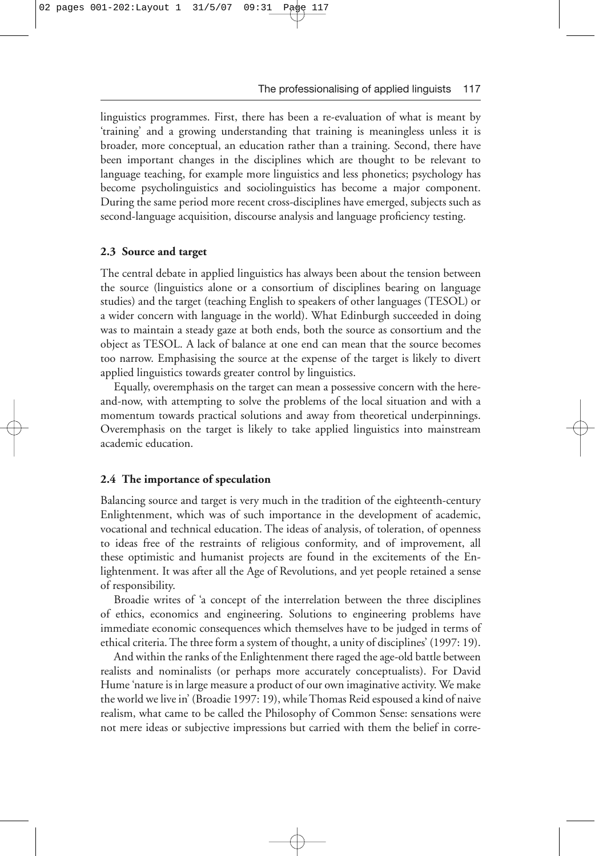linguistics programmes. First, there has been a re-evaluation of what is meant by 'training' and a growing understanding that training is meaningless unless it is broader, more conceptual, an education rather than a training. Second, there have been important changes in the disciplines which are thought to be relevant to language teaching, for example more linguistics and less phonetics; psychology has become psycholinguistics and sociolinguistics has become a major component. During the same period more recent cross-disciplines have emerged, subjects such as second-language acquisition, discourse analysis and language proficiency testing.

### **2.3 Source and target**

The central debate in applied linguistics has always been about the tension between the source (linguistics alone or a consortium of disciplines bearing on language studies) and the target (teaching English to speakers of other languages (TESOL) or a wider concern with language in the world). What Edinburgh succeeded in doing was to maintain a steady gaze at both ends, both the source as consortium and the object as TESOL. A lack of balance at one end can mean that the source becomes too narrow. Emphasising the source at the expense of the target is likely to divert applied linguistics towards greater control by linguistics.

Equally, overemphasis on the target can mean a possessive concern with the hereand-now, with attempting to solve the problems of the local situation and with a momentum towards practical solutions and away from theoretical underpinnings. Overemphasis on the target is likely to take applied linguistics into mainstream academic education.

#### **2.4 The importance of speculation**

Balancing source and target is very much in the tradition of the eighteenth-century Enlightenment, which was of such importance in the development of academic, vocational and technical education. The ideas of analysis, of toleration, of openness to ideas free of the restraints of religious conformity, and of improvement, all these optimistic and humanist projects are found in the excitements of the Enlighten ment. It was after all the Age of Revolutions, and yet people retained a sense of responsibility.

Broadie writes of 'a concept of the interrelation between the three disciplines of ethics, economics and engineering. Solutions to engineering problems have immediate economic consequences which themselves have to be judged in terms of ethical criteria. The three form a system of thought, a unity of disciplines' (1997: 19).

And within the ranks of the Enlightenment there raged the age-old battle between realists and nominalists (or perhaps more accurately conceptualists). For David Hume 'nature is in large measure a product of our own imaginative activity. We make the world we live in' (Broadie 1997: 19), while Thomas Reid espoused a kind of naive realism, what came to be called the Philosophy of Common Sense: sensations were not mere ideas or subjective impressions but carried with them the belief in corre -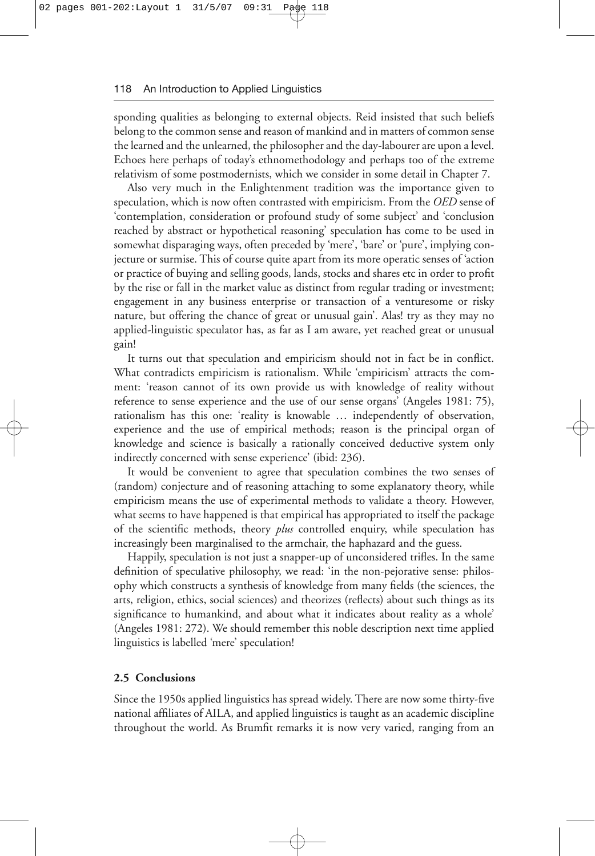sponding qualities as belonging to external objects. Reid insisted that such beliefs belong to the common sense and reason of mankind and in matters of common sense the learned and the unlearned, the philosopher and the day-labourer are upon a level. Echoes here perhaps of today's ethnomethodology and perhaps too of the extreme relativism of some postmodernists, which we consider in some detail in Chapter 7.

Also very much in the Enlightenment tradition was the importance given to speculation, which is now often contrasted with empiricism. From the *OED* sense of 'contemplation, consideration or profound study of some subject' and 'conclusion reached by abstract or hypothetical reasoning' speculation has come to be used in somewhat disparaging ways, often preceded by 'mere', 'bare' or 'pure', implying conjecture or surmise. This of course quite apart from its more operatic senses of 'action or practice of buying and selling goods, lands, stocks and shares etc in order to profit by the rise or fall in the market value as distinct from regular trading or investment; engagement in any business enterprise or transaction of a venturesome or risky nature, but offering the chance of great or unusual gain'. Alas! try as they may no applied-linguistic speculator has, as far as I am aware, yet reached great or unusual gain!

It turns out that speculation and empiricism should not in fact be in conflict. What contradicts empiricism is rationalism. While 'empiricism' attracts the comment: 'reason cannot of its own provide us with knowledge of reality without reference to sense experience and the use of our sense organs' (Angeles 1981: 75), rationalism has this one: 'reality is knowable ... independently of observation, experience and the use of empirical methods; reason is the principal organ of knowledge and science is basically a rationally conceived deductive system only indirectly concerned with sense experience' (ibid: 236).

It would be convenient to agree that speculation combines the two senses of (random) conjecture and of reasoning attaching to some explanatory theory, while empiricism means the use of experimental methods to validate a theory. However, what seems to have happened is that empirical has appropriated to itself the package of the scientific methods, theory *plus* controlled enquiry, while speculation has increasingly been marginalised to the armchair, the haphazard and the guess.

Happily, speculation is not just a snapper-up of unconsidered trifles. In the same definition of speculative philosophy, we read: 'in the non-pejorative sense: philosophy which constructs a synthesis of knowledge from many fields (the sciences, the arts, religion, ethics, social sciences) and theorizes (reflects) about such things as its significance to humankind, and about what it indicates about reality as a whole' (Angeles 1981: 272). We should remember this noble description next time applied linguistics is labelled 'mere' speculation!

## **2.5 Conclusions**

Since the 1950s applied linguistics has spread widely. There are now some thirty-five national affiliates of AILA, and applied linguistics is taught as an academic discipline throughout the world. As Brumfit remarks it is now very varied, ranging from an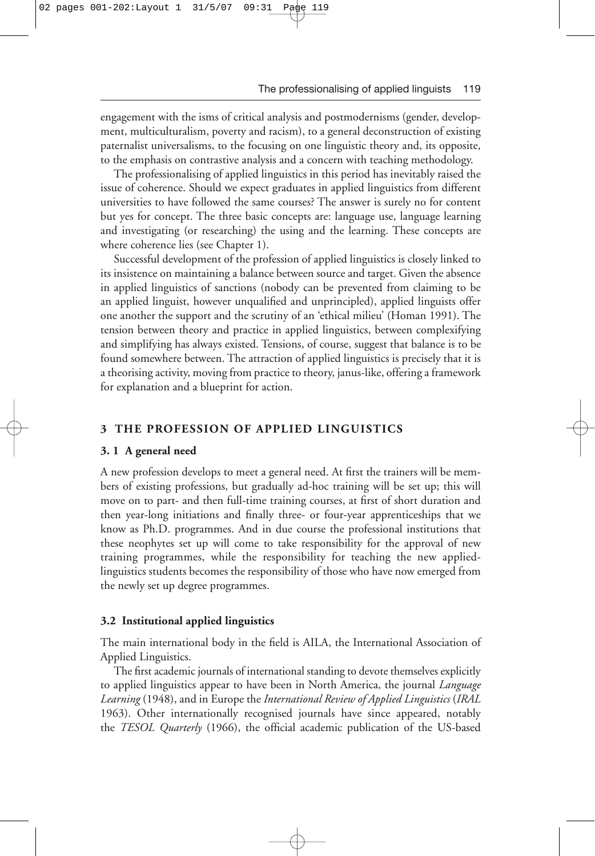engagement with the isms of critical analysis and postmodernisms (gender, development, multiculturalism, poverty and racism), to a general deconstruction of existing paternalist universalisms, to the focusing on one linguistic theory and, its opposite, to the emphasis on contrastive analysis and a concern with teaching methodology.

The professionalising of applied linguistics in this period has inevitably raised the issue of coherence. Should we expect graduates in applied linguistics from different universities to have followed the same courses? The answer is surely no for content but yes for concept. The three basic concepts are: language use, language learning and investigating (or researching) the using and the learning. These concepts are where coherence lies (see Chapter 1).

Successful development of the profession of applied linguistics is closely linked to its insistence on maintaining a balance between source and target. Given the absence in applied linguistics of sanctions (nobody can be prevented from claiming to be an applied linguist, however unqualified and unprincipled), applied linguists offer one another the support and the scrutiny of an 'ethical milieu' (Homan 1991). The tension between theory and practice in applied linguistics, between complexifying and simplifying has always existed. Tensions, of course, suggest that balance is to be found somewhere between. The attraction of applied linguistics is precisely that it is a theorising activity, moving from practice to theory, janus-like, offering a framework for explanation and a blueprint for action.

## **3 THE PROFESSION OF APPLIED LINGUISTICS**

#### **3. 1 A general need**

A new profession develops to meet a general need. At first the trainers will be mem bers of existing professions, but gradually ad-hoc training will be set up; this will move on to part- and then full-time training courses, at first of short duration and then year-long initiations and finally three- or four-year apprenticeships that we know as Ph.D. programmes. And in due course the professional institutions that these neophytes set up will come to take responsibility for the approval of new training programmes, while the responsibility for teaching the new appliedlinguistics students becomes the responsibility of those who have now emerged from the newly set up degree programmes.

#### **3.2 Institutional applied linguistics**

The main international body in the field is AILA, the International Association of Applied Linguistics.

The first academic journals of international standing to devote themselves explicitly to applied linguistics appear to have been in North America, the journal *Language Learning* (1948), and in Europe the *International Review of Applied Linguistics* (*IRAL* 1963). Other internationally recognised journals have since appeared, notably the *TESOL Quarterly* (1966), the official academic publication of the US-based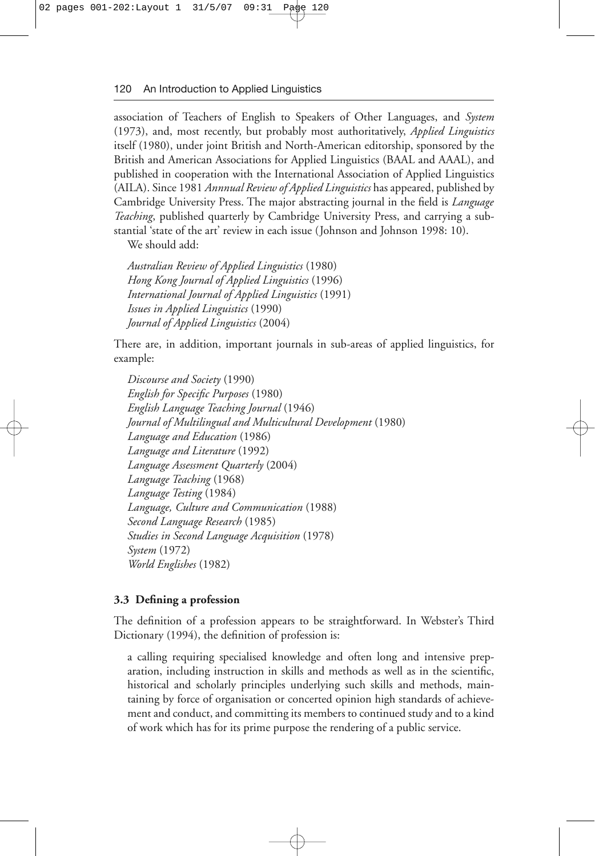association of Teachers of English to Speakers of Other Languages, and *System* (1973), and, most recently, but probably most authoritatively, *Applied Linguistics* itself (1980), under joint British and North-American editorship, sponsored by the British and American Associations for Applied Linguistics (BAAL and AAAL), and published in cooperation with the International Association of Applied Linguistics (AILA). Since 1981 *Annnual Review of Applied Linguistics* has appeared, published by Cambridge University Press. The major abstracting journal in the field is *Language Teaching*, published quarterly by Cambridge University Press, and carrying a substantial 'state of the art' review in each issue (Johnson and Johnson 1998: 10).

We should add:

*Australian Review of Applied Linguistics* (1980) *Hong Kong Journal of Applied Linguistics* (1996) *International Journal of Applied Linguistics* (1991) *Issues in Applied Linguistics* (1990) *Journal of Applied Linguistics* (2004)

There are, in addition, important journals in sub-areas of applied linguistics, for example:

*Discourse and Society* (1990) *English for Specific Purposes* (1980) *English Language Teaching Journal* (1946) *Journal of Multilingual and Multicultural Development* (1980) *Language and Education* (1986) *Language and Literature* (1992) *Language Assessment Quarterly* (2004) *Language Teaching* (1968) *Language Testing* (1984) *Language, Culture and Communication* (1988) *Second Language Research* (1985) *Studies in Second Language Acquisition* (1978) *System* (1972) *World Englishes* (1982)

## **3.3 Defining a profession**

The definition of a profession appears to be straightforward. In Webster's Third Dictionary (1994), the definition of profession is:

a calling requiring specialised knowledge and often long and intensive preparation, including instruction in skills and methods as well as in the scientific, historical and scholarly principles underlying such skills and methods, maintaining by force of organisation or concerted opinion high standards of achieve ment and conduct, and committing its members to continued study and to a kind of work which has for its prime purpose the rendering of a public service.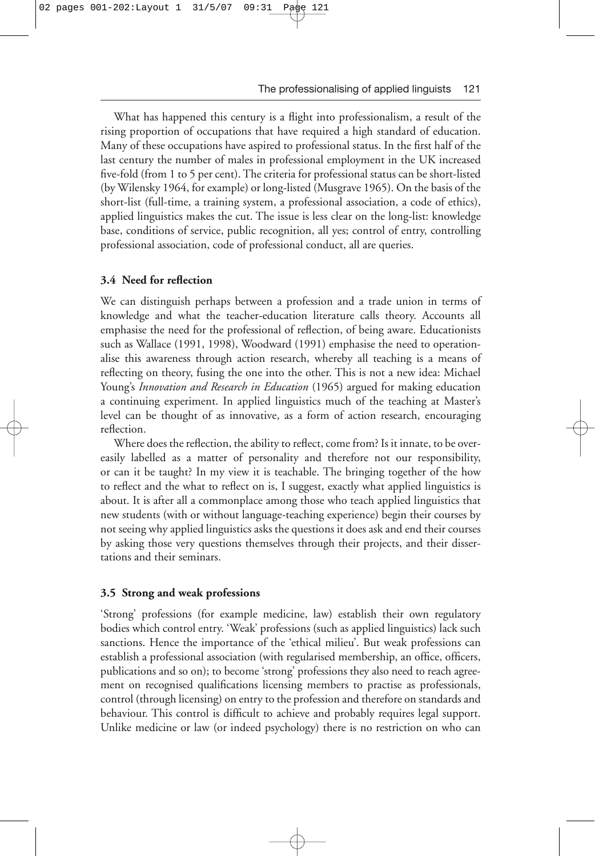What has happened this century is a flight into professionalism, a result of the rising proportion of occupations that have required a high standard of education. Many of these occupations have aspired to professional status. In the first half of the last century the number of males in professional employment in the UK increased five-fold (from 1 to 5 per cent). The criteria for professional status can be short-listed (by Wilensky 1964, for example) or long-listed (Musgrave 1965). On the basis of the short-list (full-time, a training system, a professional association, a code of ethics), applied linguistics makes the cut. The issue is less clear on the long-list: knowledge base, conditions of service, public recognition, all yes; control of entry, controlling professional association, code of professional conduct, all are queries.

### **3.4 Need for reflection**

We can distinguish perhaps between a profession and a trade union in terms of knowledge and what the teacher-education literature calls theory. Accounts all emphasise the need for the professional of reflection, of being aware. Educationists such as Wallace (1991, 1998), Woodward (1991) emphasise the need to operationalise this awareness through action research, whereby all teaching is a means of reflecting on theory, fusing the one into the other. This is not a new idea: Michael Young's *Innovation and Research in Education* (1965) argued for making education a continuing experiment. In applied linguistics much of the teaching at Master's level can be thought of as innovative, as a form of action research, encouraging reflection.

Where does the reflection, the ability to reflect, come from? Is it innate, to be overeasily labelled as a matter of personality and therefore not our responsibility, or can it be taught? In my view it is teachable. The bringing together of the how to reflect and the what to reflect on is, I suggest, exactly what applied linguistics is about. It is after all a commonplace among those who teach applied linguistics that new students (with or without language-teaching experience) begin their courses by not seeing why applied linguistics asks the questions it does ask and end their courses by asking those very questions themselves through their projects, and their dissertations and their seminars.

#### **3.5 Strong and weak professions**

'Strong' professions (for example medicine, law) establish their own regulatory bodies which control entry. 'Weak' professions (such as applied linguistics) lack such sanctions. Hence the importance of the 'ethical milieu'. But weak professions can establish a professional association (with regularised membership, an office, officers, publications and so on); to become 'strong' professions they also need to reach agreement on recognised qualifications licensing members to practise as professionals, control (through licensing) on entry to the profession and therefore on standards and behaviour. This control is difficult to achieve and probably requires legal support. Unlike medicine or law (or indeed psychology) there is no restriction on who can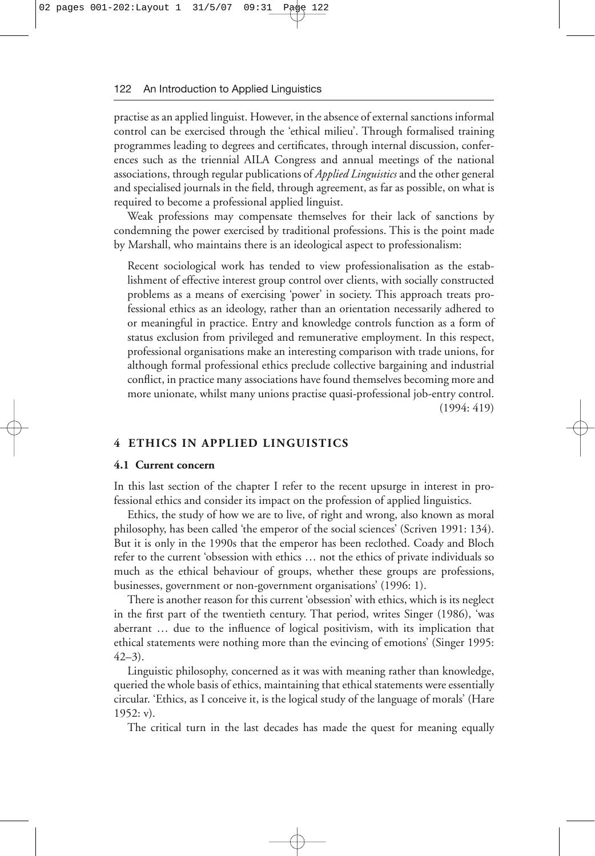practise as an applied linguist. However, in the absence of external sanctions informal control can be exercised through the 'ethical milieu'. Through formalised training programmes leading to degrees and certificates, through internal discussion, confer ences such as the triennial AILA Congress and annual meetings of the national associations, through regular publications of *Applied Linguistics* and the other general and specialised journals in the field, through agreement, as far as possible, on what is required to become a professional applied linguist.

Weak professions may compensate themselves for their lack of sanctions by condemning the power exercised by traditional professions. This is the point made by Marshall, who maintains there is an ideological aspect to professionalism:

Recent sociological work has tended to view professionalisation as the establishment of effective interest group control over clients, with socially constructed problems as a means of exercising 'power' in society. This approach treats professional ethics as an ideology, rather than an orientation necessarily adhered to or meaningful in practice. Entry and knowledge controls function as a form of status exclusion from privileged and remunerative employment. In this respect, professional organisations make an interesting comparison with trade unions, for although formal professional ethics preclude collective bargaining and industrial conflict, in practice many associations have found themselves becoming more and more unionate, whilst many unions practise quasi-professional job-entry control. (1994: 419)

## **4 ETHICS IN APPLIED LINGUISTICS**

#### **4.1 Current concern**

In this last section of the chapter I refer to the recent upsurge in interest in professional ethics and consider its impact on the profession of applied linguistics.

Ethics, the study of how we are to live, of right and wrong, also known as moral philosophy, has been called 'the emperor of the social sciences' (Scriven 1991: 134). But it is only in the 1990s that the emperor has been reclothed. Coady and Bloch refer to the current 'obsession with ethics … not the ethics of private individuals so much as the ethical behaviour of groups, whether these groups are professions, businesses, government or non-government organisations' (1996: 1).

There is another reason for this current 'obsession' with ethics, which is its neglect in the first part of the twentieth century. That period, writes Singer (1986), 'was aberrant … due to the influence of logical positivism, with its implication that ethical statements were nothing more than the evincing of emotions' (Singer 1995: 42–3).

Linguistic philosophy, concerned as it was with meaning rather than knowledge, queried the whole basis of ethics, maintaining that ethical statements were essentially circular. 'Ethics, as I conceive it, is the logical study of the language of morals' (Hare 1952: v).

The critical turn in the last decades has made the quest for meaning equally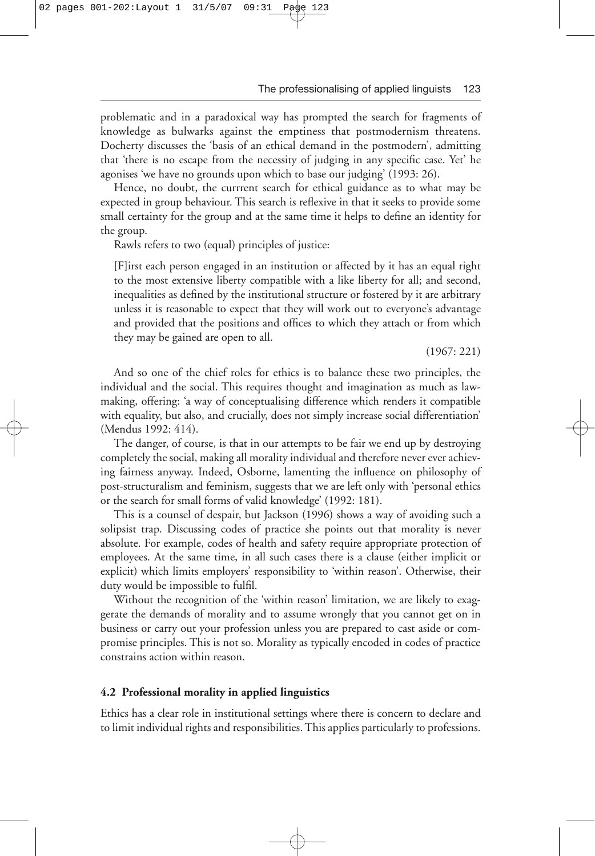problematic and in a paradoxical way has prompted the search for fragments of knowledge as bulwarks against the emptiness that postmodernism threatens. Docherty discusses the 'basis of an ethical demand in the postmodern', admitting that 'there is no escape from the necessity of judging in any specific case. Yet' he agonises 'we have no grounds upon which to base our judging' (1993: 26).

Hence, no doubt, the currrent search for ethical guidance as to what may be expected in group behaviour. This search is reflexive in that it seeks to provide some small certainty for the group and at the same time it helps to define an identity for the group.

Rawls refers to two (equal) principles of justice:

[F]irst each person engaged in an institution or affected by it has an equal right to the most extensive liberty compatible with a like liberty for all; and second, inequalities as defined by the institutional structure or fostered by it are arbitrary unless it is reasonable to expect that they will work out to everyone's advantage and provided that the positions and offices to which they attach or from which they may be gained are open to all.

(1967: 221)

And so one of the chief roles for ethics is to balance these two principles, the individual and the social. This requires thought and imagination as much as lawmaking, offering: 'a way of conceptualising difference which renders it compatible with equality, but also, and crucially, does not simply increase social differentiation' (Mendus 1992: 414).

The danger, of course, is that in our attempts to be fair we end up by destroying completely the social, making all morality individual and therefore never ever achieving fairness anyway. Indeed, Osborne, lamenting the influence on philosophy of post-structuralism and feminism, suggests that we are left only with 'personal ethics or the search for small forms of valid knowledge' (1992: 181).

This is a counsel of despair, but Jackson (1996) shows a way of avoiding such a solipsist trap. Discussing codes of practice she points out that morality is never absolute. For example, codes of health and safety require appropriate protection of employees. At the same time, in all such cases there is a clause (either implicit or explicit) which limits employers' responsibility to 'within reason'. Otherwise, their duty would be impossible to fulfil.

Without the recognition of the 'within reason' limitation, we are likely to exaggerate the demands of morality and to assume wrongly that you cannot get on in business or carry out your profession unless you are prepared to cast aside or com promise principles. This is not so. Morality as typically encoded in codes of practice constrains action within reason.

#### **4.2 Professional morality in applied linguistics**

Ethics has a clear role in institutional settings where there is concern to declare and to limit individual rights and responsibilities. This applies particularly to professions.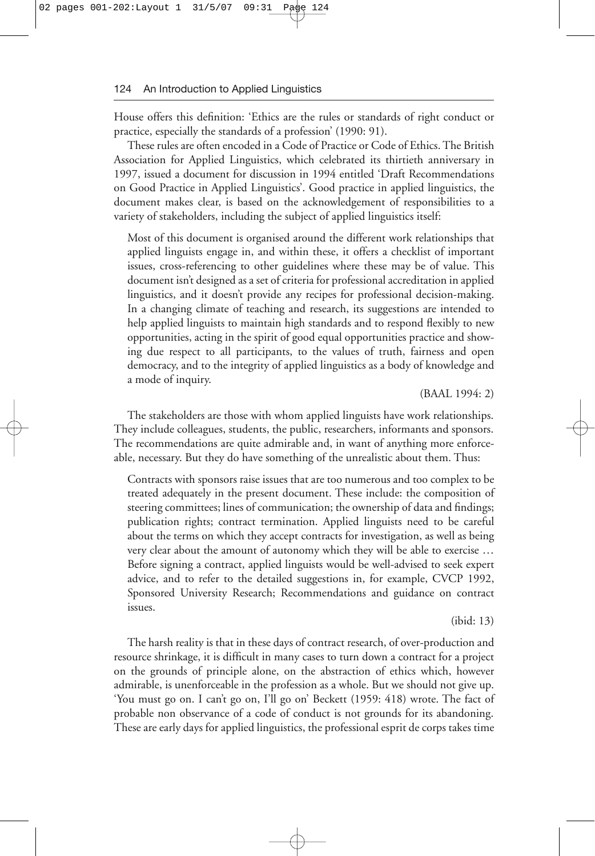House offers this definition: 'Ethics are the rules or standards of right conduct or practice, especially the standards of a profession' (1990: 91).

These rules are often encoded in a Code of Practice or Code of Ethics. The British Association for Applied Linguistics, which celebrated its thirtieth anniversary in 1997, issued a document for discussion in 1994 entitled 'Draft Recommendations on Good Practice in Applied Linguistics'. Good practice in applied linguistics, the document makes clear, is based on the acknowledgement of responsibilities to a variety of stakeholders, including the subject of applied linguistics itself:

Most of this document is organised around the different work relationships that applied linguists engage in, and within these, it offers a checklist of important issues, cross-referencing to other guidelines where these may be of value. This document isn't designed as a set of criteria for professional accreditation in applied linguistics, and it doesn't provide any recipes for professional decision-making. In a changing climate of teaching and research, its suggestions are intended to help applied linguists to maintain high standards and to respond flexibly to new opportunities, acting in the spirit of good equal opportunities practice and showing due respect to all participants, to the values of truth, fairness and open democracy, and to the integrity of applied linguistics as a body of knowledge and a mode of inquiry.

(BAAL 1994: 2)

The stakeholders are those with whom applied linguists have work relationships. They include colleagues, students, the public, researchers, informants and sponsors. The recommendations are quite admirable and, in want of anything more enforceable, necessary. But they do have something of the unrealistic about them. Thus:

Contracts with sponsors raise issues that are too numerous and too complex to be treated adequately in the present document. These include: the composition of steering committees; lines of communication; the ownership of data and findings; publication rights; contract termination. Applied linguists need to be careful about the terms on which they accept contracts for investigation, as well as being very clear about the amount of autonomy which they will be able to exercise … Before signing a contract, applied linguists would be well-advised to seek expert advice, and to refer to the detailed suggestions in, for example, CVCP 1992, Sponsored University Research; Recommendations and guidance on contract issues.

(ibid: 13)

The harsh reality is that in these days of contract research, of over-production and resource shrinkage, it is difficult in many cases to turn down a contract for a project on the grounds of principle alone, on the abstraction of ethics which, however admirable, is unenforceable in the profession as a whole. But we should not give up. 'You must go on. I can't go on, I'll go on' Beckett (1959: 418) wrote. The fact of probable non observance of a code of conduct is not grounds for its abandoning. These are early days for applied linguistics, the professional esprit de corps takes time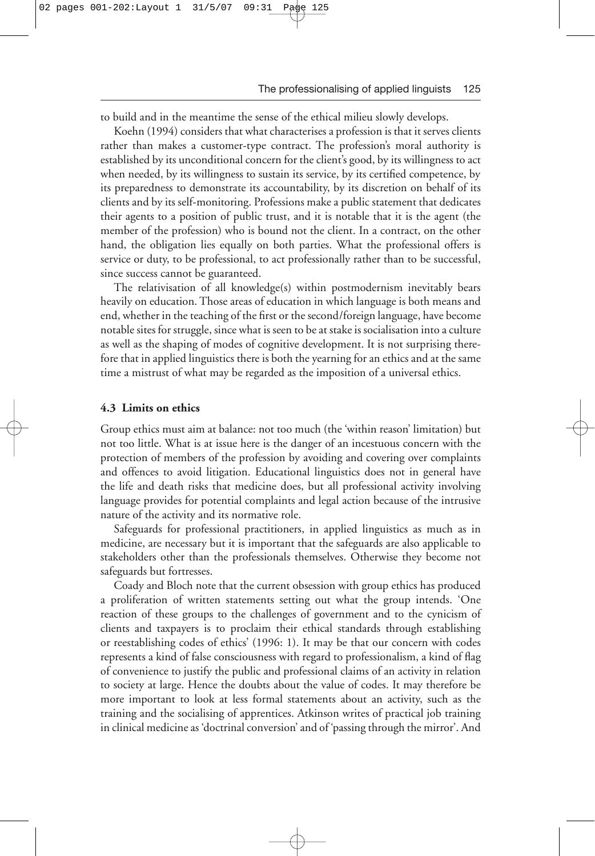to build and in the meantime the sense of the ethical milieu slowly develops.

Koehn (1994) considers that what characterises a profession is that it serves clients rather than makes a customer-type contract. The profession's moral authority is established by its unconditional concern for the client's good, by its willingness to act when needed, by its willingness to sustain its service, by its certified competence, by its preparedness to demonstrate its accountability, by its discretion on behalf of its clients and by its self-monitoring. Professions make a public statement that dedicates their agents to a position of public trust, and it is notable that it is the agent (the member of the profession) who is bound not the client. In a contract, on the other hand, the obligation lies equally on both parties. What the professional offers is service or duty, to be professional, to act professionally rather than to be successful, since success cannot be guaranteed.

The relativisation of all knowledge(s) within postmodernism inevitably bears heavily on education. Those areas of education in which language is both means and end, whether in the teaching of the first or the second/foreign language, have become notable sites for struggle, since what is seen to be at stake is socialisation into a culture as well as the shaping of modes of cognitive development. It is not surprising there fore that in applied linguistics there is both the yearning for an ethics and at the same time a mistrust of what may be regarded as the imposition of a universal ethics.

#### **4.3 Limits on ethics**

Group ethics must aim at balance: not too much (the 'within reason' limitation) but not too little. What is at issue here is the danger of an incestuous concern with the protection of members of the profession by avoiding and covering over complaints and offences to avoid litigation. Educational linguistics does not in general have the life and death risks that medicine does, but all professional activity involving language provides for potential complaints and legal action because of the intrusive nature of the activity and its normative role.

Safeguards for professional practitioners, in applied linguistics as much as in medicine, are necessary but it is important that the safeguards are also applicable to stakeholders other than the professionals themselves. Otherwise they become not safeguards but fortresses.

Coady and Bloch note that the current obsession with group ethics has produced a proliferation of written statements setting out what the group intends. 'One reaction of these groups to the challenges of government and to the cynicism of clients and taxpayers is to proclaim their ethical standards through establishing or reestablishing codes of ethics' (1996: 1). It may be that our concern with codes represents a kind of false consciousness with regard to professionalism, a kind of flag of convenience to justify the public and professional claims of an activity in relation to society at large. Hence the doubts about the value of codes. It may therefore be more important to look at less formal statements about an activity, such as the training and the socialising of apprentices. Atkinson writes of practical job training in clinical medicine as 'doctrinal conversion' and of 'passing through the mirror'. And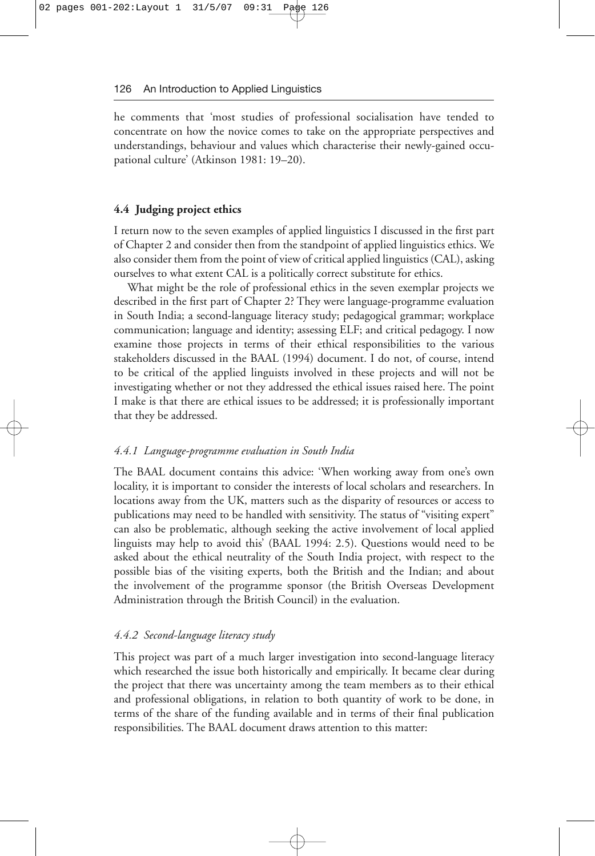he comments that 'most studies of professional socialisation have tended to concentrate on how the novice comes to take on the appropriate perspectives and understandings, behaviour and values which characterise their newly-gained occu pational culture' (Atkinson 1981: 19–20).

## **4.4 Judging project ethics**

I return now to the seven examples of applied linguistics I discussed in the first part of Chapter 2 and consider then from the standpoint of applied linguistics ethics. We also consider them from the point of view of critical applied linguistics (CAL), asking ourselves to what extent CAL is a politically correct substitute for ethics.

What might be the role of professional ethics in the seven exemplar projects we described in the first part of Chapter 2? They were language-programme evaluation in South India; a second-language literacy study; pedagogical grammar; workplace communication; language and identity; assessing ELF; and critical pedagogy. I now examine those projects in terms of their ethical responsibilities to the various stakeholders discussed in the BAAL (1994) document. I do not, of course, intend to be critical of the applied linguists involved in these projects and will not be investigating whether or not they addressed the ethical issues raised here. The point I make is that there are ethical issues to be addressed; it is professionally important that they be addressed.

## *4.4.1 Language-programme evaluation in South India*

The BAAL document contains this advice: 'When working away from one's own locality, it is important to consider the interests of local scholars and researchers. In locations away from the UK, matters such as the disparity of resources or access to publications may need to be handled with sensitivity. The status of "visiting expert" can also be problematic, although seeking the active involvement of local applied linguists may help to avoid this' (BAAL 1994: 2.5). Questions would need to be asked about the ethical neutrality of the South India project, with respect to the possible bias of the visiting experts, both the British and the Indian; and about the involvement of the programme sponsor (the British Overseas Development Administration through the British Council) in the evaluation.

## *4.4.2 Second-language literacy study*

This project was part of a much larger investigation into second-language literacy which researched the issue both historically and empirically. It became clear during the project that there was uncertainty among the team members as to their ethical and professional obligations, in relation to both quantity of work to be done, in terms of the share of the funding available and in terms of their final publication responsibilities. The BAAL document draws attention to this matter: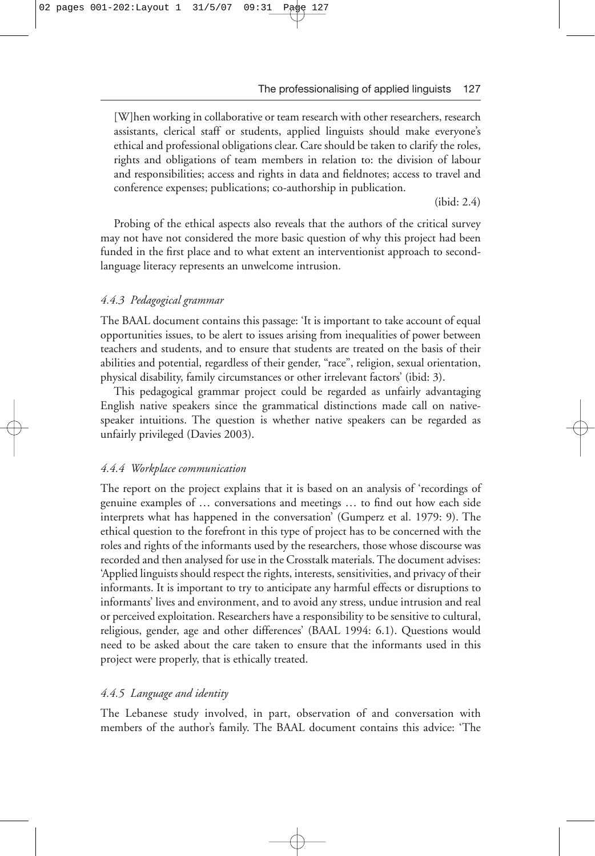[W]hen working in collaborative or team research with other researchers, research assistants, clerical staff or students, applied linguists should make everyone's ethical and professional obligations clear. Care should be taken to clarify the roles, rights and obligations of team members in relation to: the division of labour and responsibilities; access and rights in data and fieldnotes; access to travel and conference expenses; publications; co-authorship in publication.

(ibid: 2.4)

Probing of the ethical aspects also reveals that the authors of the critical survey may not have not considered the more basic question of why this project had been funded in the first place and to what extent an interventionist approach to secondlanguage literacy represents an unwelcome intrusion.

## *4.4.3 Pedagogical grammar*

The BAAL document contains this passage: 'It is important to take account of equal opportunities issues, to be alert to issues arising from inequalities of power between teachers and students, and to ensure that students are treated on the basis of their abilities and potential, regardless of their gender, "race", religion, sexual orientation, physical disability, family circumstances or other irrelevant factors' (ibid: 3).

This pedagogical grammar project could be regarded as unfairly advantaging English native speakers since the grammatical distinctions made call on nativespeaker intuitions. The question is whether native speakers can be regarded as unfairly privileged (Davies 2003).

## *4.4.4 Workplace communication*

The report on the project explains that it is based on an analysis of 'recordings of genuine examples of … conversations and meetings … to find out how each side interprets what has happened in the conversation' (Gumperz et al. 1979: 9). The ethical question to the forefront in this type of project has to be concerned with the roles and rights of the informants used by the researchers, those whose discourse was recorded and then analysed for use in the Crosstalk materials. The document advises: 'Applied linguists should respect the rights, interests, sensitivities, and privacy of their informants. It is important to try to anticipate any harmful effects or disruptions to informants' lives and environment, and to avoid any stress, undue intrusion and real or perceived exploitation. Researchers have a responsibility to be sensitive to cultural, religious, gender, age and other differences' (BAAL 1994: 6.1). Questions would need to be asked about the care taken to ensure that the informants used in this project were properly, that is ethically treated.

#### *4.4.5 Language and identity*

The Lebanese study involved, in part, observation of and conversation with members of the author's family. The BAAL document contains this advice: 'The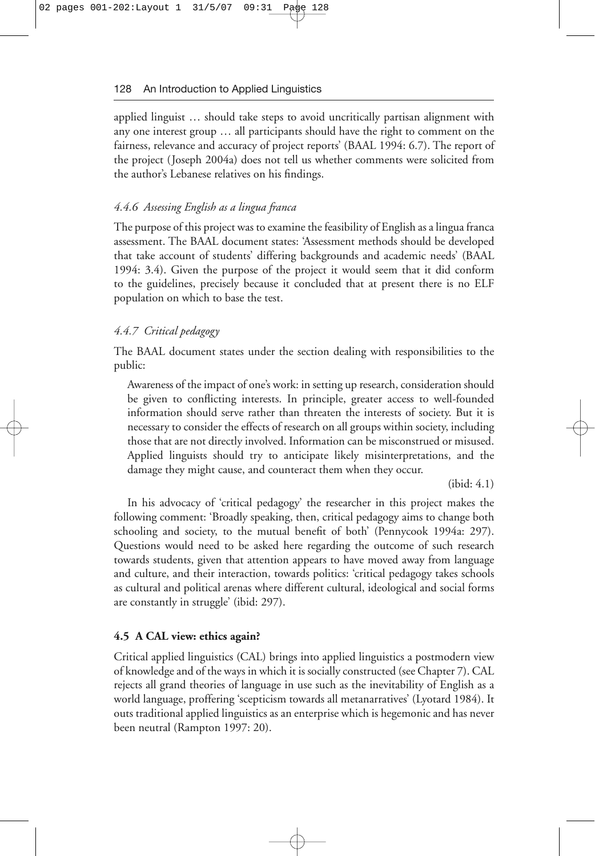applied linguist … should take steps to avoid uncritically partisan alignment with any one interest group … all participants should have the right to comment on the fairness, relevance and accuracy of project reports' (BAAL 1994: 6.7). The report of the project (Joseph 2004a) does not tell us whether comments were solicited from the author's Lebanese relatives on his findings.

# *4.4.6 Assessing English as a lingua franca*

The purpose of this project was to examine the feasibility of English as a lingua franca assessment. The BAAL document states: 'Assessment methods should be developed that take account of students' differing backgrounds and academic needs' (BAAL 1994: 3.4). Given the purpose of the project it would seem that it did conform to the guidelines, precisely because it concluded that at present there is no ELF population on which to base the test.

# *4.4.7 Critical pedagogy*

The BAAL document states under the section dealing with responsibilities to the public:

Awareness of the impact of one's work: in setting up research, consideration should be given to conflicting interests. In principle, greater access to well-founded information should serve rather than threaten the interests of society. But it is necessary to consider the effects of research on all groups within society, including those that are not directly involved. Information can be misconstrued or misused. Applied linguists should try to anticipate likely misinterpretations, and the damage they might cause, and counteract them when they occur.

(ibid: 4.1)

In his advocacy of 'critical pedagogy' the researcher in this project makes the following comment: 'Broadly speaking, then, critical pedagogy aims to change both schooling and society, to the mutual benefit of both' (Pennycook 1994a: 297). Questions would need to be asked here regarding the outcome of such research towards students, given that attention appears to have moved away from language and culture, and their interaction, towards politics: 'critical pedagogy takes schools as cultural and political arenas where different cultural, ideological and social forms are constantly in struggle' (ibid: 297).

# **4.5 A CAL view: ethics again?**

Critical applied linguistics (CAL) brings into applied linguistics a postmodern view of knowledge and of the ways in which it is socially constructed (see Chapter 7). CAL rejects all grand theories of language in use such as the inevitability of English as a world language, proffering 'scepticism towards all metanarratives' (Lyotard 1984). It outs traditional applied linguistics as an enterprise which is hegemonic and has never been neutral (Rampton 1997: 20).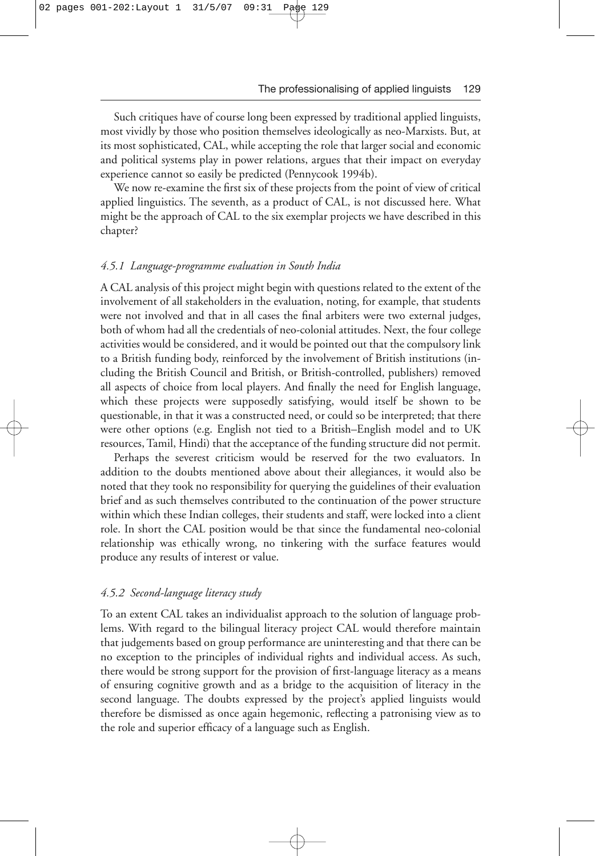Such critiques have of course long been expressed by traditional applied linguists, most vividly by those who position themselves ideologically as neo-Marxists. But, at its most sophisticated, CAL, while accepting the role that larger social and economic and political systems play in power relations, argues that their impact on everyday experience cannot so easily be predicted (Pennycook 1994b).

We now re-examine the first six of these projects from the point of view of critical applied linguistics. The seventh, as a product of CAL, is not discussed here. What might be the approach of CAL to the six exemplar projects we have described in this chapter?

#### *4.5.1 Language-programme evaluation in South India*

A CAL analysis of this project might begin with questions related to the extent of the involvement of all stakeholders in the evaluation, noting, for example, that students were not involved and that in all cases the final arbiters were two external judges, both of whom had all the credentials of neo-colonial attitudes. Next, the four college activities would be considered, and it would be pointed out that the compulsory link to a British funding body, reinforced by the involvement of British institutions (in cluding the British Council and British, or British-controlled, publishers) removed all aspects of choice from local players. And finally the need for English language, which these projects were supposedly satisfying, would itself be shown to be questionable, in that it was a constructed need, or could so be interpreted; that there were other options (e.g. English not tied to a British–English model and to UK resources, Tamil, Hindi) that the acceptance of the funding structure did not permit.

Perhaps the severest criticism would be reserved for the two evaluators. In addition to the doubts mentioned above about their allegiances, it would also be noted that they took no responsibility for querying the guidelines of their evaluation brief and as such themselves contributed to the continuation of the power structure within which these Indian colleges, their students and staff, were locked into a client role. In short the CAL position would be that since the fundamental neo-colonial relationship was ethically wrong, no tinkering with the surface features would produce any results of interest or value.

## *4.5.2 Second-language literacy study*

To an extent CAL takes an individualist approach to the solution of language problems. With regard to the bilingual literacy project CAL would therefore maintain that judgements based on group performance are uninteresting and that there can be no exception to the principles of individual rights and individual access. As such, there would be strong support for the provision of first-language literacy as a means of ensuring cognitive growth and as a bridge to the acquisition of literacy in the second language. The doubts expressed by the project's applied linguists would therefore be dismissed as once again hegemonic, reflecting a patronising view as to the role and superior efficacy of a language such as English.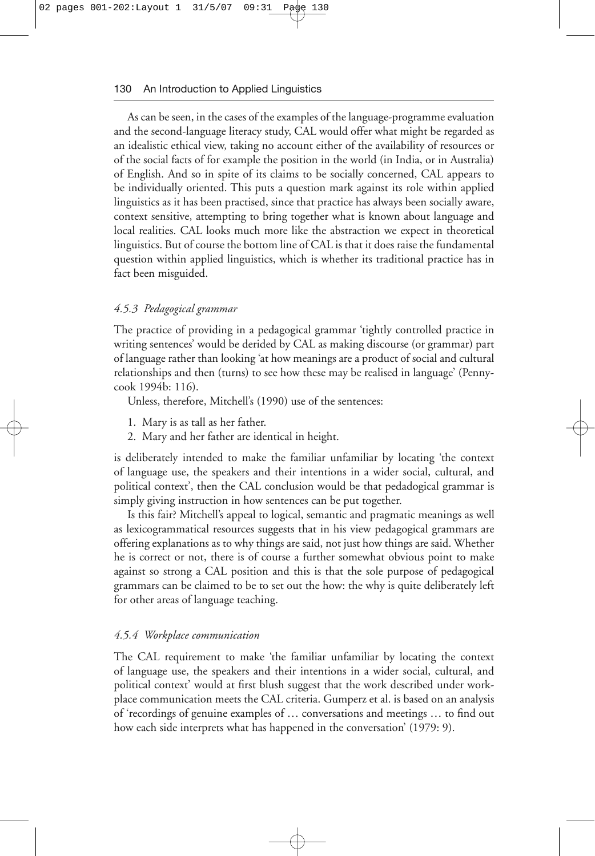As can be seen, in the cases of the examples of the language-programme evaluation and the second-language literacy study, CAL would offer what might be regarded as an idealistic ethical view, taking no account either of the availability of resources or of the social facts of for example the position in the world (in India, or in Australia) of English. And so in spite of its claims to be socially concerned, CAL appears to be individually oriented. This puts a question mark against its role within applied linguistics as it has been practised, since that practice has always been socially aware, context sensitive, attempting to bring together what is known about language and local realities. CAL looks much more like the abstraction we expect in theoretical linguistics. But of course the bottom line of CAL is that it does raise the fundamental question within applied linguistics, which is whether its traditional practice has in fact been misguided.

## *4.5.3 Pedagogical grammar*

The practice of providing in a pedagogical grammar 'tightly controlled practice in writing sentences' would be derided by CAL as making discourse (or grammar) part of language rather than looking 'at how meanings are a product of social and cultural relationships and then (turns) to see how these may be realised in language' (Penny cook 1994b: 116).

Unless, therefore, Mitchell's (1990) use of the sentences:

- 1. Mary is as tall as her father.
- 2. Mary and her father are identical in height.

is deliberately intended to make the familiar unfamiliar by locating 'the context of language use, the speakers and their intentions in a wider social, cultural, and political context', then the CAL conclusion would be that pedadogical grammar is simply giving instruction in how sentences can be put together.

Is this fair? Mitchell's appeal to logical, semantic and pragmatic meanings as well as lexicogrammatical resources suggests that in his view pedagogical grammars are offering explanations as to why things are said, not just how things are said. Whether he is correct or not, there is of course a further somewhat obvious point to make against so strong a CAL position and this is that the sole purpose of pedagogical grammars can be claimed to be to set out the how: the why is quite deliberately left for other areas of language teaching.

## *4.5.4 Workplace communication*

The CAL requirement to make 'the familiar unfamiliar by locating the context of language use, the speakers and their intentions in a wider social, cultural, and political context' would at first blush suggest that the work described under workplace communication meets the CAL criteria. Gumperz et al. is based on an analysis of 'recordings of genuine examples of … conversations and meetings … to find out how each side interprets what has happened in the conversation' (1979: 9).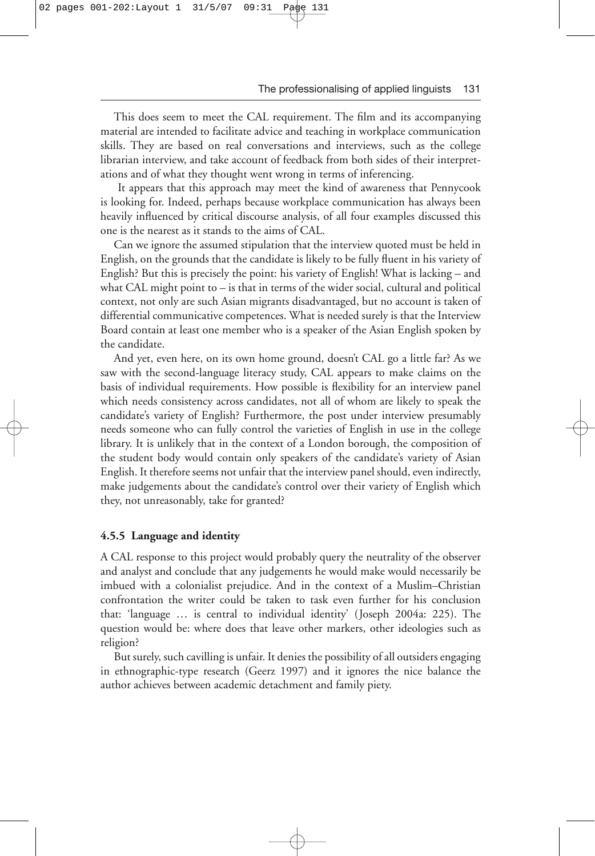This does seem to meet the CAL requirement. The film and its accompanying material are intended to facilitate advice and teaching in workplace communication skills. They are based on real conversations and interviews, such as the college librarian interview, and take account of feedback from both sides of their interpretations and of what they thought went wrong in terms of inferencing.

It appears that this approach may meet the kind of awareness that Pennycook is looking for. Indeed, perhaps because workplace communication has always been heavily influenced by critical discourse analysis, of all four examples discussed this one is the nearest as it stands to the aims of CAL.

Can we ignore the assumed stipulation that the interview quoted must be held in English, on the grounds that the candidate is likely to be fully fluent in his variety of English? But this is precisely the point: his variety of English! What is lacking – and what CAL might point to – is that in terms of the wider social, cultural and political context, not only are such Asian migrants disadvantaged, but no account is taken of differential communicative competences. What is needed surely is that the Interview Board contain at least one member who is a speaker of the Asian English spoken by the candidate.

And yet, even here, on its own home ground, doesn't CAL go a little far? As we saw with the second-language literacy study, CAL appears to make claims on the basis of individual requirements. How possible is flexibility for an interview panel which needs consistency across candidates, not all of whom are likely to speak the candidate's variety of English? Furthermore, the post under interview presumably needs someone who can fully control the varieties of English in use in the college library. It is unlikely that in the context of a London borough, the composition of the student body would contain only speakers of the candidate's variety of Asian English. It therefore seems not unfair that the interview panel should, even in directly, make judgements about the candidate's control over their variety of English which they, not unreasonably, take for granted?

#### **4.5.5 Language and identity**

A CAL response to this project would probably query the neutrality of the observer and analyst and conclude that any judgements he would make would necessarily be imbued with a colonialist prejudice. And in the context of a Muslim–Christian confrontation the writer could be taken to task even further for his conclusion that: 'language … is central to individual identity' (Joseph 2004a: 225). The question would be: where does that leave other markers, other ideologies such as religion?

But surely, such cavilling is unfair. It denies the possibility of all outsiders engaging in ethnographic-type research (Geerz 1997) and it ignores the nice balance the author achieves between academic detachment and family piety.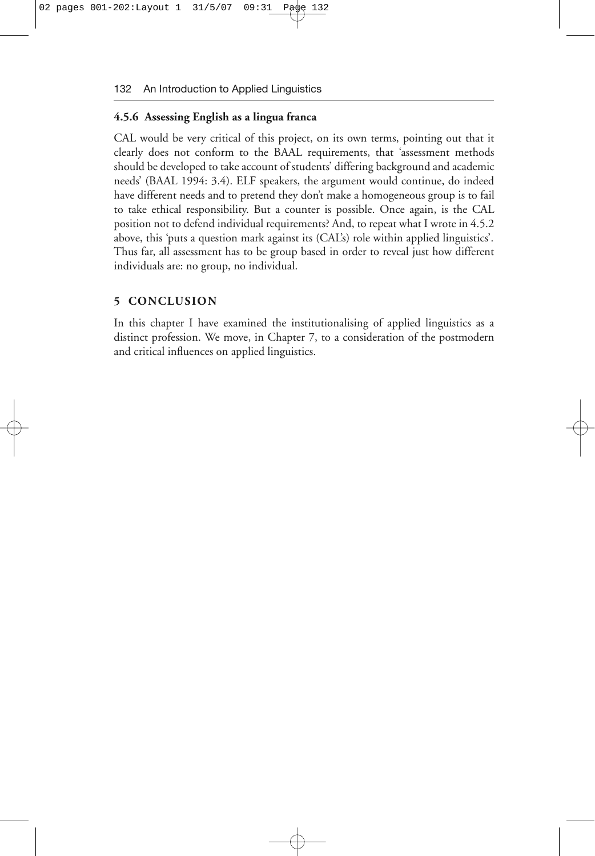## **4.5.6 Assessing English as a lingua franca**

CAL would be very critical of this project, on its own terms, pointing out that it clearly does not conform to the BAAL requirements, that 'assessment methods should be developed to take account of students' differing background and academic needs' (BAAL 1994: 3.4). ELF speakers, the argument would continue, do indeed have different needs and to pretend they don't make a homogeneous group is to fail to take ethical responsibility. But a counter is possible. Once again, is the CAL position not to defend individual requirements? And, to repeat what I wrote in 4.5.2 above, this 'puts a question mark against its (CAL's) role within applied linguistics'. Thus far, all assessment has to be group based in order to reveal just how different individuals are: no group, no individual.

## **5 CONCLUSION**

In this chapter I have examined the institutionalising of applied linguistics as a distinct profession. We move, in Chapter 7, to a consideration of the postmodern and critical influences on applied linguistics.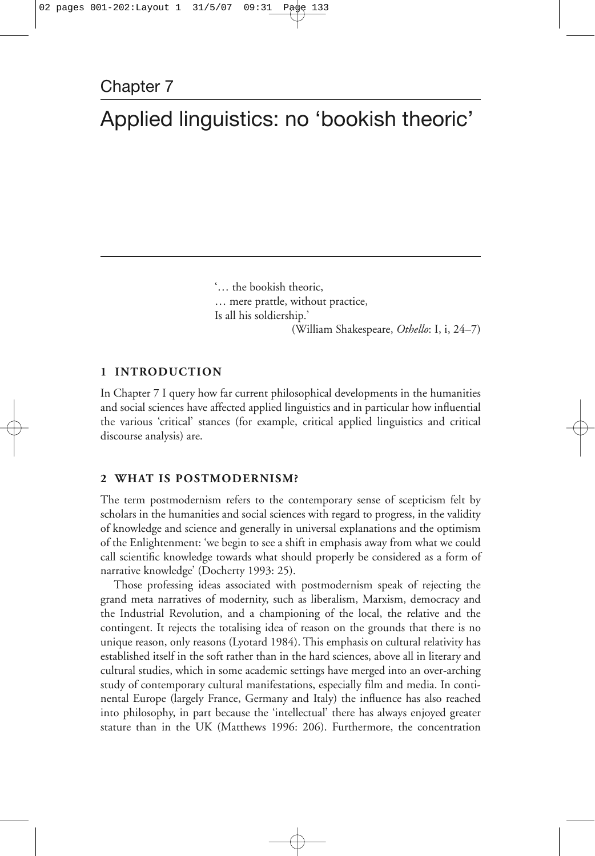# Applied linguistics: no 'bookish theoric'

'… the bookish theoric,

… mere prattle, without practice,

Is all his soldiership.'

(William Shakespeare, *Othello*: I, i, 24–7)

## **1 INTRODUCTION**

In Chapter 7 I query how far current philosophical developments in the humanities and social sciences have affected applied linguistics and in particular how influential the various 'critical' stances (for example, critical applied linguistics and critical discourse analysis) are.

## **2 WHAT IS POSTMODERNISM?**

The term postmodernism refers to the contemporary sense of scepticism felt by scholars in the humanities and social sciences with regard to progress, in the validity of knowledge and science and generally in universal explanations and the optimism of the Enlightenment: 'we begin to see a shift in emphasis away from what we could call scientific knowledge towards what should properly be considered as a form of narrative knowledge' (Docherty 1993: 25).

Those professing ideas associated with postmodernism speak of rejecting the grand meta narratives of modernity, such as liberalism, Marxism, democracy and the Industrial Revolution, and a championing of the local, the relative and the contingent. It rejects the totalising idea of reason on the grounds that there is no unique reason, only reasons (Lyotard 1984). This emphasis on cultural relativity has established itself in the soft rather than in the hard sciences, above all in literary and cultural studies, which in some academic settings have merged into an over-arching study of contemporary cultural manifestations, especially film and media. In continental Europe (largely France, Germany and Italy) the influence has also reached into philosophy, in part because the 'intellectual' there has always enjoyed greater stature than in the UK (Matthews 1996: 206). Furthermore, the concentration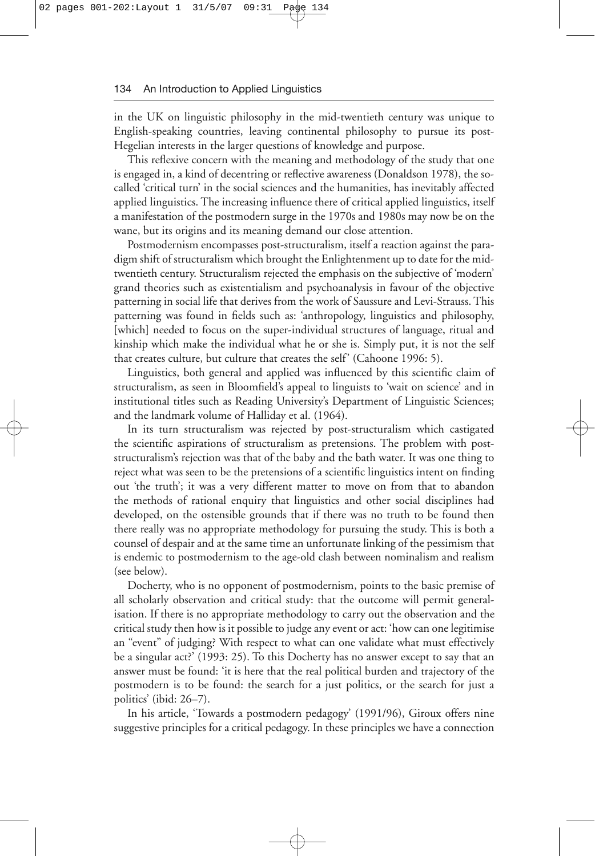in the UK on linguistic philosophy in the mid-twentieth century was unique to English-speaking countries, leaving continental philosophy to pursue its post-Hegelian interests in the larger questions of knowledge and purpose.

This reflexive concern with the meaning and methodology of the study that one is engaged in, a kind of decentring or reflective awareness (Donaldson 1978), the socalled 'critical turn' in the social sciences and the humanities, has inevitably affected applied linguistics. The increasing influence there of critical applied linguistics, itself a manifestation of the postmodern surge in the 1970s and 1980s may now be on the wane, but its origins and its meaning demand our close attention.

Postmodernism encompasses post-structuralism, itself a reaction against the paradigm shift of structuralism which brought the Enlightenment up to date for the midtwentieth century. Structuralism rejected the emphasis on the subjective of 'modern' grand theories such as existentialism and psychoanalysis in favour of the objective patterning in social life that derives from the work of Saussure and Levi-Strauss. This patterning was found in fields such as: 'anthropology, linguistics and philosophy, [which] needed to focus on the super-individual structures of language, ritual and kinship which make the individual what he or she is. Simply put, it is not the self that creates culture, but culture that creates the self' (Cahoone 1996: 5).

Linguistics, both general and applied was influenced by this scientific claim of structuralism, as seen in Bloomfield's appeal to linguists to 'wait on science' and in institutional titles such as Reading University's Department of Linguistic Sciences; and the landmark volume of Halliday et al. (1964).

In its turn structuralism was rejected by post-structuralism which castigated the scientific aspirations of structuralism as pretensions. The problem with poststructuralism's rejection was that of the baby and the bath water. It was one thing to reject what was seen to be the pretensions of a scientific linguistics intent on finding out 'the truth'; it was a very different matter to move on from that to abandon the methods of rational enquiry that linguistics and other social disciplines had developed, on the ostensible grounds that if there was no truth to be found then there really was no appropriate methodology for pursuing the study. This is both a counsel of despair and at the same time an unfortunate linking of the pessimism that is endemic to postmodernism to the age-old clash between nominalism and realism (see below).

Docherty, who is no opponent of postmodernism, points to the basic premise of all scholarly observation and critical study: that the outcome will permit generalisation. If there is no appropriate methodology to carry out the observation and the critical study then how is it possible to judge any event or act: 'how can one legitimise an "event" of judging? With respect to what can one validate what must effectively be a singular act?' (1993: 25). To this Docherty has no answer except to say that an answer must be found: 'it is here that the real political burden and trajectory of the postmodern is to be found: the search for a just politics, or the search for just a politics' (ibid: 26–7).

In his article, 'Towards a postmodern pedagogy' (1991/96), Giroux offers nine suggestive principles for a critical pedagogy. In these principles we have a connection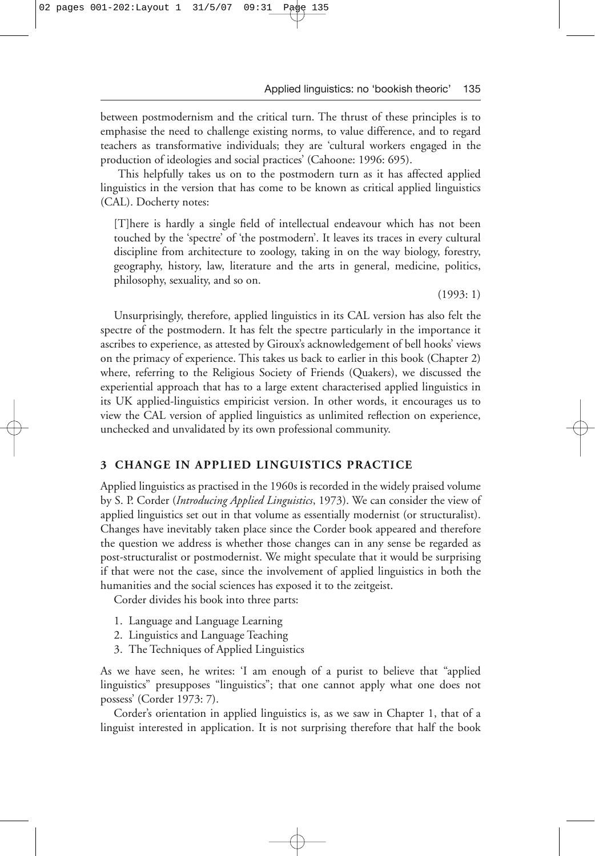between postmodernism and the critical turn. The thrust of these principles is to emphasise the need to challenge existing norms, to value difference, and to regard teachers as transformative individuals; they are 'cultural workers engaged in the production of ideologies and social practices' (Cahoone: 1996: 695).

This helpfully takes us on to the postmodern turn as it has affected applied linguistics in the version that has come to be known as critical applied linguistics (CAL). Docherty notes:

[T]here is hardly a single field of intellectual endeavour which has not been touched by the 'spectre' of 'the postmodern'. It leaves its traces in every cultural discipline from architecture to zoology, taking in on the way biology, forestry, geography, history, law, literature and the arts in general, medicine, politics, philosophy, sexuality, and so on.

(1993: 1)

Unsurprisingly, therefore, applied linguistics in its CAL version has also felt the spectre of the postmodern. It has felt the spectre particularly in the importance it ascribes to experience, as attested by Giroux's acknowledgement of bell hooks' views on the primacy of experience. This takes us back to earlier in this book (Chapter 2) where, referring to the Religious Society of Friends (Quakers), we discussed the experiential approach that has to a large extent characterised applied linguistics in its UK applied-linguistics empiricist version. In other words, it encourages us to view the CAL version of applied linguistics as unlimited reflection on experience, unchecked and unvalidated by its own professional community.

## **3 CHANGE IN APPLIED LINGUISTICS PRACTICE**

Applied linguistics as practised in the 1960s is recorded in the widely praised volume by S. P. Corder (*Introducing Applied Linguistics*, 1973). We can consider the view of applied linguistics set out in that volume as essentially modernist (or structuralist). Changes have inevitably taken place since the Corder book appeared and therefore the question we address is whether those changes can in any sense be regarded as post-structuralist or postmodernist. We might speculate that it would be surprising if that were not the case, since the involvement of applied linguistics in both the humanities and the social sciences has exposed it to the zeitgeist.

Corder divides his book into three parts:

- 1. Language and Language Learning
- 2. Linguistics and Language Teaching
- 3. The Techniques of Applied Linguistics

As we have seen, he writes: 'I am enough of a purist to believe that "applied linguistics" presupposes "linguistics"; that one cannot apply what one does not possess' (Corder 1973: 7).

Corder's orientation in applied linguistics is, as we saw in Chapter 1, that of a linguist interested in application. It is not surprising therefore that half the book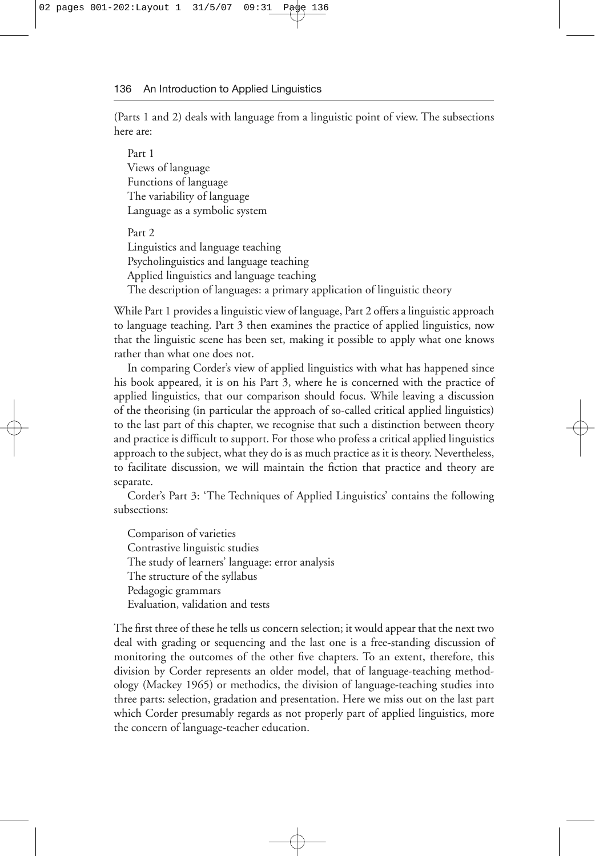(Parts 1 and 2) deals with language from a linguistic point of view. The subsections here are:

Part 1 Views of language Functions of language The variability of language Language as a symbolic system Part 2 Linguistics and language teaching Psycholinguistics and language teaching Applied linguistics and language teaching The description of languages: a primary application of linguistic theory

While Part 1 provides a linguistic view of language, Part 2 offers a linguistic approach to language teaching. Part 3 then examines the practice of applied linguistics, now that the linguistic scene has been set, making it possible to apply what one knows rather than what one does not.

In comparing Corder's view of applied linguistics with what has happened since his book appeared, it is on his Part 3, where he is concerned with the practice of applied linguistics, that our comparison should focus. While leaving a discussion of the theorising (in particular the approach of so-called critical applied linguistics) to the last part of this chapter, we recognise that such a distinction between theory and practice is difficult to support. For those who profess a critical applied linguistics approach to the subject, what they do is as much practice as it is theory. Nevertheless, to facilitate discussion, we will maintain the fiction that practice and theory are separate.

Corder's Part 3: 'The Techniques of Applied Linguistics' contains the following subsections:

Comparison of varieties Contrastive linguistic studies The study of learners' language: error analysis The structure of the syllabus Pedagogic grammars Evaluation, validation and tests

The first three of these he tells us concern selection; it would appear that the next two deal with grading or sequencing and the last one is a free-standing discussion of monitoring the outcomes of the other five chapters. To an extent, therefore, this division by Corder represents an older model, that of language-teaching methodology (Mackey 1965) or methodics, the division of language-teaching studies into three parts: selection, gradation and presentation. Here we miss out on the last part which Corder presumably regards as not properly part of applied linguistics, more the concern of language-teacher education.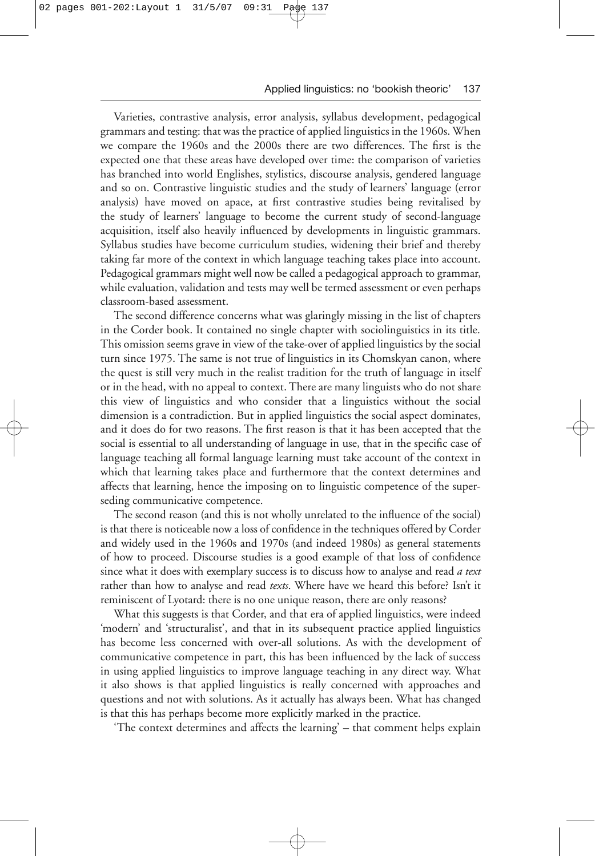Varieties, contrastive analysis, error analysis, syllabus development, pedagogical grammars and testing: that was the practice of applied linguistics in the 1960s. When we compare the 1960s and the 2000s there are two differences. The first is the expected one that these areas have developed over time: the comparison of varieties has branched into world Englishes, stylistics, discourse analysis, gendered language and so on. Contrastive linguistic studies and the study of learners' language (error analysis) have moved on apace, at first contrastive studies being revitalised by the study of learners' language to become the current study of second-language acquisition, itself also heavily influenced by developments in linguistic grammars. Syllabus studies have become curriculum studies, widening their brief and thereby taking far more of the context in which language teaching takes place into account. Pedagogical grammars might well now be called a pedagogical approach to grammar, while evaluation, validation and tests may well be termed assessment or even perhaps classroom-based assessment.

The second difference concerns what was glaringly missing in the list of chapters in the Corder book. It contained no single chapter with sociolinguistics in its title. This omission seems grave in view of the take-over of applied linguistics by the social turn since 1975. The same is not true of linguistics in its Chomskyan canon, where the quest is still very much in the realist tradition for the truth of language in itself or in the head, with no appeal to context. There are many linguists who do not share this view of linguistics and who consider that a linguistics without the social dimension is a contradiction. But in applied linguistics the social aspect dominates, and it does do for two reasons. The first reason is that it has been accepted that the social is essential to all understanding of language in use, that in the specific case of language teaching all formal language learning must take account of the context in which that learning takes place and furthermore that the context determines and affects that learning, hence the imposing on to linguistic competence of the superseding communicative competence.

The second reason (and this is not wholly unrelated to the influence of the social) is that there is noticeable now a loss of confidence in the techniques offered by Corder and widely used in the 1960s and 1970s (and indeed 1980s) as general statements of how to proceed. Discourse studies is a good example of that loss of confidence since what it does with exemplary success is to discuss how to analyse and read *a text* rather than how to analyse and read *texts*. Where have we heard this before? Isn't it reminiscent of Lyotard: there is no one unique reason, there are only reasons?

What this suggests is that Corder, and that era of applied linguistics, were indeed 'modern' and 'structuralist', and that in its subsequent practice applied linguistics has become less concerned with over-all solutions. As with the development of communicative competence in part, this has been influenced by the lack of success in using applied linguistics to improve language teaching in any direct way. What it also shows is that applied linguistics is really concerned with approaches and questions and not with solutions. As it actually has always been. What has changed is that this has perhaps become more explicitly marked in the practice.

'The context determines and affects the learning' – that comment helps explain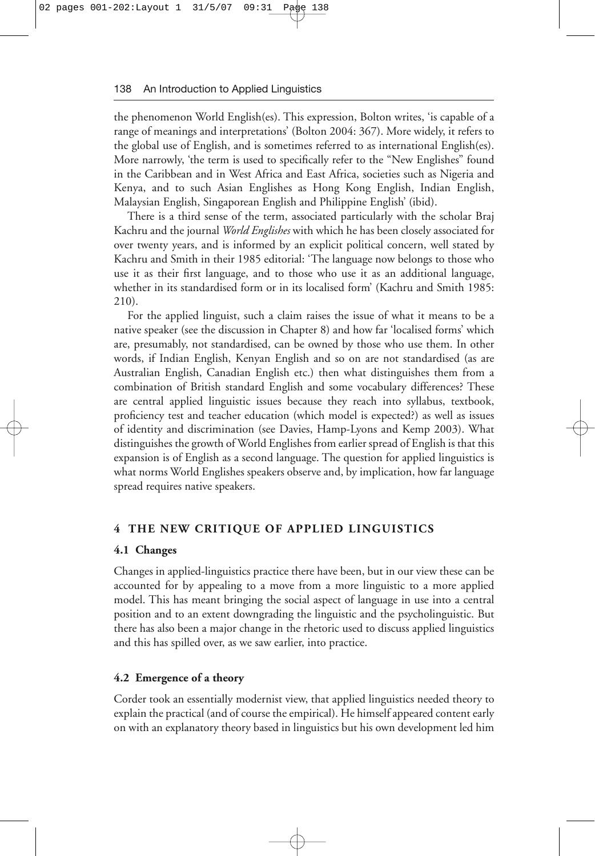the phenomenon World English(es). This expression, Bolton writes, 'is capable of a range of meanings and interpretations' (Bolton 2004: 367). More widely, it refers to the global use of English, and is sometimes referred to as international English(es). More narrowly, 'the term is used to specifically refer to the "New Englishes" found in the Caribbean and in West Africa and East Africa, societies such as Nigeria and Kenya, and to such Asian Englishes as Hong Kong English, Indian English, Malaysian English, Singaporean English and Philippine English' (ibid).

There is a third sense of the term, associated particularly with the scholar Braj Kachru and the journal *World Englishes* with which he has been closely associated for over twenty years, and is informed by an explicit political concern, well stated by Kachru and Smith in their 1985 editorial: 'The language now belongs to those who use it as their first language, and to those who use it as an additional language, whether in its standardised form or in its localised form' (Kachru and Smith 1985: 210).

For the applied linguist, such a claim raises the issue of what it means to be a native speaker (see the discussion in Chapter 8) and how far 'localised forms' which are, presumably, not standardised, can be owned by those who use them. In other words, if Indian English, Kenyan English and so on are not standardised (as are Australian English, Canadian English etc.) then what distinguishes them from a combination of British standard English and some vocabulary differences? These are central applied linguistic issues because they reach into syllabus, textbook, proficiency test and teacher education (which model is expected?) as well as issues of identity and discrimination (see Davies, Hamp-Lyons and Kemp 2003). What distinguishes the growth of World Englishes from earlier spread of English is that this expansion is of English as a second language. The question for applied linguistics is what norms World Englishes speakers observe and, by implication, how far language spread requires native speakers.

## **4 THE NEW CRITIQUE OF APPLIED LINGUISTICS**

#### **4.1 Changes**

Changes in applied-linguistics practice there have been, but in our view these can be accounted for by appealing to a move from a more linguistic to a more applied model. This has meant bringing the social aspect of language in use into a central position and to an extent downgrading the linguistic and the psycholinguistic. But there has also been a major change in the rhetoric used to discuss applied linguistics and this has spilled over, as we saw earlier, into practice.

## **4.2 Emergence of a theory**

Corder took an essentially modernist view, that applied linguistics needed theory to explain the practical (and of course the empirical). He himself appeared content early on with an explanatory theory based in linguistics but his own development led him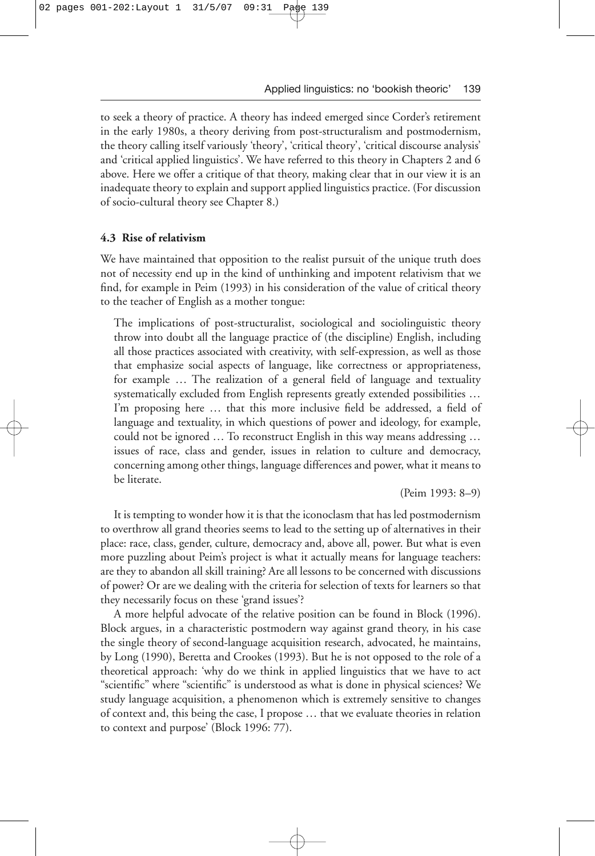to seek a theory of practice. A theory has indeed emerged since Corder's retirement in the early 1980s, a theory deriving from post-structuralism and postmodernism, the theory calling itself variously 'theory', 'critical theory', 'critical discourse analysis' and 'critical applied linguistics'. We have referred to this theory in Chapters 2 and 6 above. Here we offer a critique of that theory, making clear that in our view it is an inadequate theory to explain and support applied linguistics practice. (For discussion of socio-cultural theory see Chapter 8.)

#### **4.3 Rise of relativism**

We have maintained that opposition to the realist pursuit of the unique truth does not of necessity end up in the kind of unthinking and impotent relativism that we find, for example in Peim (1993) in his consideration of the value of critical theory to the teacher of English as a mother tongue:

The implications of post-structuralist, sociological and sociolinguistic theory throw into doubt all the language practice of (the discipline) English, including all those practices associated with creativity, with self-expression, as well as those that emphasize social aspects of language, like correctness or appropriateness, for example … The realization of a general field of language and textuality systematically excluded from English represents greatly extended possibilities … I'm proposing here … that this more inclusive field be addressed, a field of language and textuality, in which questions of power and ideology, for example, could not be ignored … To reconstruct English in this way means addressing … issues of race, class and gender, issues in relation to culture and democracy, concerning among other things, language differences and power, what it means to be literate.

(Peim 1993: 8–9)

It is tempting to wonder how it is that the iconoclasm that has led postmodernism to overthrow all grand theories seems to lead to the setting up of alternatives in their place: race, class, gender, culture, democracy and, above all, power. But what is even more puzzling about Peim's project is what it actually means for language teachers: are they to abandon all skill training? Are all lessons to be concerned with discussions of power? Or are we dealing with the criteria for selection of texts for learners so that they necessarily focus on these 'grand issues'?

A more helpful advocate of the relative position can be found in Block (1996). Block argues, in a characteristic postmodern way against grand theory, in his case the single theory of second-language acquisition research, advocated, he maintains, by Long (1990), Beretta and Crookes (1993). But he is not opposed to the role of a theoretical approach: 'why do we think in applied linguistics that we have to act "scientific" where "scientific" is understood as what is done in physical sciences? We study language acquisition, a phenomenon which is extremely sensitive to changes of context and, this being the case, I propose … that we evaluate theories in relation to context and purpose' (Block 1996: 77).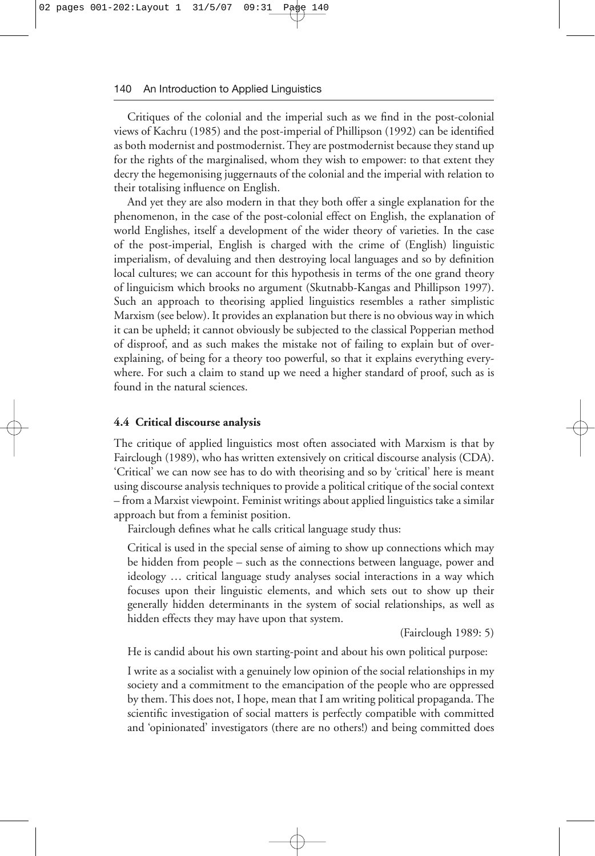Critiques of the colonial and the imperial such as we find in the post-colonial views of Kachru (1985) and the post-imperial of Phillipson (1992) can be identified as both modernist and postmodernist. They are postmodernist because they stand up for the rights of the marginalised, whom they wish to empower: to that extent they decry the hegemonising juggernauts of the colonial and the imperial with relation to their totalising influence on English.

And yet they are also modern in that they both offer a single explanation for the phenomenon, in the case of the post-colonial effect on English, the explanation of world Englishes, itself a development of the wider theory of varieties. In the case of the post-imperial, English is charged with the crime of (English) linguistic imperialism, of devaluing and then destroying local languages and so by definition local cultures; we can account for this hypothesis in terms of the one grand theory of linguicism which brooks no argument (Skutnabb-Kangas and Phillipson 1997). Such an approach to theorising applied linguistics resembles a rather simplistic Marxism (see below). It provides an explanation but there is no obvious way in which it can be upheld; it cannot obviously be subjected to the classical Popperian method of disproof, and as such makes the mistake not of failing to explain but of overexplaining, of being for a theory too powerful, so that it explains everything every where. For such a claim to stand up we need a higher standard of proof, such as is found in the natural sciences.

#### **4.4 Critical discourse analysis**

The critique of applied linguistics most often associated with Marxism is that by Fairclough (1989), who has written extensively on critical discourse analysis (CDA). 'Critical' we can now see has to do with theorising and so by 'critical' here is meant using discourse analysis techniques to provide a political critique of the social context – from a Marxist viewpoint. Feminist writings about applied linguistics take a similar approach but from a feminist position.

Fairclough defines what he calls critical language study thus:

Critical is used in the special sense of aiming to show up connections which may be hidden from people – such as the connections between language, power and ideology … critical language study analyses social interactions in a way which focuses upon their linguistic elements, and which sets out to show up their generally hidden determinants in the system of social relationships, as well as hidden effects they may have upon that system.

(Fairclough 1989: 5)

He is candid about his own starting-point and about his own political purpose:

I write as a socialist with a genuinely low opinion of the social relationships in my society and a commitment to the emancipation of the people who are oppressed by them. This does not, I hope, mean that I am writing political propaganda. The scientific investigation of social matters is perfectly compatible with committed and 'opinionated' investigators (there are no others!) and being committed does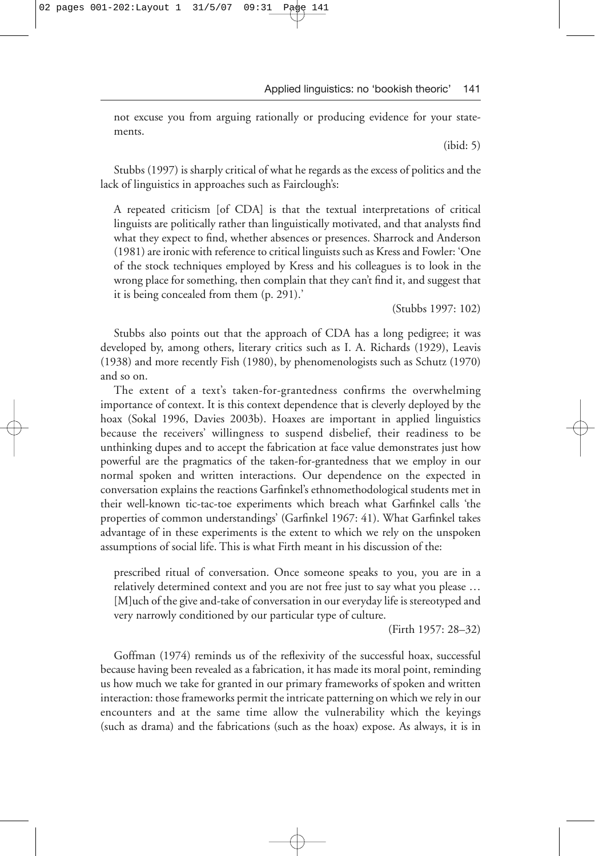not excuse you from arguing rationally or producing evidence for your statements.

(ibid: 5)

Stubbs (1997) is sharply critical of what he regards as the excess of politics and the lack of linguistics in approaches such as Fairclough's:

A repeated criticism [of CDA] is that the textual interpretations of critical linguists are politically rather than linguistically motivated, and that analysts find what they expect to find, whether absences or presences. Sharrock and Anderson (1981) are ironic with reference to critical linguists such as Kress and Fowler: 'One of the stock techniques employed by Kress and his colleagues is to look in the wrong place for something, then complain that they can't find it, and suggest that it is being concealed from them (p. 291).'

(Stubbs 1997: 102)

Stubbs also points out that the approach of CDA has a long pedigree; it was developed by, among others, literary critics such as I. A. Richards (1929), Leavis (1938) and more recently Fish (1980), by phenomenologists such as Schutz (1970) and so on.

The extent of a text's taken-for-grantedness confirms the overwhelming importance of context. It is this context dependence that is cleverly deployed by the hoax (Sokal 1996, Davies 2003b). Hoaxes are important in applied linguistics because the receivers' willingness to suspend disbelief, their readiness to be unthinking dupes and to accept the fabrication at face value demonstrates just how powerful are the pragmatics of the taken-for-grantedness that we employ in our normal spoken and written interactions. Our dependence on the expected in conversation explains the reactions Garfinkel's ethnomethodological students met in their well-known tic-tac-toe experiments which breach what Garfinkel calls 'the properties of common understandings' (Garfinkel 1967: 41). What Garfinkel takes advantage of in these experiments is the extent to which we rely on the unspoken assumptions of social life. This is what Firth meant in his discussion of the:

prescribed ritual of conversation. Once someone speaks to you, you are in a relatively determined context and you are not free just to say what you please … [M]uch of the give and-take of conversation in our everyday life is stereotyped and very narrowly conditioned by our particular type of culture.

(Firth 1957: 28–32)

Goffman (1974) reminds us of the reflexivity of the successful hoax, successful because having been revealed as a fabrication, it has made its moral point, reminding us how much we take for granted in our primary frameworks of spoken and written interaction: those frameworks permit the intricate patterning on which we rely in our encounters and at the same time allow the vulnerability which the keyings (such as drama) and the fabrications (such as the hoax) expose. As always, it is in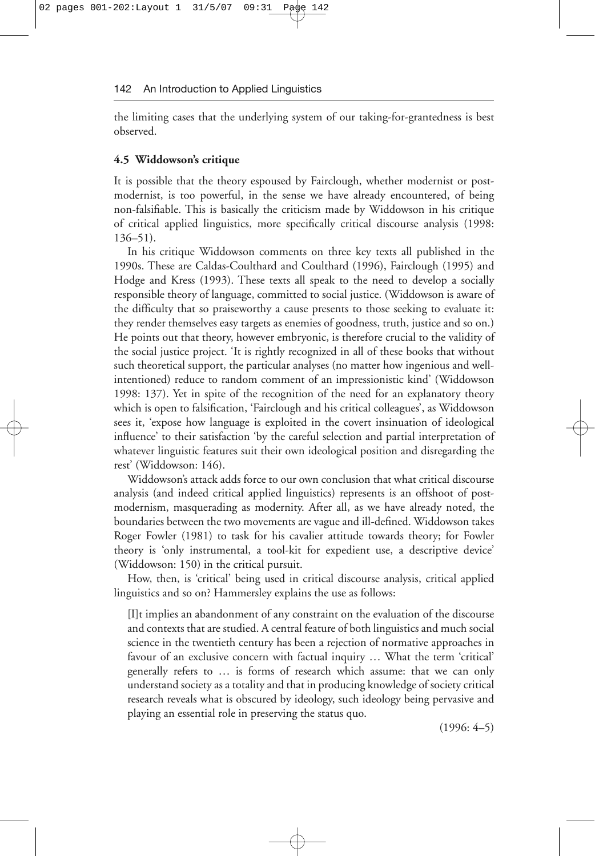the limiting cases that the underlying system of our taking-for-grantedness is best observed.

#### **4.5 Widdowson's critique**

It is possible that the theory espoused by Fairclough, whether modernist or postmodernist, is too powerful, in the sense we have already encountered, of being non-falsifiable. This is basically the criticism made by Widdowson in his critique of critical applied linguistics, more specifically critical discourse analysis (1998: 136–51).

In his critique Widdowson comments on three key texts all published in the 1990s. These are Caldas-Coulthard and Coulthard (1996), Fairclough (1995) and Hodge and Kress (1993). These texts all speak to the need to develop a socially responsible theory of language, committed to social justice. (Widdowson is aware of the difficulty that so praiseworthy a cause presents to those seeking to evaluate it: they render themselves easy targets as enemies of goodness, truth, justice and so on.) He points out that theory, however embryonic, is therefore crucial to the validity of the social justice project. 'It is rightly recognized in all of these books that without such theoretical support, the particular analyses (no matter how ingenious and wellintentioned) reduce to random comment of an impressionistic kind' (Widdowson 1998: 137). Yet in spite of the recognition of the need for an explanatory theory which is open to falsification, 'Fairclough and his critical colleagues', as Widdowson sees it, 'expose how language is exploited in the covert insinuation of ideological influence' to their satisfaction 'by the careful selection and partial interpretation of whatever linguistic features suit their own ideological position and disregarding the rest' (Widdowson: 146).

Widdowson's attack adds force to our own conclusion that what critical discourse analysis (and indeed critical applied linguistics) represents is an offshoot of postmodernism, masquerading as modernity. After all, as we have already noted, the boundaries between the two movements are vague and ill-defined. Widdowson takes Roger Fowler (1981) to task for his cavalier attitude towards theory; for Fowler theory is 'only instrumental, a tool-kit for expedient use, a descriptive device' (Widdowson: 150) in the critical pursuit.

How, then, is 'critical' being used in critical discourse analysis, critical applied linguistics and so on? Hammersley explains the use as follows:

[I]t implies an abandonment of any constraint on the evaluation of the discourse and contexts that are studied. A central feature of both linguistics and much social science in the twentieth century has been a rejection of normative approaches in favour of an exclusive concern with factual inquiry … What the term 'critical' generally refers to … is forms of research which assume: that we can only understand society as a totality and that in producing knowledge of society critical research reveals what is obscured by ideology, such ideology being pervasive and playing an essential role in preserving the status quo.

 $(1996: 4–5)$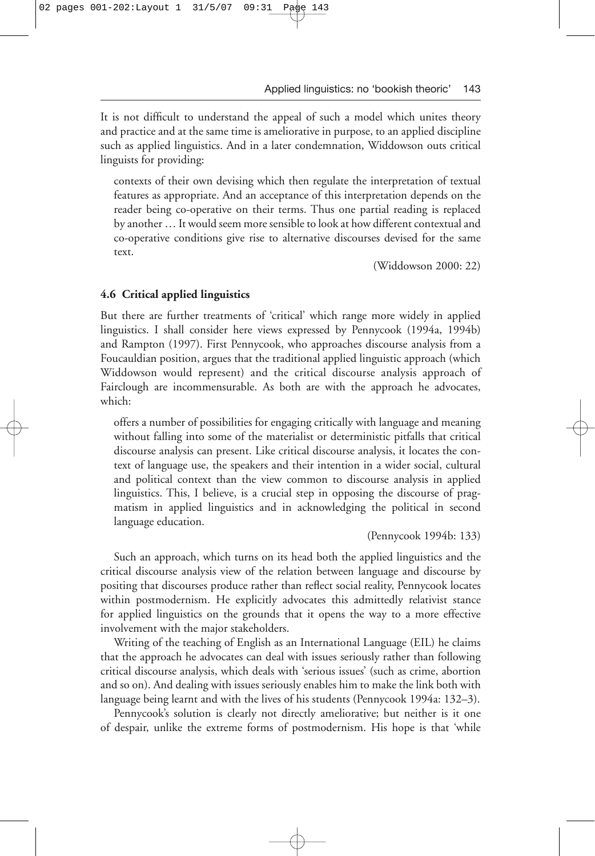It is not difficult to understand the appeal of such a model which unites theory and practice and at the same time is ameliorative in purpose, to an applied discipline such as applied linguistics. And in a later condemnation, Widdowson outs critical linguists for providing:

contexts of their own devising which then regulate the interpretation of textual features as appropriate. And an acceptance of this interpretation depends on the reader being co-operative on their terms. Thus one partial reading is replaced by another … It would seem more sensible to look at how different contextual and co-operative conditions give rise to alternative discourses devised for the same text.

(Widdowson 2000: 22)

## **4.6 Critical applied linguistics**

But there are further treatments of 'critical' which range more widely in applied linguistics. I shall consider here views expressed by Pennycook (1994a, 1994b) and Rampton (1997). First Pennycook, who approaches discourse analysis from a Foucauldian position, argues that the traditional applied linguistic approach (which Widdowson would represent) and the critical discourse analysis approach of Fairclough are incommensurable. As both are with the approach he advocates, which:

offers a number of possibilities for engaging critically with language and meaning without falling into some of the materialist or deterministic pitfalls that critical discourse analysis can present. Like critical discourse analysis, it locates the con text of language use, the speakers and their intention in a wider social, cultural and political context than the view common to discourse analysis in applied linguistics. This, I believe, is a crucial step in opposing the discourse of pragmatism in applied linguistics and in acknowledging the political in second language education.

(Pennycook 1994b: 133)

Such an approach, which turns on its head both the applied linguistics and the critical discourse analysis view of the relation between language and discourse by positing that discourses produce rather than reflect social reality, Pennycook locates within postmodernism. He explicitly advocates this admittedly relativist stance for applied linguistics on the grounds that it opens the way to a more effective involvement with the major stakeholders.

Writing of the teaching of English as an International Language (EIL) he claims that the approach he advocates can deal with issues seriously rather than following critical discourse analysis, which deals with 'serious issues' (such as crime, abortion and so on). And dealing with issues seriously enables him to make the link both with language being learnt and with the lives of his students (Pennycook 1994a: 132–3).

Pennycook's solution is clearly not directly ameliorative; but neither is it one of despair, unlike the extreme forms of postmodernism. His hope is that 'while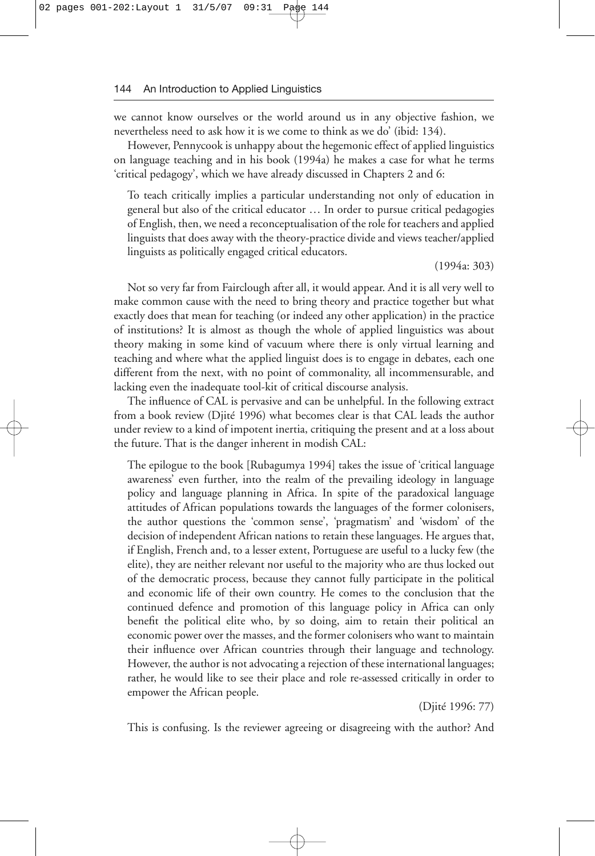we cannot know ourselves or the world around us in any objective fashion, we nevertheless need to ask how it is we come to think as we do' (ibid: 134).

However, Pennycook is unhappy about the hegemonic effect of applied linguistics on language teaching and in his book (1994a) he makes a case for what he terms 'critical pedagogy', which we have already discussed in Chapters 2 and 6:

To teach critically implies a particular understanding not only of education in general but also of the critical educator … In order to pursue critical pedagogies of English, then, we need a reconceptualisation of the role for teachers and applied linguists that does away with the theory-practice divide and views teacher/applied linguists as politically engaged critical educators.

(1994a: 303)

Not so very far from Fairclough after all, it would appear. And it is all very well to make common cause with the need to bring theory and practice together but what exactly does that mean for teaching (or indeed any other application) in the practice of institutions? It is almost as though the whole of applied linguistics was about theory making in some kind of vacuum where there is only virtual learning and teaching and where what the applied linguist does is to engage in debates, each one different from the next, with no point of commonality, all incommensurable, and lacking even the inadequate tool-kit of critical discourse analysis.

The influence of CAL is pervasive and can be unhelpful. In the following extract from a book review (Djité 1996) what becomes clear is that CAL leads the author under review to a kind of impotent inertia, critiquing the present and at a loss about the future. That is the danger inherent in modish CAL:

The epilogue to the book [Rubagumya 1994] takes the issue of 'critical language awareness' even further, into the realm of the prevailing ideology in language policy and language planning in Africa. In spite of the paradoxical language attitudes of African populations towards the languages of the former colonisers, the author questions the 'common sense', 'pragmatism' and 'wisdom' of the decision of independent African nations to retain these languages. He argues that, if English, French and, to a lesser extent, Portuguese are useful to a lucky few (the elite), they are neither relevant nor useful to the majority who are thus locked out of the democratic process, because they cannot fully participate in the political and economic life of their own country. He comes to the conclusion that the continued defence and promotion of this language policy in Africa can only benefit the political elite who, by so doing, aim to retain their political an economic power over the masses, and the former colonisers who want to maintain their influence over African countries through their language and technology. However, the author is not advocating a rejection of these international languages; rather, he would like to see their place and role re-assessed critically in order to empower the African people.

(Djité 1996: 77)

This is confusing. Is the reviewer agreeing or disagreeing with the author? And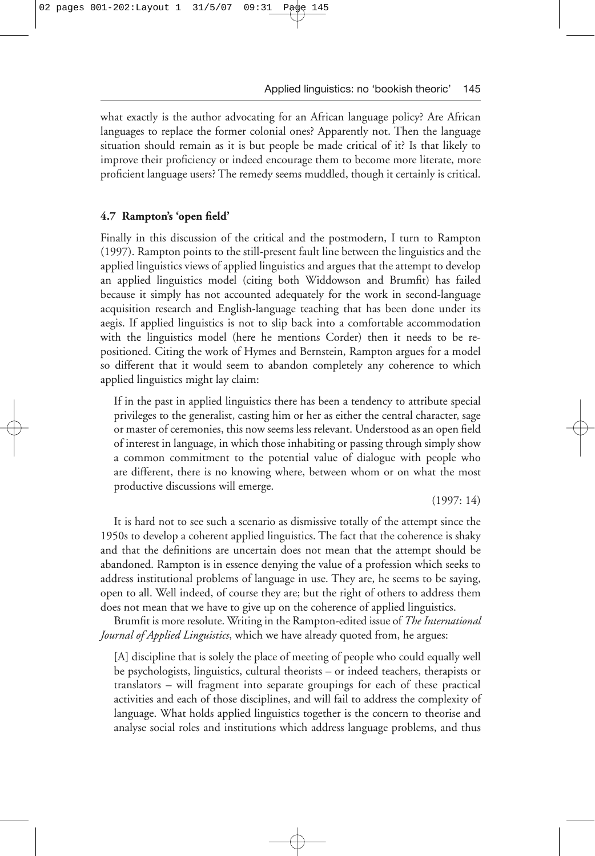what exactly is the author advocating for an African language policy? Are African languages to replace the former colonial ones? Apparently not. Then the language situation should remain as it is but people be made critical of it? Is that likely to improve their proficiency or indeed encourage them to become more literate, more proficient language users? The remedy seems muddled, though it certainly is critical.

#### **4.7 Rampton's 'open field'**

Finally in this discussion of the critical and the postmodern, I turn to Rampton (1997). Rampton points to the still-present fault line between the linguistics and the applied linguistics views of applied linguistics and argues that the attempt to develop an applied linguistics model (citing both Widdowson and Brumfit) has failed because it simply has not accounted adequately for the work in second-language acquisition research and English-language teaching that has been done under its aegis. If applied linguistics is not to slip back into a comfortable accom modation with the linguistics model (here he mentions Corder) then it needs to be repositioned. Citing the work of Hymes and Bernstein, Rampton argues for a model so different that it would seem to abandon completely any coherence to which applied linguistics might lay claim:

If in the past in applied linguistics there has been a tendency to attribute special privileges to the generalist, casting him or her as either the central character, sage or master of ceremonies, this now seems less relevant. Understood as an open field of interest in language, in which those inhabiting or passing through simply show a common commitment to the potential value of dialogue with people who are different, there is no knowing where, between whom or on what the most productive discussions will emerge.

(1997: 14)

It is hard not to see such a scenario as dismissive totally of the attempt since the 1950s to develop a coherent applied linguistics. The fact that the coherence is shaky and that the definitions are uncertain does not mean that the attempt should be abandoned. Rampton is in essence denying the value of a profession which seeks to address institutional problems of language in use. They are, he seems to be saying, open to all. Well indeed, of course they are; but the right of others to address them does not mean that we have to give up on the coherence of applied linguistics.

Brumfit is more resolute. Writing in the Rampton-edited issue of *The International Journal of Applied Linguistics*, which we have already quoted from, he argues:

[A] discipline that is solely the place of meeting of people who could equally well be psychologists, linguistics, cultural theorists – or indeed teachers, therapists or translators – will fragment into separate groupings for each of these practical activities and each of those disciplines, and will fail to address the complexity of language. What holds applied linguistics together is the concern to theorise and analyse social roles and institutions which address language problems, and thus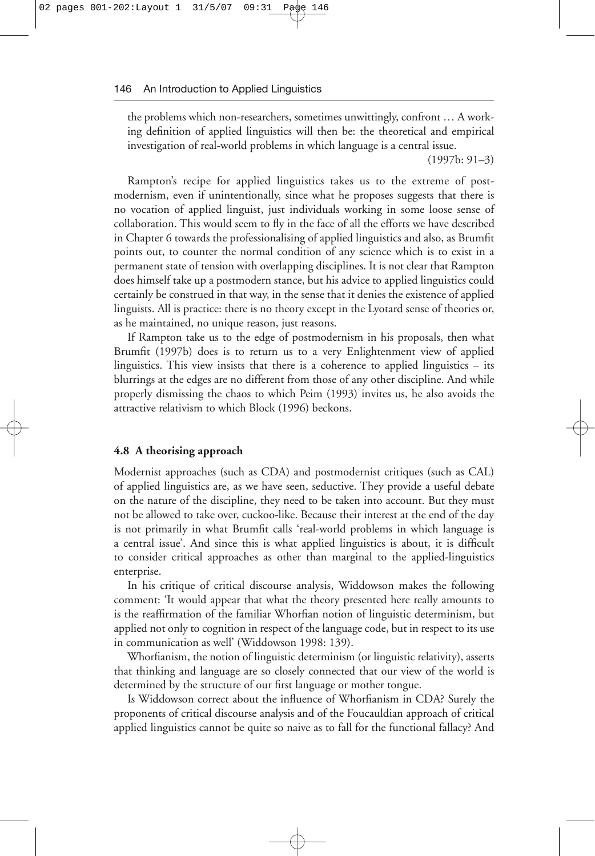the problems which non-researchers, sometimes unwittingly, confront … A working definition of applied linguistics will then be: the theoretical and empirical investigation of real-world problems in which language is a central issue.

(1997b: 91–3)

Rampton's recipe for applied linguistics takes us to the extreme of postmodernism, even if unintentionally, since what he proposes suggests that there is no vocation of applied linguist, just individuals working in some loose sense of collaboration. This would seem to fly in the face of all the efforts we have described in Chapter 6 towards the professionalising of applied linguistics and also, as Brumfit points out, to counter the normal condition of any science which is to exist in a permanent state of tension with overlapping disciplines. It is not clear that Rampton does himself take up a postmodern stance, but his advice to applied linguistics could certainly be construed in that way, in the sense that it denies the existence of applied linguists. All is practice: there is no theory except in the Lyotard sense of theories or, as he maintained, no unique reason, just reasons.

If Rampton take us to the edge of postmodernism in his proposals, then what Brumfit (1997b) does is to return us to a very Enlightenment view of applied linguistics. This view insists that there is a coherence to applied linguistics – its blurrings at the edges are no different from those of any other discipline. And while properly dismissing the chaos to which Peim (1993) invites us, he also avoids the attractive relativism to which Block (1996) beckons.

## **4.8 A theorising approach**

Modernist approaches (such as CDA) and postmodernist critiques (such as CAL) of applied linguistics are, as we have seen, seductive. They provide a useful debate on the nature of the discipline, they need to be taken into account. But they must not be allowed to take over, cuckoo-like. Because their interest at the end of the day is not primarily in what Brumfit calls 'real-world problems in which language is a central issue'. And since this is what applied linguistics is about, it is difficult to consider critical approaches as other than marginal to the applied-linguistics enterprise.

In his critique of critical discourse analysis, Widdowson makes the following comment: 'It would appear that what the theory presented here really amounts to is the reaffirmation of the familiar Whorfian notion of linguistic determinism, but applied not only to cognition in respect of the language code, but in respect to its use in communication as well' (Widdowson 1998: 139).

Whorfianism, the notion of linguistic determinism (or linguistic relativity), asserts that thinking and language are so closely connected that our view of the world is determined by the structure of our first language or mother tongue.

Is Widdowson correct about the influence of Whorfianism in CDA? Surely the proponents of critical discourse analysis and of the Foucauldian approach of critical applied linguistics cannot be quite so naive as to fall for the functional fallacy? And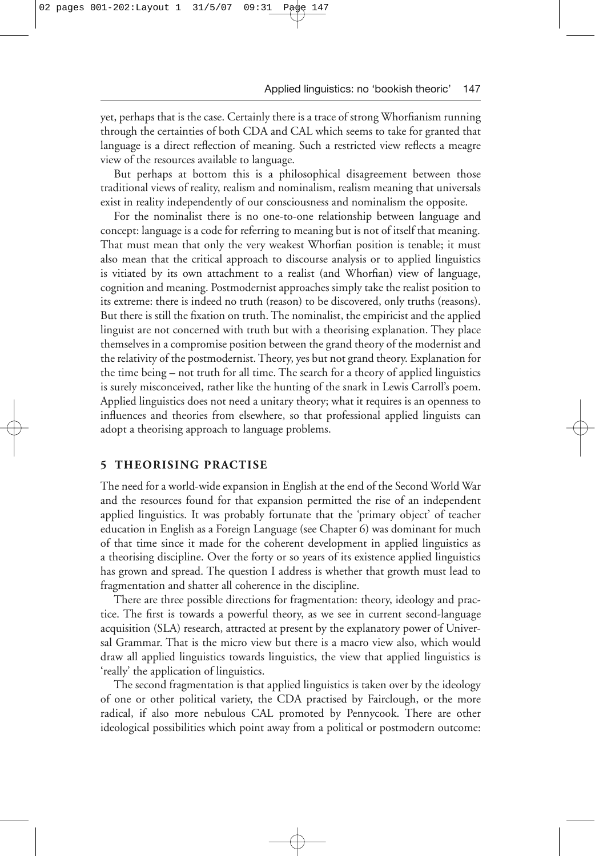yet, perhaps that is the case. Certainly there is a trace of strong Whorfianism running through the certainties of both CDA and CAL which seems to take for granted that language is a direct reflection of meaning. Such a restricted view reflects a meagre view of the resources available to language.

But perhaps at bottom this is a philosophical disagreement between those traditional views of reality, realism and nominalism, realism meaning that universals exist in reality independently of our consciousness and nominalism the opposite.

For the nominalist there is no one-to-one relationship between language and concept: language is a code for referring to meaning but is not of itself that meaning. That must mean that only the very weakest Whorfian position is tenable; it must also mean that the critical approach to discourse analysis or to applied linguistics is vitiated by its own attachment to a realist (and Whorfian) view of language, cognition and meaning. Postmodernist approaches simply take the realist position to its extreme: there is indeed no truth (reason) to be discovered, only truths (reasons). But there is still the fixation on truth. The nominalist, the empiricist and the applied linguist are not concerned with truth but with a theorising explanation. They place themselves in a compromise position between the grand theory of the modernist and the relativity of the postmodernist. Theory, yes but not grand theory. Explanation for the time being – not truth for all time. The search for a theory of applied linguistics is surely misconceived, rather like the hunting of the snark in Lewis Carroll's poem. Applied linguistics does not need a unitary theory; what it requires is an openness to influences and theories from elsewhere, so that professional applied linguists can adopt a theorising approach to language problems.

#### **5 THEORISING PRACTISE**

The need for a world-wide expansion in English at the end of the Second World War and the resources found for that expansion permitted the rise of an independent applied linguistics. It was probably fortunate that the 'primary object' of teacher education in English as a Foreign Language (see Chapter 6) was dominant for much of that time since it made for the coherent development in applied linguistics as a theorising discipline. Over the forty or so years of its existence applied linguistics has grown and spread. The question I address is whether that growth must lead to fragmentation and shatter all coherence in the discipline.

There are three possible directions for fragmentation: theory, ideology and practice. The first is towards a powerful theory, as we see in current second-language acquisition (SLA) research, attracted at present by the explanatory power of Univer sal Grammar. That is the micro view but there is a macro view also, which would draw all applied linguistics towards linguistics, the view that applied linguistics is 'really' the application of linguistics.

The second fragmentation is that applied linguistics is taken over by the ideology of one or other political variety, the CDA practised by Fairclough, or the more radical, if also more nebulous CAL promoted by Pennycook. There are other ideological possibilities which point away from a political or postmodern outcome: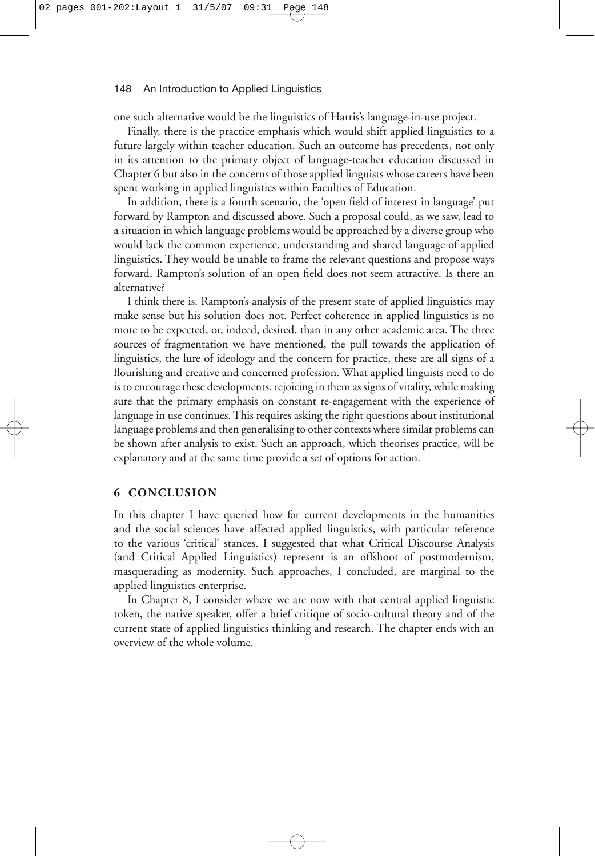one such alternative would be the linguistics of Harris's language-in-use project.

Finally, there is the practice emphasis which would shift applied linguistics to a future largely within teacher education. Such an outcome has precedents, not only in its attention to the primary object of language-teacher education discussed in Chapter 6 but also in the concerns of those applied linguists whose careers have been spent working in applied linguistics within Faculties of Education.

In addition, there is a fourth scenario, the 'open field of interest in language' put forward by Rampton and discussed above. Such a proposal could, as we saw, lead to a situation in which language problems would be approached by a diverse group who would lack the common experience, understanding and shared language of applied linguistics. They would be unable to frame the relevant questions and propose ways forward. Rampton's solution of an open field does not seem attractive. Is there an alternative?

I think there is. Rampton's analysis of the present state of applied linguistics may make sense but his solution does not. Perfect coherence in applied linguistics is no more to be expected, or, indeed, desired, than in any other academic area. The three sources of fragmentation we have mentioned, the pull towards the application of linguistics, the lure of ideology and the concern for practice, these are all signs of a flourishing and creative and concerned profession. What applied linguists need to do is to encourage these developments, rejoicing in them as signs of vitality, while making sure that the primary emphasis on constant re-engagement with the experience of language in use continues. This requires asking the right questions about institutional language problems and then generalising to other contexts where similar problems can be shown after analysis to exist. Such an approach, which theorises practice, will be explanatory and at the same time provide a set of options for action.

## **6 CONCLUSION**

In this chapter I have queried how far current developments in the humanities and the social sciences have affected applied linguistics, with particular reference to the various 'critical' stances. I suggested that what Critical Discourse Analysis (and Critical Applied Linguistics) represent is an offshoot of postmodernism, masquerading as modernity. Such approaches, I concluded, are marginal to the applied linguistics enterprise.

In Chapter 8, I consider where we are now with that central applied linguistic token, the native speaker, offer a brief critique of socio-cultural theory and of the current state of applied linguistics thinking and research. The chapter ends with an overview of the whole volume.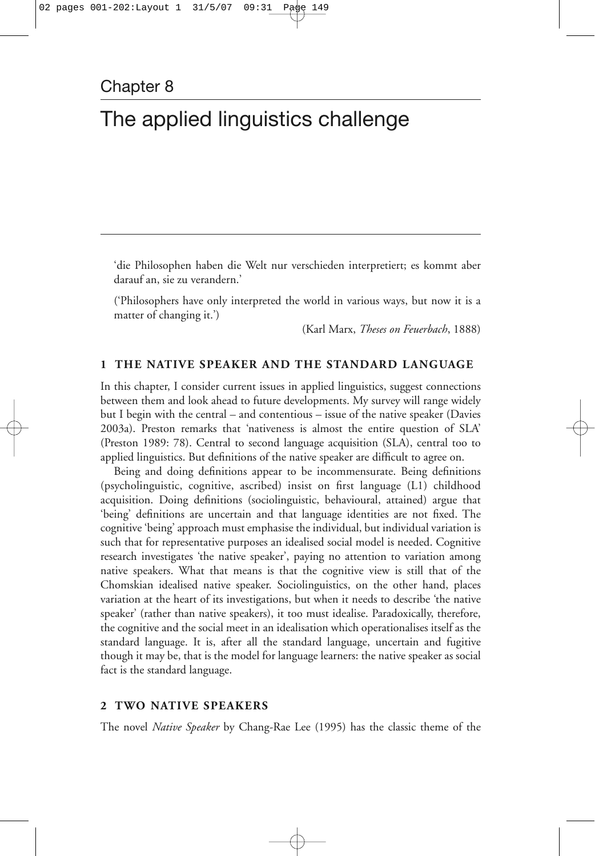# The applied linguistics challenge

'die Philosophen haben die Welt nur verschieden interpretiert; es kommt aber darauf an, sie zu verandern.'

('Philosophers have only interpreted the world in various ways, but now it is a matter of changing it.')

(Karl Marx, *Theses on Feuerbach*, 1888)

## **1 THE NATIVE SPEAKER AND THE STANDARD LANGUAGE**

In this chapter, I consider current issues in applied linguistics, suggest connections between them and look ahead to future developments. My survey will range widely but I begin with the central – and contentious – issue of the native speaker (Davies 2003a). Preston remarks that 'nativeness is almost the entire question of SLA' (Preston 1989: 78). Central to second language acquisition (SLA), central too to applied linguistics. But definitions of the native speaker are difficult to agree on.

Being and doing definitions appear to be incommensurate. Being definitions (psycholinguistic, cognitive, ascribed) insist on first language (L1) childhood acquisition. Doing definitions (sociolinguistic, behavioural, attained) argue that 'being' definitions are uncertain and that language identities are not fixed. The cognitive 'being' approach must emphasise the individual, but individual variation is such that for representative purposes an idealised social model is needed. Cognitive research investigates 'the native speaker', paying no attention to variation among native speakers. What that means is that the cognitive view is still that of the Chomskian idealised native speaker. Sociolinguistics, on the other hand, places variation at the heart of its investigations, but when it needs to describe 'the native speaker' (rather than native speakers), it too must idealise. Paradoxically, therefore, the cognitive and the social meet in an idealisation which operationalises itself as the standard language. It is, after all the standard language, uncertain and fugitive though it may be, that is the model for language learners: the native speaker as social fact is the standard language.

## **2 TWO NATIVE SPEAKERS**

The novel *Native Speaker* by Chang-Rae Lee (1995) has the classic theme of the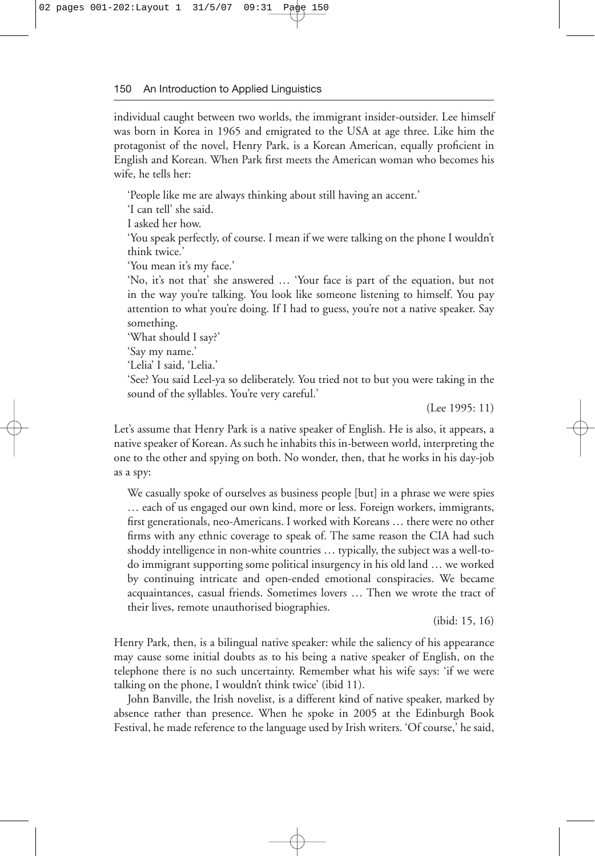individual caught between two worlds, the immigrant insider-outsider. Lee himself was born in Korea in 1965 and emigrated to the USA at age three. Like him the protagonist of the novel, Henry Park, is a Korean American, equally proficient in English and Korean. When Park first meets the American woman who becomes his wife, he tells her:

'People like me are always thinking about still having an accent.'

'I can tell' she said.

I asked her how.

'You speak perfectly, of course. I mean if we were talking on the phone I wouldn't think twice.'

'You mean it's my face.'

'No, it's not that' she answered … 'Your face is part of the equation, but not in the way you're talking. You look like someone listening to himself. You pay attention to what you're doing. If I had to guess, you're not a native speaker. Say something.

'What should I say?'

'Say my name.'

'Lelia' I said, 'Lelia.'

'See? You said Leel-ya so deliberately. You tried not to but you were taking in the sound of the syllables. You're very careful.'

(Lee 1995: 11)

Let's assume that Henry Park is a native speaker of English. He is also, it appears, a native speaker of Korean. As such he inhabits this in-between world, interpreting the one to the other and spying on both. No wonder, then, that he works in his day-job as a spy:

We casually spoke of ourselves as business people [but] in a phrase we were spies … each of us engaged our own kind, more or less. Foreign workers, immigrants, first generationals, neo-Americans. I worked with Koreans … there were no other firms with any ethnic coverage to speak of. The same reason the CIA had such shoddy intelligence in non-white countries … typically, the subject was a well-todo immigrant supporting some political insurgency in his old land … we worked by continuing intricate and open-ended emotional conspiracies. We became acquaintances, casual friends. Sometimes lovers … Then we wrote the tract of their lives, remote unauthorised biographies.

(ibid: 15, 16)

Henry Park, then, is a bilingual native speaker: while the saliency of his appearance may cause some initial doubts as to his being a native speaker of English, on the telephone there is no such uncertainty. Remember what his wife says: 'if we were talking on the phone, I wouldn't think twice' (ibid 11).

John Banville, the Irish novelist, is a different kind of native speaker, marked by absence rather than presence. When he spoke in 2005 at the Edinburgh Book Festival, he made reference to the language used by Irish writers. 'Of course,' he said,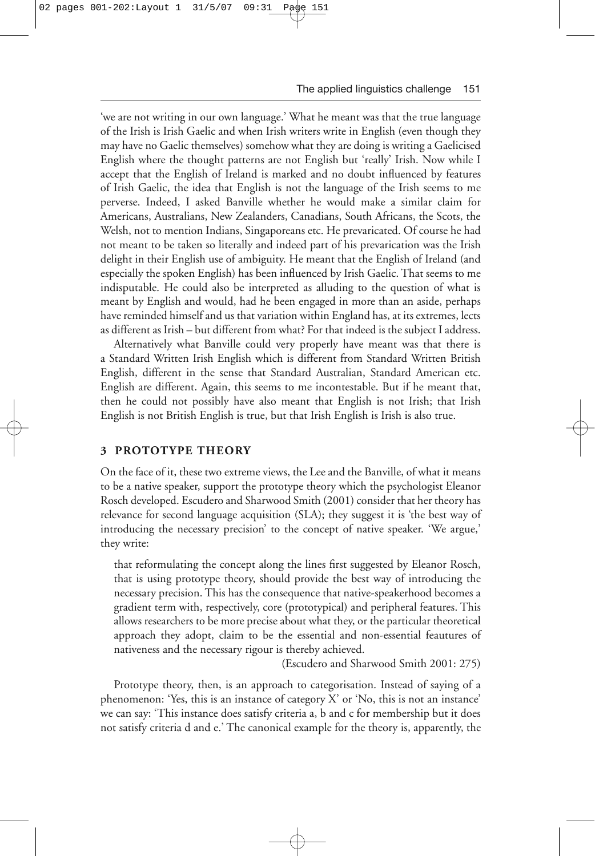'we are not writing in our own language.' What he meant was that the true language of the Irish is Irish Gaelic and when Irish writers write in English (even though they may have no Gaelic themselves) somehow what they are doing is writing a Gaelicised English where the thought patterns are not English but 'really' Irish. Now while I accept that the English of Ireland is marked and no doubt influenced by features of Irish Gaelic, the idea that English is not the language of the Irish seems to me perverse. Indeed, I asked Banville whether he would make a similar claim for Americans, Australians, New Zealanders, Canadians, South Africans, the Scots, the Welsh, not to mention Indians, Singaporeans etc. He prevaricated. Of course he had not meant to be taken so literally and indeed part of his prevarication was the Irish delight in their English use of ambiguity. He meant that the English of Ireland (and especially the spoken English) has been influenced by Irish Gaelic. That seems to me indisputable. He could also be interpreted as alluding to the question of what is meant by English and would, had he been engaged in more than an aside, perhaps have reminded himself and us that variation within England has, at its extremes, lects as different as Irish – but different from what? For that indeed is the subject I address.

Alternatively what Banville could very properly have meant was that there is a Standard Written Irish English which is different from Standard Written British English, different in the sense that Standard Australian, Standard American etc. English are different. Again, this seems to me incontestable. But if he meant that, then he could not possibly have also meant that English is not Irish; that Irish English is not British English is true, but that Irish English is Irish is also true.

## **3 PROTOTYPE THEORY**

On the face of it, these two extreme views, the Lee and the Banville, of what it means to be a native speaker, support the prototype theory which the psychologist Eleanor Rosch developed. Escudero and Sharwood Smith (2001) consider that her theory has relevance for second language acquisition (SLA); they suggest it is 'the best way of introducing the necessary precision' to the concept of native speaker. 'We argue,' they write:

that reformulating the concept along the lines first suggested by Eleanor Rosch, that is using prototype theory, should provide the best way of introducing the necessary precision. This has the consequence that native-speakerhood becomes a gradient term with, respectively, core (prototypical) and peripheral features. This allows researchers to be more precise about what they, or the particular theoretical approach they adopt, claim to be the essential and non-essential feautures of nativeness and the necessary rigour is thereby achieved.

(Escudero and Sharwood Smith 2001: 275)

Prototype theory, then, is an approach to categorisation. Instead of saying of a phenomenon: 'Yes, this is an instance of category X' or 'No, this is not an instance' we can say: 'This instance does satisfy criteria a, b and c for membership but it does not satisfy criteria d and e.' The canonical example for the theory is, apparently, the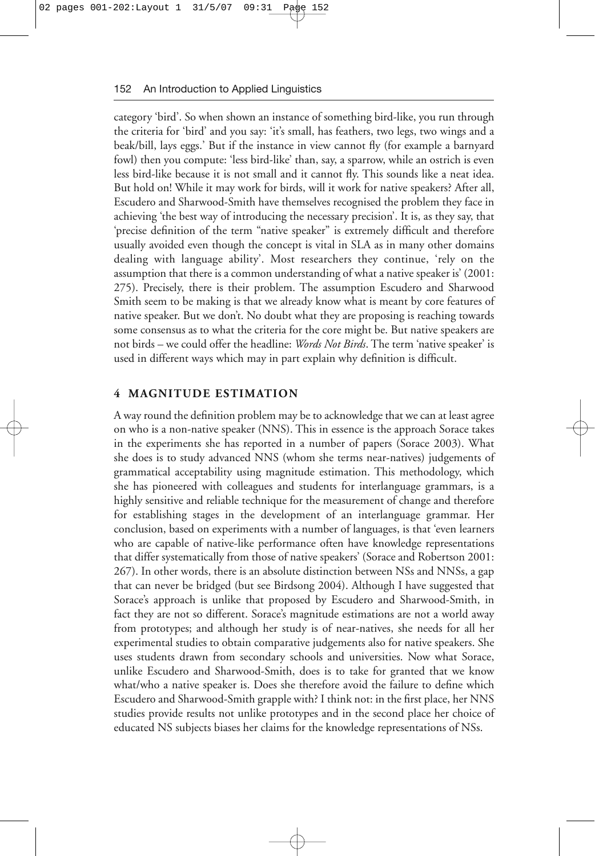category 'bird'. So when shown an instance of something bird-like, you run through the criteria for 'bird' and you say: 'it's small, has feathers, two legs, two wings and a beak/bill, lays eggs.' But if the instance in view cannot fly (for example a barnyard fowl) then you compute: 'less bird-like' than, say, a sparrow, while an ostrich is even less bird-like because it is not small and it cannot fly. This sounds like a neat idea. But hold on! While it may work for birds, will it work for native speakers? After all, Escudero and Sharwood-Smith have themselves recognised the problem they face in achieving 'the best way of introducing the necessary precision'. It is, as they say, that 'precise definition of the term "native speaker" is extremely difficult and therefore usually avoided even though the concept is vital in SLA as in many other domains dealing with language ability'. Most researchers they continue, 'rely on the assumption that there is a common understanding of what a native speaker is' (2001: 275). Precisely, there is their problem. The assumption Escudero and Sharwood Smith seem to be making is that we already know what is meant by core features of native speaker. But we don't. No doubt what they are proposing is reaching towards some consensus as to what the criteria for the core might be. But native speakers are not birds – we could offer the headline: *Words Not Birds*. The term 'native speaker' is used in different ways which may in part explain why definition is difficult.

## **4 MAGNITUDE ESTIMATION**

A way round the definition problem may be to acknowledge that we can at least agree on who is a non-native speaker (NNS). This in essence is the approach Sorace takes in the experiments she has reported in a number of papers (Sorace 2003). What she does is to study advanced NNS (whom she terms near-natives) judgements of grammatical acceptability using magnitude estimation. This methodology, which she has pioneered with colleagues and students for interlanguage grammars, is a highly sensitive and reliable technique for the measurement of change and therefore for establishing stages in the development of an interlanguage grammar. Her conclusion, based on experiments with a number of languages, is that 'even learners who are capable of native-like performance often have knowledge representations that differ systematically from those of native speakers' (Sorace and Robertson 2001: 267). In other words, there is an absolute distinction between NSs and NNSs, a gap that can never be bridged (but see Birdsong 2004). Although I have suggested that Sorace's approach is unlike that proposed by Escudero and Sharwood-Smith, in fact they are not so different. Sorace's magnitude estimations are not a world away from prototypes; and although her study is of near-natives, she needs for all her experimental studies to obtain comparative judgements also for native speakers. She uses students drawn from secondary schools and universities. Now what Sorace, unlike Escudero and Sharwood-Smith, does is to take for granted that we know what/who a native speaker is. Does she therefore avoid the failure to define which Escudero and Sharwood-Smith grapple with? I think not: in the first place, her NNS studies provide results not unlike prototypes and in the second place her choice of educated NS subjects biases her claims for the knowledge representations of NSs.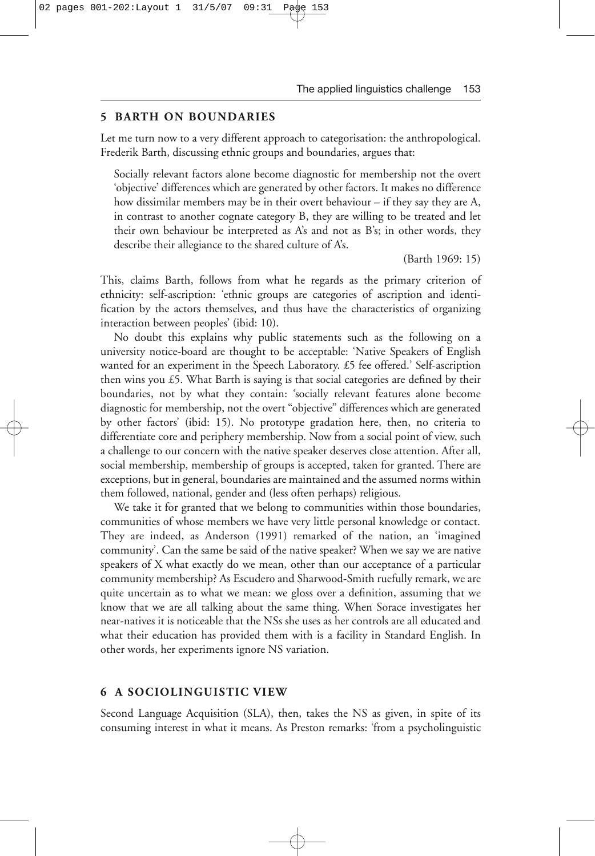## **5 BARTH ON BOUNDARIES**

Let me turn now to a very different approach to categorisation: the anthropological. Frederik Barth, discussing ethnic groups and boundaries, argues that:

Socially relevant factors alone become diagnostic for membership not the overt 'objective' differences which are generated by other factors. It makes no difference how dissimilar members may be in their overt behaviour – if they say they are A, in contrast to another cognate category B, they are willing to be treated and let their own behaviour be interpreted as A's and not as B's; in other words, they describe their allegiance to the shared culture of A's.

(Barth 1969: 15)

This, claims Barth, follows from what he regards as the primary criterion of ethnicity: self-ascription: 'ethnic groups are categories of ascription and identi fication by the actors themselves, and thus have the characteristics of organizing interaction between peoples' (ibid: 10).

No doubt this explains why public statements such as the following on a university notice-board are thought to be acceptable: 'Native Speakers of English wanted for an experiment in the Speech Laboratory. £5 fee offered.' Self-ascription then wins you  $\pounds$ 5. What Barth is saying is that social categories are defined by their boundaries, not by what they contain: 'socially relevant features alone become diagnostic for membership, not the overt "objective" differences which are generated by other factors' (ibid: 15). No prototype gradation here, then, no criteria to differentiate core and periphery membership. Now from a social point of view, such a challenge to our concern with the native speaker deserves close attention. After all, social membership, membership of groups is accepted, taken for granted. There are exceptions, but in general, boundaries are maintained and the assumed norms within them followed, national, gender and (less often perhaps) religious.

We take it for granted that we belong to communities within those boundaries, communities of whose members we have very little personal knowledge or contact. They are indeed, as Anderson (1991) remarked of the nation, an 'imagined community'. Can the same be said of the native speaker? When we say we are native speakers of X what exactly do we mean, other than our acceptance of a particular community membership? As Escudero and Sharwood-Smith ruefully remark, we are quite uncertain as to what we mean: we gloss over a definition, assuming that we know that we are all talking about the same thing. When Sorace investigates her near-natives it is noticeable that the NSs she uses as her controls are all educated and what their education has provided them with is a facility in Standard English. In other words, her experiments ignore NS variation.

#### **6 A SOCIOLINGUISTIC VIEW**

Second Language Acquisition (SLA), then, takes the NS as given, in spite of its consuming interest in what it means. As Preston remarks: 'from a psycholinguistic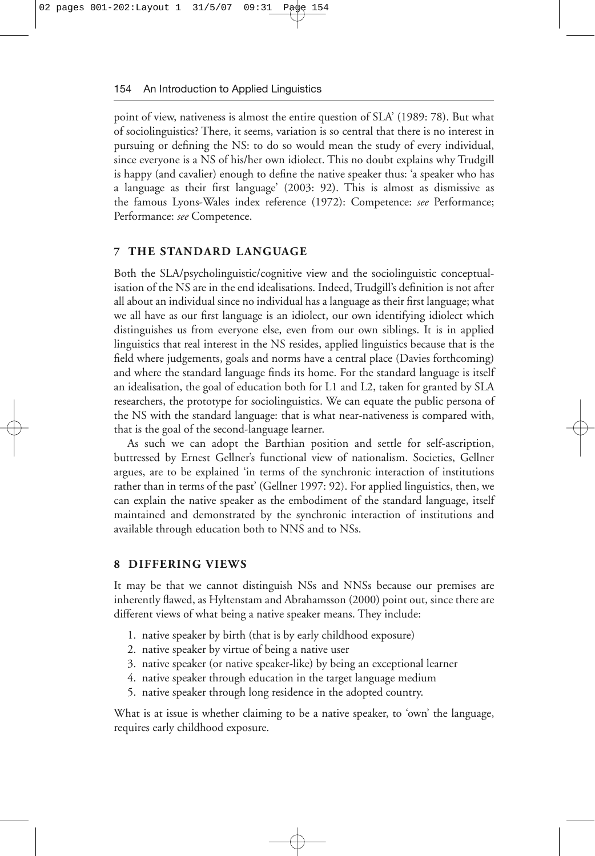point of view, nativeness is almost the entire question of SLA' (1989: 78). But what of sociolinguistics? There, it seems, variation is so central that there is no interest in pursuing or defining the NS: to do so would mean the study of every individual, since everyone is a NS of his/her own idiolect. This no doubt explains why Trudgill is happy (and cavalier) enough to define the native speaker thus: 'a speaker who has a language as their first language' (2003: 92). This is almost as dismissive as the famous Lyons-Wales index reference (1972): Competence: *see* Performance; Performance: *see* Competence.

## **7 THE STANDARD LANGUAGE**

Both the SLA/psycholinguistic/cognitive view and the sociolinguistic conceptualisation of the NS are in the end idealisations. Indeed, Trudgill's definition is not after all about an individual since no individual has a language as their first language; what we all have as our first language is an idiolect, our own identifying idiolect which distinguishes us from everyone else, even from our own siblings. It is in applied linguistics that real interest in the NS resides, applied linguistics because that is the field where judgements, goals and norms have a central place (Davies forthcoming) and where the standard language finds its home. For the standard language is itself an idealisation, the goal of education both for L1 and L2, taken for granted by SLA researchers, the prototype for sociolinguistics. We can equate the public persona of the NS with the standard language: that is what near-nativeness is compared with, that is the goal of the second-language learner.

As such we can adopt the Barthian position and settle for self-ascription, buttressed by Ernest Gellner's functional view of nationalism. Societies, Gellner argues, are to be explained 'in terms of the synchronic interaction of institutions rather than in terms of the past' (Gellner 1997: 92). For applied linguistics, then, we can explain the native speaker as the embodiment of the standard language, itself maintained and demonstrated by the synchronic interaction of institutions and available through education both to NNS and to NSs.

## **8 DIFFERING VIEWS**

It may be that we cannot distinguish NSs and NNSs because our premises are inherently flawed, as Hyltenstam and Abrahamsson (2000) point out, since there are different views of what being a native speaker means. They include:

- 1. native speaker by birth (that is by early childhood exposure)
- 2. native speaker by virtue of being a native user
- 3. native speaker (or native speaker-like) by being an exceptional learner
- 4. native speaker through education in the target language medium
- 5. native speaker through long residence in the adopted country.

What is at issue is whether claiming to be a native speaker, to 'own' the language, requires early childhood exposure.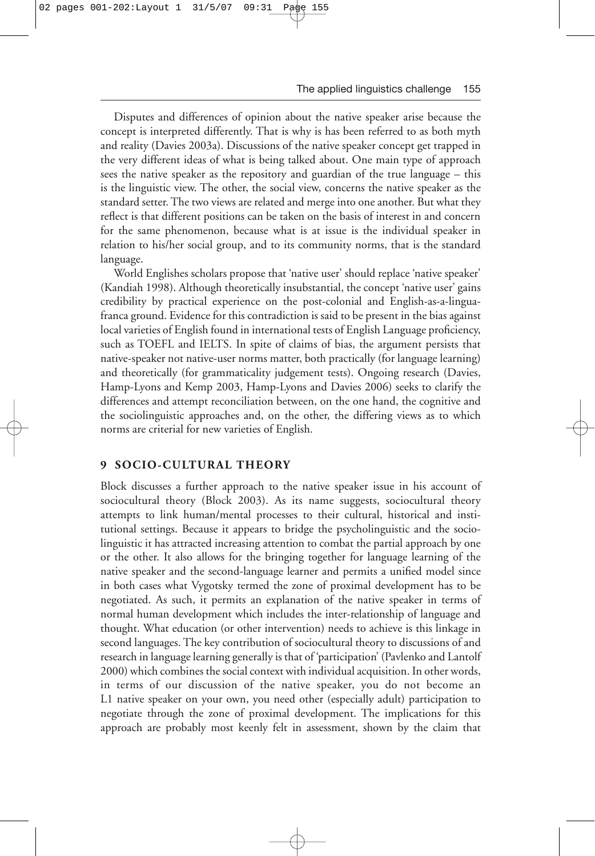Disputes and differences of opinion about the native speaker arise because the concept is interpreted differently. That is why is has been referred to as both myth and reality (Davies 2003a). Discussions of the native speaker concept get trapped in the very different ideas of what is being talked about. One main type of approach sees the native speaker as the repository and guardian of the true language – this is the linguistic view. The other, the social view, concerns the native speaker as the standard setter. The two views are related and merge into one another. But what they reflect is that different positions can be taken on the basis of interest in and concern for the same phenomenon, because what is at issue is the individual speaker in relation to his/her social group, and to its community norms, that is the standard language.

World Englishes scholars propose that 'native user' should replace 'native speaker' (Kandiah 1998). Although theoretically insubstantial, the concept 'native user' gains credibility by practical experience on the post-colonial and English-as-a-linguafranca ground. Evidence for this contradiction is said to be present in the bias against local varieties of English found in international tests of English Language proficiency, such as TOEFL and IELTS. In spite of claims of bias, the argument persists that native-speaker not native-user norms matter, both practically (for language learning) and theoretically (for grammaticality judgement tests). Ongoing research (Davies, Hamp-Lyons and Kemp 2003, Hamp-Lyons and Davies 2006) seeks to clarify the differences and attempt reconciliation between, on the one hand, the cognitive and the sociolinguistic approaches and, on the other, the differing views as to which norms are criterial for new varieties of English.

## **9 SOCIO-CULTURAL THEORY**

Block discusses a further approach to the native speaker issue in his account of sociocultural theory (Block 2003). As its name suggests, sociocultural theory attempts to link human/mental processes to their cultural, historical and institutional settings. Because it appears to bridge the psycholinguistic and the socio linguistic it has attracted increasing attention to combat the partial approach by one or the other. It also allows for the bringing together for language learning of the native speaker and the second-language learner and permits a unified model since in both cases what Vygotsky termed the zone of proximal development has to be negotiated. As such, it permits an explanation of the native speaker in terms of normal human development which includes the inter-relationship of language and thought. What education (or other intervention) needs to achieve is this linkage in second languages. The key contribution of sociocultural theory to discussions of and research in language learning generally is that of 'participation' (Pavlenko and Lantolf 2000) which combines the social context with individual acquisition. In other words, in terms of our discussion of the native speaker, you do not become an L1 native speaker on your own, you need other (especially adult) participation to negotiate through the zone of proximal development. The implications for this approach are probably most keenly felt in assessment, shown by the claim that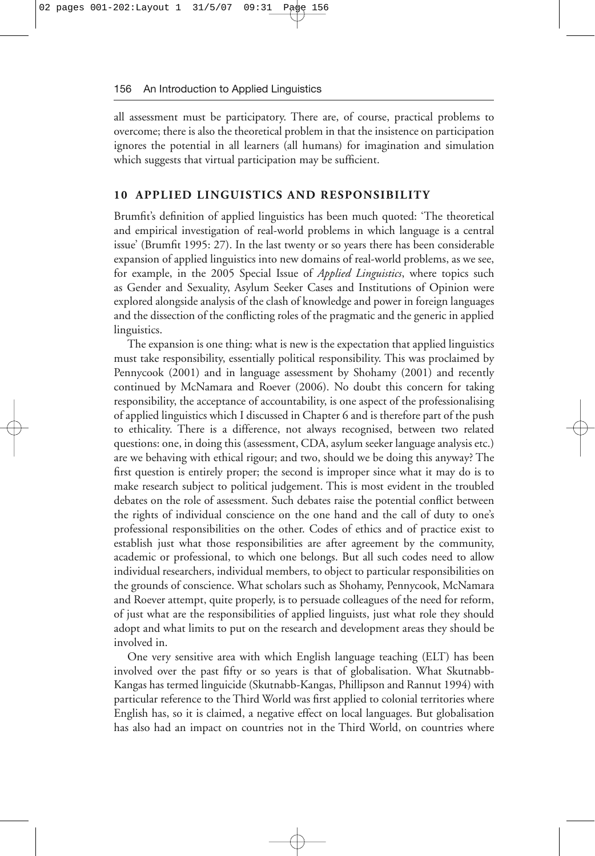all assessment must be participatory. There are, of course, practical problems to overcome; there is also the theoretical problem in that the insistence on participation ignores the potential in all learners (all humans) for imagination and simulation which suggests that virtual participation may be sufficient.

## **10 APPLIED LINGUISTICS AND RESPONSIBILITY**

Brumfit's definition of applied linguistics has been much quoted: 'The theoretical and empirical investigation of real-world problems in which language is a central issue' (Brumfit 1995: 27). In the last twenty or so years there has been considerable expansion of applied linguistics into new domains of real-world problems, as we see, for example, in the 2005 Special Issue of *Applied Linguistics*, where topics such as Gender and Sexuality, Asylum Seeker Cases and Institutions of Opinion were explored alongside analysis of the clash of knowledge and power in foreign languages and the dissection of the conflicting roles of the pragmatic and the generic in applied linguistics.

The expansion is one thing: what is new is the expectation that applied linguistics must take responsibility, essentially political responsibility. This was proclaimed by Pennycook (2001) and in language assessment by Shohamy (2001) and recently continued by McNamara and Roever (2006). No doubt this concern for taking responsibility, the acceptance of accountability, is one aspect of the professionalising of applied linguistics which I discussed in Chapter 6 and is therefore part of the push to ethicality. There is a difference, not always recognised, between two related questions: one, in doing this (assessment, CDA, asylum seeker language analysis etc.) are we behaving with ethical rigour; and two, should we be doing this anyway? The first question is entirely proper; the second is improper since what it may do is to make research subject to political judgement. This is most evident in the troubled debates on the role of assessment. Such debates raise the potential conflict between the rights of individual conscience on the one hand and the call of duty to one's professional responsibilities on the other. Codes of ethics and of practice exist to establish just what those responsibilities are after agreement by the community, academic or professional, to which one belongs. But all such codes need to allow individual researchers, individual members, to object to particular responsibilities on the grounds of conscience. What scholars such as Shohamy, Pennycook, McNamara and Roever attempt, quite properly, is to persuade colleagues of the need for reform, of just what are the responsibilities of applied linguists, just what role they should adopt and what limits to put on the research and development areas they should be involved in.

One very sensitive area with which English language teaching (ELT) has been involved over the past fifty or so years is that of globalisation. What Skutnabb-Kangas has termed linguicide (Skutnabb-Kangas, Phillipson and Rannut 1994) with particular reference to the Third World was first applied to colonial territories where English has, so it is claimed, a negative effect on local languages. But globalisation has also had an impact on countries not in the Third World, on countries where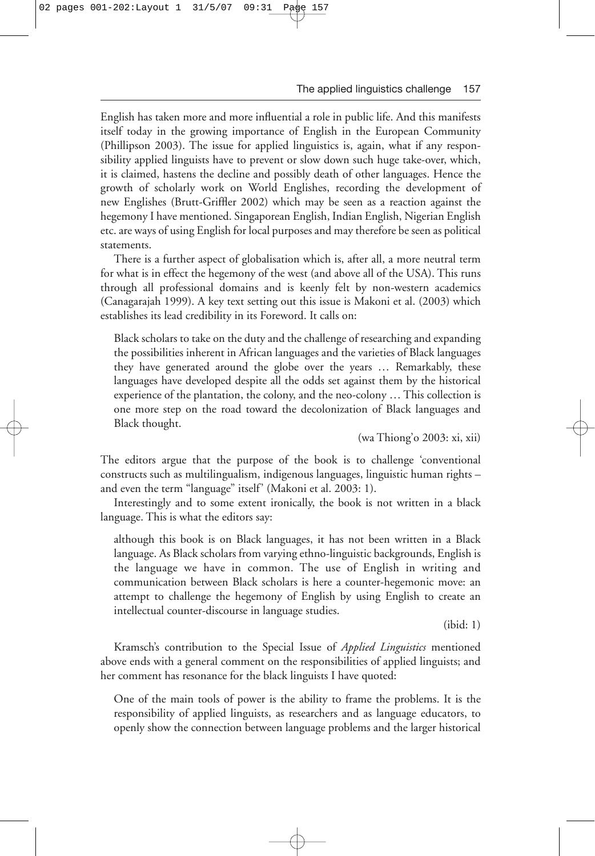English has taken more and more influential a role in public life. And this manifests itself today in the growing importance of English in the European Community (Phillipson 2003). The issue for applied linguistics is, again, what if any responsibility applied linguists have to prevent or slow down such huge take-over, which, it is claimed, hastens the decline and possibly death of other languages. Hence the growth of scholarly work on World Englishes, recording the development of new Englishes (Brutt-Griffler 2002) which may be seen as a reaction against the hegemony I have mentioned. Singaporean English, Indian English, Nigerian English etc. are ways of using English for local purposes and may therefore be seen as political statements.

There is a further aspect of globalisation which is, after all, a more neutral term for what is in effect the hegemony of the west (and above all of the USA). This runs through all professional domains and is keenly felt by non-western academics (Canagarajah 1999). A key text setting out this issue is Makoni et al. (2003) which establishes its lead credibility in its Foreword. It calls on:

Black scholars to take on the duty and the challenge of researching and expanding the possibilities inherent in African languages and the varieties of Black languages they have generated around the globe over the years … Remarkably, these languages have developed despite all the odds set against them by the historical experience of the plantation, the colony, and the neo-colony … This collection is one more step on the road toward the decolonization of Black languages and Black thought.

(wa Thiong'o 2003: xi, xii)

The editors argue that the purpose of the book is to challenge 'conventional constructs such as multilingualism, indigenous languages, linguistic human rights – and even the term "language" itself' (Makoni et al. 2003: 1).

Interestingly and to some extent ironically, the book is not written in a black language. This is what the editors say:

although this book is on Black languages, it has not been written in a Black language. As Black scholars from varying ethno-linguistic backgrounds, English is the language we have in common. The use of English in writing and communication between Black scholars is here a counter-hegemonic move: an attempt to challenge the hegemony of English by using English to create an intellectual counter-discourse in language studies.

(ibid: 1)

Kramsch's contribution to the Special Issue of *Applied Linguistics* mentioned above ends with a general comment on the responsibilities of applied linguists; and her comment has resonance for the black linguists I have quoted:

One of the main tools of power is the ability to frame the problems. It is the responsibility of applied linguists, as researchers and as language educators, to openly show the connection between language problems and the larger historical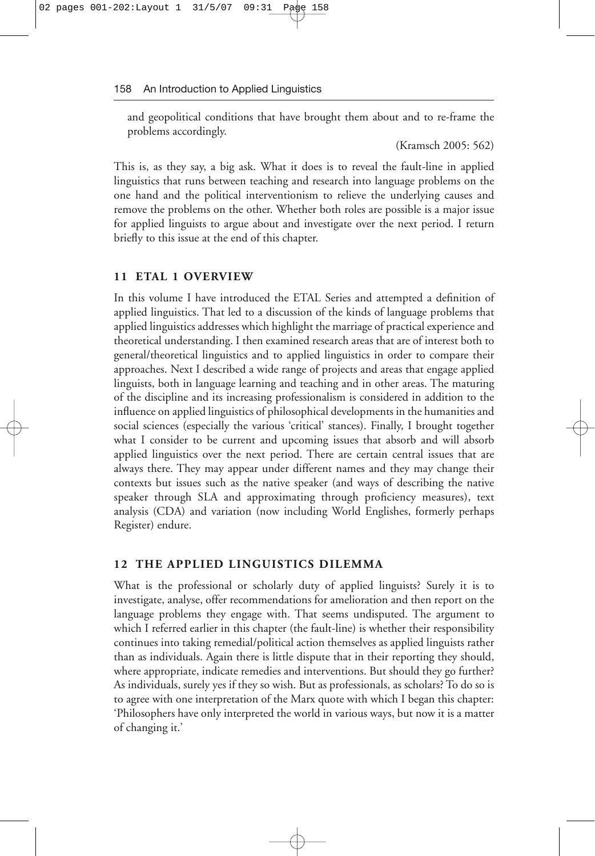and geopolitical conditions that have brought them about and to re-frame the problems accordingly.

(Kramsch 2005: 562)

This is, as they say, a big ask. What it does is to reveal the fault-line in applied linguistics that runs between teaching and research into language problems on the one hand and the political interventionism to relieve the underlying causes and remove the problems on the other. Whether both roles are possible is a major issue for applied linguists to argue about and investigate over the next period. I return briefly to this issue at the end of this chapter.

## **11 ETAL 1 OVERVIEW**

In this volume I have introduced the ETAL Series and attempted a definition of applied linguistics. That led to a discussion of the kinds of language problems that applied linguistics addresses which highlight the marriage of practical experience and theoretical understanding. I then examined research areas that are of interest both to general/theoretical linguistics and to applied linguistics in order to compare their approaches. Next I described a wide range of projects and areas that engage applied linguists, both in language learning and teaching and in other areas. The maturing of the discipline and its increasing professionalism is considered in addition to the influence on applied linguistics of philosophical developments in the humanities and social sciences (especially the various 'critical' stances). Finally, I brought together what I consider to be current and upcoming issues that absorb and will absorb applied linguistics over the next period. There are certain central issues that are always there. They may appear under different names and they may change their contexts but issues such as the native speaker (and ways of describing the native speaker through SLA and approximating through proficiency measures), text analysis (CDA) and variation (now including World Englishes, formerly perhaps Register) endure.

## **12 THE APPLIED LINGUISTICS DILEMMA**

What is the professional or scholarly duty of applied linguists? Surely it is to investigate, analyse, offer recommendations for amelioration and then report on the language problems they engage with. That seems undisputed. The argument to which I referred earlier in this chapter (the fault-line) is whether their responsibility continues into taking remedial/political action themselves as applied linguists rather than as individuals. Again there is little dispute that in their reporting they should, where appropriate, indicate remedies and interventions. But should they go further? As individuals, surely yes if they so wish. But as professionals, as scholars? To do so is to agree with one interpretation of the Marx quote with which I began this chapter: 'Philosophers have only interpreted the world in various ways, but now it is a matter of changing it.'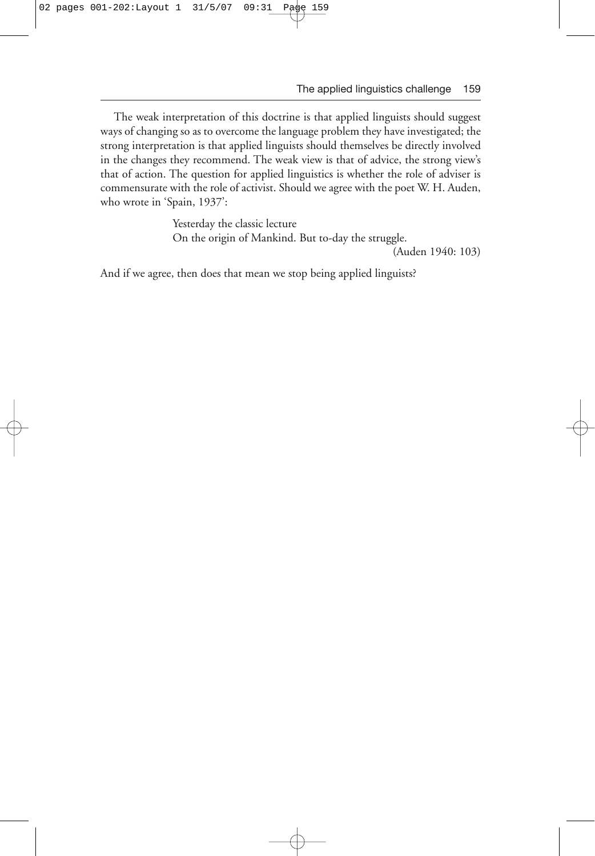The weak interpretation of this doctrine is that applied linguists should suggest ways of changing so as to overcome the language problem they have investigated; the strong interpretation is that applied linguists should themselves be directly involved in the changes they recommend. The weak view is that of advice, the strong view's that of action. The question for applied linguistics is whether the role of adviser is commensurate with the role of activist. Should we agree with the poet W. H. Auden, who wrote in 'Spain, 1937':

> Yesterday the classic lecture On the origin of Mankind. But to-day the struggle.

(Auden 1940: 103)

And if we agree, then does that mean we stop being applied linguists?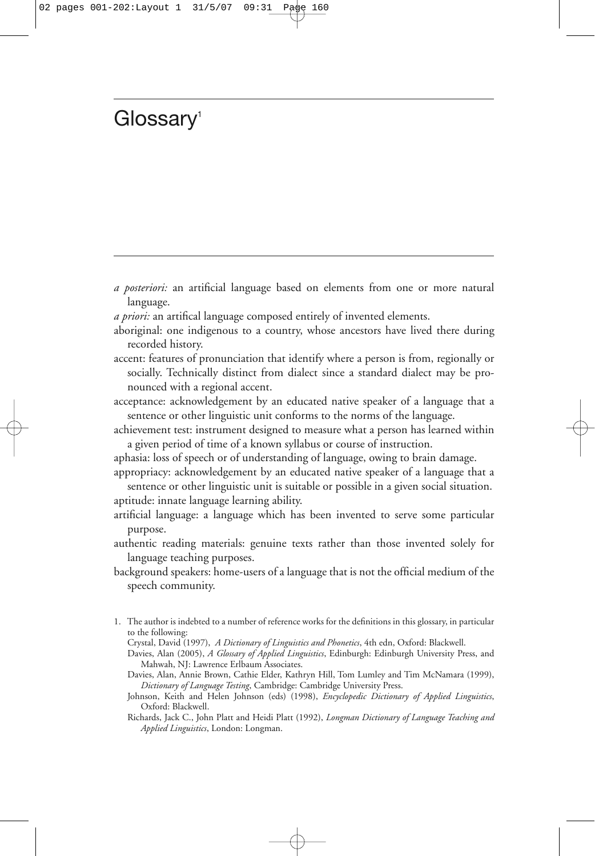# Glossary<sup>1</sup>

- *a posteriori:* an artificial language based on elements from one or more natural language.
- *a priori:* an artifical language composed entirely of invented elements.
- aboriginal: one indigenous to a country, whose ancestors have lived there during recorded history.
- accent: features of pronunciation that identify where a person is from, regionally or socially. Technically distinct from dialect since a standard dialect may be pronounced with a regional accent.
- acceptance: acknowledgement by an educated native speaker of a language that a sentence or other linguistic unit conforms to the norms of the language.
- achievement test: instrument designed to measure what a person has learned within a given period of time of a known syllabus or course of instruction.
- aphasia: loss of speech or of understanding of language, owing to brain damage.
- appropriacy: acknowledgement by an educated native speaker of a language that a sentence or other linguistic unit is suitable or possible in a given social situation. aptitude: innate language learning ability.
- artificial language: a language which has been invented to serve some particular purpose.
- authentic reading materials: genuine texts rather than those invented solely for language teaching purposes.

background speakers: home-users of a language that is not the official medium of the speech community.

1. The author is indebted to a number of reference works for the definitions in this glossary, in particular to the following:

Crystal, David (1997), *A Dictionary of Linguistics and Phonetics*, 4th edn, Oxford: Blackwell.

- Davies, Alan, Annie Brown, Cathie Elder, Kathryn Hill, Tom Lumley and Tim McNamara (1999), *Dictionary of Language Testing*, Cambridge: Cambridge University Press.
- Johnson, Keith and Helen Johnson (eds) (1998), *Encyclopedic Dictionary of Applied Linguistics*, Oxford: Blackwell.

Richards, Jack C., John Platt and Heidi Platt (1992), *Longman Dictionary of Language Teaching and Applied Linguistics*, London: Longman.

Davies, Alan (2005), *A Glossary of Applied Linguistics*, Edinburgh: Edinburgh University Press, and Mahwah, NJ: Lawrence Erlbaum Associates.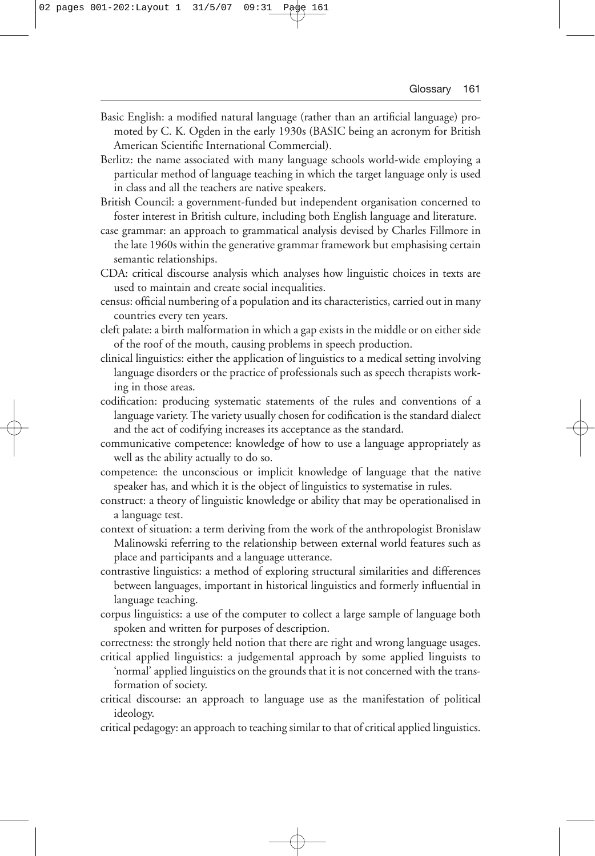- Basic English: a modified natural language (rather than an artificial language) promoted by C. K. Ogden in the early 1930s (BASIC being an acronym for British American Scientific International Commercial).
- Berlitz: the name associated with many language schools world-wide employing a particular method of language teaching in which the target language only is used in class and all the teachers are native speakers.
- British Council: a government-funded but independent organisation concerned to foster interest in British culture, including both English language and literature.
- case grammar: an approach to grammatical analysis devised by Charles Fillmore in the late 1960s within the generative grammar framework but emphasising certain semantic relationships.
- CDA: critical discourse analysis which analyses how linguistic choices in texts are used to maintain and create social inequalities.
- census: official numbering of a population and its characteristics, carried out in many countries every ten years.
- cleft palate: a birth malformation in which a gap exists in the middle or on either side of the roof of the mouth, causing problems in speech production.
- clinical linguistics: either the application of linguistics to a medical setting involving language disorders or the practice of professionals such as speech therapists working in those areas.
- codification: producing systematic statements of the rules and conventions of a language variety. The variety usually chosen for codification is the standard dialect and the act of codifying increases its acceptance as the standard.
- communicative competence: knowledge of how to use a language appropriately as well as the ability actually to do so.
- competence: the unconscious or implicit knowledge of language that the native speaker has, and which it is the object of linguistics to systematise in rules.
- construct: a theory of linguistic knowledge or ability that may be operationalised in a language test.
- context of situation: a term deriving from the work of the anthropologist Bronislaw Malinowski referring to the relationship between external world features such as place and participants and a language utterance.
- contrastive linguistics: a method of exploring structural similarities and differences between languages, important in historical linguistics and formerly influential in language teaching.
- corpus linguistics: a use of the computer to collect a large sample of language both spoken and written for purposes of description.

correctness: the strongly held notion that there are right and wrong language usages.

- critical applied linguistics: a judgemental approach by some applied linguists to 'normal' applied linguistics on the grounds that it is not concerned with the trans formation of society.
- critical discourse: an approach to language use as the manifestation of political ideology.
- critical pedagogy: an approach to teaching similar to that of critical applied linguistics.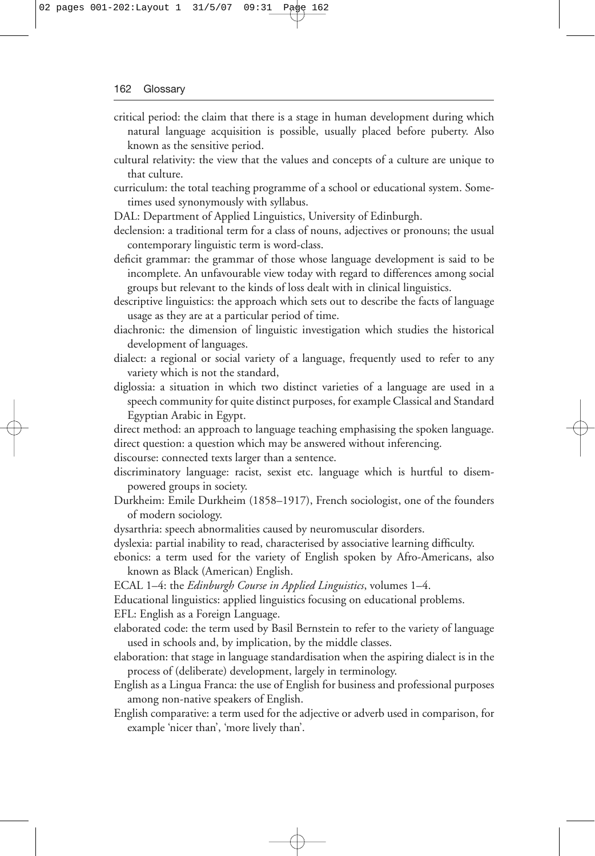- critical period: the claim that there is a stage in human development during which natural language acquisition is possible, usually placed before puberty. Also known as the sensitive period.
- cultural relativity: the view that the values and concepts of a culture are unique to that culture.
- curriculum: the total teaching programme of a school or educational system. Some times used synonymously with syllabus.

DAL: Department of Applied Linguistics, University of Edinburgh.

- declension: a traditional term for a class of nouns, adjectives or pronouns; the usual contemporary linguistic term is word-class.
- deficit grammar: the grammar of those whose language development is said to be incomplete. An unfavourable view today with regard to differences among social groups but relevant to the kinds of loss dealt with in clinical linguistics.
- descriptive linguistics: the approach which sets out to describe the facts of language usage as they are at a particular period of time.
- diachronic: the dimension of linguistic investigation which studies the historical development of languages.
- dialect: a regional or social variety of a language, frequently used to refer to any variety which is not the standard,
- diglossia: a situation in which two distinct varieties of a language are used in a speech community for quite distinct purposes, for example Classical and Standard Egyptian Arabic in Egypt.
- direct method: an approach to language teaching emphasising the spoken language. direct question: a question which may be answered without inferencing.

discourse: connected texts larger than a sentence.

- discriminatory language: racist, sexist etc. language which is hurtful to disem powered groups in society.
- Durkheim: Emile Durkheim (1858–1917), French sociologist, one of the founders of modern sociology.
- dysarthria: speech abnormalities caused by neuromuscular disorders.

dyslexia: partial inability to read, characterised by associative learning difficulty.

ebonics: a term used for the variety of English spoken by Afro-Americans, also known as Black (American) English.

ECAL 1–4: the *Edinburgh Course in Applied Linguistics*, volumes 1–4.

Educational linguistics: applied linguistics focusing on educational problems.

EFL: English as a Foreign Language.

- elaborated code: the term used by Basil Bernstein to refer to the variety of language used in schools and, by implication, by the middle classes.
- elaboration: that stage in language standardisation when the aspiring dialect is in the process of (deliberate) development, largely in terminology.
- English as a Lingua Franca: the use of English for business and professional purposes among non-native speakers of English.
- English comparative: a term used for the adjective or adverb used in comparison, for example 'nicer than', 'more lively than'.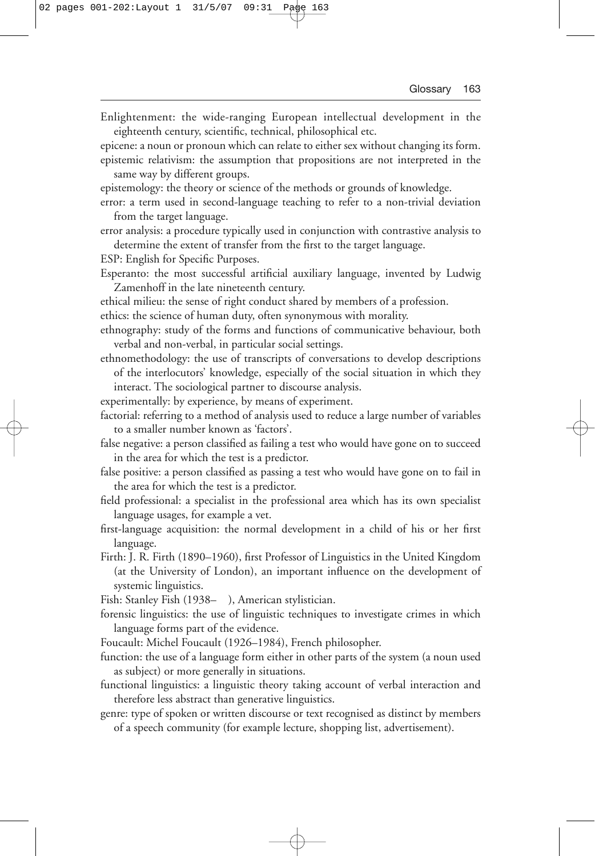Enlightenment: the wide-ranging European intellectual development in the eighteenth century, scientific, technical, philosophical etc.

epicene: a noun or pronoun which can relate to either sex without changing its form. epistemic relativism: the assumption that propositions are not interpreted in the same way by different groups.

epistemology: the theory or science of the methods or grounds of knowledge.

- error: a term used in second-language teaching to refer to a non-trivial deviation from the target language.
- error analysis: a procedure typically used in conjunction with contrastive analysis to determine the extent of transfer from the first to the target language.

ESP: English for Specific Purposes.

Esperanto: the most successful artificial auxiliary language, invented by Ludwig Zamenhoff in the late nineteenth century.

ethical milieu: the sense of right conduct shared by members of a profession.

ethics: the science of human duty, often synonymous with morality.

- ethnography: study of the forms and functions of communicative behaviour, both verbal and non-verbal, in particular social settings.
- ethnomethodology: the use of transcripts of conversations to develop descriptions of the interlocutors' knowledge, especially of the social situation in which they interact. The sociological partner to discourse analysis.
- experimentally: by experience, by means of experiment.
- factorial: referring to a method of analysis used to reduce a large number of variables to a smaller number known as 'factors'.
- false negative: a person classified as failing a test who would have gone on to succeed in the area for which the test is a predictor.
- false positive: a person classified as passing a test who would have gone on to fail in the area for which the test is a predictor.
- field professional: a specialist in the professional area which has its own specialist language usages, for example a vet.
- first-language acquisition: the normal development in a child of his or her first language.
- Firth: J. R. Firth (1890–1960), first Professor of Linguistics in the United Kingdom (at the University of London), an important influence on the development of systemic linguistics.
- Fish: Stanley Fish (1938– ), American stylistician.
- forensic linguistics: the use of linguistic techniques to investigate crimes in which language forms part of the evidence.
- Foucault: Michel Foucault (1926–1984), French philosopher.
- function: the use of a language form either in other parts of the system (a noun used as subject) or more generally in situations.
- functional linguistics: a linguistic theory taking account of verbal interaction and therefore less abstract than generative linguistics.
- genre: type of spoken or written discourse or text recognised as distinct by members of a speech community (for example lecture, shopping list, advertisement).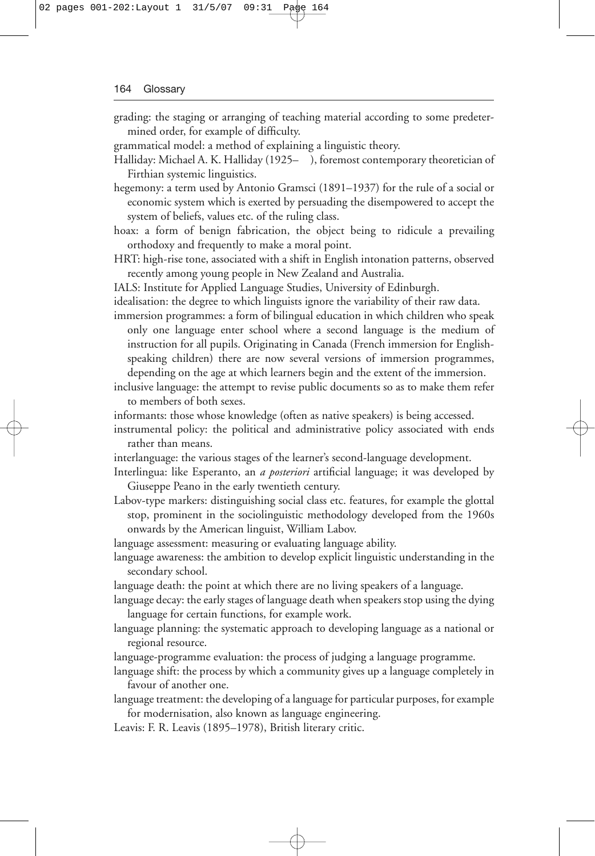grading: the staging or arranging of teaching material according to some predeter mined order, for example of difficulty.

grammatical model: a method of explaining a linguistic theory.

Halliday: Michael A. K. Halliday (1925– ), foremost contemporary theoretician of Firthian systemic linguistics.

hegemony: a term used by Antonio Gramsci (1891–1937) for the rule of a social or economic system which is exerted by persuading the disempowered to accept the system of beliefs, values etc. of the ruling class.

- hoax: a form of benign fabrication, the object being to ridicule a prevailing orthodoxy and frequently to make a moral point.
- HRT: high-rise tone, associated with a shift in English intonation patterns, observed recently among young people in New Zealand and Australia.

IALS: Institute for Applied Language Studies, University of Edinburgh.

idealisation: the degree to which linguists ignore the variability of their raw data.

immersion programmes: a form of bilingual education in which children who speak only one language enter school where a second language is the medium of instruction for all pupils. Originating in Canada (French immersion for Englishspeaking children) there are now several versions of immersion programmes, depending on the age at which learners begin and the extent of the immersion.

inclusive language: the attempt to revise public documents so as to make them refer to members of both sexes.

- informants: those whose knowledge (often as native speakers) is being accessed.
- instrumental policy: the political and administrative policy associated with ends rather than means.

interlanguage: the various stages of the learner's second-language development.

- Interlingua: like Esperanto, an *a posteriori* artificial language; it was developed by Giuseppe Peano in the early twentieth century.
- Labov-type markers: distinguishing social class etc. features, for example the glottal stop, prominent in the sociolinguistic methodology developed from the 1960s onwards by the American linguist, William Labov.

language assessment: measuring or evaluating language ability.

language awareness: the ambition to develop explicit linguistic understanding in the secondary school.

language death: the point at which there are no living speakers of a language.

- language decay: the early stages of language death when speakers stop using the dying language for certain functions, for example work.
- language planning: the systematic approach to developing language as a national or regional resource.
- language-programme evaluation: the process of judging a language programme.
- language shift: the process by which a community gives up a language completely in favour of another one.
- language treatment: the developing of a language for particular purposes, for example for modernisation, also known as language engineering.

Leavis: F. R. Leavis (1895–1978), British literary critic.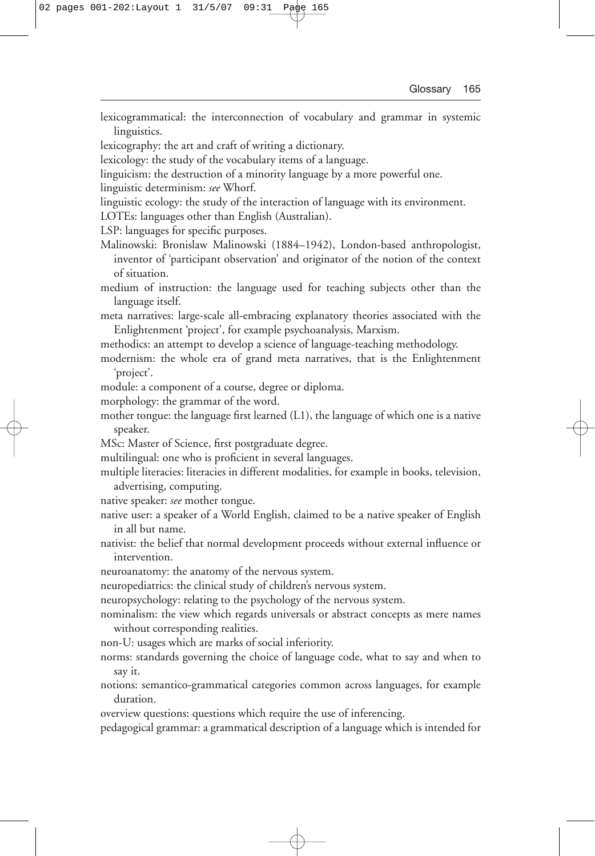- lexicogrammatical: the interconnection of vocabulary and grammar in systemic linguistics.
- lexicography: the art and craft of writing a dictionary.
- lexicology: the study of the vocabulary items of a language.
- linguicism: the destruction of a minority language by a more powerful one.
- linguistic determinism: *see* Whorf.
- linguistic ecology: the study of the interaction of language with its environment.
- LOTEs: languages other than English (Australian).
- LSP: languages for specific purposes.
- Malinowski: Bronislaw Malinowski (1884–1942), London-based anthropologist, in ventor of 'participant observation' and originator of the notion of the context of situation.
- medium of instruction: the language used for teaching subjects other than the language itself.
- meta narratives: large-scale all-embracing explanatory theories associated with the Enlightenment 'project', for example psychoanalysis, Marxism.
- methodics: an attempt to develop a science of language-teaching methodology.
- modernism: the whole era of grand meta narratives, that is the Enlightenment 'project'.
- module: a component of a course, degree or diploma.
- morphology: the grammar of the word.
- mother tongue: the language first learned (L1), the language of which one is a native speaker.
- MSc: Master of Science, first postgraduate degree.
- multilingual: one who is proficient in several languages.
- multiple literacies: literacies in different modalities, for example in books, television, advertising, computing.
- native speaker: *see* mother tongue.
- native user: a speaker of a World English, claimed to be a native speaker of English in all but name.
- nativist: the belief that normal development proceeds without external influence or intervention.
- neuroanatomy: the anatomy of the nervous system.
- neuropediatrics: the clinical study of children's nervous system.
- neuropsychology: relating to the psychology of the nervous system.
- nominalism: the view which regards universals or abstract concepts as mere names without corresponding realities.
- non-U: usages which are marks of social inferiority.
- norms: standards governing the choice of language code, what to say and when to say it.
- notions: semantico-grammatical categories common across languages, for example duration.
- overview questions: questions which require the use of inferencing.
- pedagogical grammar: a grammatical description of a language which is intended for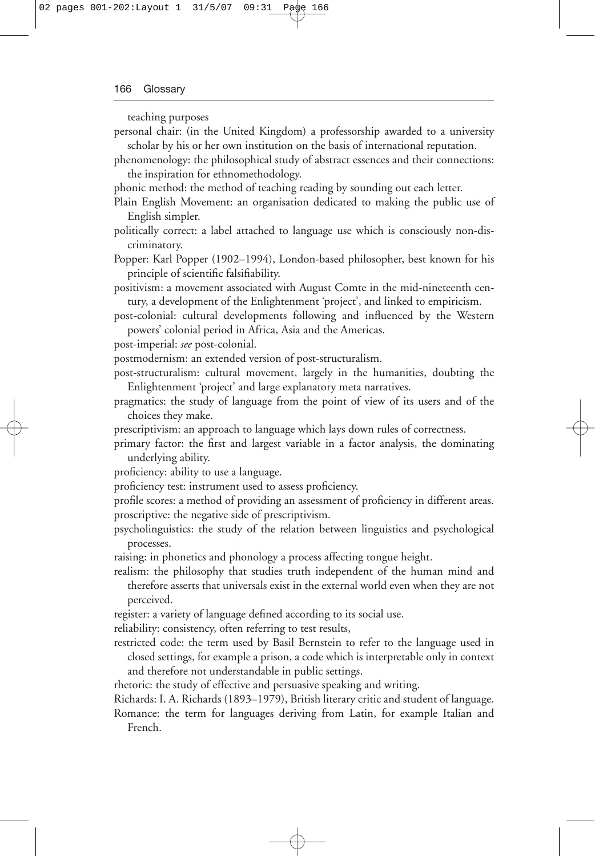teaching purposes

- personal chair: (in the United Kingdom) a professorship awarded to a university scholar by his or her own institution on the basis of international reputation.
- phenomenology: the philosophical study of abstract essences and their connections: the inspiration for ethnomethodology.
- phonic method: the method of teaching reading by sounding out each letter.
- Plain English Movement: an organisation dedicated to making the public use of English simpler.
- politically correct: a label attached to language use which is consciously non-discriminatory.
- Popper: Karl Popper (1902–1994), London-based philosopher, best known for his principle of scientific falsifiability.
- positivism: a movement associated with August Comte in the mid-nineteenth century, a development of the Enlightenment 'project', and linked to empiricism.
- post-colonial: cultural developments following and influenced by the Western powers' colonial period in Africa, Asia and the Americas.

post-imperial: *see* post-colonial.

postmodernism: an extended version of post-structuralism.

- post-structuralism: cultural movement, largely in the humanities, doubting the Enlighten ment 'project' and large explanatory meta narratives.
- pragmatics: the study of language from the point of view of its users and of the choices they make.
- prescriptivism: an approach to language which lays down rules of correctness.
- primary factor: the first and largest variable in a factor analysis, the dominating underlying ability.

proficiency: ability to use a language.

- proficiency test: instrument used to assess proficiency.
- profile scores: a method of providing an assessment of proficiency in different areas. proscriptive: the negative side of prescriptivism.
- psycholinguistics: the study of the relation between linguistics and psychological processes.

raising: in phonetics and phonology a process affecting tongue height.

- realism: the philosophy that studies truth independent of the human mind and therefore asserts that universals exist in the external world even when they are not perceived.
- register: a variety of language defined according to its social use.

reliability: consistency, often referring to test results,

- restricted code: the term used by Basil Bernstein to refer to the language used in closed settings, for example a prison, a code which is interpretable only in context and therefore not understandable in public settings.
- rhetoric: the study of effective and persuasive speaking and writing.

Richards: I. A. Richards (1893–1979), British literary critic and student of language. Romance: the term for languages deriving from Latin, for example Italian and

French.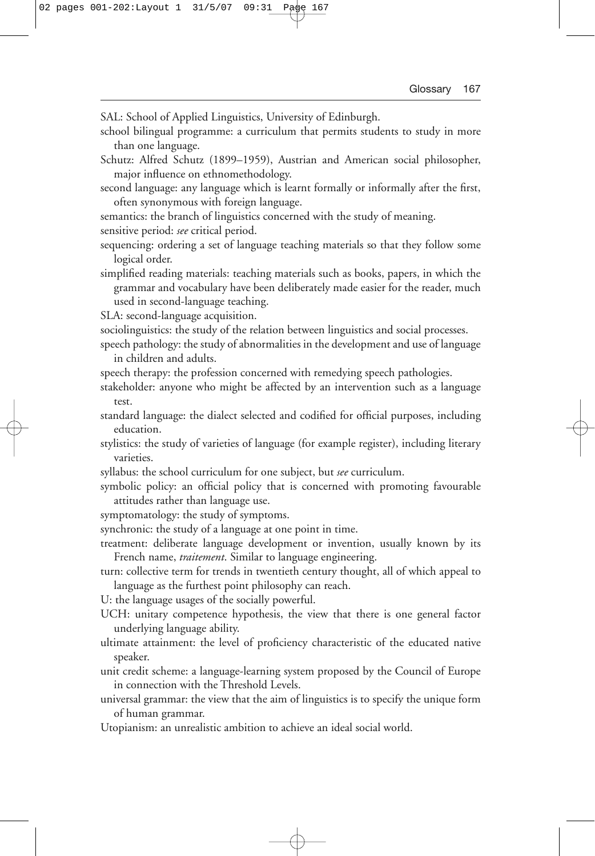SAL: School of Applied Linguistics, University of Edinburgh.

- school bilingual programme: a curriculum that permits students to study in more than one language.
- Schutz: Alfred Schutz (1899–1959), Austrian and American social philosopher, major influence on ethnomethodology.

second language: any language which is learnt formally or informally after the first, often synonymous with foreign language.

semantics: the branch of linguistics concerned with the study of meaning.

sensitive period: *see* critical period.

- sequencing: ordering a set of language teaching materials so that they follow some logical order.
- simplified reading materials: teaching materials such as books, papers, in which the grammar and vocabulary have been deliberately made easier for the reader, much used in second-language teaching.

SLA: second-language acquisition.

sociolinguistics: the study of the relation between linguistics and social processes.

- speech pathology: the study of abnormalities in the development and use of language in children and adults.
- speech therapy: the profession concerned with remedying speech pathologies.
- stakeholder: anyone who might be affected by an intervention such as a language test.
- standard language: the dialect selected and codified for official purposes, including education.
- stylistics: the study of varieties of language (for example register), including literary varieties.
- syllabus: the school curriculum for one subject, but *see* curriculum.
- symbolic policy: an official policy that is concerned with promoting favourable attitudes rather than language use.
- symptomatology: the study of symptoms.
- synchronic: the study of a language at one point in time.
- treatment: deliberate language development or invention, usually known by its French name, *traitement*. Similar to language engineering.
- turn: collective term for trends in twentieth century thought, all of which appeal to language as the furthest point philosophy can reach.
- U: the language usages of the socially powerful.
- UCH: unitary competence hypothesis, the view that there is one general factor underlying language ability.
- ultimate attainment: the level of proficiency characteristic of the educated native speaker.
- unit credit scheme: a language-learning system proposed by the Council of Europe in connection with the Threshold Levels.
- universal grammar: the view that the aim of linguistics is to specify the unique form of human grammar.
- Utopianism: an unrealistic ambition to achieve an ideal social world.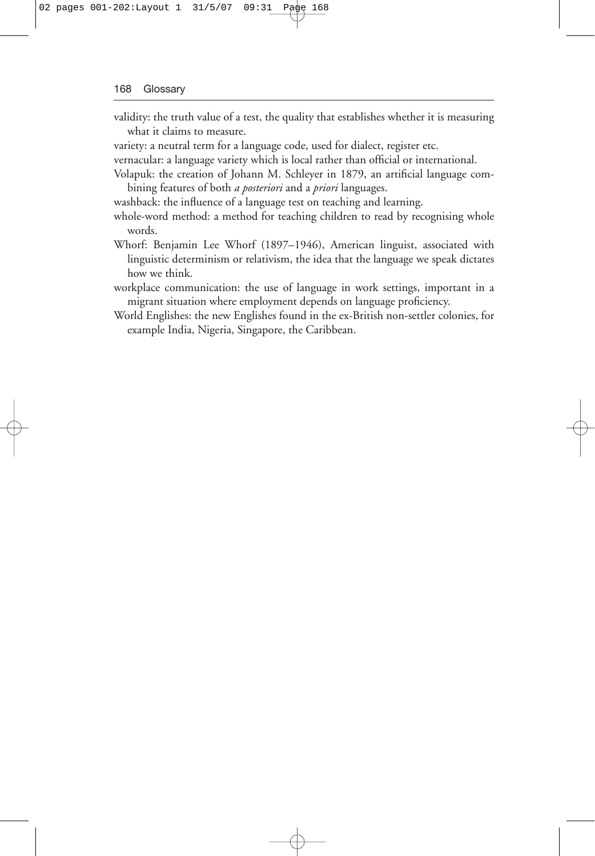validity: the truth value of a test, the quality that establishes whether it is measuring what it claims to measure.

variety: a neutral term for a language code, used for dialect, register etc.

vernacular: a language variety which is local rather than official or international.

Volapuk: the creation of Johann M. Schleyer in 1879, an artificial language combining features of both *a posteriori* and a *priori* languages.

washback: the influence of a language test on teaching and learning.

- whole-word method: a method for teaching children to read by recognising whole words.
- Whorf: Benjamin Lee Whorf (1897–1946), American linguist, associated with linguistic determinism or relativism, the idea that the language we speak dictates how we think.
- workplace communication: the use of language in work settings, important in a migrant situation where employment depends on language proficiency.
- World Englishes: the new Englishes found in the ex-British non-settler colonies, for example India, Nigeria, Singapore, the Caribbean.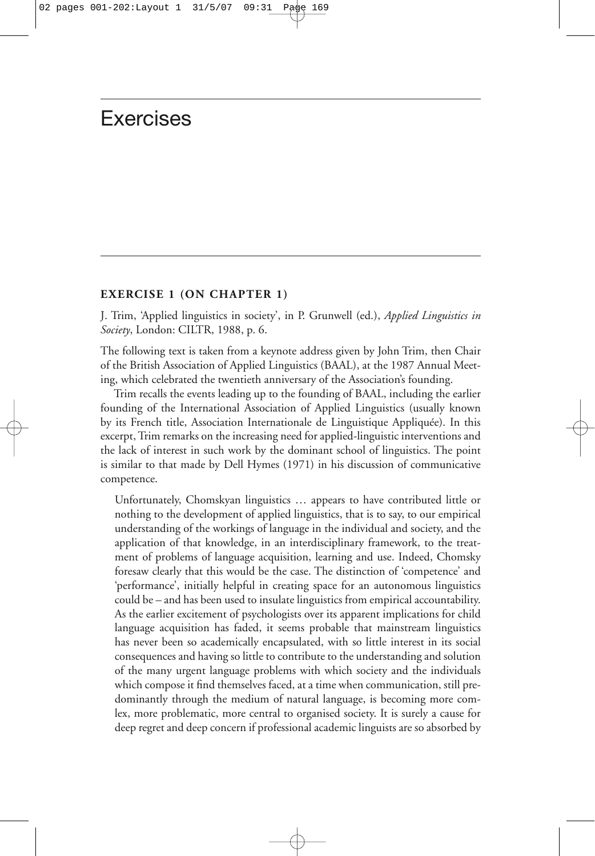# Exercises

#### **EXERCISE 1 (ON CHAPTER 1)**

J. Trim, 'Applied linguistics in society', in P. Grunwell (ed.), *Applied Linguistics in Society*, London: CILTR, 1988, p. 6.

The following text is taken from a keynote address given by John Trim, then Chair of the British Association of Applied Linguistics (BAAL), at the 1987 Annual Meet ing, which celebrated the twentieth anniversary of the Association's founding.

Trim recalls the events leading up to the founding of BAAL, including the earlier founding of the International Association of Applied Linguistics (usually known by its French title, Association Internationale de Linguistique Appliquée). In this excerpt, Trim remarks on the increasing need for applied-linguistic interventions and the lack of interest in such work by the dominant school of linguistics. The point is similar to that made by Dell Hymes (1971) in his discussion of communicative competence.

Unfortunately, Chomskyan linguistics … appears to have contributed little or nothing to the development of applied linguistics, that is to say, to our empirical understanding of the workings of language in the individual and society, and the application of that knowledge, in an interdisciplinary framework, to the treatment of problems of language acquisition, learning and use. Indeed, Chomsky foresaw clearly that this would be the case. The distinction of 'competence' and 'performance', initially helpful in creating space for an autonomous linguistics could be – and has been used to insulate linguistics from empirical accountability. As the earlier excitement of psychologists over its apparent implications for child language acquisition has faded, it seems probable that mainstream linguistics has never been so academically encapsulated, with so little interest in its social consequences and having so little to contribute to the understanding and solution of the many urgent language problems with which society and the individuals which compose it find themselves faced, at a time when communication, still predominantly through the medium of natural language, is becoming more comlex, more problematic, more central to organised society. It is surely a cause for deep regret and deep concern if professional academic linguists are so absorbed by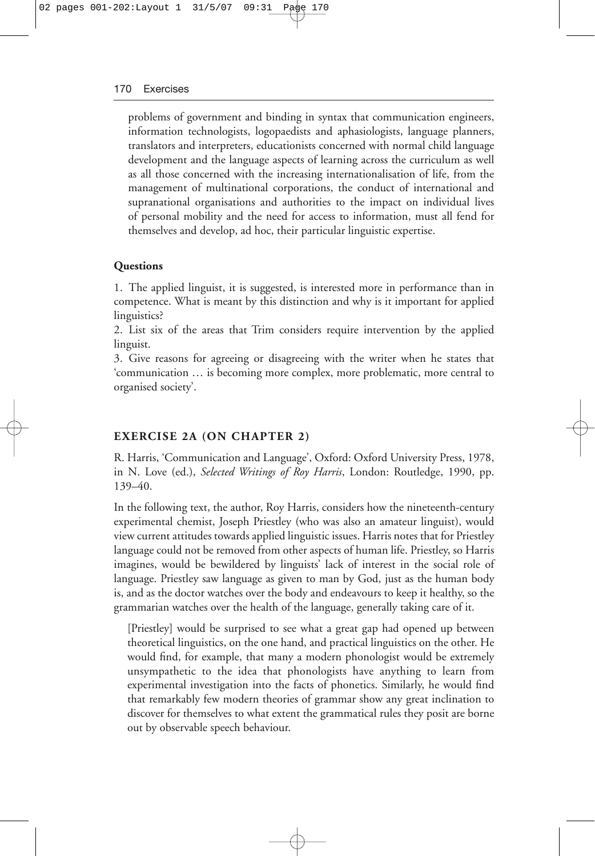problems of government and binding in syntax that communication engineers, information technologists, logopaedists and aphasiologists, language planners, translators and interpreters, educationists concerned with normal child language development and the language aspects of learning across the curriculum as well as all those concerned with the increasing internationalisation of life, from the management of multinational corporations, the conduct of international and supranational organisations and authorities to the impact on individual lives of personal mobility and the need for access to information, must all fend for themselves and develop, ad hoc, their particular linguistic expertise.

### **Questions**

1. The applied linguist, it is suggested, is interested more in performance than in competence. What is meant by this distinction and why is it important for applied linguistics?

2. List six of the areas that Trim considers require intervention by the applied linguist.

3. Give reasons for agreeing or disagreeing with the writer when he states that 'communication … is becoming more complex, more problematic, more central to organised society'.

# **EXERCISE 2A (ON CHAPTER 2)**

R. Harris, 'Communication and Language', Oxford: Oxford University Press, 1978, in N. Love (ed.), *Selected Writings of Roy Harris*, London: Routledge, 1990, pp. 139–40.

In the following text, the author, Roy Harris, considers how the nineteenth-century experimental chemist, Joseph Priestley (who was also an amateur linguist), would view current attitudes towards applied linguistic issues. Harris notes that for Priestley language could not be removed from other aspects of human life. Priestley, so Harris imagines, would be bewildered by linguists' lack of interest in the social role of language. Priestley saw language as given to man by God, just as the human body is, and as the doctor watches over the body and endeavours to keep it healthy, so the grammarian watches over the health of the language, generally taking care of it.

[Priestley] would be surprised to see what a great gap had opened up between theoretical linguistics, on the one hand, and practical linguistics on the other. He would find, for example, that many a modern phonologist would be extremely unsympathetic to the idea that phonologists have anything to learn from experimental investigation into the facts of phonetics. Similarly, he would find that remarkably few modern theories of grammar show any great inclination to discover for themselves to what extent the grammatical rules they posit are borne out by observable speech behaviour.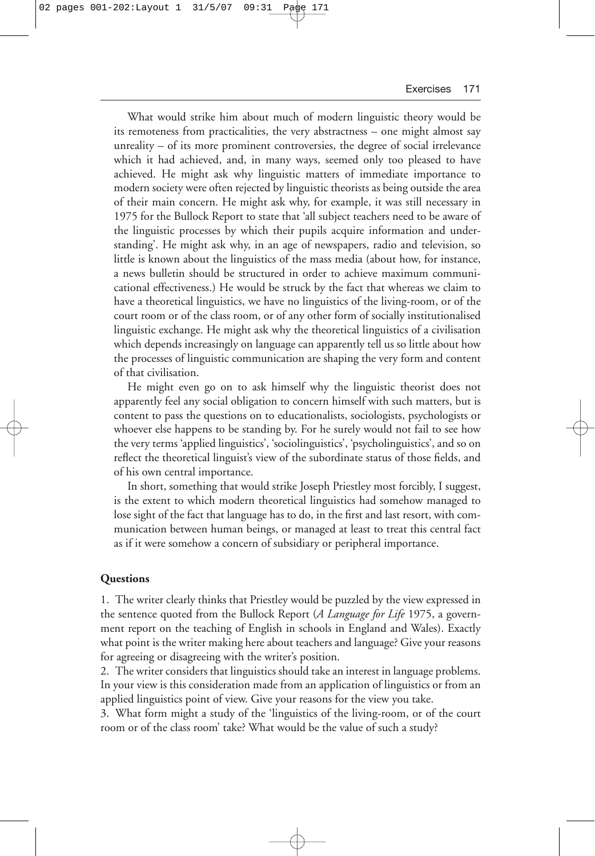What would strike him about much of modern linguistic theory would be its remoteness from practicalities, the very abstractness – one might almost say unreality – of its more prominent controversies, the degree of social irrelevance which it had achieved, and, in many ways, seemed only too pleased to have achieved. He might ask why linguistic matters of immediate importance to modern society were often rejected by linguistic theorists as being outside the area of their main concern. He might ask why, for example, it was still necessary in 1975 for the Bullock Report to state that 'all subject teachers need to be aware of the linguistic processes by which their pupils acquire information and under standing'. He might ask why, in an age of newspapers, radio and television, so little is known about the linguistics of the mass media (about how, for instance, a news bulletin should be structured in order to achieve maximum communicational effectiveness.) He would be struck by the fact that whereas we claim to have a theoretical linguistics, we have no linguistics of the living-room, or of the court room or of the class room, or of any other form of socially institutionalised linguistic exchange. He might ask why the theoretical linguistics of a civilisation which depends increasingly on language can apparently tell us so little about how the processes of linguistic communication are shaping the very form and content of that civilisation.

He might even go on to ask himself why the linguistic theorist does not apparently feel any social obligation to concern himself with such matters, but is content to pass the questions on to educationalists, sociologists, psychologists or whoever else happens to be standing by. For he surely would not fail to see how the very terms 'applied linguistics', 'sociolinguistics', 'psycholinguistics', and so on reflect the theoretical linguist's view of the subordinate status of those fields, and of his own central importance.

In short, something that would strike Joseph Priestley most forcibly, I suggest, is the extent to which modern theoretical linguistics had somehow managed to lose sight of the fact that language has to do, in the first and last resort, with communication between human beings, or managed at least to treat this central fact as if it were somehow a concern of subsidiary or peripheral importance.

### **Questions**

1. The writer clearly thinks that Priestley would be puzzled by the view expressed in the sentence quoted from the Bullock Report (*A Language for Life* 1975, a government report on the teaching of English in schools in England and Wales). Exactly what point is the writer making here about teachers and language? Give your reasons for agreeing or disagreeing with the writer's position.

2. The writer considers that linguistics should take an interest in language problems. In your view is this consideration made from an application of linguistics or from an applied linguistics point of view. Give your reasons for the view you take.

3. What form might a study of the 'linguistics of the living-room, or of the court room or of the class room' take? What would be the value of such a study?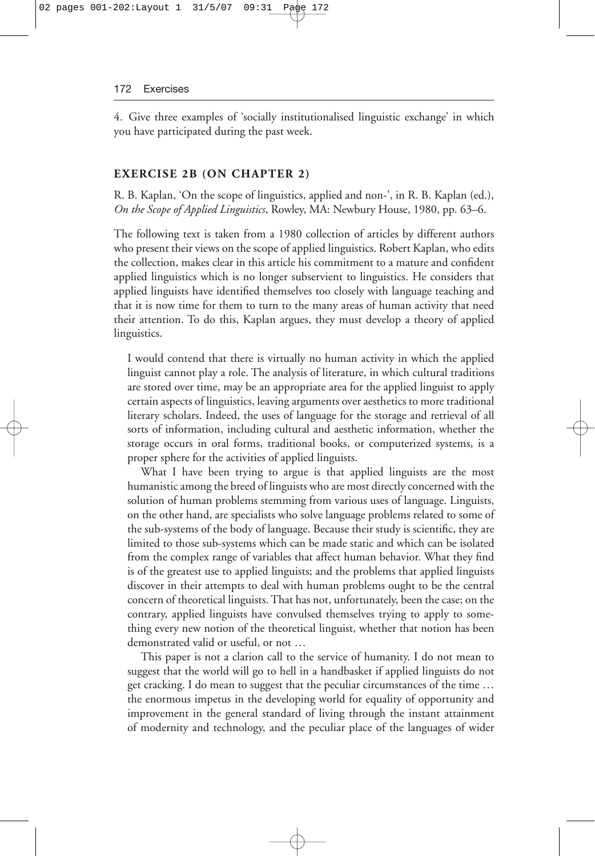4. Give three examples of 'socially institutionalised linguistic exchange' in which you have participated during the past week.

#### **EXERCISE 2B (ON CHAPTER 2)**

R. B. Kaplan, 'On the scope of linguistics, applied and non-', in R. B. Kaplan (ed.), *On the Scope of Applied Linguistics*, Rowley, MA: Newbury House, 1980, pp. 63–6.

The following text is taken from a 1980 collection of articles by different authors who present their views on the scope of applied linguistics. Robert Kaplan, who edits the collection, makes clear in this article his commitment to a mature and confident applied linguistics which is no longer subservient to linguistics. He considers that applied linguists have identified themselves too closely with language teaching and that it is now time for them to turn to the many areas of human activity that need their attention. To do this, Kaplan argues, they must develop a theory of applied linguistics.

I would contend that there is virtually no human activity in which the applied linguist cannot play a role. The analysis of literature, in which cultural traditions are stored over time, may be an appropriate area for the applied linguist to apply certain aspects of linguistics, leaving arguments over aesthetics to more traditional literary scholars. Indeed, the uses of language for the storage and retrieval of all sorts of information, including cultural and aesthetic information, whether the storage occurs in oral forms, traditional books, or computerized systems, is a proper sphere for the activities of applied linguists.

What I have been trying to argue is that applied linguists are the most humanistic among the breed of linguists who are most directly concerned with the solution of human problems stemming from various uses of language. Linguists, on the other hand, are specialists who solve language problems related to some of the sub-systems of the body of language. Because their study is scientific, they are limited to those sub-systems which can be made static and which can be isolated from the complex range of variables that affect human behavior. What they find is of the greatest use to applied linguists; and the problems that applied linguists discover in their attempts to deal with human problems ought to be the central concern of theoretical linguists. That has not, unfortunately, been the case; on the contrary, applied linguists have convulsed themselves trying to apply to some thing every new notion of the theoretical linguist, whether that notion has been demonstrated valid or useful, or not …

This paper is not a clarion call to the service of humanity. I do not mean to suggest that the world will go to hell in a handbasket if applied linguists do not get cracking. I do mean to suggest that the peculiar circumstances of the time … the enormous impetus in the developing world for equality of opportunity and improvement in the general standard of living through the instant attainment of modernity and technology, and the peculiar place of the languages of wider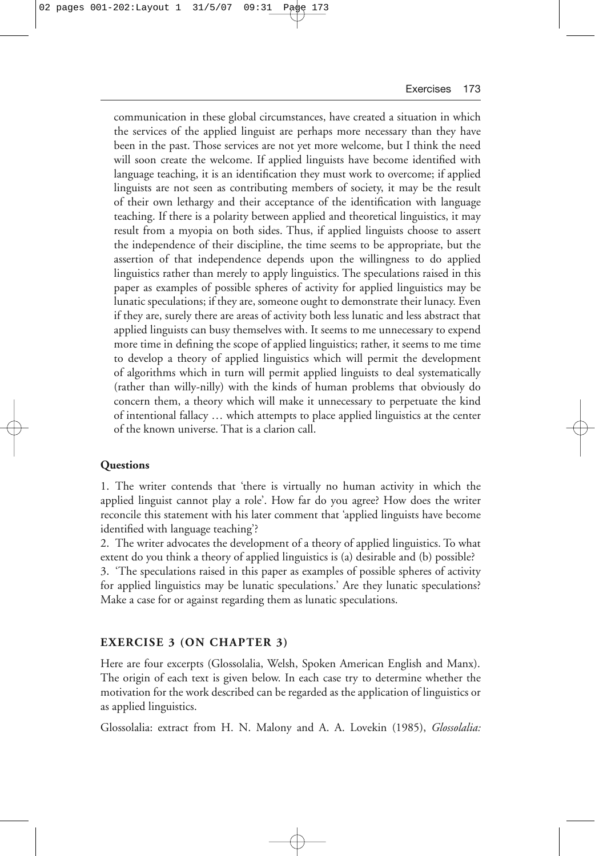communication in these global circumstances, have created a situation in which the services of the applied linguist are perhaps more necessary than they have been in the past. Those services are not yet more welcome, but I think the need will soon create the welcome. If applied linguists have become identified with language teaching, it is an identification they must work to overcome; if applied linguists are not seen as contributing members of society, it may be the result of their own lethargy and their acceptance of the identification with language teaching. If there is a polarity between applied and theoretical linguistics, it may result from a myopia on both sides. Thus, if applied linguists choose to assert the independence of their discipline, the time seems to be appropriate, but the assertion of that independence depends upon the willingness to do applied linguistics rather than merely to apply linguistics. The speculations raised in this paper as examples of possible spheres of activity for applied linguistics may be lunatic speculations; if they are, someone ought to demonstrate their lunacy. Even if they are, surely there are areas of activity both less lunatic and less abstract that applied linguists can busy themselves with. It seems to me unnecessary to expend more time in defining the scope of applied linguistics; rather, it seems to me time to develop a theory of applied linguistics which will permit the development of algorithms which in turn will permit applied linguists to deal systematically (rather than willy-nilly) with the kinds of human problems that obviously do concern them, a theory which will make it unnecessary to perpetuate the kind of intentional fallacy … which attempts to place applied linguistics at the center of the known universe. That is a clarion call.

# **Questions**

1. The writer contends that 'there is virtually no human activity in which the applied linguist cannot play a role'. How far do you agree? How does the writer reconcile this statement with his later comment that 'applied linguists have become identified with language teaching'?

2. The writer advocates the development of a theory of applied linguistics. To what extent do you think a theory of applied linguistics is (a) desirable and (b) possible?

3. 'The speculations raised in this paper as examples of possible spheres of activity for applied linguistics may be lunatic speculations.' Are they lunatic speculations? Make a case for or against regarding them as lunatic speculations.

# **EXERCISE 3 (ON CHAPTER 3)**

Here are four excerpts (Glossolalia, Welsh, Spoken American English and Manx). The origin of each text is given below. In each case try to determine whether the motivation for the work described can be regarded as the application of linguistics or as applied linguistics.

Glossolalia: extract from H. N. Malony and A. A. Lovekin (1985), *Glossolalia:*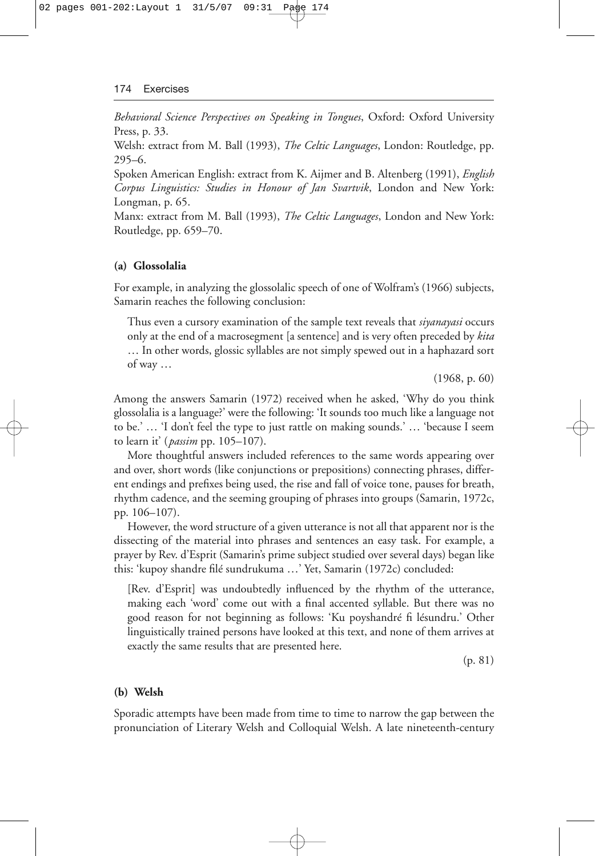*Behavioral Science Perspectives on Speaking in Tongues*, Oxford: Oxford University Press, p. 33.

Welsh: extract from M. Ball (1993), *The Celtic Languages*, London: Routledge, pp. 295–6.

Spoken American English: extract from K. Aijmer and B. Altenberg (1991), *English Corpus Linguistics: Studies in Honour of Jan Svartvik*, London and New York: Longman, p. 65.

Manx: extract from M. Ball (1993), *The Celtic Languages*, London and New York: Routledge, pp. 659–70.

#### **(a) Glossolalia**

For example, in analyzing the glossolalic speech of one of Wolfram's (1966) subjects, Samarin reaches the following conclusion:

Thus even a cursory examination of the sample text reveals that *siyanayasi* occurs only at the end of a macrosegment [a sentence] and is very often preceded by *kita* … In other words, glossic syllables are not simply spewed out in a haphazard sort of way …

(1968, p. 60)

Among the answers Samarin (1972) received when he asked, 'Why do you think glossolalia is a language?' were the following: 'It sounds too much like a language not to be.' … 'I don't feel the type to just rattle on making sounds.' … 'because I seem to learn it' (*passim* pp. 105–107).

More thoughtful answers included references to the same words appearing over and over, short words (like conjunctions or prepositions) connecting phrases, differ ent endings and prefixes being used, the rise and fall of voice tone, pauses for breath, rhythm cadence, and the seeming grouping of phrases into groups (Samarin, 1972c, pp. 106–107).

However, the word structure of a given utterance is not all that apparent nor is the dissecting of the material into phrases and sentences an easy task. For example, a prayer by Rev. d'Esprit (Samarin's prime subject studied over several days) began like this: 'kupoy shandre filé sundrukuma …' Yet, Samarin (1972c) concluded:

[Rev. d'Esprit] was undoubtedly influenced by the rhythm of the utterance, making each 'word' come out with a final accented syllable. But there was no good reason for not beginning as follows: 'Ku poyshandré fi lésundru.' Other linguistically trained persons have looked at this text, and none of them arrives at exactly the same results that are presented here.

(p. 81)

#### **(b) Welsh**

Sporadic attempts have been made from time to time to narrow the gap between the pronunciation of Literary Welsh and Colloquial Welsh. A late nineteenth-century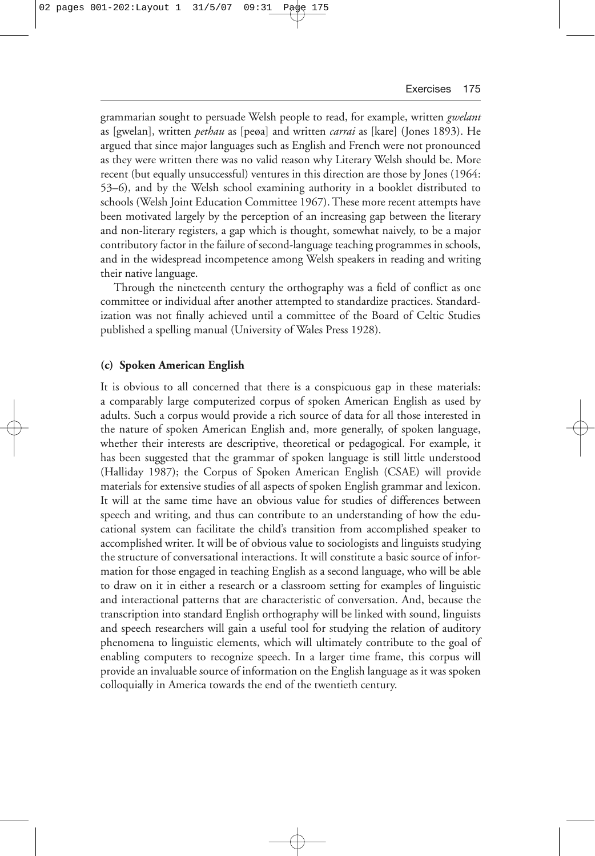grammarian sought to persuade Welsh people to read, for example, written *gwelant* as [gwelan], written *pethau* as [peøa] and written *carrai* as [kare] (Jones 1893). He argued that since major languages such as English and French were not pronounced as they were written there was no valid reason why Literary Welsh should be. More recent (but equally unsuccessful) ventures in this direction are those by Jones (1964: 53–6), and by the Welsh school examining authority in a booklet distributed to schools (Welsh Joint Education Committee 1967). These more recent attempts have been motivated largely by the perception of an increasing gap between the literary and non-literary registers, a gap which is thought, somewhat naively, to be a major contributory factor in the failure of second-language teaching programmes in schools, and in the widespread incompetence among Welsh speakers in reading and writing their native language.

Through the nineteenth century the orthography was a field of conflict as one committee or individual after another attempted to standardize practices. Standard ization was not finally achieved until a committee of the Board of Celtic Studies published a spelling manual (University of Wales Press 1928).

#### **(c) Spoken American English**

It is obvious to all concerned that there is a conspicuous gap in these materials: a comparably large computerized corpus of spoken American English as used by adults. Such a corpus would provide a rich source of data for all those interested in the nature of spoken American English and, more generally, of spoken language, whether their interests are descriptive, theoretical or pedagogical. For example, it has been suggested that the grammar of spoken language is still little understood (Halliday 1987); the Corpus of Spoken American English (CSAE) will provide materials for extensive studies of all aspects of spoken English grammar and lexicon. It will at the same time have an obvious value for studies of differences between speech and writing, and thus can contribute to an understanding of how the educational system can facilitate the child's transition from accomplished speaker to accomplished writer. It will be of obvious value to sociologists and linguists studying the structure of conversational interactions. It will constitute a basic source of infor mation for those engaged in teaching English as a second language, who will be able to draw on it in either a research or a classroom setting for examples of linguistic and interactional patterns that are characteristic of conversation. And, because the transcription into standard English orthography will be linked with sound, linguists and speech researchers will gain a useful tool for studying the relation of auditory phenomena to linguistic elements, which will ultimately contribute to the goal of enabling computers to recognize speech. In a larger time frame, this corpus will provide an invaluable source of information on the English language as it was spoken colloquially in America towards the end of the twentieth century.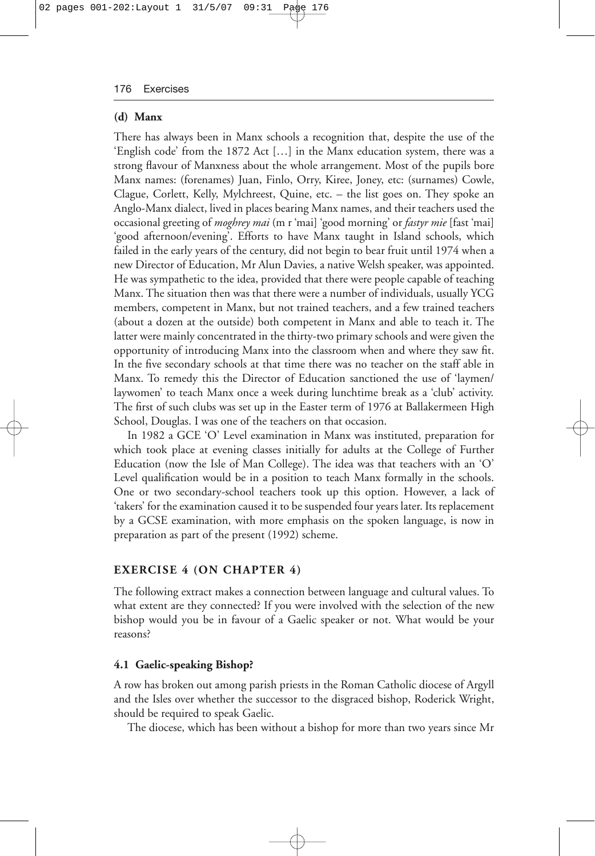#### **(d) Manx**

There has always been in Manx schools a recognition that, despite the use of the 'English code' from the 1872 Act […] in the Manx education system, there was a strong flavour of Manxness about the whole arrangement. Most of the pupils bore Manx names: (forenames) Juan, Finlo, Orry, Kiree, Joney, etc: (surnames) Cowle, Clague, Corlett, Kelly, Mylchreest, Quine, etc. – the list goes on. They spoke an Anglo-Manx dialect, lived in places bearing Manx names, and their teachers used the occasional greeting of *moghrey mai* (m r 'mai] 'good morning' or *fastyr mie* [fast 'mai] 'good afternoon/evening'. Efforts to have Manx taught in Island schools, which failed in the early years of the century, did not begin to bear fruit until 1974 when a new Director of Education, Mr Alun Davies, a native Welsh speaker, was appointed. He was sympathetic to the idea, provided that there were people capable of teaching Manx. The situation then was that there were a number of individuals, usually YCG members, competent in Manx, but not trained teachers, and a few trained teachers (about a dozen at the outside) both competent in Manx and able to teach it. The latter were mainly concentrated in the thirty-two primary schools and were given the opportunity of introducing Manx into the classroom when and where they saw fit. In the five secondary schools at that time there was no teacher on the staff able in Manx. To remedy this the Director of Education sanctioned the use of 'laymen/ laywomen' to teach Manx once a week during lunchtime break as a 'club' activity. The first of such clubs was set up in the Easter term of 1976 at Ballakermeen High School, Douglas. I was one of the teachers on that occasion.

In 1982 a GCE 'O' Level examination in Manx was instituted, preparation for which took place at evening classes initially for adults at the College of Further Education (now the Isle of Man College). The idea was that teachers with an 'O' Level qualification would be in a position to teach Manx formally in the schools. One or two secondary-school teachers took up this option. However, a lack of 'takers' for the examination caused it to be suspended four years later. Its replacement by a GCSE examination, with more emphasis on the spoken language, is now in preparation as part of the present (1992) scheme.

#### **EXERCISE 4 (ON CHAPTER 4)**

The following extract makes a connection between language and cultural values. To what extent are they connected? If you were involved with the selection of the new bishop would you be in favour of a Gaelic speaker or not. What would be your reasons?

#### **4.1 Gaelic-speaking Bishop?**

A row has broken out among parish priests in the Roman Catholic diocese of Argyll and the Isles over whether the successor to the disgraced bishop, Roderick Wright, should be required to speak Gaelic.

The diocese, which has been without a bishop for more than two years since Mr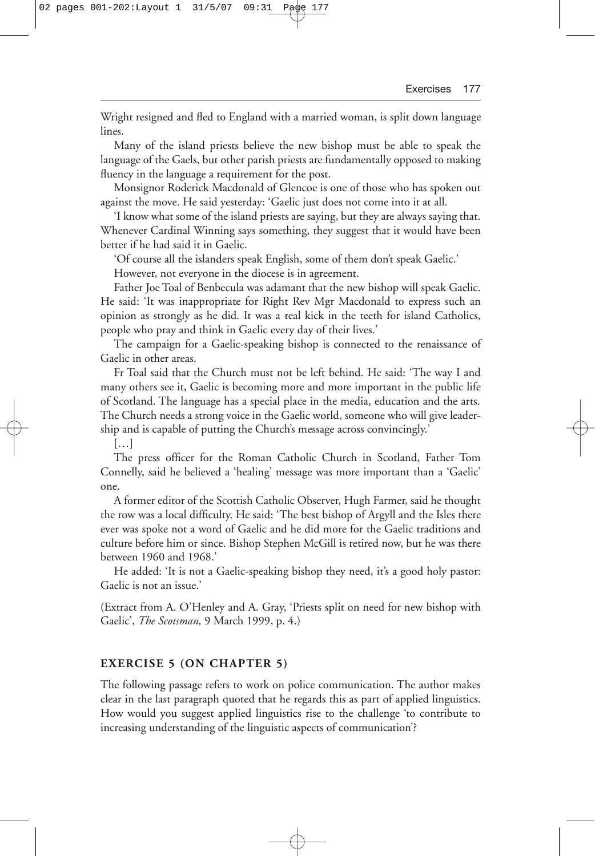Wright resigned and fled to England with a married woman, is split down language lines.

Many of the island priests believe the new bishop must be able to speak the language of the Gaels, but other parish priests are fundamentally opposed to making fluency in the language a requirement for the post.

Monsignor Roderick Macdonald of Glencoe is one of those who has spoken out against the move. He said yesterday: 'Gaelic just does not come into it at all.

'I know what some of the island priests are saying, but they are always saying that. Whenever Cardinal Winning says something, they suggest that it would have been better if he had said it in Gaelic.

'Of course all the islanders speak English, some of them don't speak Gaelic.' However, not everyone in the diocese is in agreement.

Father Joe Toal of Benbecula was adamant that the new bishop will speak Gaelic. He said: 'It was inappropriate for Right Rev Mgr Macdonald to express such an opinion as strongly as he did. It was a real kick in the teeth for island Catholics, people who pray and think in Gaelic every day of their lives.'

The campaign for a Gaelic-speaking bishop is connected to the renaissance of Gaelic in other areas.

Fr Toal said that the Church must not be left behind. He said: 'The way I and many others see it, Gaelic is becoming more and more important in the public life of Scotland. The language has a special place in the media, education and the arts. The Church needs a strong voice in the Gaelic world, someone who will give leader ship and is capable of putting the Church's message across convincingly.'

[…]

The press officer for the Roman Catholic Church in Scotland, Father Tom Connelly, said he believed a 'healing' message was more important than a 'Gaelic' one.

A former editor of the Scottish Catholic Observer, Hugh Farmer, said he thought the row was a local difficulty. He said: 'The best bishop of Argyll and the Isles there ever was spoke not a word of Gaelic and he did more for the Gaelic traditions and culture before him or since. Bishop Stephen McGill is retired now, but he was there between 1960 and 1968.'

He added: 'It is not a Gaelic-speaking bishop they need, it's a good holy pastor: Gaelic is not an issue.'

(Extract from A. O'Henley and A. Gray, 'Priests split on need for new bishop with Gaelic', *The Scotsman,* 9 March 1999, p. 4.)

#### **EXERCISE 5 (ON CHAPTER 5)**

The following passage refers to work on police communication. The author makes clear in the last paragraph quoted that he regards this as part of applied linguistics. How would you suggest applied linguistics rise to the challenge 'to contribute to increasing understanding of the linguistic aspects of communication'?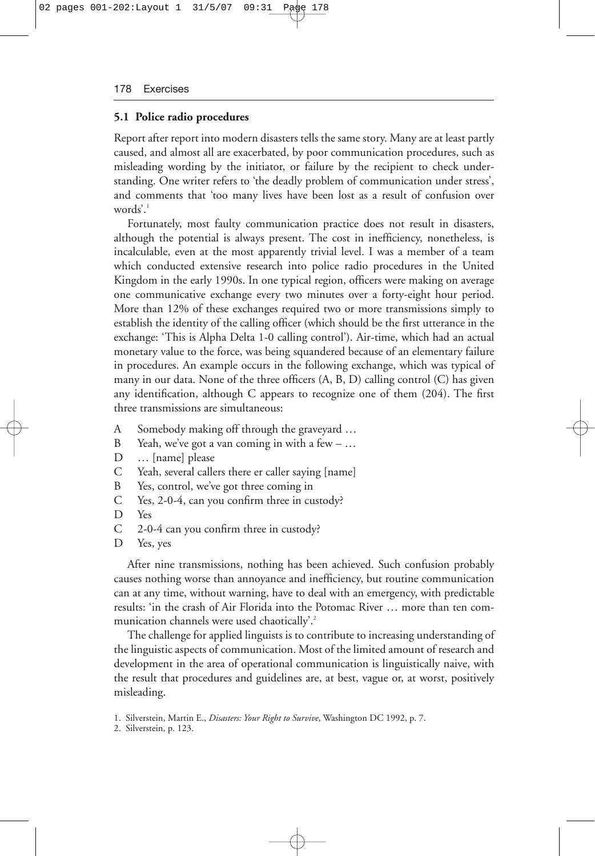#### **5.1 Police radio procedures**

Report after report into modern disasters tells the same story. Many are at least partly caused, and almost all are exacerbated, by poor communication procedures, such as misleading wording by the initiator, or failure by the recipient to check understanding. One writer refers to 'the deadly problem of communication under stress', and comments that 'too many lives have been lost as a result of confusion over words'.1

Fortunately, most faulty communication practice does not result in disasters, although the potential is always present. The cost in inefficiency, nonetheless, is incalculable, even at the most apparently trivial level. I was a member of a team which conducted extensive research into police radio procedures in the United Kingdom in the early 1990s. In one typical region, officers were making on average one communicative exchange every two minutes over a forty-eight hour period. More than 12% of these exchanges required two or more transmissions simply to establish the identity of the calling officer (which should be the first utterance in the exchange: 'This is Alpha Delta 1-0 calling control'). Air-time, which had an actual monetary value to the force, was being squandered because of an elementary failure in procedures. An example occurs in the following exchange, which was typical of many in our data. None of the three officers (A, B, D) calling control (C) has given any identification, although C appears to recognize one of them (204). The first three transmissions are simultaneous:

- A Somebody making off through the graveyard …
- B Yeah, we've got a van coming in with a few …
- D ... [name] please
- C Yeah, several callers there er caller saying [name]
- B Yes, control, we've got three coming in
- C Yes, 2-0-4, can you confirm three in custody?
- D Yes
- C 2-0-4 can you confirm three in custody?
- D Yes, yes

After nine transmissions, nothing has been achieved. Such confusion probably causes nothing worse than annoyance and inefficiency, but routine communication can at any time, without warning, have to deal with an emergency, with predictable results: 'in the crash of Air Florida into the Potomac River … more than ten com munication channels were used chaotically'.<sup>2</sup>

The challenge for applied linguists is to contribute to increasing understanding of the linguistic aspects of communication. Most of the limited amount of research and development in the area of operational communication is linguistically naive, with the result that procedures and guidelines are, at best, vague or, at worst, positively misleading.

2. Silverstein, p. 123.

<sup>1.</sup> Silverstein, Martin E., *Disasters: Your Right to Survive*, Washington DC 1992, p. 7.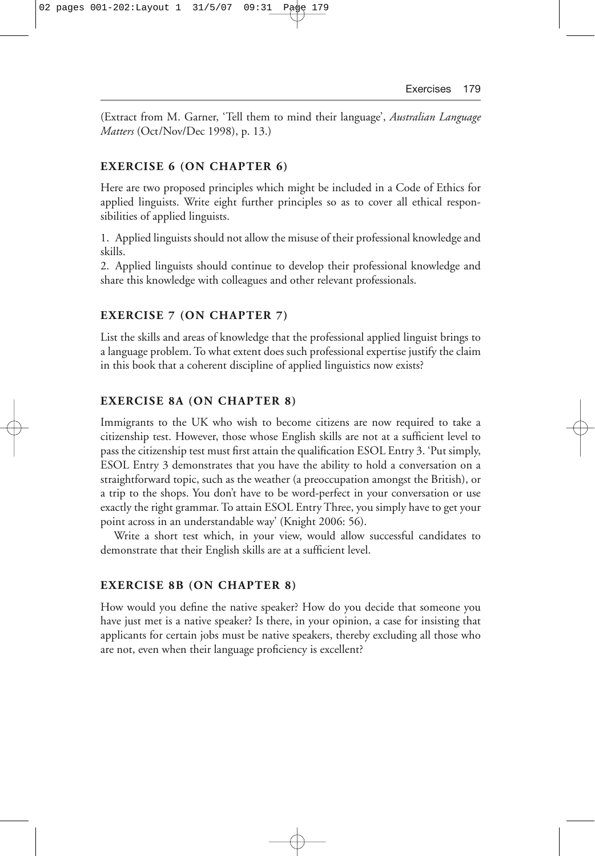(Extract from M. Garner, 'Tell them to mind their language', *Australian Language Matters* (Oct/Nov/Dec 1998), p. 13.)

### **EXERCISE 6 (ON CHAPTER 6)**

Here are two proposed principles which might be included in a Code of Ethics for applied linguists. Write eight further principles so as to cover all ethical responsibilities of applied linguists.

1. Applied linguists should not allow the misuse of their professional knowledge and skills.

2. Applied linguists should continue to develop their professional knowledge and share this knowledge with colleagues and other relevant professionals.

### **EXERCISE 7 (ON CHAPTER 7)**

List the skills and areas of knowledge that the professional applied linguist brings to a language problem. To what extent does such professional expertise justify the claim in this book that a coherent discipline of applied linguistics now exists?

#### **EXERCISE 8A (ON CHAPTER 8)**

Immigrants to the UK who wish to become citizens are now required to take a citizenship test. However, those whose English skills are not at a sufficient level to pass the citizenship test must first attain the qualification ESOL Entry 3. 'Put simply, ESOL Entry 3 demonstrates that you have the ability to hold a conversation on a straightforward topic, such as the weather (a preoccupation amongst the British), or a trip to the shops. You don't have to be word-perfect in your conversation or use exactly the right grammar. To attain ESOL Entry Three, you simply have to get your point across in an understandable way' (Knight 2006: 56).

Write a short test which, in your view, would allow successful candidates to demonstrate that their English skills are at a sufficient level.

#### **EXERCISE 8B (ON CHAPTER 8)**

How would you define the native speaker? How do you decide that someone you have just met is a native speaker? Is there, in your opinion, a case for insisting that applicants for certain jobs must be native speakers, thereby excluding all those who are not, even when their language proficiency is excellent?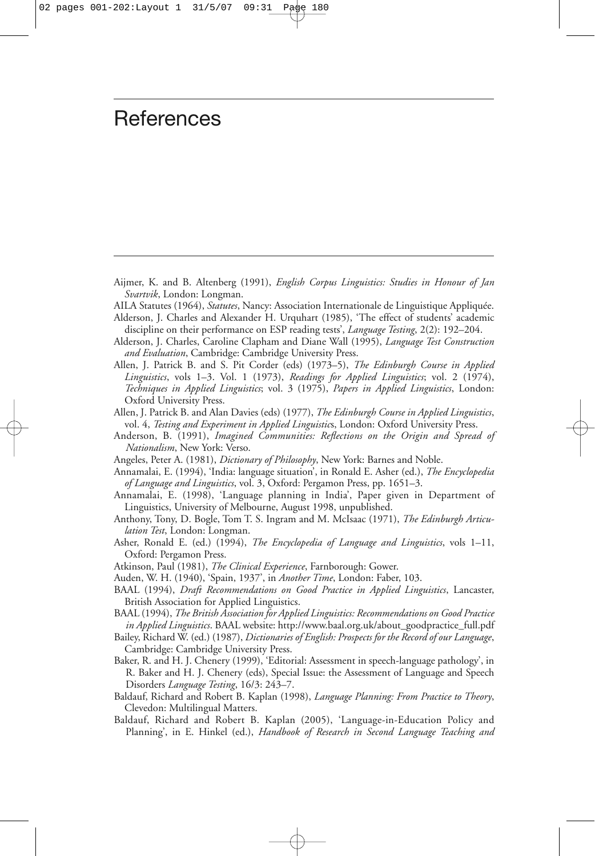# **References**

- Aijmer, K. and B. Altenberg (1991), *English Corpus Linguistics: Studies in Honour of Jan Svartvik*, London: Longman.
- AILA Statutes (1964), *Statutes*, Nancy: Association Internationale de Linguistique Appliquée.
- Alderson, J. Charles and Alexander H. Urquhart (1985), 'The effect of students' academic discipline on their performance on ESP reading tests', *Language Testing*, 2(2): 192–204.
- Alderson, J. Charles, Caroline Clapham and Diane Wall (1995), *Language Test Construction and Evaluation*, Cambridge: Cambridge University Press.
- Allen, J. Patrick B. and S. Pit Corder (eds) (1973–5), *The Edinburgh Course in Applied Linguistics*, vols 1–3. Vol. 1 (1973), *Readings for Applied Linguistics*; vol. 2 (1974), *Techniques in Applied Linguistics*; vol. 3 (1975), *Papers in Applied Linguistics*, London: Oxford University Press.
- Allen, J. Patrick B. and Alan Davies (eds) (1977), *The Edinburgh Course in Applied Linguistics*, vol. 4, *Testing and Experiment in Applied Linguistic*s, London: Oxford University Press.
- Anderson, B. (1991), *Imagined Communities: Reflections on the Origin and Spread of Nationalism*, New York: Verso.
- Angeles, Peter A. (1981), *Dictionary of Philosophy*, New York: Barnes and Noble.
- Annamalai, E. (1994), 'India: language situation', in Ronald E. Asher (ed.), *The Encyclopedia of Language and Linguistics*, vol. 3, Oxford: Pergamon Press, pp. 1651–3.
- Annamalai, E. (1998), 'Language planning in India', Paper given in Department of Linguistics, University of Melbourne, August 1998, unpublished.
- Anthony, Tony, D. Bogle, Tom T. S. Ingram and M. McIsaac (1971), *The Edinburgh Articu lation Test*, London: Longman.
- Asher, Ronald E. (ed.) (1994), *The Encyclopedia of Language and Linguistics*, vols 1–11, Oxford: Pergamon Press.
- Atkinson, Paul (1981), *The Clinical Experience*, Farnborough: Gower.
- Auden, W. H. (1940), 'Spain, 1937', in *Another Time*, London: Faber, 103.
- BAAL (1994), *Draft Recommendations on Good Practice in Applied Linguistics*, Lancaster, British Association for Applied Linguistics.
- BAAL (1994), *The British Association for Applied Linguistics: Recommendations on Good Practice in Applied Linguistics*. BAAL website: http://www.baal.org.uk/about\_goodpractice\_full.pdf
- Bailey, Richard W. (ed.) (1987), *Dictionaries of English: Prospects for the Record of our Language*, Cambridge: Cambridge University Press.
- Baker, R. and H. J. Chenery (1999), 'Editorial: Assessment in speech-language pathology', in R. Baker and H. J. Chenery (eds), Special Issue: the Assessment of Language and Speech Disorders *Language Testing*, 16/3: 243–7.
- Baldauf, Richard and Robert B. Kaplan (1998), *Language Planning: From Practice to Theory*, Clevedon: Multilingual Matters.
- Baldauf, Richard and Robert B. Kaplan (2005), 'Language-in-Education Policy and Planning', in E. Hinkel (ed.), *Handbook of Research in Second Language Teaching and*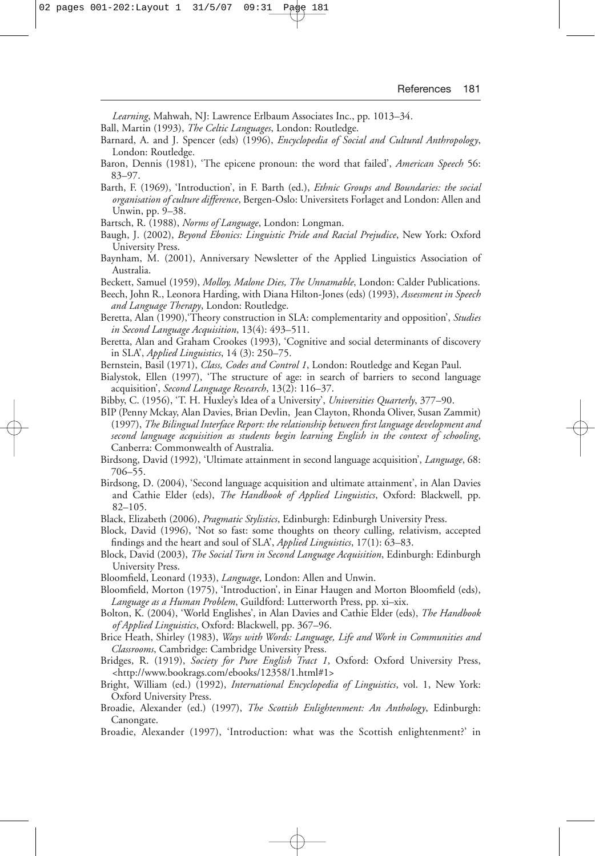*Learning*, Mahwah, NJ: Lawrence Erlbaum Associates Inc., pp. 1013–34.

- Ball, Martin (1993), *The Celtic Languages*, London: Routledge.
- Barnard, A. and J. Spencer (eds) (1996), *Encyclopedia of Social and Cultural Anthropology*, London: Routledge.
- Baron, Dennis (1981), 'The epicene pronoun: the word that failed', *American Speech* 56: 83–97.
- Barth, F. (1969), 'Introduction', in F. Barth (ed.), *Ethnic Groups and Boundaries: the social organisation of culture difference*, Bergen-Oslo: Universitets Forlaget and London: Allen and Unwin, pp. 9–38.
- Bartsch, R. (1988), *Norms of Language*, London: Longman.
- Baugh, J. (2002), *Beyond Ebonics: Linguistic Pride and Racial Prejudice*, New York: Oxford University Press.
- Baynham, M. (2001), Anniversary Newsletter of the Applied Linguistics Association of Australia.
- Beckett, Samuel (1959), *Molloy, Malone Dies, The Unnamable*, London: Calder Publications.
- Beech, John R., Leonora Harding, with Diana Hilton-Jones (eds) (1993), *Assessment in Speech and Language Therapy*, London: Routledge.
- Beretta, Alan (1990),'Theory construction in SLA: complementarity and opposition', *Studies in Second Language Acquisition*, 13(4): 493–511.
- Beretta, Alan and Graham Crookes (1993), 'Cognitive and social determinants of discovery in SLA', *Applied Linguistics*, 14 (3): 250–75.
- Bernstein, Basil (1971), *Class, Codes and Control 1*, London: Routledge and Kegan Paul.
- Bialystok, Ellen (1997), 'The structure of age: in search of barriers to second language acquisition', *Second Language Research*, 13(2): 116–37.
- Bibby, C. (1956), 'T. H. Huxley's Idea of a University', *Universities Quarterly*, 377–90.
- BIP (Penny Mckay, Alan Davies, Brian Devlin, Jean Clayton, Rhonda Oliver, Susan Zammit) (1997), *The Bilingual Interface Report: the relationship between first language development and second language acquisition as students begin learning English in the context of schooling*, Canberra: Commonwealth of Australia.
- Birdsong, David (1992), 'Ultimate attainment in second language acquisition', *Language*, 68: 706–55.
- Birdsong, D. (2004), 'Second language acquisition and ultimate attainment', in Alan Davies and Cathie Elder (eds), *The Handbook of Applied Linguistics*, Oxford: Blackwell, pp. 82–105.
- Black, Elizabeth (2006), *Pragmatic Stylistics*, Edinburgh: Edinburgh University Press.
- Block, David (1996), 'Not so fast: some thoughts on theory culling, relativism, accepted findings and the heart and soul of SLA', *Applied Linguistics*, 17(1): 63–83.
- Block, David (2003), *The Social Turn in Second Language Acquisition*, Edinburgh: Edinburgh University Press.
- Bloomfield, Leonard (1933), *Language*, London: Allen and Unwin.
- Bloomfield, Morton (1975), 'Introduction', in Einar Haugen and Morton Bloomfield (eds), *Language as a Human Problem*, Guildford: Lutterworth Press, pp. xi–xix.
- Bolton, K. (2004), 'World Englishes', in Alan Davies and Cathie Elder (eds), *The Handbook of Applied Linguistics*, Oxford: Blackwell, pp. 367–96.
- Brice Heath, Shirley (1983), *Ways with Words: Language, Life and Work in Communities and Classrooms*, Cambridge: Cambridge University Press.
- Bridges, R. (1919), *Society for Pure English Tract 1*, Oxford: Oxford University Press, <http://www.bookrags.com/ebooks/12358/1.html#1>
- Bright, William (ed.) (1992), *International Encyclopedia of Linguistics*, vol. 1, New York: Oxford University Press.
- Broadie, Alexander (ed.) (1997), *The Scottish Enlightenment: An Anthology*, Edinburgh: Canongate.
- Broadie, Alexander (1997), 'Introduction: what was the Scottish enlightenment?' in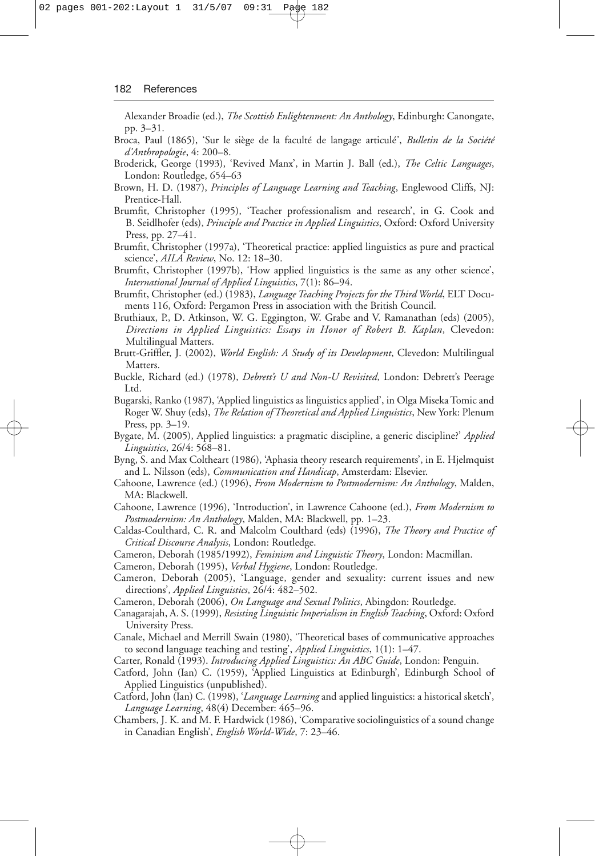Alexander Broadie (ed.), *The Scottish Enlightenment: An Anthology*, Edinburgh: Canongate, pp. 3–31.

- Broca, Paul (1865), 'Sur le siège de la faculté de langage articulé', *Bulletin de la Société d'Anthropologie*, 4: 200–8.
- Broderick, George (1993), 'Revived Manx', in Martin J. Ball (ed.), *The Celtic Languages*, London: Routledge, 654–63
- Brown, H. D. (1987), *Principles of Language Learning and Teaching*, Englewood Cliffs, NJ: Prentice-Hall.
- Brumfit, Christopher (1995), 'Teacher professionalism and research', in G. Cook and B. Seidlhofer (eds), *Principle and Practice in Applied Linguistics*, Oxford: Oxford University Press, pp. 27–41.
- Brumfit, Christopher (1997a), 'Theoretical practice: applied linguistics as pure and practical science', *AILA Review*, No. 12: 18–30.
- Brumfit, Christopher (1997b), 'How applied linguistics is the same as any other science', *International Journal of Applied Linguistics*, 7(1): 86–94.
- Brumfit, Christopher (ed.) (1983), *Language Teaching Projects for the Third World*, ELT Documents 116, Oxford: Pergamon Press in association with the British Council.
- Bruthiaux, P., D. Atkinson, W. G. Eggington, W. Grabe and V. Ramanathan (eds) (2005), *Directions in Applied Linguistics: Essays in Honor of Robert B. Kaplan*, Clevedon: Multilingual Matters.
- Brutt-Griffler, J. (2002), *World English: A Study of its Development*, Clevedon: Multilingual Matters.
- Buckle, Richard (ed.) (1978), *Debrett's U and Non-U Revisited*, London: Debrett's Peerage Ltd.
- Bugarski, Ranko (1987), 'Applied linguistics as linguistics applied', in Olga Miseka Tomic and Roger W. Shuy (eds), *The Relation of Theoretical and Applied Linguistics*, New York: Plenum Press, pp. 3–19.
- Bygate, M. (2005), Applied linguistics: a pragmatic discipline, a generic discipline?' *Applied Linguistics*, 26/4: 568–81.
- Byng, S. and Max Coltheart (1986), 'Aphasia theory research requirements', in E. Hjelmquist and L. Nilsson (eds), *Communication and Handicap*, Amsterdam: Elsevier.
- Cahoone, Lawrence (ed.) (1996), *From Modernism to Postmodernism: An Anthology*, Malden, MA: Blackwell.
- Cahoone, Lawrence (1996), 'Introduction', in Lawrence Cahoone (ed.), *From Modernism to Postmodernism: An Anthology*, Malden, MA: Blackwell, pp. 1–23.
- Caldas-Coulthard, C. R. and Malcolm Coulthard (eds) (1996), *The Theory and Practice of Critical Discourse Analysis*, London: Routledge.
- Cameron, Deborah (1985/1992), *Feminism and Linguistic Theory*, London: Macmillan.
- Cameron, Deborah (1995), *Verbal Hygiene*, London: Routledge.
- Cameron, Deborah (2005), 'Language, gender and sexuality: current issues and new directions', *Applied Linguistics*, 26/4: 482–502.
- Cameron, Deborah (2006), *On Language and Sexual Politics*, Abingdon: Routledge.
- Canagarajah, A. S. (1999), *Resisting Linguistic Imperialism in English Teaching*, Oxford: Oxford University Press.
- Canale, Michael and Merrill Swain (1980), 'Theoretical bases of communicative approaches to second language teaching and testing', *Applied Linguistics*, 1(1): 1–47.
- Carter, Ronald (1993). *Introducing Applied Linguistics: An ABC Guide*, London: Penguin.
- Catford, John (Ian) C. (1959), 'Applied Linguistics at Edinburgh', Edinburgh School of Applied Linguistics (unpublished).
- Catford, John (Ian) C. (1998), '*Language Learning* and applied linguistics: a historical sketch', *Language Learning*, 48(4) December: 465–96.
- Chambers, J. K. and M. F. Hardwick (1986), 'Comparative sociolinguistics of a sound change in Canadian English', *English World-Wide*, 7: 23–46.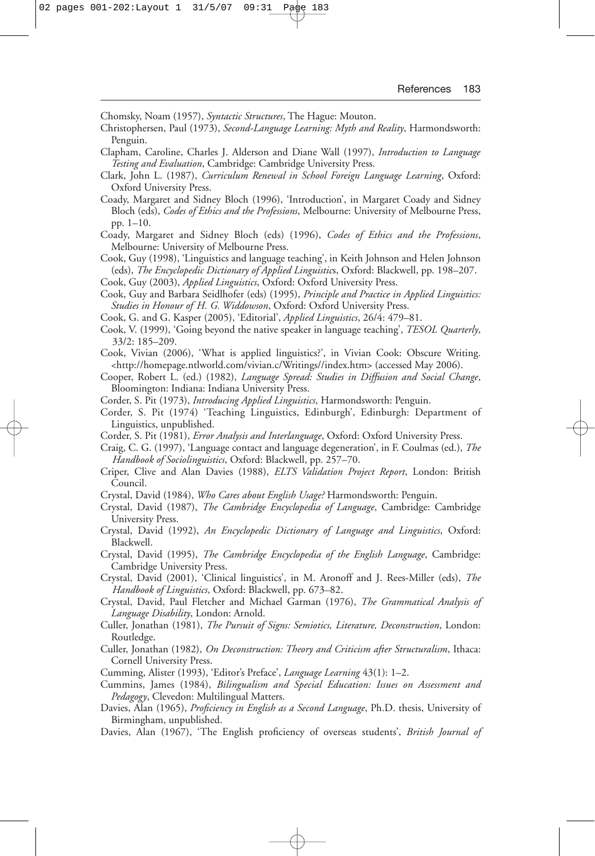Chomsky, Noam (1957), *Syntactic Structures*, The Hague: Mouton.

- Christophersen, Paul (1973), *Second-Language Learning: Myth and Reality*, Harmondsworth: Penguin.
- Clapham, Caroline, Charles J. Alderson and Diane Wall (1997), *Introduction to Language Testing and Evaluation*, Cambridge: Cambridge University Press.
- Clark, John L. (1987), *Curriculum Renewal in School Foreign Language Learning*, Oxford: Oxford University Press.
- Coady, Margaret and Sidney Bloch (1996), 'Introduction', in Margaret Coady and Sidney Bloch (eds), *Codes of Ethics and the Professions*, Melbourne: University of Melbourne Press, pp. 1–10.
- Coady, Margaret and Sidney Bloch (eds) (1996), *Codes of Ethics and the Professions*, Melbourne: University of Melbourne Press.
- Cook, Guy (1998), 'Linguistics and language teaching', in Keith Johnson and Helen Johnson (eds), *The Encyclopedic Dictionary of Applied Linguistic*s, Oxford: Blackwell, pp. 198–207.
- Cook, Guy (2003), *Applied Linguistics*, Oxford: Oxford University Press.
- Cook, Guy and Barbara Seidlhofer (eds) (1995), *Principle and Practice in Applied Linguistics: Studies in Honour of H. G. Widdowson*, Oxford: Oxford University Press.
- Cook, G. and G. Kasper (2005), 'Editorial', *Applied Linguistics*, 26/4: 479–81.
- Cook, V. (1999), 'Going beyond the native speaker in language teaching', *TESOL Quarterly*, 33/2: 185–209.
- Cook, Vivian (2006), 'What is applied linguistics?', in Vivian Cook: Obscure Writing. <http://homepage.ntlworld.com/vivian.c/Writings//index.htm> (accessed May 2006).
- Cooper, Robert L. (ed.) (1982), *Language Spread: Studies in Diffusion and Social Change*, Bloomington: Indiana: Indiana University Press.
- Corder, S. Pit (1973), *Introducing Applied Linguistics*, Harmondsworth: Penguin.
- Corder, S. Pit (1974) 'Teaching Linguistics, Edinburgh', Edinburgh: Department of Linguistics, unpublished.
- Corder, S. Pit (1981), *Error Analysis and Interlanguage*, Oxford: Oxford University Press.
- Craig, C. G. (1997), 'Language contact and language degeneration', in F. Coulmas (ed.), *The Handbook of Sociolinguistics*, Oxford: Blackwell, pp. 257–70.
- Criper, Clive and Alan Davies (1988), *ELTS Validation Project Report*, London: British Council.
- Crystal, David (1984), *Who Cares about English Usage?* Harmondsworth: Penguin.
- Crystal, David (1987), *The Cambridge Encyclopedia of Language*, Cambridge: Cambridge University Press.
- Crystal, David (1992), *An Encyclopedic Dictionary of Language and Linguistics*, Oxford: Blackwell.
- Crystal, David (1995), *The Cambridge Encyclopedia of the English Language*, Cambridge: Cambridge University Press.
- Crystal, David (2001), 'Clinical linguistics', in M. Aronoff and J. Rees-Miller (eds), *The Handbook of Linguistics*, Oxford: Blackwell, pp. 673–82.
- Crystal, David, Paul Fletcher and Michael Garman (1976), *The Grammatical Analysis of Language Disability*, London: Arnold.
- Culler, Jonathan (1981), *The Pursuit of Signs: Semiotics, Literature, Deconstruction*, London: Routledge.
- Culler, Jonathan (1982), *On Deconstruction: Theory and Criticism after Structuralism*, Ithaca: Cornell University Press.
- Cumming, Alister (1993), 'Editor's Preface', *Language Learning* 43(1): 1–2.
- Cummins, James (1984), *Bilingualism and Special Education: Issues on Assessment and Pedagogy*, Clevedon: Multilingual Matters.
- Davies, Alan (1965), *Proficiency in English as a Second Language*, Ph.D. thesis, University of Birmingham, unpublished.
- Davies, Alan (1967), 'The English proficiency of overseas students', *British Journal of*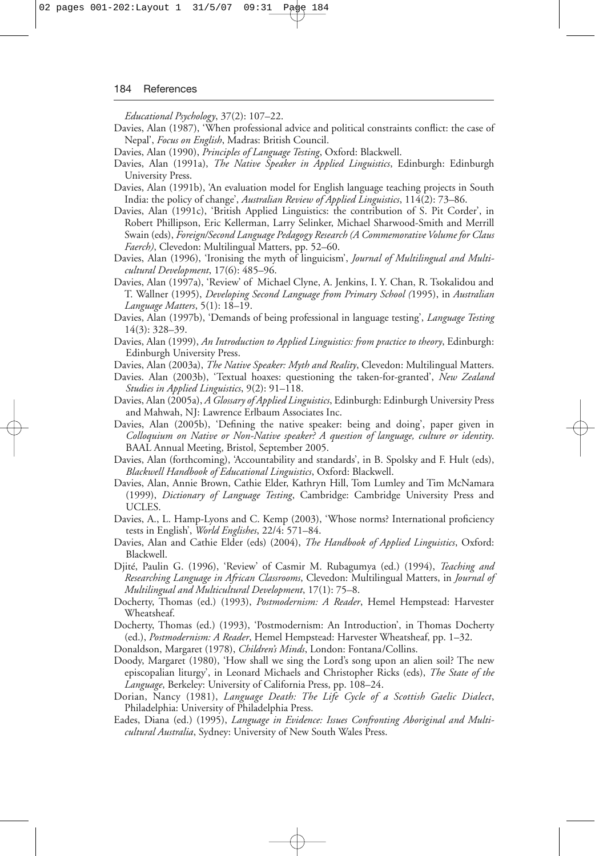*Educa tional Psychology*, 37(2): 107–22.

- Davies, Alan (1987), 'When professional advice and political constraints conflict: the case of Nepal', *Focus on English*, Madras: British Council.
- Davies, Alan (1990), *Principles of Language Testing*, Oxford: Blackwell.
- Davies, Alan (1991a), *The Native Speaker in Applied Linguistics*, Edinburgh: Edinburgh University Press.
- Davies, Alan (1991b), 'An evaluation model for English language teaching projects in South India: the policy of change', *Australian Review of Applied Linguistics*, 114(2): 73–86.
- Davies, Alan (1991c), 'British Applied Linguistics: the contribution of S. Pit Corder', in Robert Phillipson, Eric Kellerman, Larry Selinker, Michael Sharwood-Smith and Merrill Swain (eds), *Foreign/Second Language Pedagogy Research (A Commemorative Volume for Claus Faerch)*, Clevedon: Multilingual Matters, pp. 52–60.
- Davies, Alan (1996), 'Ironising the myth of linguicism', *Journal of Multilingual and Multi cultural Development*, 17(6): 485–96.
- Davies, Alan (1997a), 'Review' of Michael Clyne, A. Jenkins, I. Y. Chan, R. Tsokalidou and T. Wallner (1995), *Developing Second Language from Primary School (*1995), in *Australian Language Matters*, 5(1): 18–19.
- Davies, Alan (1997b), 'Demands of being professional in language testing', *Language Testing* 14(3): 328–39.
- Davies, Alan (1999), *An Introduction to Applied Linguistics: from practice to theory*, Edinburgh: Edinburgh University Press.
- Davies, Alan (2003a), *The Native Speaker: Myth and Reality*, Clevedon: Multilingual Matters.
- Davies. Alan (2003b), 'Textual hoaxes: questioning the taken-for-granted', *New Zealand Studies in Applied Linguistics*, 9(2): 91–118.
- Davies, Alan (2005a), *A Glossary of Applied Linguistics*, Edinburgh: Edinburgh University Press and Mahwah, NJ: Lawrence Erlbaum Associates Inc.
- Davies, Alan (2005b), 'Defining the native speaker: being and doing', paper given in *Colloquium on Native or Non-Native speaker? A question of language, culture or identity*. BAAL Annual Meeting, Bristol, September 2005.
- Davies, Alan (forthcoming), 'Accountability and standards', in B. Spolsky and F. Hult (eds), *Blackwell Handbook of Educational Linguistics*, Oxford: Blackwell.
- Davies, Alan, Annie Brown, Cathie Elder, Kathryn Hill, Tom Lumley and Tim McNamara (1999), *Dictionary of Language Testing*, Cambridge: Cambridge University Press and UCLES.
- Davies, A., L. Hamp-Lyons and C. Kemp (2003), 'Whose norms? International proficiency tests in English', *World Englishes*, 22/4: 571–84.
- Davies, Alan and Cathie Elder (eds) (2004), *The Handbook of Applied Linguistics*, Oxford: Blackwell.
- Djité, Paulin G. (1996), 'Review' of Casmir M. Rubagumya (ed.) (1994), *Teaching and Researching Language in African Classrooms*, Clevedon: Multilingual Matters, in *Journal of Multilingual and Multicultural Development*, 17(1): 75–8.
- Docherty, Thomas (ed.) (1993), *Postmodernism: A Reader*, Hemel Hempstead: Harvester Wheatsheaf.
- Docherty, Thomas (ed.) (1993), 'Postmodernism: An Introduction', in Thomas Docherty (ed.), *Postmodernism: A Reader*, Hemel Hempstead: Harvester Wheatsheaf, pp. 1–32.
- Donaldson, Margaret (1978), *Children's Minds*, London: Fontana/Collins.
- Doody, Margaret (1980), 'How shall we sing the Lord's song upon an alien soil? The new episcopalian liturgy', in Leonard Michaels and Christopher Ricks (eds), *The State of the Language*, Berkeley: University of California Press, pp. 108–24.
- Dorian, Nancy (1981), *Language Death: The Life Cycle of a Scottish Gaelic Dialect*, Philadelphia: University of Philadelphia Press.
- Eades, Diana (ed.) (1995), *Language in Evidence: Issues Confronting Aboriginal and Multi cultural Australia*, Sydney: University of New South Wales Press.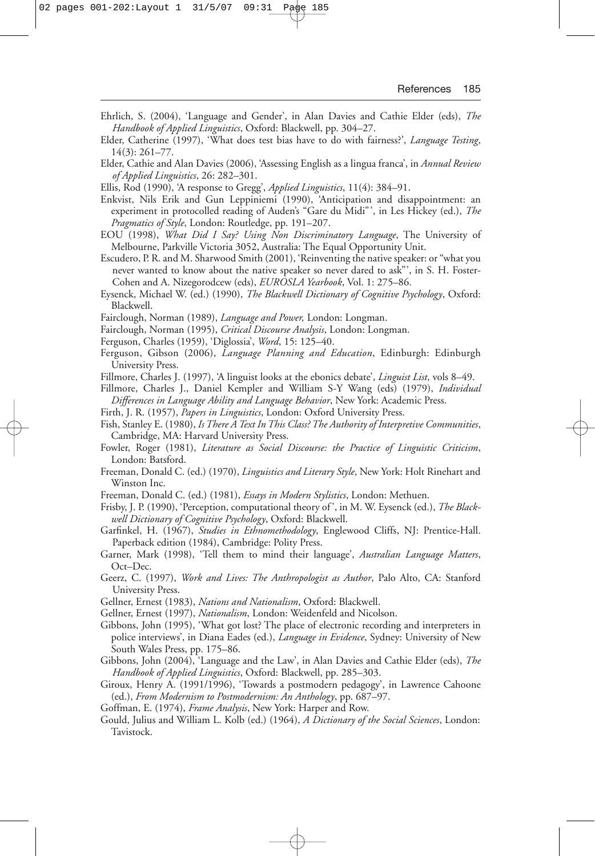- Ehrlich, S. (2004), 'Language and Gender', in Alan Davies and Cathie Elder (eds), *The Handbook of Applied Linguistics*, Oxford: Blackwell, pp. 304–27.
- Elder, Catherine (1997), 'What does test bias have to do with fairness?', *Language Testing*, 14(3): 261–77.
- Elder, Cathie and Alan Davies (2006), 'Assessing English as a lingua franca', in *Annual Review of Applied Linguistics*, 26: 282–301.
- Ellis, Rod (1990), 'A response to Gregg', *Applied Linguistics*, 11(4): 384–91.
- Enkvist, Nils Erik and Gun Leppiniemi (1990), 'Anticipation and disappointment: an experiment in protocolled reading of Auden's "Gare du Midi"', in Les Hickey (ed.), *The Pragmatics of Style*, London: Routledge, pp. 191–207.
- EOU (1998), *What Did I Say? Using Non Discriminatory Language*, The University of Melbourne, Parkville Victoria 3052, Australia: The Equal Opportunity Unit.
- Escudero, P. R. and M. Sharwood Smith (2001), 'Reinventing the native speaker: or "what you never wanted to know about the native speaker so never dared to ask"', in S. H. Foster-Cohen and A. Nizegorodcew (eds), *EUROSLA Yearbook*, Vol. 1: 275–86.
- Eysenck, Michael W. (ed.) (1990), *The Blackwell Dictionary of Cognitive Psychology*, Oxford: Blackwell.
- Fairclough, Norman (1989), *Language and Power,* London: Longman.
- Fairclough, Norman (1995), *Critical Discourse Analysis*, London: Longman.
- Ferguson, Charles (1959), 'Diglossia', *Word*, 15: 125–40.
- Ferguson, Gibson (2006), *Language Planning and Education*, Edinburgh: Edinburgh University Press.
- Fillmore, Charles J. (1997), 'A linguist looks at the ebonics debate', *Linguist List*, vols 8–49.
- Fillmore, Charles J., Daniel Kempler and William S-Y Wang (eds) (1979), *Individual Differences in Language Ability and Language Behavior*, New York: Academic Press.
- Firth, J. R. (1957), *Papers in Linguistics*, London: Oxford University Press.
- Fish, Stanley E. (1980), *Is There A Text In This Class? The Authority of Interpretive Communities*, Cambridge, MA: Harvard University Press.
- Fowler, Roger (1981), *Literature as Social Discourse: the Practice of Linguistic Criticism*, London: Batsford.
- Freeman, Donald C. (ed.) (1970), *Linguistics and Literary Style*, New York: Holt Rinehart and Winston Inc.
- Freeman, Donald C. (ed.) (1981), *Essays in Modern Stylistics*, London: Methuen.
- Frisby, J. P. (1990), 'Perception, computational theory of ', in M. W. Eysenck (ed.), *The Black well Dictionary of Cognitive Psychology*, Oxford: Blackwell.
- Garfinkel, H. (1967), *Studies in Ethnomethodology*, Englewood Cliffs, NJ: Prentice-Hall. Paperback edition (1984), Cambridge: Polity Press.
- Garner, Mark (1998), 'Tell them to mind their language', *Australian Language Matters*, Oct–Dec.
- Geerz, C. (1997), *Work and Lives: The Anthropologist as Author*, Palo Alto, CA: Stanford University Press.
- Gellner, Ernest (1983), *Nations and Nationalism*, Oxford: Blackwell.
- Gellner, Ernest (1997), *Nationalism*, London: Weidenfeld and Nicolson.
- Gibbons, John (1995), 'What got lost? The place of electronic recording and interpreters in police interviews', in Diana Eades (ed.), *Language in Evidence*, Sydney: University of New South Wales Press, pp. 175–86.
- Gibbons, John (2004), 'Language and the Law', in Alan Davies and Cathie Elder (eds), *The Handbook of Applied Linguistics*, Oxford: Blackwell, pp. 285–303.
- Giroux, Henry A. (1991/1996), 'Towards a postmodern pedagogy', in Lawrence Cahoone (ed.), *From Modernism to Postmodernism: An Anthology*, pp. 687–97.
- Goffman, E. (1974), *Frame Analysis*, New York: Harper and Row.
- Gould, Julius and William L. Kolb (ed.) (1964), *A Dictionary of the Social Sciences*, London: Tavistock.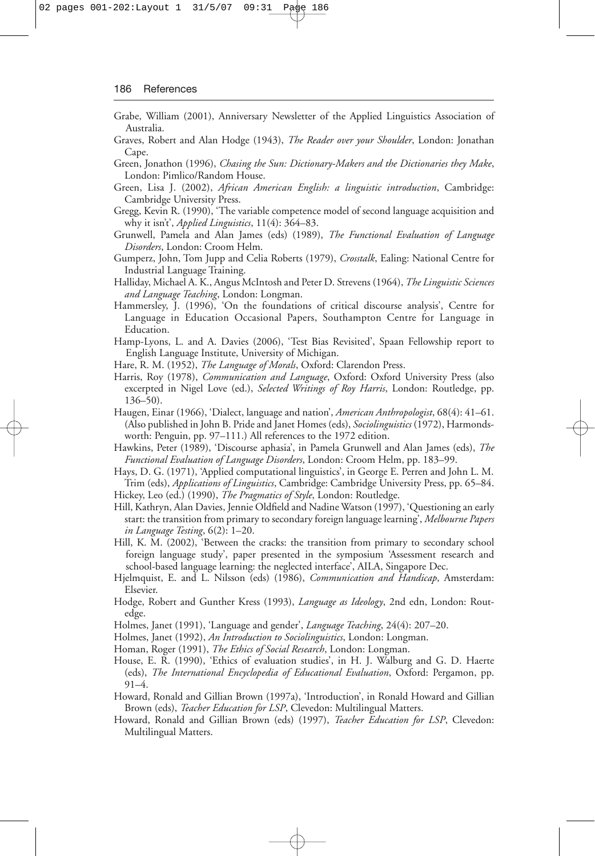- Grabe, William (2001), Anniversary Newsletter of the Applied Linguistics Association of Australia.
- Graves, Robert and Alan Hodge (1943), *The Reader over your Shoulder*, London: Jonathan Cape.
- Green, Jonathon (1996), *Chasing the Sun: Dictionary-Makers and the Dictionaries they Make*, London: Pimlico/Random House.
- Green, Lisa J. (2002), *African American English: a linguistic introduction*, Cambridge: Cambridge University Press.
- Gregg, Kevin R. (1990), 'The variable competence model of second language acquisition and why it isn't', *Applied Linguistics*, 11(4): 364–83.
- Grunwell, Pamela and Alan James (eds) (1989), *The Functional Evaluation of Language Disorders*, London: Croom Helm.
- Gumperz, John, Tom Jupp and Celia Roberts (1979), *Crosstalk*, Ealing: National Centre for Industrial Language Training.
- Halliday, Michael A. K., Angus McIntosh and Peter D. Strevens (1964), *The Linguistic Sciences and Language Teaching*, London: Longman.
- Hammersley, J. (1996), 'On the foundations of critical discourse analysis', Centre for Language in Education Occasional Papers, Southampton Centre for Language in Education.
- Hamp-Lyons, L. and A. Davies (2006), 'Test Bias Revisited', Spaan Fellowship report to English Language Institute, University of Michigan.
- Hare, R. M. (1952), *The Language of Morals*, Oxford: Clarendon Press.
- Harris, Roy (1978), *Communication and Language*, Oxford: Oxford University Press (also excerpted in Nigel Love (ed.), *Selected Writings of Roy Harris*, London: Routledge, pp. 136–50).
- Haugen, Einar (1966), 'Dialect, language and nation', *American Anthropologist*, 68(4): 41–61. (Also published in John B. Pride and Janet Homes (eds), *Sociolinguistics* (1972), Harmonds worth: Penguin, pp. 97–111.) All references to the 1972 edition.
- Hawkins, Peter (1989), 'Discourse aphasia', in Pamela Grunwell and Alan James (eds), *The Functional Evaluation of Language Disorders*, London: Croom Helm, pp. 183–99.
- Hays, D. G. (1971), 'Applied computational linguistics', in George E. Perren and John L. M. Trim (eds), *Applications of Linguistics*, Cambridge: Cambridge University Press, pp. 65–84.
- Hickey, Leo (ed.) (1990), *The Pragmatics of Style*, London: Routledge.
- Hill, Kathryn, Alan Davies, Jennie Oldfield and Nadine Watson (1997), 'Questioning an early start: the transition from primary to secondary foreign language learning', *Melbourne Papers in Language Testing*, 6(2): 1–20.
- Hill, K. M. (2002), 'Between the cracks: the transition from primary to secondary school foreign language study', paper presented in the symposium 'Assessment research and school-based language learning: the neglected interface', AILA, Singapore Dec.
- Hjelmquist, E. and L. Nilsson (eds) (1986), *Communication and Handicap*, Amsterdam: Elsevier.
- Hodge, Robert and Gunther Kress (1993), *Language as Ideology*, 2nd edn, London: Routedge.
- Holmes, Janet (1991), 'Language and gender', *Language Teaching*, 24(4): 207–20.
- Holmes, Janet (1992), *An Introduction to Sociolinguistics*, London: Longman.
- Homan, Roger (1991), *The Ethics of Social Research*, London: Longman.
- House, E. R. (1990), 'Ethics of evaluation studies', in H. J. Walburg and G. D. Haerte (eds), *The International Encyclopedia of Educational Evaluation*, Oxford: Pergamon, pp.  $91–4.$
- Howard, Ronald and Gillian Brown (1997a), 'Introduction', in Ronald Howard and Gillian Brown (eds), *Teacher Education for LSP*, Clevedon: Multilingual Matters.
- Howard, Ronald and Gillian Brown (eds) (1997), *Teacher Education for LSP*, Clevedon: Multilingual Matters.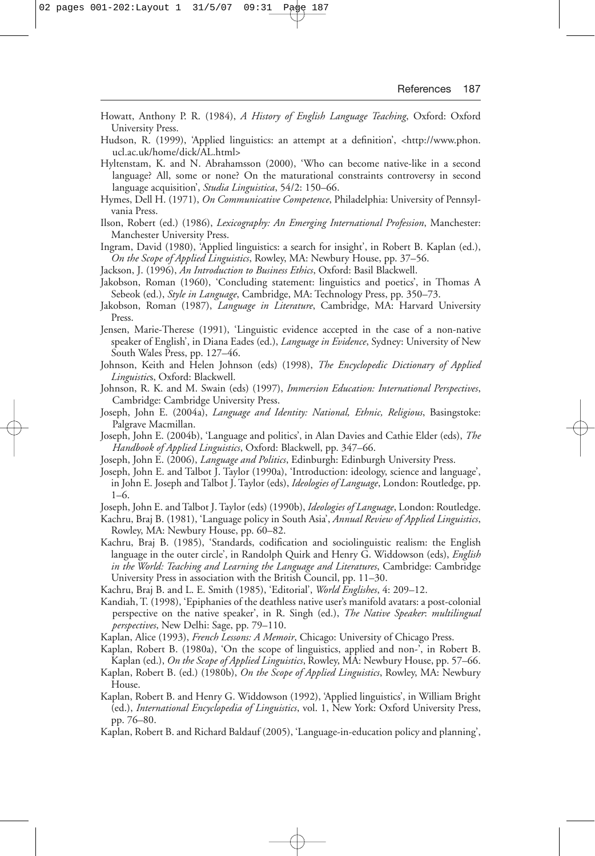- Howatt, Anthony P. R. (1984), *A History of English Language Teaching*, Oxford: Oxford University Press.
- Hudson, R. (1999), 'Applied linguistics: an attempt at a definition', <http://www.phon. ucl.ac.uk/home/dick/AL.html>
- Hyltenstam, K. and N. Abrahamsson (2000), 'Who can become native-like in a second language? All, some or none? On the maturational constraints controversy in second language acquisition', *Studia Linguistica*, 54/2: 150–66.
- Hymes, Dell H. (1971), *On Communicative Competence*, Philadelphia: University of Pennsylvania Press.
- Ilson, Robert (ed.) (1986), *Lexicography: An Emerging International Profession*, Manchester: Manchester University Press.
- Ingram, David (1980), 'Applied linguistics: a search for insight', in Robert B. Kaplan (ed.), *On the Scope of Applied Linguistics*, Rowley, MA: Newbury House, pp. 37–56.
- Jackson, J. (1996), *An Introduction to Business Ethics*, Oxford: Basil Blackwell.
- Jakobson, Roman (1960), 'Concluding statement: linguistics and poetics', in Thomas A Sebeok (ed.), *Style in Language*, Cambridge, MA: Technology Press, pp. 350–73.
- Jakobson, Roman (1987), *Language in Literature*, Cambridge, MA: Harvard University Press.
- Jensen, Marie-Therese (1991), 'Linguistic evidence accepted in the case of a non-native speaker of English', in Diana Eades (ed.), *Language in Evidence*, Sydney: University of New South Wales Press, pp. 127–46.
- Johnson, Keith and Helen Johnson (eds) (1998), *The Encyclopedic Dictionary of Applied Linguistic*s, Oxford: Blackwell.
- Johnson, R. K. and M. Swain (eds) (1997), *Immersion Education: International Perspectives*, Cambridge: Cambridge University Press.
- Joseph, John E. (2004a), *Language and Identity: National, Ethnic, Religious*, Basingstoke: Palgrave Macmillan.
- Joseph, John E. (2004b), 'Language and politics', in Alan Davies and Cathie Elder (eds), *The Handbook of Applied Linguistics*, Oxford: Blackwell, pp. 347–66.
- Joseph, John E. (2006), *Language and Politics*, Edinburgh: Edinburgh University Press.
- Joseph, John E. and Talbot J. Taylor (1990a), 'Introduction: ideology, science and language', in John E. Joseph and Talbot J. Taylor (eds), *Ideologies of Language*, London: Routledge, pp. 1–6.

Joseph, John E. and Talbot J. Taylor (eds) (1990b), *Ideologies of Language*, London: Routledge.

- Kachru, Braj B. (1981), 'Language policy in South Asia', *Annual Review of Applied Linguistics*, Rowley, MA: Newbury House, pp. 60–82.
- Kachru, Braj B. (1985), 'Standards, codification and sociolinguistic realism: the English language in the outer circle', in Randolph Quirk and Henry G. Widdowson (eds), *English in the World: Teaching and Learning the Language and Literatures*, Cambridge: Cambridge University Press in association with the British Council, pp. 11–30.
- Kachru, Braj B. and L. E. Smith (1985), 'Editorial', *World Englishes*, 4: 209–12.
- Kandiah, T. (1998), 'Epiphanies of the deathless native user's manifold avatars: a post-colonial perspective on the native speaker', in R. Singh (ed.), *The Native Speaker*: *multilingual perspectives*, New Delhi: Sage, pp. 79–110.
- Kaplan, Alice (1993), *French Lessons: A Memoir*, Chicago: University of Chicago Press.
- Kaplan, Robert B. (1980a), 'On the scope of linguistics, applied and non-', in Robert B. Kaplan (ed.), *On the Scope of Applied Linguistics*, Rowley, MA: Newbury House, pp. 57–66.
- Kaplan, Robert B. (ed.) (1980b), *On the Scope of Applied Linguistics*, Rowley, MA: Newbury House.
- Kaplan, Robert B. and Henry G. Widdowson (1992), 'Applied linguistics', in William Bright (ed.), *International Encyclopedia of Linguistics*, vol. 1, New York: Oxford University Press, pp. 76–80.
- Kaplan, Robert B. and Richard Baldauf (2005), 'Language-in-education policy and planning',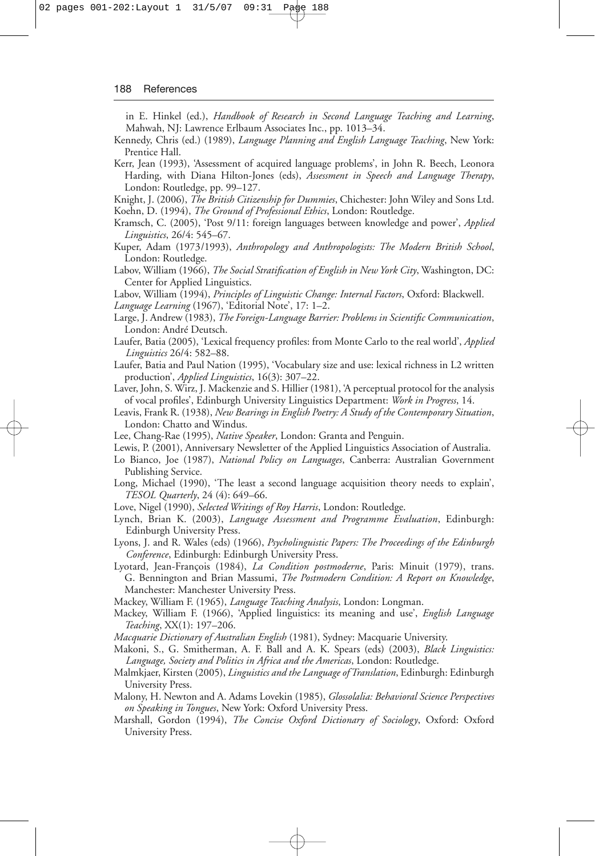in E. Hinkel (ed.), *Handbook of Research in Second Language Teaching and Learning*, Mahwah, NJ: Lawrence Erlbaum Associates Inc., pp. 1013–34.

- Kennedy, Chris (ed.) (1989), *Language Planning and English Language Teaching*, New York: Prentice Hall.
- Kerr, Jean (1993), 'Assessment of acquired language problems', in John R. Beech, Leonora Harding, with Diana Hilton-Jones (eds), *Assessment in Speech and Language Therapy*, London: Routledge, pp. 99–127.

Knight, J. (2006), *The British Citizenship for Dummies*, Chichester: John Wiley and Sons Ltd. Koehn, D. (1994), *The Ground of Professional Ethics*, London: Routledge.

- Kramsch, C. (2005), 'Post 9/11: foreign languages between knowledge and power', *Applied Linguistics*, 26/4: 545–67.
- Kuper, Adam (1973/1993), *Anthropology and Anthropologists: The Modern British School*, London: Routledge.
- Labov, William (1966), *The Social Stratification of English in New York City*, Washington, DC: Center for Applied Linguistics.

Labov, William (1994), *Principles of Linguistic Change: Internal Factors*, Oxford: Blackwell.

- *Language Learning* (1967), 'Editorial Note', 17: 1–2.
- Large, J. Andrew (1983), *The Foreign-Language Barrier: Problems in Scientific Communication*, London: André Deutsch.
- Laufer, Batia (2005), 'Lexical frequency profiles: from Monte Carlo to the real world', *Applied Linguistics* 26/4: 582–88.
- Laufer, Batia and Paul Nation (1995), 'Vocabulary size and use: lexical richness in L2 written production', *Applied Linguistics*, 16(3): 307–22.
- Laver, John, S. Wirz, J. Mackenzie and S. Hillier (1981), 'A perceptual protocol for the analysis of vocal profiles', Edinburgh University Linguistics Department: *Work in Progress*, 14.
- Leavis, Frank R. (1938), *New Bearings in English Poetry: A Study of the Contemporary Situation*, London: Chatto and Windus.
- Lee, Chang-Rae (1995), *Native Speaker*, London: Granta and Penguin.
- Lewis, P. (2001), Anniversary Newsletter of the Applied Linguistics Association of Australia.
- Lo Bianco, Joe (1987), *National Policy on Languages*, Canberra: Australian Government Publishing Service.
- Long, Michael (1990), 'The least a second language acquisition theory needs to explain', *TESOL Quarterly*, 24 (4): 649–66.
- Love, Nigel (1990), *Selected Writings of Roy Harris*, London: Routledge.
- Lynch, Brian K. (2003), *Language Assessment and Programme Evaluation*, Edinburgh: Edinburgh University Press.

Lyons, J. and R. Wales (eds) (1966), *Psycholinguistic Papers: The Proceedings of the Edinburgh Conference*, Edinburgh: Edinburgh University Press.

Lyotard, Jean-François (1984), *La Condition postmoderne*, Paris: Minuit (1979), trans. G. Bennington and Brian Massumi, *The Postmodern Condition: A Report on Knowledge*, Manchester: Manchester University Press.

Mackey, William F. (1965), *Language Teaching Analysis*, London: Longman.

Mackey, William F. (1966), 'Applied linguistics: its meaning and use', *English Language Teaching*, XX(1): 197–206.

*Macquarie Dictionary of Australian English* (1981), Sydney: Macquarie University.

- Makoni, S., G. Smitherman, A. F. Ball and A. K. Spears (eds) (2003), *Black Linguistics: Language, Society and Politics in Africa and the Americas*, London: Routledge.
- Malmkjaer, Kirsten (2005), *Linguistics and the Language of Translation*, Edinburgh: Edinburgh University Press.
- Malony, H. Newton and A. Adams Lovekin (1985), *Glossolalia: Behavioral Science Perspectives on Speaking in Tongues*, New York: Oxford University Press.
- Marshall, Gordon (1994), *The Concise Oxford Dictionary of Sociology*, Oxford: Oxford University Press.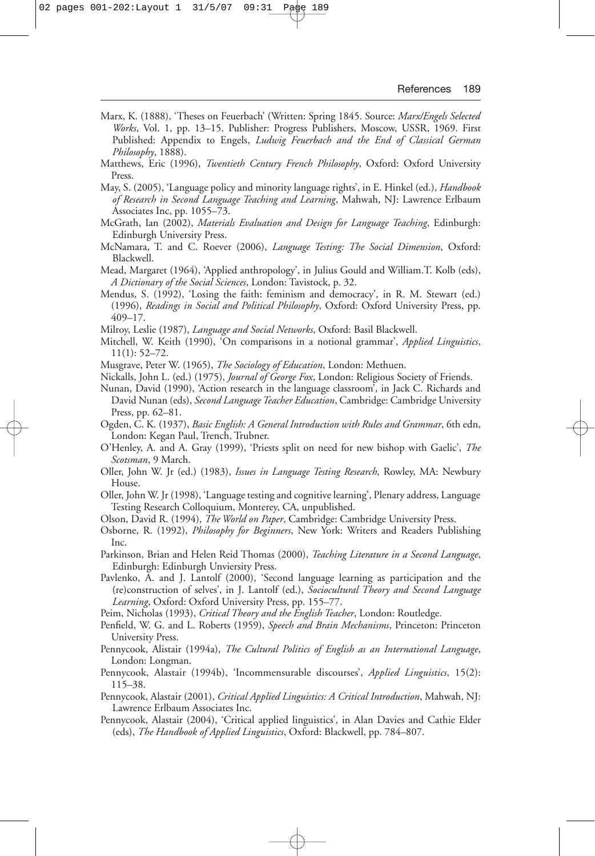- Marx, K. (1888), 'Theses on Feuerbach' (Written: Spring 1845. Source: *Marx/Engels Selected Works*, Vol. 1, pp. 13–15. Publisher: Progress Publishers, Moscow, USSR, 1969. First Published: Appendix to Engels, *Ludwig Feuerbach and the End of Classical German Philosophy*, 1888).
- Matthews, Eric (1996), *Twentieth Century French Philosophy*, Oxford: Oxford University Press.
- May, S. (2005), 'Language policy and minority language rights', in E. Hinkel (ed.), *Handbook of Research in Second Language Teaching and Learning*, Mahwah, NJ: Lawrence Erlbaum Associates Inc, pp. 1055–73.
- McGrath, Ian (2002), *Materials Evaluation and Design for Language Teaching*, Edinburgh: Edinburgh University Press.
- McNamara, T. and C. Roever (2006), *Language Testing: The Social Dimension*, Oxford: Blackwell.
- Mead, Margaret (1964), 'Applied anthropology', in Julius Gould and William.T. Kolb (eds), *A Dictionary of the Social Sciences*, London: Tavistock, p. 32.
- Mendus, S. (1992), 'Losing the faith: feminism and democracy', in R. M. Stewart (ed.) (1996), *Readings in Social and Political Philosophy*, Oxford: Oxford University Press, pp. 409–17.
- Milroy, Leslie (1987), *Language and Social Networks*, Oxford: Basil Blackwell.
- Mitchell, W. Keith (1990), 'On comparisons in a notional grammar', *Applied Linguistics*, 11(1): 52–72.
- Musgrave, Peter W. (1965), *The Sociology of Education*, London: Methuen.
- Nickalls, John L. (ed.) (1975), *Journal of George Fox*, London: Religious Society of Friends.
- Nunan, David (1990), 'Action research in the language classroom', in Jack C. Richards and David Nunan (eds), *Second Language Teacher Education*, Cambridge: Cambridge University Press, pp. 62–81.
- Ogden, C. K. (1937), *Basic English: A General Introduction with Rules and Grammar*, 6th edn, London: Kegan Paul, Trench, Trubner.
- O'Henley, A. and A. Gray (1999), 'Priests split on need for new bishop with Gaelic', *The Scotsman*, 9 March.
- Oller, John W. Jr (ed.) (1983), *Issues in Language Testing Research*, Rowley, MA: Newbury House.
- Oller, John W. Jr (1998), 'Language testing and cognitive learning', Plenary address, Language Testing Research Colloquium, Monterey, CA, unpublished.
- Olson, David R. (1994), *The World on Paper*, Cambridge: Cambridge University Press.
- Osborne, R. (1992), *Philosophy for Beginners*, New York: Writers and Readers Publishing Inc.
- Parkinson, Brian and Helen Reid Thomas (2000), *Teaching Literature in a Second Language*, Edinburgh: Edinburgh Unviersity Press.
- Pavlenko, A. and J. Lantolf (2000), 'Second language learning as participation and the (re)construction of selves', in J. Lantolf (ed.), *Sociocultural Theory and Second Language Learning*, Oxford: Oxford University Press, pp. 155–77.
- Peim, Nicholas (1993), *Critical Theory and the English Teacher*, London: Routledge.
- Penfield, W. G. and L. Roberts (1959), *Speech and Brain Mechanisms*, Princeton: Princeton University Press.
- Pennycook, Alistair (1994a), *The Cultural Politics of English as an International Language*, London: Longman.
- Pennycook, Alastair (1994b), 'Incommensurable discourses', *Applied Linguistics*, 15(2): 115–38.
- Pennycook, Alastair (2001), *Critical Applied Linguistics: A Critical Introduction*, Mahwah, NJ: Lawrence Erlbaum Associates Inc.
- Pennycook, Alastair (2004), 'Critical applied linguistics', in Alan Davies and Cathie Elder (eds), *The Handbook of Applied Linguistics*, Oxford: Blackwell, pp. 784–807.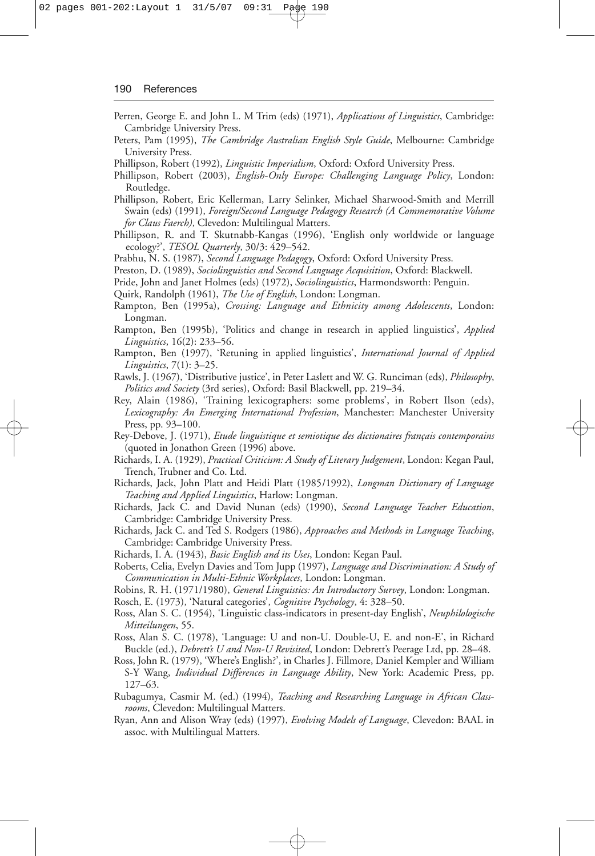- Perren, George E. and John L. M Trim (eds) (1971), *Applications of Linguistics*, Cambridge: Cambridge University Press.
- Peters, Pam (1995), *The Cambridge Australian English Style Guide*, Melbourne: Cambridge University Press.
- Phillipson, Robert (1992), *Linguistic Imperialism*, Oxford: Oxford University Press.
- Phillipson, Robert (2003), *English-Only Europe: Challenging Language Policy*, London: Routledge.
- Phillipson, Robert, Eric Kellerman, Larry Selinker, Michael Sharwood-Smith and Merrill Swain (eds) (1991), *Foreign/Second Language Pedagogy Research (A Commemorative Volume for Claus Faerch)*, Clevedon: Multilingual Matters.
- Phillipson, R. and T. Skutnabb-Kangas (1996), 'English only worldwide or language ecology?', *TESOL Quarterly*, 30/3: 429–542.
- Prabhu, N. S. (1987), *Second Language Pedagogy*, Oxford: Oxford University Press.
- Preston, D. (1989), *Sociolinguistics and Second Language Acquisition*, Oxford: Blackwell.
- Pride, John and Janet Holmes (eds) (1972), *Sociolinguistics*, Harmondsworth: Penguin.
- Quirk, Randolph (1961), *The Use of English*, London: Longman.
- Rampton, Ben (1995a), *Crossing: Language and Ethnicity among Adolescents*, London: Longman.
- Rampton, Ben (1995b), 'Politics and change in research in applied linguistics', *Applied Linguistics*, 16(2): 233–56.
- Rampton, Ben (1997), 'Retuning in applied linguistics', *International Journal of Applied Linguistics*, 7(1): 3–25.
- Rawls, J. (1967), 'Distributive justice', in Peter Laslett and W. G. Runciman (eds), *Philosophy*, *Politics and Society* (3rd series), Oxford: Basil Blackwell, pp. 219–34.
- Rey, Alain (1986), 'Training lexicographers: some problems', in Robert Ilson (eds), *Lexicography: An Emerging International Profession*, Manchester: Manchester University Press, pp. 93–100.
- Rey-Debove, J. (1971), *Etude linguistique et semiotique des dictionaires français contemporains* (quoted in Jonathon Green (1996) above.
- Richards, I. A. (1929), *Practical Criticism: A Study of Literary Judgement*, London: Kegan Paul, Trench, Trubner and Co. Ltd.
- Richards, Jack, John Platt and Heidi Platt (1985/1992), *Longman Dictionary of Language Teaching and Applied Linguistics*, Harlow: Longman.
- Richards, Jack C. and David Nunan (eds) (1990), *Second Language Teacher Education*, Cambridge: Cambridge University Press.
- Richards, Jack C. and Ted S. Rodgers (1986), *Approaches and Methods in Language Teaching*, Cambridge: Cambridge University Press.
- Richards, I. A. (1943), *Basic English and its Uses*, London: Kegan Paul.
- Roberts, Celia, Evelyn Davies and Tom Jupp (1997), *Language and Discrimination: A Study of Communication in Multi-Ethnic Workplaces*, London: Longman.
- Robins, R. H. (1971/1980), *General Linguistics: An Introductory Survey*, London: Longman.
- Rosch, E. (1973), 'Natural categories', *Cognitive Psychology*, 4: 328–50.
- Ross, Alan S. C. (1954), 'Linguistic class-indicators in present-day English', *Neuphilologische Mitteilungen*, 55.
- Ross, Alan S. C. (1978), 'Language: U and non-U. Double-U, E. and non-E', in Richard Buckle (ed.), *Debrett's U and Non-U Revisited*, London: Debrett's Peerage Ltd, pp. 28–48.
- Ross, John R. (1979), 'Where's English?', in Charles J. Fillmore, Daniel Kempler and William S-Y Wang, *Individual Differences in Language Ability*, New York: Academic Press, pp. 127–63.
- Rubagumya, Casmir M. (ed.) (1994), *Teaching and Researching Language in African Class rooms*, Clevedon: Multilingual Matters.
- Ryan, Ann and Alison Wray (eds) (1997), *Evolving Models of Language*, Clevedon: BAAL in assoc. with Multilingual Matters.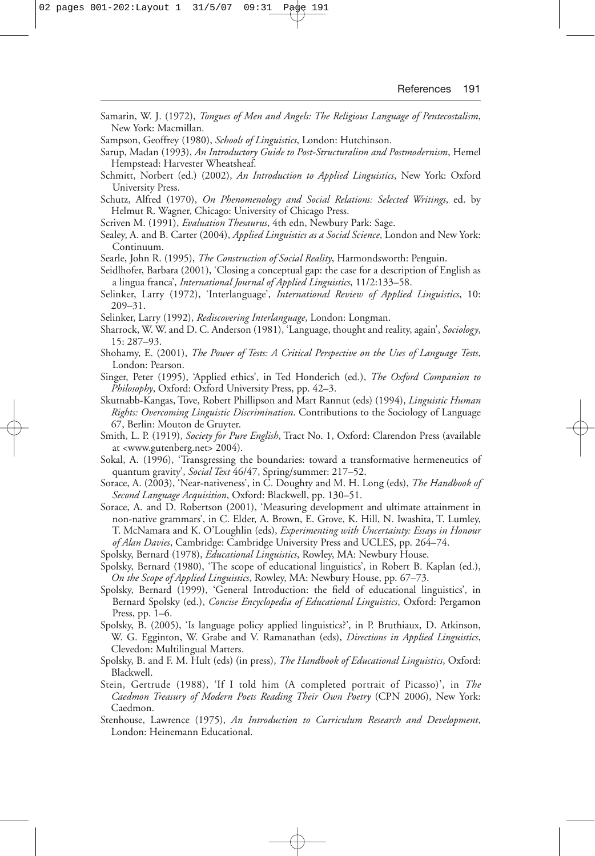- Samarin, W. J. (1972), *Tongues of Men and Angels: The Religious Language of Pentecostalism*, New York: Macmillan.
- Sampson, Geoffrey (1980), *Schools of Linguistics*, London: Hutchinson.
- Sarup, Madan (1993), *An Introductory Guide to Post-Structuralism and Postmodernism*, Hemel Hempstead: Harvester Wheatsheaf.
- Schmitt, Norbert (ed.) (2002), *An Introduction to Applied Linguistics*, New York: Oxford University Press.
- Schutz, Alfred (1970), *On Phenomenology and Social Relations: Selected Writings*, ed. by Helmut R. Wagner, Chicago: University of Chicago Press.
- Scriven M. (1991), *Evaluation Thesaurus*, 4th edn, Newbury Park: Sage.
- Sealey, A. and B. Carter (2004), *Applied Linguistics as a Social Science*, London and New York: Continuum.
- Searle, John R. (1995), *The Construction of Social Reality*, Harmondsworth: Penguin.
- Seidlhofer, Barbara (2001), 'Closing a conceptual gap: the case for a description of English as a lingua franca', *International Journal of Applied Linguistics*, 11/2:133–58.
- Selinker, Larry (1972), 'Interlanguage', *International Review of Applied Linguistics*, 10: 209–31.
- Selinker, Larry (1992), *Rediscovering Interlanguage*, London: Longman.
- Sharrock, W. W. and D. C. Anderson (1981), 'Language, thought and reality, again', *Sociology*, 15: 287–93.
- Shohamy, E. (2001), *The Power of Tests: A Critical Perspective on the Uses of Language Tests*, London: Pearson.
- Singer, Peter (1995), 'Applied ethics', in Ted Honderich (ed.), *The Oxford Companion to Philosophy*, Oxford: Oxford University Press, pp. 42–3.
- Skutnabb-Kangas, Tove, Robert Phillipson and Mart Rannut (eds) (1994), *Linguistic Human Rights: Overcoming Linguistic Discrimination*. Contributions to the Sociology of Language 67, Berlin: Mouton de Gruyter.
- Smith, L. P. (1919), *Society for Pure English*, Tract No. 1, Oxford: Clarendon Press (available at <www.gutenberg.net> 2004).
- Sokal, A. (1996), 'Transgressing the boundaries: toward a transformative hermeneutics of quantum gravity', *Social Text* 46/47, Spring/summer: 217–52.
- Sorace, A. (2003), 'Near-nativeness', in C. Doughty and M. H. Long (eds), *The Handbook of Second Language Acquisition*, Oxford: Blackwell, pp. 130–51.
- Sorace, A. and D. Robertson (2001), 'Measuring development and ultimate attainment in non-native grammars', in C. Elder, A. Brown, E. Grove, K. Hill, N. Iwashita, T. Lumley, T. McNamara and K. O'Loughlin (eds), *Experimenting with Uncertainty: Essays in Honour of Alan Davies*, Cambridge: Cambridge University Press and UCLES, pp. 264–74.
- Spolsky, Bernard (1978), *Educational Linguistics*, Rowley, MA: Newbury House.
- Spolsky, Bernard (1980), 'The scope of educational linguistics', in Robert B. Kaplan (ed.), *On the Scope of Applied Linguistics*, Rowley, MA: Newbury House, pp. 67–73.
- Spolsky, Bernard (1999), 'General Introduction: the field of educational linguistics', in Bernard Spolsky (ed.), *Concise Encyclopedia of Educational Linguistics*, Oxford: Pergamon Press, pp. 1–6.
- Spolsky, B. (2005), 'Is language policy applied linguistics?', in P. Bruthiaux, D. Atkinson, W. G. Egginton, W. Grabe and V. Ramanathan (eds), *Directions in Applied Linguistics*, Clevedon: Multilingual Matters.
- Spolsky, B. and F. M. Hult (eds) (in press), *The Handbook of Educational Linguistics*, Oxford: Blackwell.
- Stein, Gertrude (1988), 'If I told him (A completed portrait of Picasso)', in *The Caedmon Treasury of Modern Poets Reading Their Own Poetry* (CPN 2006), New York: Caedmon.
- Stenhouse, Lawrence (1975), *An Introduction to Curriculum Research and Development*, London: Heinemann Educational.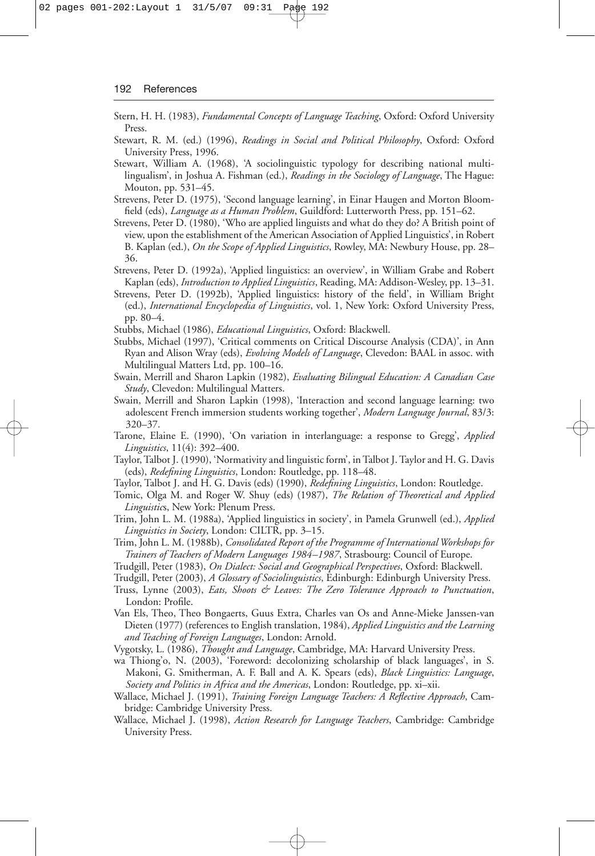- Stern, H. H. (1983), *Fundamental Concepts of Language Teaching*, Oxford: Oxford University Press.
- Stewart, R. M. (ed.) (1996), *Readings in Social and Political Philosophy*, Oxford: Oxford University Press, 1996.
- Stewart, William A. (1968), 'A sociolinguistic typology for describing national multilingualism', in Joshua A. Fishman (ed.), *Readings in the Sociology of Language*, The Hague: Mouton, pp. 531–45.
- Strevens, Peter D. (1975), 'Second language learning', in Einar Haugen and Morton Bloom field (eds), *Language as a Human Problem*, Guildford: Lutterworth Press, pp. 151–62.
- Strevens, Peter D. (1980), 'Who are applied linguists and what do they do? A British point of view, upon the establishment of the American Association of Applied Linguistics', in Robert B. Kaplan (ed.), *On the Scope of Applied Linguistics*, Rowley, MA: Newbury House, pp. 28– 36.
- Strevens, Peter D. (1992a), 'Applied linguistics: an overview', in William Grabe and Robert Kaplan (eds), *Introduction to Applied Linguistics*, Reading, MA: Addison-Wesley, pp. 13–31.
- Strevens, Peter D. (1992b), 'Applied linguistics: history of the field', in William Bright (ed.), *International Encyclopedia of Linguistics*, vol. 1, New York: Oxford University Press, pp. 80–4.
- Stubbs, Michael (1986), *Educational Linguistics*, Oxford: Blackwell.
- Stubbs, Michael (1997), 'Critical comments on Critical Discourse Analysis (CDA)', in Ann Ryan and Alison Wray (eds), *Evolving Models of Language*, Clevedon: BAAL in assoc. with Multilingual Matters Ltd, pp. 100–16.
- Swain, Merrill and Sharon Lapkin (1982), *Evaluating Bilingual Education: A Canadian Case Study*, Clevedon: Multilingual Matters.
- Swain, Merrill and Sharon Lapkin (1998), 'Interaction and second language learning: two adolescent French immersion students working together', *Modern Language Journal*, 83/3: 320–37.
- Tarone, Elaine E. (1990), 'On variation in interlanguage: a response to Gregg', *Applied Linguistics*, 11(4): 392–400.
- Taylor, Talbot J. (1990), 'Normativity and linguistic form', in Talbot J. Taylor and H. G. Davis (eds), *Redefining Linguistics*, London: Routledge, pp. 118–48.
- Taylor, Talbot J. and H. G. Davis (eds) (1990), *Redefining Linguistics*, London: Routledge.
- Tomic, Olga M. and Roger W. Shuy (eds) (1987), *The Relation of Theoretical and Applied Linguistic*s, New York: Plenum Press.
- Trim, John L. M. (1988a), 'Applied linguistics in society', in Pamela Grunwell (ed.), *Applied Linguistics in Society*, London: CILTR, pp. 3–15.
- Trim, John L. M. (1988b), *Consolidated Report of the Programme of International Workshops for Trainers of Teachers of Modern Languages 1984–1987*, Strasbourg: Council of Europe.
- Trudgill, Peter (1983), *On Dialect: Social and Geographical Perspectives*, Oxford: Blackwell.
- Trudgill, Peter (2003), *A Glossary of Sociolinguistics*, Edinburgh: Edinburgh University Press.
- Truss, Lynne (2003), *Eats, Shoots & Leaves: The Zero Tolerance Approach to Punctuation*, London: Profile.
- Van Els, Theo, Theo Bongaerts, Guus Extra, Charles van Os and Anne-Mieke Janssen-van Dieten (1977) (references to English translation, 1984), *Applied Linguistics and the Learning and Teaching of Foreign Languages*, London: Arnold.
- Vygotsky, L. (1986), *Thought and Language*, Cambridge, MA: Harvard University Press.
- wa Thiong'o, N. (2003), 'Foreword: decolonizing scholarship of black languages', in S. Makoni, G. Smitherman, A. F. Ball and A. K. Spears (eds), *Black Linguistics: Language*, *Society and Politics in Africa and the Americas*, London: Routledge, pp. xi–xii.
- Wallace, Michael J. (1991), *Training Foreign Language Teachers: A Reflective Approach*, Cambridge: Cambridge University Press.
- Wallace, Michael J. (1998), *Action Research for Language Teachers*, Cambridge: Cambridge University Press.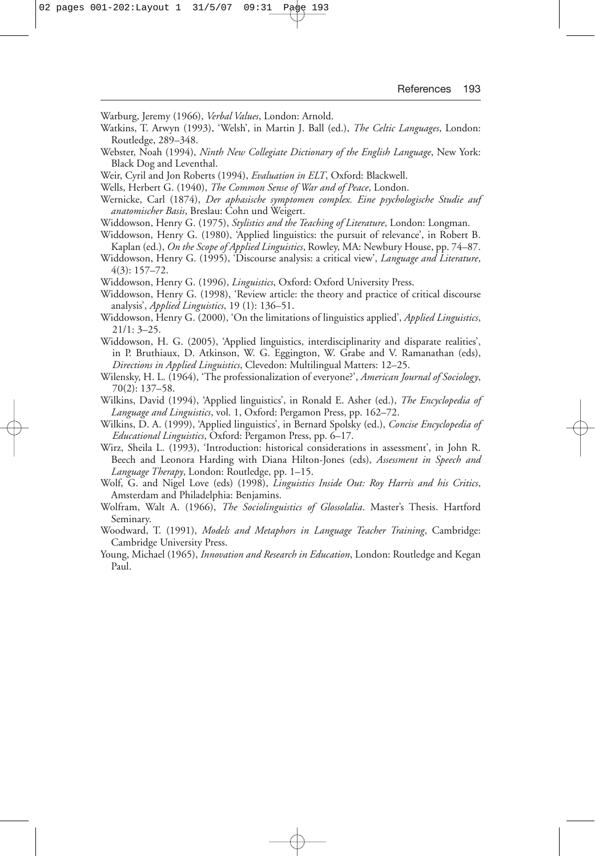Warburg, Jeremy (1966), *Verbal Values*, London: Arnold.

- Watkins, T. Arwyn (1993), 'Welsh', in Martin J. Ball (ed.), *The Celtic Languages*, London: Routledge, 289–348.
- Webster, Noah (1994), *Ninth New Collegiate Dictionary of the English Language*, New York: Black Dog and Leventhal.
- Weir, Cyril and Jon Roberts (1994), *Evaluation in ELT*, Oxford: Blackwell.
- Wells, Herbert G. (1940), *The Common Sense of War and of Peace*, London.
- Wernicke, Carl (1874), *Der aphasische symptomen complex. Eine psychologische Studie auf anatomischer Basis*, Breslau: Cohn und Weigert.
- Widdowson, Henry G. (1975), *Stylistics and the Teaching of Literature*, London: Longman.
- Widdowson, Henry G. (1980), 'Applied linguistics: the pursuit of relevance', in Robert B. Kaplan (ed.), *On the Scope of Applied Linguistics*, Rowley, MA: Newbury House, pp. 74–87.
- Widdowson, Henry G. (1995), 'Discourse analysis: a critical view', *Language and Literature*, 4(3): 157–72.
- Widdowson, Henry G. (1996), *Linguistics*, Oxford: Oxford University Press.
- Widdowson, Henry G. (1998), 'Review article: the theory and practice of critical discourse analysis', *Applied Linguistics*, 19 (1): 136–51.
- Widdowson, Henry G. (2000), 'On the limitations of linguistics applied', *Applied Linguistics*, 21/1: 3–25.
- Widdowson, H. G. (2005), 'Applied linguistics, interdisciplinarity and disparate realities', in P. Bruthiaux, D. Atkinson, W. G. Eggington, W. Grabe and V. Ramanathan (eds), *Directions in Applied Linguistics*, Clevedon: Multilingual Matters: 12–25.
- Wilensky, H. L. (1964), 'The professionalization of everyone?', *American Journal of Sociology*, 70(2): 137–58.
- Wilkins, David (1994), 'Applied linguistics', in Ronald E. Asher (ed.), *The Encyclopedia of Language and Linguistics*, vol. 1, Oxford: Pergamon Press, pp. 162–72.
- Wilkins, D. A. (1999), 'Applied linguistics', in Bernard Spolsky (ed.), *Concise Encyclopedia of Educational Linguistics*, Oxford: Pergamon Press, pp. 6–17.
- Wirz, Sheila L. (1993), 'Introduction: historical considerations in assessment', in John R. Beech and Leonora Harding with Diana Hilton-Jones (eds), *Assessment in Speech and Language Therapy*, London: Routledge, pp. 1–15.
- Wolf, G. and Nigel Love (eds) (1998), *Linguistics Inside Out: Roy Harris and his Critics*, Amsterdam and Philadelphia: Benjamins.
- Wolfram, Walt A. (1966), *The Sociolinguistics of Glossolalia*. Master's Thesis. Hartford Seminary.
- Woodward, T. (1991), *Models and Metaphors in Language Teacher Training*, Cambridge: Cambridge University Press.
- Young, Michael (1965), *Innovation and Research in Education*, London: Routledge and Kegan Paul.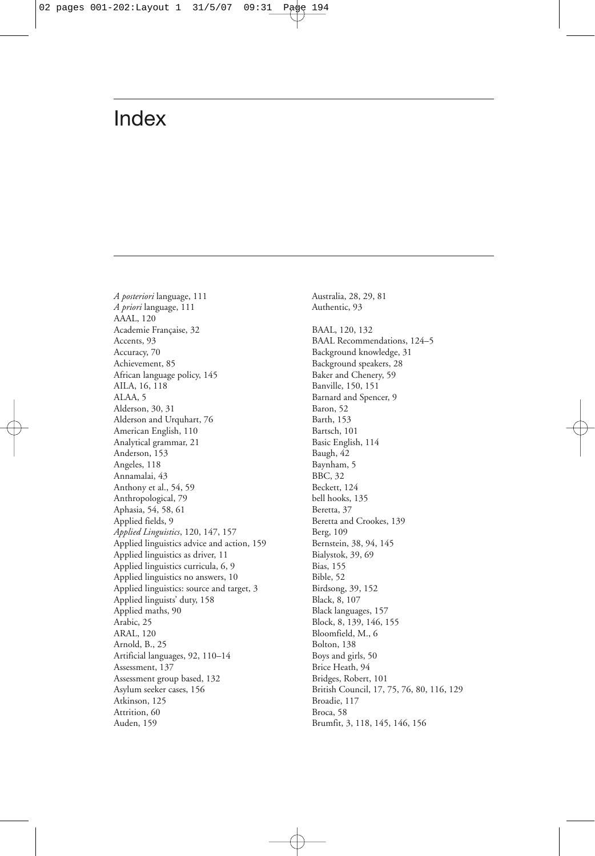# Index

*A posteriori* language, 111 *A priori* language, 111 AAAL, 120 Academie Française, 32 Accents, 93 Accuracy, 70 Achievement, 85 African language policy, 145 AILA, 16, 118 ALAA, 5 Alderson, 30, 31 Alderson and Urquhart, 76 American English, 110 Analytical grammar, 21 Anderson, 153 Angeles, 118 Annamalai, 43 Anthony et al., 54, 59 Anthropological, 79 Aphasia, 54, 58, 61 Applied fields, 9 *Applied Linguistics*, 120, 147, 157 Applied linguistics advice and action, 159 Applied linguistics as driver, 11 Applied linguistics curricula, 6, 9 Applied linguistics no answers, 10 Applied linguistics: source and target, 3 Applied linguists' duty, 158 Applied maths, 90 Arabic, 25 ARAL, 120 Arnold, B., 25 Artificial languages, 92, 110–14 Assessment, 137 Assessment group based, 132 Asylum seeker cases, 156 Atkinson, 125 Attrition, 60 Auden, 159

Australia, 28, 29, 81 Authentic, 93 BAAL, 120, 132 BAAL Recommendations, 124–5 Background knowledge, 31 Background speakers, 28 Baker and Chenery, 59 Banville, 150, 151 Barnard and Spencer, 9 Baron, 52 Barth, 153 Bartsch, 101 Basic English, 114 Baugh, 42 Baynham, 5 BBC, 32 Beckett, 124 bell hooks, 135 Beretta, 37 Beretta and Crookes, 139 Berg, 109 Bernstein, 38, 94, 145 Bialystok, 39, 69 Bias, 155 Bible, 52 Birdsong, 39, 152 Black, 8, 107 Black languages, 157 Block, 8, 139, 146, 155 Bloomfield, M., 6 Bolton, 138 Boys and girls, 50 Brice Heath, 94 Bridges, Robert, 101 British Council, 17, 75, 76, 80, 116, 129 Broadie, 117 Broca, 58 Brumfit, 3, 118, 145, 146, 156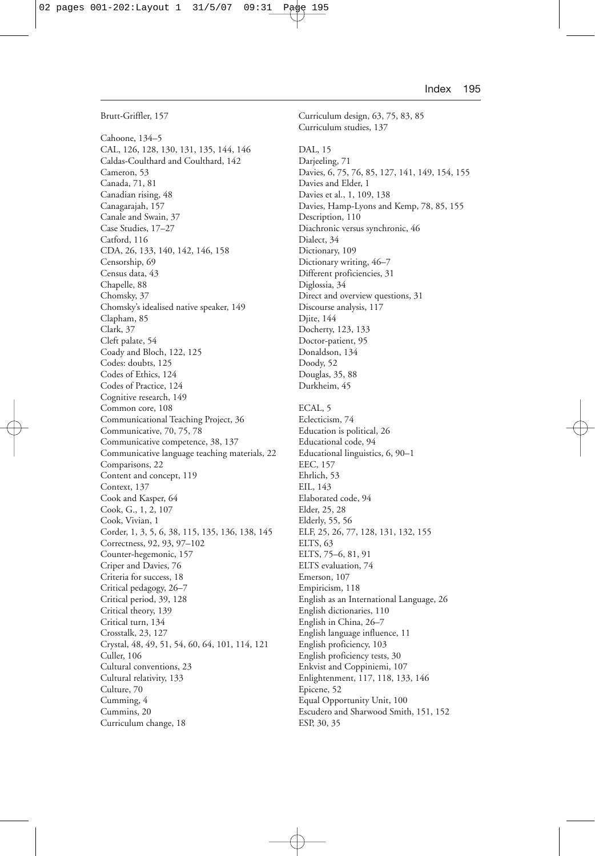Brutt-Griffler, 157

Cahoone, 134–5 CAL, 126, 128, 130, 131, 135, 144, 146 Caldas-Coulthard and Coulthard, 142 Cameron, 53 Canada, 71, 81 Canadian rising, 48 Canagarajah, 157 Canale and Swain, 37 Case Studies, 17–27 Catford, 116 CDA, 26, 133, 140, 142, 146, 158 Censorship, 69 Census data, 43 Chapelle, 88 Chomsky, 37 Chomsky's idealised native speaker, 149 Clapham, 85 Clark, 37 Cleft palate, 54 Coady and Bloch, 122, 125 Codes: doubts, 125 Codes of Ethics, 124 Codes of Practice, 124 Cognitive research, 149 Common core, 108 Communicational Teaching Project, 36 Communicative, 70, 75, 78 Communicative competence, 38, 137 Communicative language teaching materials, 22 Comparisons, 22 Content and concept, 119 Context, 137 Cook and Kasper, 64 Cook, G., 1, 2, 107 Cook, Vivian, 1 Corder, 1, 3, 5, 6, 38, 115, 135, 136, 138, 145 Correctness, 92, 93, 97–102 Counter-hegemonic, 157 Criper and Davies, 76 Criteria for success, 18 Critical pedagogy, 26–7 Critical period, 39, 128 Critical theory, 139 Critical turn, 134 Crosstalk, 23, 127 Crystal, 48, 49, 51, 54, 60, 64, 101, 114, 121 Culler, 106 Cultural conventions, 23 Cultural relativity, 133 Culture, 70 Cumming, 4 Cummins, 20 Curriculum change, 18

Curriculum studies, 137 DAL, 15 Darjeeling, 71 Davies, 6, 75, 76, 85, 127, 141, 149, 154, 155 Davies and Elder, 1 Davies et al., 1, 109, 138 Davies, Hamp-Lyons and Kemp, 78, 85, 155 Description, 110 Diachronic versus synchronic, 46 Dialect, 34 Dictionary, 109 Dictionary writing, 46–7 Different proficiencies, 31 Diglossia, 34 Direct and overview questions, 31 Discourse analysis, 117 Djite, 144 Docherty, 123, 133 Doctor-patient, 95 Donaldson, 134 Doody, 52 Douglas, 35, 88 Durkheim, 45 ECAL, 5 Eclecticism, 74 Education is political, 26 Educational code, 94 Educational linguistics, 6, 90–1 EEC, 157 Ehrlich, 53 EIL, 143 Elaborated code, 94 Elder, 25, 28 Elderly, 55, 56 ELF, 25, 26, 77, 128, 131, 132, 155 ELTS, 63 ELTS, 75–6, 81, 91 ELTS evaluation, 74 Emerson, 107 Empiricism, 118 English as an International Language, 26 English dictionaries, 110 English in China, 26–7 English language influence, 11 English proficiency, 103 English proficiency tests, 30 Enkvist and Coppiniemi, 107 Enlightenment, 117, 118, 133, 146 Epicene, 52 Equal Opportunity Unit, 100 Escudero and Sharwood Smith, 151, 152 ESP, 30, 35

Curriculum design, 63, 75, 83, 85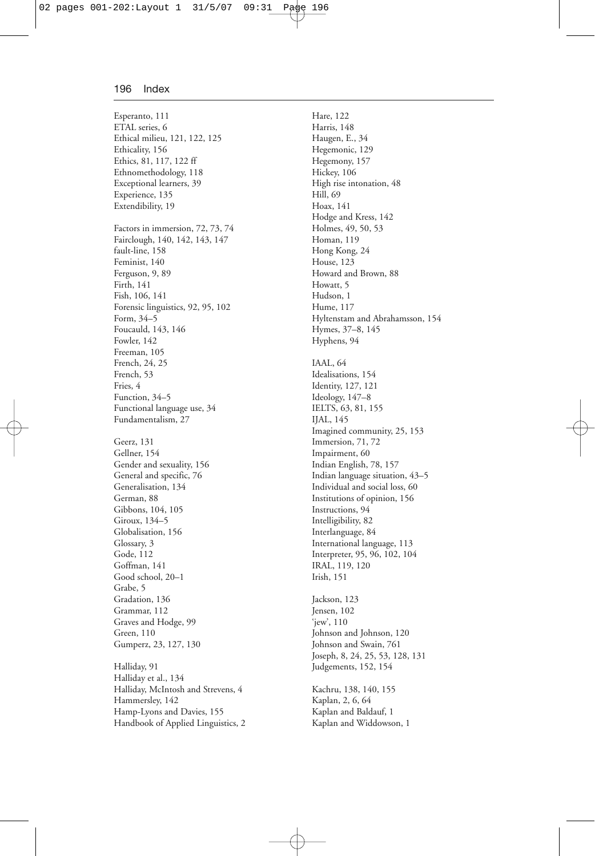Esperanto, 111 ETAL series, 6 Ethical milieu, 121, 122, 125 Ethicality, 156 Ethics, 81, 117, 122 ff Ethnomethodology, 118 Exceptional learners, 39 Experience, 135 Extendibility, 19 Factors in immersion, 72, 73, 74 Fairclough, 140, 142, 143, 147 fault-line, 158 Feminist, 140 Ferguson, 9, 89 Firth, 141 Fish, 106, 141 Forensic linguistics, 92, 95, 102 Form, 34–5 Foucauld, 143, 146 Fowler, 142 Freeman, 105 French, 24, 25 French, 53 Fries, 4 Function, 34–5 Functional language use, 34 Fundamentalism, 27 Geerz, 131 Gellner, 154 Gender and sexuality, 156 General and specific, 76 Generalisation, 134 German, 88 Gibbons, 104, 105 Giroux, 134–5 Globalisation, 156 Glossary, 3 Gode, 112 Goffman, 141 Good school, 20–1 Grabe, 5 Gradation, 136 Grammar, 112 Graves and Hodge, 99 Green, 110 Gumperz, 23, 127, 130 Halliday, 91 Halliday et al., 134 Halliday, McIntosh and Strevens, 4 Hammersley, 142 Hamp-Lyons and Davies, 155

Handbook of Applied Linguistics, 2

Hare, 122 Harris, 148 Haugen, E., 34 Hegemonic, 129 Hegemony, 157 Hickey, 106 High rise intonation, 48 Hill, 69 Hoax, 141 Hodge and Kress, 142 Holmes, 49, 50, 53 Homan, 119 Hong Kong, 24 House, 123 Howard and Brown, 88 Howatt, 5 Hudson, 1 Hume, 117 Hyltenstam and Abrahamsson, 154 Hymes, 37–8, 145 Hyphens, 94 IAAL, 64 Idealisations, 154 Identity, 127, 121 Ideology, 147–8 IELTS, 63, 81, 155 IJAL, 145 Imagined community, 25, 153 Immersion, 71, 72 Impairment, 60 Indian English, 78, 157 Indian language situation, 43–5 Individual and social loss, 60 Institutions of opinion, 156 Instructions, 94 Intelligibility, 82 Interlanguage, 84 International language, 113 Interpreter, 95, 96, 102, 104 IRAL, 119, 120 Irish, 151 Jackson, 123 Jensen, 102 'jew', 110 Johnson and Johnson, 120 Johnson and Swain, 761 Joseph, 8, 24, 25, 53, 128, 131 Judgements, 152, 154 Kachru, 138, 140, 155 Kaplan, 2, 6, 64 Kaplan and Baldauf, 1 Kaplan and Widdowson, 1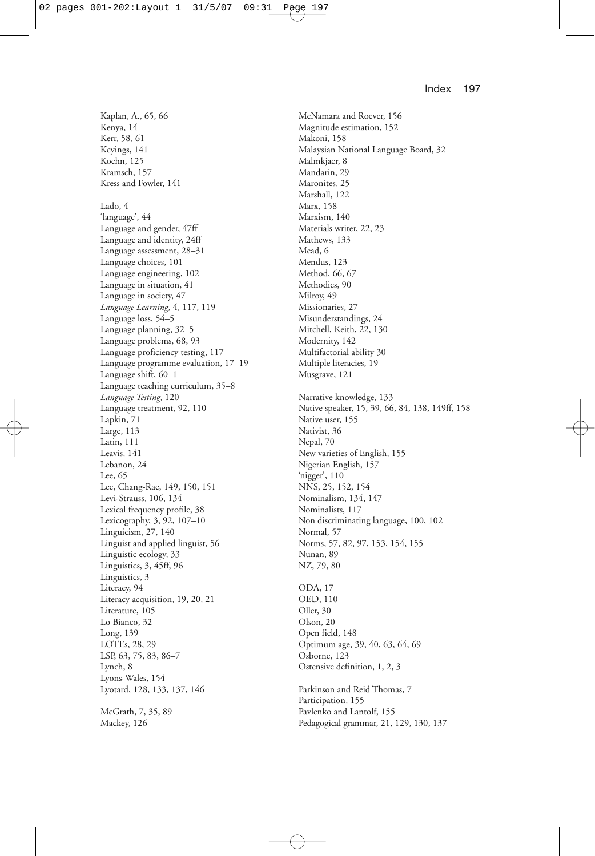Kaplan, A., 65, 66 Kenya, 14 Kerr, 58, 61 Keyings, 141 Koehn, 125 Kramsch, 157 Kress and Fowler, 141 Lado, 4 'language', 44 Language and gender, 47ff Language and identity, 24ff Language assessment, 28–31 Language choices, 101 Language engineering, 102 Language in situation, 41 Language in society, 47 *Language Learning*, 4, 117, 119 Language loss, 54–5 Language planning, 32–5 Language problems, 68, 93 Language proficiency testing, 117 Language programme evaluation, 17–19 Language shift, 60–1 Language teaching curriculum, 35–8 *Language Testing*, 120 Language treatment, 92, 110 Lapkin, 71 Large, 113 Latin, 111 Leavis, 141 Lebanon, 24 Lee, 65 Lee, Chang-Rae, 149, 150, 151 Levi-Strauss, 106, 134 Lexical frequency profile, 38 Lexicography, 3, 92, 107–10 Linguicism, 27, 140 Linguist and applied linguist, 56 Linguistic ecology, 33 Linguistics, 3, 45ff, 96 Linguistics, 3 Literacy, 94 Literacy acquisition, 19, 20, 21 Literature, 105 Lo Bianco, 32 Long, 139 LOTEs, 28, 29 LSP, 63, 75, 83, 86–7 Lynch, 8 Lyons-Wales, 154 Lyotard, 128, 133, 137, 146 McGrath, 7, 35, 89 Mackey, 126

McNamara and Roever, 156 Magnitude estimation, 152 Makoni, 158 Malaysian National Language Board, 32 Malmkjaer, 8 Mandarin, 29 Maronites, 25 Marshall, 122 Marx, 158 Marxism, 140 Materials writer, 22, 23 Mathews, 133 Mead, 6 Mendus, 123 Method, 66, 67 Methodics, 90 Milroy, 49 Missionaries, 27 Misunderstandings, 24 Mitchell, Keith, 22, 130 Modernity, 142 Multifactorial ability 30 Multiple literacies, 19 Musgrave, 121 Narrative knowledge, 133 Native speaker, 15, 39, 66, 84, 138, 149ff, 158 Native user, 155 Nativist, 36 Nepal, 70 New varieties of English, 155 Nigerian English, 157 'nigger', 110 NNS, 25, 152, 154 Nominalism, 134, 147 Nominalists, 117 Non discriminating language, 100, 102 Normal, 57 Norms, 57, 82, 97, 153, 154, 155 Nunan, 89 NZ, 79, 80 ODA, 17 OED, 110 Oller, 30 Olson, 20 Open field, 148 Optimum age, 39, 40, 63, 64, 69 Osborne, 123 Ostensive definition, 1, 2, 3 Parkinson and Reid Thomas, 7 Participation, 155 Pavlenko and Lantolf, 155 Pedagogical grammar, 21, 129, 130, 137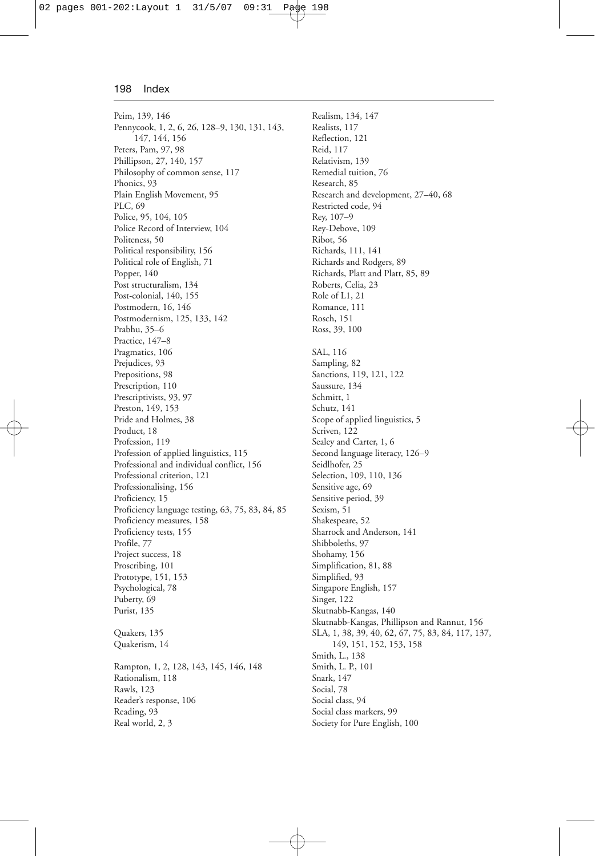Peim, 139, 146 Pennycook, 1, 2, 6, 26, 128–9, 130, 131, 143, 147, 144, 156 Peters, Pam, 97, 98 Phillipson, 27, 140, 157 Philosophy of common sense, 117 Phonics, 93 Plain English Movement, 95 PLC, 69 Police, 95, 104, 105 Police Record of Interview, 104 Politeness, 50 Political responsibility, 156 Political role of English, 71 Popper, 140 Post structuralism, 134 Post-colonial, 140, 155 Postmodern, 16, 146 Postmodernism, 125, 133, 142 Prabhu, 35–6 Practice, 147–8 Pragmatics, 106 Prejudices, 93 Prepositions, 98 Prescription, 110 Prescriptivists, 93, 97 Preston, 149, 153 Pride and Holmes, 38 Product, 18 Profession, 119 Profession of applied linguistics, 115 Professional and individual conflict, 156 Professional criterion, 121 Professionalising, 156 Proficiency, 15 Proficiency language testing, 63, 75, 83, 84, 85 Proficiency measures, 158 Proficiency tests, 155 Profile, 77 Project success, 18 Proscribing, 101 Prototype, 151, 153 Psychological, 78 Puberty, 69 Purist, 135 Quakers, 135 Quakerism, 14 Rampton, 1, 2, 128, 143, 145, 146, 148 Rationalism, 118 Rawls, 123 Reader's response, 106 Reading, 93 Real world, 2, 3

Realism, 134, 147 Realists, 117 Reflection, 121 Reid, 117 Relativism, 139 Remedial tuition, 76 Research, 85 Research and development, 27–40, 68 Restricted code, 94 Rey, 107–9 Rey-Debove, 109 Ribot, 56 Richards, 111, 141 Richards and Rodgers, 89 Richards, Platt and Platt, 85, 89 Roberts, Celia, 23 Role of L1, 21 Romance, 111 Rosch, 151 Ross, 39, 100 SAL, 116 Sampling, 82 Sanctions, 119, 121, 122 Saussure, 134 Schmitt, 1 Schutz, 141 Scope of applied linguistics, 5 Scriven, 122 Sealey and Carter, 1, 6 Second language literacy, 126–9 Seidlhofer, 25 Selection, 109, 110, 136 Sensitive age, 69 Sensitive period, 39 Sexism, 51 Shakespeare, 52 Sharrock and Anderson, 141 Shibboleths, 97 Shohamy, 156 Simplification, 81, 88 Simplified, 93 Singapore English, 157 Singer, 122 Skutnabb-Kangas, 140 Skutnabb-Kangas, Phillipson and Rannut, 156 SLA, 1, 38, 39, 40, 62, 67, 75, 83, 84, 117, 137, 149, 151, 152, 153, 158 Smith, L., 138 Smith, L. P., 101 Snark, 147 Social, 78 Social class, 94 Social class markers, 99 Society for Pure English, 100